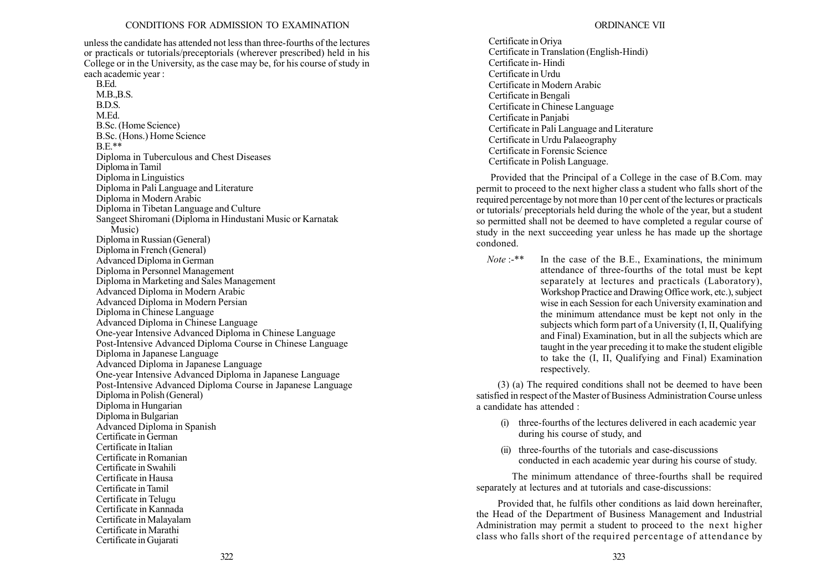unless the candidate has attended not less than three-fourths of the lectures or practicals or tutorials/preceptorials (wherever prescribed) held in his College or in the University, as the case may be, for his course of study in each academic year :

B.Ed.  $M.B.B.S.$ B.D.S. M.Ed. B.Sc. (Home Science) B.Sc. (Hons.) Home Science  $BE**$ Diploma in Tuberculous and Chest Diseases Diploma in Tamil Diploma in Linguistics Diploma in Pali Language and Literature Diploma in Modern Arabic Diploma in Tibetan Language and Culture Sangeet Shiromani (Diploma in Hindustani Music or Karnatak Music) Diploma in Russian (General) Diploma in French (General) Advanced Diploma in German Diploma in Personnel Management Diploma in Marketing and Sales Management Advanced Diploma in Modern Arabic Advanced Diploma in Modern Persian Diploma in Chinese Language Advanced Diploma in Chinese Language One-year Intensive Advanced Diploma in Chinese Language Post-Intensive Advanced Diploma Course in Chinese Language Diploma in Japanese Language Advanced Diploma in Japanese Language One-year Intensive Advanced Diploma in Japanese Language Post-Intensive Advanced Diploma Course in Japanese Language Diploma in Polish (General) Diploma in Hungarian Diploma in Bulgarian Advanced Diploma in Spanish Certificate in German Certificate in Italian Certificate in Romanian Certificate in Swahili Certificate in Hausa Certificate in Tamil Certificate in Telugu Certificate in Kannada Certificate in Malayalam Certificate in Marathi Certificate in Gujarati

Certificate in Oriya Certificate in Translation (English-Hindi) Certificate in- Hindi Certificate in Urdu Certificate in Modern Arabic Certificate in Bengali Certificate in Chinese Language Certificate in Panjabi Certificate in Pali Language and Literature Certificate in Urdu Palaeography Certificate in Forensic Science Certificate in Polish Language.

Provided that the Principal of a College in the case of B.Com. may permit to proceed to the next higher class a student who falls short of the required percentage by not more than 10 per cent of the lectures or practicals or tutorials/ preceptorials held during the whole of the year, but a student so permitted shall not be deemed to have completed a regular course of study in the next succeeding year unless he has made up the shortage condoned.

Note :-\*\* In the case of the B.E., Examinations, the minimum attendance of three-fourths of the total must be kept separately at lectures and practicals (Laboratory), Workshop Practice and Drawing Office work, etc.), subject wise in each Session for each University examination and the minimum attendance must be kept not only in the subjects which form part of a University (I, II, Qualifying and Final) Examination, but in all the subjects which are taught in the year preceding it to make the student eligible to take the (I, II, Qualifying and Final) Examination respectively.

(3) (a) The required conditions shall not be deemed to have been satisfied in respect of the Master of Business Administration Course unless a candidate has attended :

- (i) three-fourths of the lectures delivered in each academic year during his course of study, and
- (ii) three-fourths of the tutorials and case-discussions conducted in each academic year during his course of study.

The minimum attendance of three-fourths shall be required separately at lectures and at tutorials and case-discussions:

Provided that, he fulfils other conditions as laid down hereinafter, the Head of the Department of Business Management and Industrial Administration may permit a student to proceed to the next higher class who falls short of the required percentage of attendance by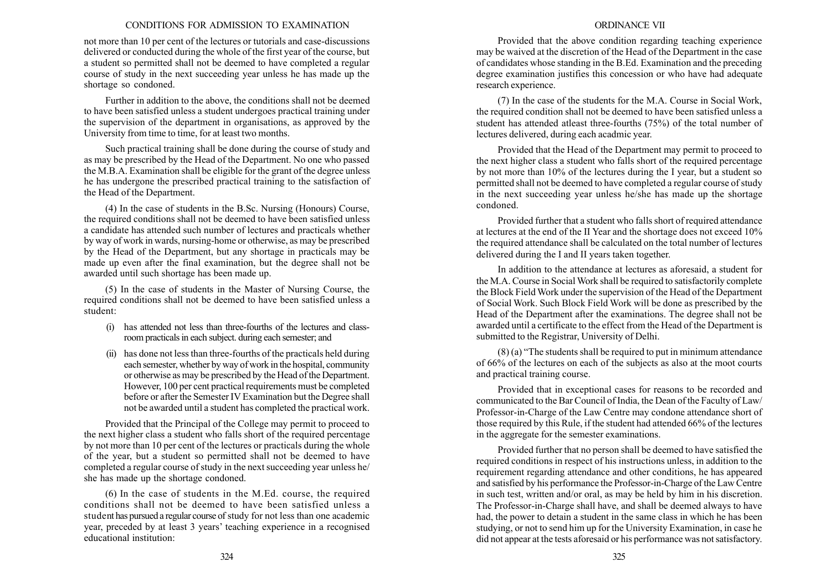not more than 10 per cent of the lectures or tutorials and case-discussions delivered or conducted during the whole of the first year of the course, but a student so permitted shall not be deemed to have completed a regular course of study in the next succeeding year unless he has made up the shortage so condoned.

Further in addition to the above, the conditions shall not be deemed to have been satisfied unless a student undergoes practical training under the supervision of the department in organisations, as approved by the University from time to time, for at least two months.

Such practical training shall be done during the course of study and as may be prescribed by the Head of the Department. No one who passed the M.B.A. Examination shall be eligible for the grant of the degree unless he has undergone the prescribed practical training to the satisfaction of the Head of the Department.

(4) In the case of students in the B.Sc. Nursing (Honours) Course, the required conditions shall not be deemed to have been satisfied unless a candidate has attended such number of lectures and practicals whether by way of work in wards, nursing-home or otherwise, as may be prescribed by the Head of the Department, but any shortage in practicals may be made up even after the final examination, but the degree shall not be awarded until such shortage has been made up.

(5) In the case of students in the Master of Nursing Course, the required conditions shall not be deemed to have been satisfied unless a student:

- (i) has attended not less than three-fourths of the lectures and classroom practicals in each subject. during each semester; and
- (ii) has done not less than three-fourths of the practicals held during each semester, whether by way of work in the hospital, community or otherwise as may be prescribed by the Head of the Department. However, 100 per cent practical requirements must be completed before or after the Semester IV Examination but the Degree shall not be awarded until a student has completed the practical work.

Provided that the Principal of the College may permit to proceed to the next higher class a student who falls short of the required percentage by not more than 10 per cent of the lectures or practicals during the whole of the year, but a student so permitted shall not be deemed to have completed a regular course of study in the next succeeding year unless he/ she has made up the shortage condoned.

(6) In the case of students in the M.Ed. course, the required conditions shall not be deemed to have been satisfied unless a student has pursued a regular course of study for not less than one academic year, preceded by at least 3 years' teaching experience in a recognised educational institution:

## ORDINANCE VII

Provided that the above condition regarding teaching experience may be waived at the discretion of the Head of the Department in the case of candidates whose standing in the B.Ed. Examination and the preceding degree examination justifies this concession or who have had adequate research experience.

(7) In the case of the students for the M.A. Course in Social Work, the required condition shall not be deemed to have been satisfied unless a student has attended atleast three-fourths (75%) of the total number of lectures delivered, during each acadmic year.

Provided that the Head of the Department may permit to proceed to the next higher class a student who falls short of the required percentage by not more than 10% of the lectures during the I year, but a student so permitted shall not be deemed to have completed a regular course of study in the next succeeding year unless he/she has made up the shortage condoned.

Provided further that a student who falls short of required attendance at lectures at the end of the II Year and the shortage does not exceed 10% the required attendance shall be calculated on the total number of lectures delivered during the I and II years taken together.

In addition to the attendance at lectures as aforesaid, a student for the M.A. Course in Social Work shall be required to satisfactorily complete the Block Field Work under the supervision of the Head of the Department of Social Work. Such Block Field Work will be done as prescribed by the Head of the Department after the examinations. The degree shall not be awarded until a certificate to the effect from the Head of the Department is submitted to the Registrar, University of Delhi.

 $(8)$  (a) "The students shall be required to put in minimum attendance of 66% of the lectures on each of the subjects as also at the moot courts and practical training course.

Provided that in exceptional cases for reasons to be recorded and communicated to the Bar Council of India, the Dean of the Faculty of Law/ Professor-in-Charge of the Law Centre may condone attendance short of those required by this Rule, if the student had attended 66% of the lectures in the aggregate for the semester examinations.

Provided further that no person shall be deemed to have satisfied the required conditions in respect of his instructions unless, in addition to the requirement regarding attendance and other conditions, he has appeared and satisfied by his performance the Professor-in-Charge of the Law Centre in such test, written and/or oral, as may be held by him in his discretion. The Professor-in-Charge shall have, and shall be deemed always to have had, the power to detain a student in the same class in which he has been studying, or not to send him up for the University Examination, in case he did not appear at the tests aforesaid or his performance was not satisfactory.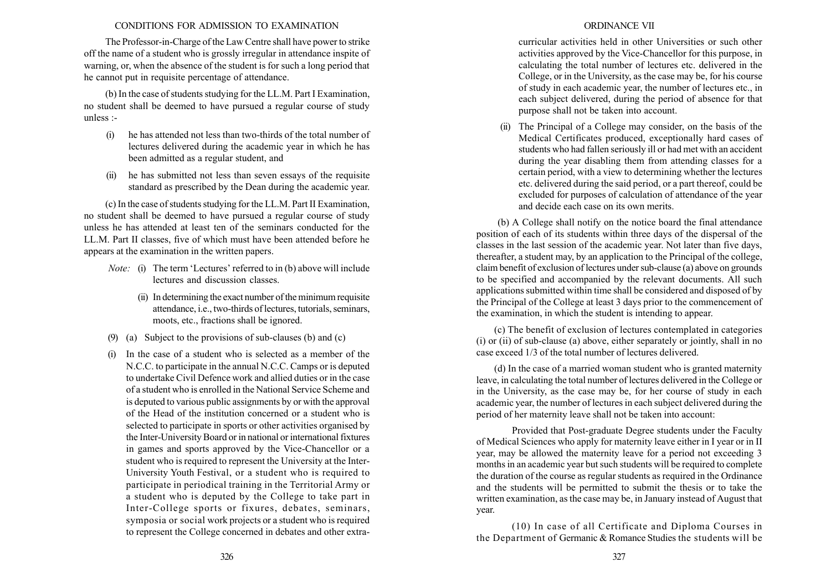The Professor-in-Charge of the Law Centre shall have power to strike off the name of a student who is grossly irregular in attendance inspite of warning, or, when the absence of the student is for such a long period that he cannot put in requisite percentage of attendance.

(b) In the case of students studying for the LL.M. Part I Examination, no student shall be deemed to have pursued a regular course of study unless :-

- (i) he has attended not less than two-thirds of the total number of lectures delivered during the academic year in which he has been admitted as a regular student, and
- (ii) he has submitted not less than seven essays of the requisite standard as prescribed by the Dean during the academic year.

(c) In the case of students studying for the LL.M. Part II Examination, no student shall be deemed to have pursued a regular course of study unless he has attended at least ten of the seminars conducted for the LL.M. Part II classes, five of which must have been attended before he appears at the examination in the written papers.

- *Note:* (i) The term 'Lectures' referred to in (b) above will include lectures and discussion classes.
	- (ii) In determining the exact number of the minimum requisite attendance, i.e., two-thirds of lectures, tutorials, seminars, moots, etc., fractions shall be ignored.
- (9) (a) Subject to the provisions of sub-clauses (b) and (c)
- (i) In the case of a student who is selected as a member of the N.C.C. to participate in the annual N.C.C. Camps or is deputed to undertake Civil Defence work and allied duties or in the case of a student who is enrolled in the National Service Scheme and is deputed to various public assignments by or with the approval of the Head of the institution concerned or a student who is selected to participate in sports or other activities organised by the Inter-University Board or in national or international fixtures in games and sports approved by the Vice-Chancellor or a student who is required to represent the University at the Inter-University Youth Festival, or a student who is required to participate in periodical training in the Territorial Army or a student who is deputed by the College to take part in Inter-College sports or fixures, debates, seminars, symposia or social work projects or a student who is required to represent the College concerned in debates and other extra-

# ORDINANCE VII

curricular activities held in other Universities or such other activities approved by the Vice-Chancellor for this purpose, in calculating the total number of lectures etc. delivered in the College, or in the University, as the case may be, for his course of study in each academic year, the number of lectures etc., in each subject delivered, during the period of absence for that purpose shall not be taken into account.

(ii) The Principal of a College may consider, on the basis of the Medical Certificates produced, exceptionally hard cases of students who had fallen seriously ill or had met with an accident during the year disabling them from attending classes for a certain period, with a view to determining whether the lectures etc. delivered during the said period, or a part thereof, could be excluded for purposes of calculation of attendance of the year and decide each case on its own merits.

(b) A College shall notify on the notice board the final attendance position of each of its students within three days of the dispersal of the classes in the last session of the academic year. Not later than five days, thereafter, a student may, by an application to the Principal of the college, claim benefit of exclusion of lectures under sub-clause (a) above on grounds to be specified and accompanied by the relevant documents. All such applications submitted within time shall be considered and disposed of by the Principal of the College at least 3 days prior to the commencement of the examination, in which the student is intending to appear.

(c) The benefit of exclusion of lectures contemplated in categories (i) or (ii) of sub-clause (a) above, either separately or jointly, shall in no case exceed 1/3 of the total number of lectures delivered.

(d) In the case of a married woman student who is granted maternity leave, in calculating the total number of lectures delivered in the College or in the University, as the case may be, for her course of study in each academic year, the number of lectures in each subject delivered during the period of her maternity leave shall not be taken into account:

Provided that Post-graduate Degree students under the Faculty of Medical Sciences who apply for maternity leave either in I year or in II year, may be allowed the maternity leave for a period not exceeding 3 months in an academic year but such students will be required to complete the duration of the course as regular students as required in the Ordinance and the students will be permitted to submit the thesis or to take the written examination, as the case may be, in January instead of August that year.

(10) In case of all Certificate and Diploma Courses in the Department of Germanic & Romance Studies the students will be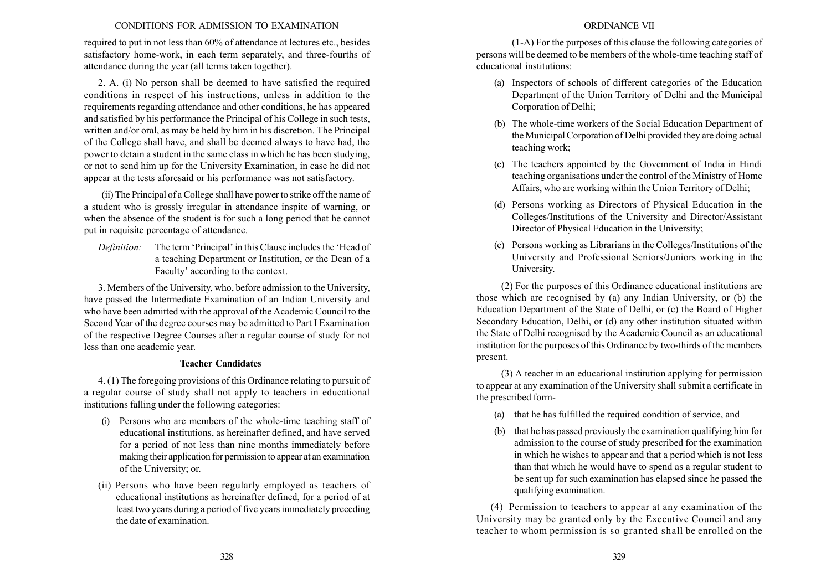required to put in not less than 60% of attendance at lectures etc., besides satisfactory home-work, in each term separately, and three-fourths of attendance during the year (all terms taken together).

2. A. (i) No person shall be deemed to have satisfied the required conditions in respect of his instructions, unless in addition to the requirements regarding attendance and other conditions, he has appeared and satisfied by his performance the Principal of his College in such tests, written and/or oral, as may be held by him in his discretion. The Principal of the College shall have, and shall be deemed always to have had, the power to detain a student in the same class in which he has been studying, or not to send him up for the University Examination, in case he did not appear at the tests aforesaid or his performance was not satisfactory.

(ii) The Principal of a College shall have power to strike off the name of a student who is grossly irregular in attendance inspite of warning, or when the absence of the student is for such a long period that he cannot put in requisite percentage of attendance.

Definition: The term 'Principal' in this Clause includes the 'Head of a teaching Department or Institution, or the Dean of a Faculty' according to the context.

3. Members of the University, who, before admission to the University, have passed the Intermediate Examination of an Indian University and who have been admitted with the approval of the Academic Council to the Second Year of the degree courses may be admitted to Part I Examination of the respective Degree Courses after a regular course of study for not less than one academic year.

# Teacher Candidates

4. (1) The foregoing provisions of this Ordinance relating to pursuit of a regular course of study shall not apply to teachers in educational institutions falling under the following categories:

- (i) Persons who are members of the whole-time teaching staff of educational institutions, as hereinafter defined, and have served for a period of not less than nine months immediately before making their application for permission to appear at an examination of the University; or.
- (ii) Persons who have been regularly employed as teachers of educational institutions as hereinafter defined, for a period of at least two years during a period of five years immediately preceding the date of examination.

## ORDINANCE VII

(1-A) For the purposes of this clause the following categories of persons will be deemed to be members of the whole-time teaching staff of educational institutions:

- (a) Inspectors of schools of different categories of the Education Department of the Union Territory of Delhi and the Municipal Corporation of Delhi;
- (b) The whole-time workers of the Social Education Department of the Municipal Corporation of Delhi provided they are doing actual teaching work;
- (c) The teachers appointed by the Govemment of India in Hindi teaching organisations under the control of the Ministry of Home Affairs, who are working within the Union Territory of Delhi;
- (d) Persons working as Directors of Physical Education in the Colleges/Institutions of the University and Director/Assistant Director of Physical Education in the University;
- (e) Persons working as Librarians in the Colleges/Institutions of the University and Professional Seniors/Juniors working in the University.

(2) For the purposes of this Ordinance educational institutions are those which are recognised by (a) any Indian University, or (b) the Education Department of the State of Delhi, or (c) the Board of Higher Secondary Education, Delhi, or (d) any other institution situated within the State of Delhi recognised by the Academic Council as an educational institution for the purposes of this Ordinance by two-thirds of the members present.

(3) A teacher in an educational institution applying for permission to appear at any examination of the University shall submit a certificate in the prescribed form-

- (a) that he has fulfilled the required condition of service, and
- (b) that he has passed previously the examination qualifying him for admission to the course of study prescribed for the examination in which he wishes to appear and that a period which is not less than that which he would have to spend as a regular student to be sent up for such examination has elapsed since he passed the qualifying examination.

(4) Permission to teachers to appear at any examination of the University may be granted only by the Executive Council and any teacher to whom permission is so granted shall be enrolled on the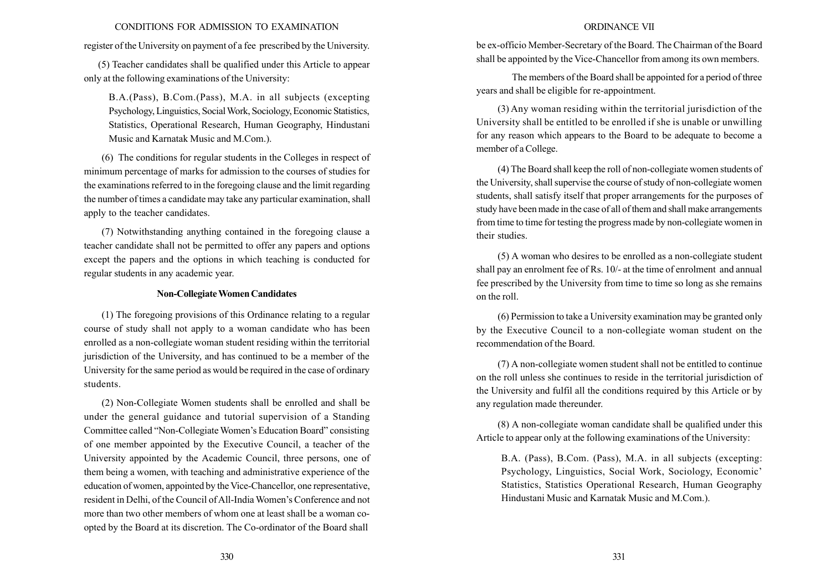register of the University on payment of a fee prescribed by the University.

(5) Teacher candidates shall be qualified under this Article to appear only at the following examinations of the University:

B.A.(Pass), B.Com.(Pass), M.A. in all subjects (excepting Psychology, Linguistics, SocialWork, Sociology, Economic Statistics, Statistics, Operational Research, Human Geography, Hindustani Music and Karnatak Music and M.Com.).

(6) The conditions for regular students in the Colleges in respect of minimum percentage of marks for admission to the courses of studies for the examinations referred to in the foregoing clause and the limit regarding the number of times a candidate may take any particular examination, shall apply to the teacher candidates.

(7) Notwithstanding anything contained in the foregoing clause a teacher candidate shall not be permitted to offer any papers and options except the papers and the options in which teaching is conducted for regular students in any academic year.

#### Non-CollegiateWomen Candidates

(1) The foregoing provisions of this Ordinance relating to a regular course of study shall not apply to a woman candidate who has been enrolled as a non-collegiate woman student residing within the territorial jurisdiction of the University, and has continued to be a member of the University for the same period as would be required in the case of ordinary students.

(2) Non-Collegiate Women students shall be enrolled and shall be under the general guidance and tutorial supervision of a Standing Committee called "Non-Collegiate Women's Education Board" consisting of one member appointed by the Executive Council, a teacher of the University appointed by the Academic Council, three persons, one of them being a women, with teaching and administrative experience of the education of women, appointed by the Vice-Chancellor, one representative, resident in Delhi, of the Council of All-India Women's Conference and not more than two other members of whom one at least shall be a woman coopted by the Board at its discretion. The Co-ordinator of the Board shall

### ORDINANCE VII

be ex-officio Member-Secretary of the Board. The Chairman of the Board shall be appointed by the Vice-Chancellor from among its own members.

The members of the Board shall be appointed for a period of three years and shall be eligible for re-appointment.

(3) Any woman residing within the territorial jurisdiction of the University shall be entitled to be enrolled if she is unable or unwilling for any reason which appears to the Board to be adequate to become a member of a College.

(4) The Board shall keep the roll of non-collegiate women students of the University, shall supervise the course of study of non-collegiate women students, shall satisfy itself that proper arrangements for the purposes of study have been made in the case of all of them and shall make arrangements from time to time for testing the progress made by non-collegiate women in their studies.

(5) A woman who desires to be enrolled as a non-collegiate student shall pay an enrolment fee of Rs. 10/- at the time of enrolment and annual fee prescribed by the University from time to time so long as she remains on the roll.

(6) Permission to take a University examination may be granted only by the Executive Council to a non-collegiate woman student on the recommendation of the Board.

(7) A non-collegiate women student shall not be entitled to continue on the roll unless she continues to reside in the territorial jurisdiction of the University and fulfil all the conditions required by this Article or by any regulation made thereunder.

(8) A non-collegiate woman candidate shall be qualified under this Article to appear only at the following examinations of the University:

B.A. (Pass), B.Com. (Pass), M.A. in all subjects (excepting: Psychology, Linguistics, Social Work, Sociology, Economic' Statistics, Statistics Operational Research, Human Geography Hindustani Music and Karnatak Music and M.Com.).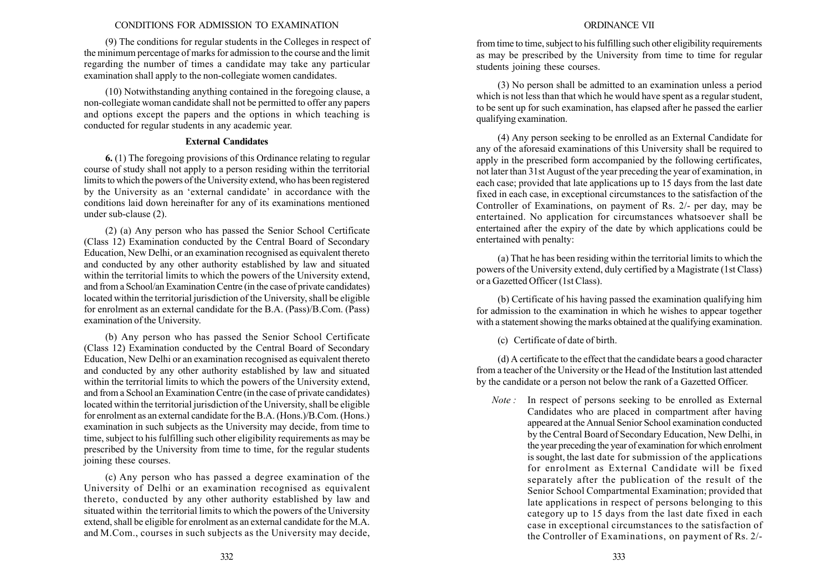(9) The conditions for regular students in the Colleges in respect of the minimum percentage of marks for admission to the course and the limit regarding the number of times a candidate may take any particular examination shall apply to the non-collegiate women candidates.

(10) Notwithstanding anything contained in the foregoing clause, a non-collegiate woman candidate shall not be permitted to offer any papers and options except the papers and the options in which teaching is conducted for regular students in any academic year.

## External Candidates

6. (1) The foregoing provisions of this Ordinance relating to regular course of study shall not apply to a person residing within the territorial limits to which the powers of the University extend, who has been registered by the University as an 'external candidate' in accordance with the conditions laid down hereinafter for any of its examinations mentioned under sub-clause (2).

(2) (a) Any person who has passed the Senior School Certificate (Class 12) Examination conducted by the Central Board of Secondary Education, New Delhi, or an examination recognised as equivalent thereto and conducted by any other authority established by law and situated within the territorial limits to which the powers of the University extend, and from a School/an Examination Centre (in the case of private candidates) located within the territorial jurisdiction of the University, shall be eligible for enrolment as an external candidate for the B.A. (Pass)/B.Com. (Pass) examination of the University.

(b) Any person who has passed the Senior School Certificate (Class 12) Examination conducted by the Central Board of Secondary Education, New Delhi or an examination recognised as equivalent thereto and conducted by any other authority established by law and situated within the territorial limits to which the powers of the University extend, and from a School an Examination Centre (in the case of private candidates) located within the territorial jurisdiction of the University, shall be eligible for enrolment as an external candidate for the B.A. (Hons.)/B.Com. (Hons.) examination in such subjects as the University may decide, from time to time, subject to his fulfilling such other eligibility requirements as may be prescribed by the University from time to time, for the regular students joining these courses.

(c) Any person who has passed a degree examination of the University of Delhi or an examination recognised as equivalent thereto, conducted by any other authority established by law and situated within the territorial limits to which the powers of the University extend, shall be eligible for enrolment as an external candidate for the M.A. and M.Com., courses in such subjects as the University may decide,

### ORDINANCE VII

from time to time, subject to his fulfilling such other eligibility requirements as may be prescribed by the University from time to time for regular students joining these courses.

(3) No person shall be admitted to an examination unless a period which is not less than that which he would have spent as a regular student, to be sent up for such examination, has elapsed after he passed the earlier qualifying examination.

(4) Any person seeking to be enrolled as an External Candidate for any of the aforesaid examinations of this University shall be required to apply in the prescribed form accompanied by the following certificates, not later than 31st August of the year preceding the year of examination, in each case; provided that late applications up to 15 days from the last date fixed in each case, in exceptional circumstances to the satisfaction of the Controller of Examinations, on payment of Rs. 2/- per day, may be entertained. No application for circumstances whatsoever shall be entertained after the expiry of the date by which applications could be entertained with penalty:

(a) That he has been residing within the territorial limits to which the powers of the University extend, duly certified by a Magistrate (1st Class) or a Gazetted Officer (1st Class).

(b) Certificate of his having passed the examination qualifying him for admission to the examination in which he wishes to appear together with a statement showing the marks obtained at the qualifying examination.

(c) Certificate of date of birth.

(d) A certificate to the effect that the candidate bears a good character from a teacher of the University or the Head of the Institution last attended by the candidate or a person not below the rank of a Gazetted Officer.

Note : In respect of persons seeking to be enrolled as External Candidates who are placed in compartment after having appeared at the Annual Senior School examination conducted by the Central Board of Secondary Education, New Delhi, in the year preceding the year of examination for which enrolment is sought, the last date for submission of the applications for enrolment as External Candidate will be fixed separately after the publication of the result of the Senior School Compartmental Examination; provided that late applications in respect of persons belonging to this category up to 15 days from the last date fixed in each case in exceptional circumstances to the satisfaction of the Controller of Examinations, on payment of Rs. 2/-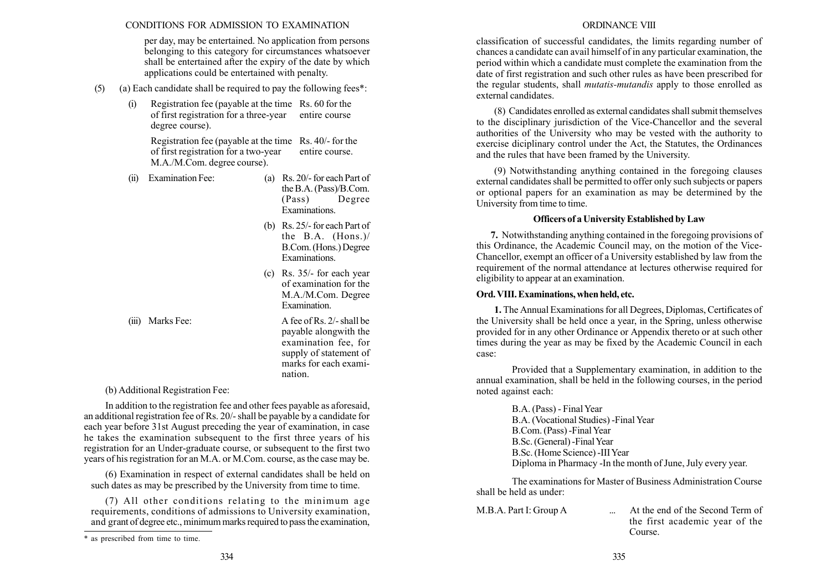per day, may be entertained. No application from persons belonging to this category for circumstances whatsoever shall be entertained after the expiry of the date by which applications could be entertained with penalty.

- (5) (a) Each candidate shall be required to pay the following fees\*:
	- (i) Registration fee (payable at the time Rs. 60 for the of first registration for a three-year entire course degree course).

Registration fee (payable at the time Rs. 40/- for the of first registration for a two-year entire course. M.A./M.Com. degree course).

(ii) Examination Fee: (a) Rs. 20/- for each Part of

the B.A. (Pass)/B.Com. (Pass) Degree Examinations.

- (b) Rs. 25/- for each Part of the B.A. (Hons.)/ B.Com. (Hons.) Degree Examinations.
- (c) Rs. 35/- for each year of examination for the M.A./M.Com. Degree Examination.

(iii) Marks Fee: A fee of Rs. 2/- shall be payable alongwith the examination fee, for supply of statement of marks for each examination.

(b) Additional Registration Fee:

In addition to the registration fee and other fees payable as aforesaid, an additional registration fee of Rs. 20/- shall be payable by a candidate for each year before 31st August preceding the year of examination, in case he takes the examination subsequent to the first three years of his registration for an Under-graduate course, or subsequent to the first two years of his registration for an M.A. or M.Com. course, as the case may be.

(6) Examination in respect of external candidates shall be held on such dates as may be prescribed by the University from time to time.

(7) All other conditions relating to the minimum age requirements, conditions of admissions to University examination, and grant of degree etc., minimum marks required to pass the examination,

classification of successful candidates, the limits regarding number of chances a candidate can avail himself of in any particular examination, the period within which a candidate must complete the examination from the date of first registration and such other rules as have been prescribed for the regular students, shall mutatis-mutandis apply to those enrolled as external candidates.

(8) Candidates enrolled as external candidates shall submit themselves to the disciplinary jurisdiction of the Vice-Chancellor and the several authorities of the University who may be vested with the authority to exercise diciplinary control under the Act, the Statutes, the Ordinances and the rules that have been framed by the University.

(9) Notwithstanding anything contained in the foregoing clauses external candidates shall be permitted to offer only such subjects or papers or optional papers for an examination as may be determined by the University from time to time.

## Officers of a University Established by Law

7. Notwithstanding anything contained in the foregoing provisions of this Ordinance, the Academic Council may, on the motion of the Vice-Chancellor, exempt an officer of a University established by law from the requirement of the normal attendance at lectures otherwise required for eligibility to appear at an examination.

## Ord. VIII.Examinations, when held, etc.

1. The Annual Examinations for all Degrees, Diplomas, Certificates of the University shall be held once a year, in the Spring, unless otherwise provided for in any other Ordinance or Appendix thereto or at such other times during the year as may be fixed by the Academic Council in each case:

Provided that a Supplementary examination, in addition to the annual examination, shall be held in the following courses, in the period noted against each:

> B.A. (Pass) - Final Year B.A. (Vocational Studies) -Final Year B.Com. (Pass) -Final Year B.Sc. (General) -FinalYear B.Sc. (Home Science) -III Year Diploma in Pharmacy -In the month of June, July every year.

The examinations for Master of Business Administration Course shall be held as under:

M.B.A. Part I: Group A ... At the end of the Second Term of the first academic year of the Course.

<sup>\*</sup> as prescribed from time to time.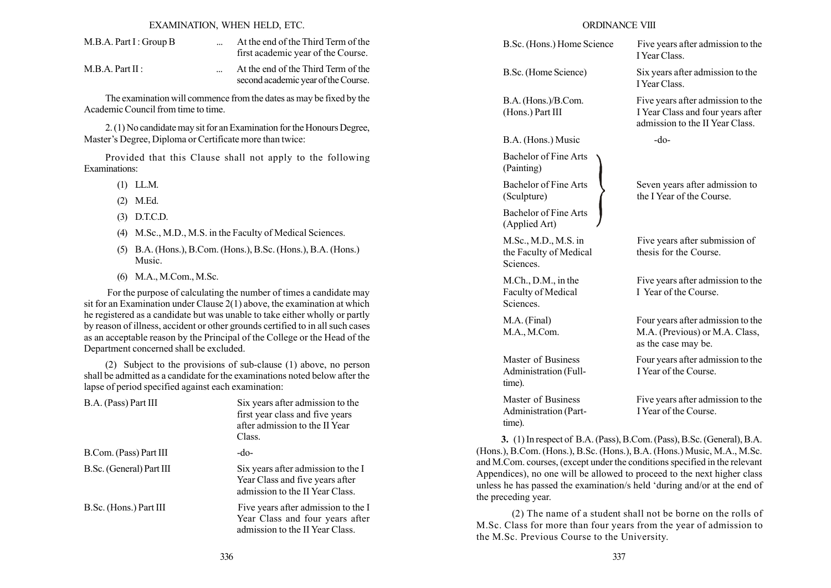### EXAMINATION, WHEN HELD, ETC.

| M.B.A. Part I: Group B | At the end of the Third Term of the |
|------------------------|-------------------------------------|
|                        | first academic year of the Course.  |
|                        |                                     |

M.B.A. Part II : ... At the end of the Third Term of the second academic year of the Course.

The examination will commence from the dates as may be fixed by the Academic Council from time to time.

2. (1) No candidate may sit for an Examination for the Honours Degree, Master's Degree, Diploma or Certificate more than twice:

Provided that this Clause shall not apply to the following Examinations:

- (1) LL.M.
- (2) M.Ed.
- (3) D.T.C.D.
- (4) M.Sc., M.D., M.S. in the Faculty of Medical Sciences.
- (5) B.A. (Hons.), B.Com. (Hons.), B.Sc. (Hons.), B.A. (Hons.) Music.
- (6) M.A., M.Com., M.Sc.

For the purpose of calculating the number of times a candidate may sit for an Examination under Clause 2(1) above, the examination at which he registered as a candidate but was unable to take either wholly or partly by reason of illness, accident or other grounds certified to in all such cases as an acceptable reason by the Principal of the College or the Head of the Department concerned shall be excluded.

(2) Subject to the provisions of sub-clause (1) above, no person shall be admitted as a candidate for the examinations noted below after the lapse of period specified against each examination:

| B.A. (Pass) Part III     | Six years after admission to the<br>first year class and five years<br>after admission to the II Year<br>Class. |
|--------------------------|-----------------------------------------------------------------------------------------------------------------|
| B.Com. (Pass) Part III   | $-do-$                                                                                                          |
| B.Sc. (General) Part III | Six years after admission to the I<br>Year Class and five years after<br>admission to the II Year Class.        |
| B.Sc. (Hons.) Part III   | Five years after admission to the I<br>Year Class and four years after<br>admission to the II Year Class.       |

| B.Sc. (Hons.) Home Science                                     | Five years after admission to the<br>I Year Class                                                         |
|----------------------------------------------------------------|-----------------------------------------------------------------------------------------------------------|
| B.Sc. (Home Science)                                           | Six years after admission to the<br>I Year Class.                                                         |
| B.A. (Hons.)/B.Com.<br>(Hons.) Part III                        | Five years after admission to the<br>I Year Class and four years after<br>admission to the II Year Class. |
| B.A. (Hons.) Music                                             | $-do-$                                                                                                    |
| <b>Bachelor of Fine Arts</b><br>(Painting)                     |                                                                                                           |
| <b>Bachelor of Fine Arts</b><br>(Sculpture)                    | Seven years after admission to<br>the I Year of the Course.                                               |
| <b>Bachelor of Fine Arts</b><br>(Applied Art)                  |                                                                                                           |
| M.Sc., M.D., M.S. in<br>the Faculty of Medical<br>Sciences.    | Five years after submission of<br>thesis for the Course.                                                  |
| $M.Ch., D.M.,$ in the<br>Faculty of Medical<br><b>Sciences</b> | Five years after admission to the<br>I Year of the Course.                                                |
| M.A. (Final)<br>M.A., M.Com.                                   | Four years after admission to the<br>M.A. (Previous) or M.A. Class,<br>as the case may be.                |
| Master of Business<br>Administration (Full-<br>time).          | Four years after admission to the<br>I Year of the Course.                                                |
| Master of Business<br>Administration (Part-<br>time).          | Five years after admission to the<br>I Year of the Course.                                                |

(Hons.), B.Com. (Hons.), B.Sc. (Hons.), B.A. (Hons.) Music, M.A., M.Sc. and M.Com. courses, (except under the conditions specified in the relevant Appendices), no one will be allowed to proceed to the next higher class unless he has passed the examination/s held ëduring and/or at the end of the preceding year.

(2) The name of a student shall not be borne on the rolls of M.Sc. Class for more than four years from the year of admission to the M.Sc. Previous Course to the University.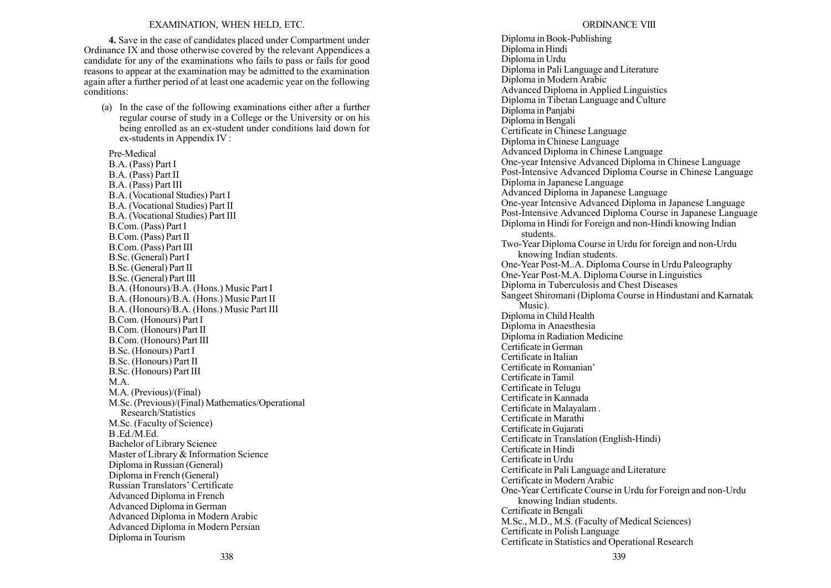#### EXAMINATION, WHEN HELD, ETC.

4. Save in the case of candidates placed under Compartment under Ordinance IX and those otherwise covered by the relevant Appendices a candidate for any of the examinations who fails to pass or fails for good reasons to appear at the examination may be admitted to the examination again after a further period of at least one academic year on the following conditions:

(a) In the case of the following examinations either after a further regular course of study in a College or the University or on his being enrolled as an ex-student under conditions laid down for ex-students in Appendix IV :

Pre-Medical B.A. (Pass) Part I B.A. (Pass) Part II B.A. (Pass) Part III B.A. (Vocational Studies) Part I B.A. (Vocational Studies) Part II B.A. (Vocational Studies) Part III B.Com. (Pass) Part I B.Com. (Pass) Part II B.Com. (Pass) Part III B.Sc. (General) Part I B.Sc. (General) Part II B.Sc. (General) Part III B.A. (Honours)/B.A. (Hons.) Music Part I B.A. (Honours)/B.A. (Hons.) Music Part II B.A. (Honours)/B.A. (Hons.) Music Part III B.Com. (Honours) Part I B.Com. (Honours) Part II B.Com. (Honours) Part III B.Sc. (Honours) Part I B.Sc. (Honours) Part II B.Sc. (Honours) Part III M.A. M.A. (Previous)/(Final) M.Sc. (Previous)/(Final) Mathematics/Operational Research/Statistics M.Sc. (Faculty of Science) B .Ed./M.Ed. Bachelor of Library Science Master of Library & Information Science Diploma in Russian (General) Diploma in French (General) Russian Translators' Certificate Advanced Diploma in French Advanced Diploma in German Advanced Diploma in Modern Arabic Advanced Diploma in Modern Persian Diploma in Tourism

Diploma in Book-Publishing Diploma in Hindi Diploma in Urdu Diploma in Pali Language and Literature Diploma in Modern Arabic Advanced Diploma in Applied Linguistics Diploma in Tibetan Language and Culture Diploma in Panjabi Diploma in Bengali Certificate in Chinese Language Diploma in Chinese Language Advanced Diploma in Chinese Language One-year Intensive Advanced Diploma in Chinese Language Post-Intensive Advanced Diploma Course in Chinese Language Diploma in Japanese Language Advanced Diploma in Japanese Language One-year Intensive Advanced Diploma in Japanese Language Post-Intensive Advanced Diploma Course in Japanese Language Diploma in Hindi for Foreign and non-Hindi knowing Indian students. Two-Year Diploma Course in Urdu for foreign and non-Urdu knowing Indian students. One-Year Post-M..A. Diploma Course in Urdu Paleography One-Year Post-M.A. Diploma Course in Linguistics Diploma in Tuberculosis and Chest Diseases Sangeet Shiromani (Diploma Course in Hindustani and Karnatak Music). Diploma in Child Health Diploma in Anaesthesia Diploma in Radiation Medicine Certificate in German Certificate in Italian Certificate in Romanian<sup>7</sup> Certificate in Tamil Certificate in Telugu Certificate in Kannada Certificate in Malayalam . Certificate in Marathi Certificate in Gujarati Certificate in Translation (English-Hindi) Certificate in Hindi Certificate in Urdu Certificate in Pali Language and Literature Certificate in Modern Arabic One-Year Certificate Course in Urdu for Foreign and non-Urdu knowing Indian students. Certificate in Bengali M.Sc., M.D., M.S. (Faculty of Medical Sciences) Certificate in Polish Language Certificate in Statistics and Operational Research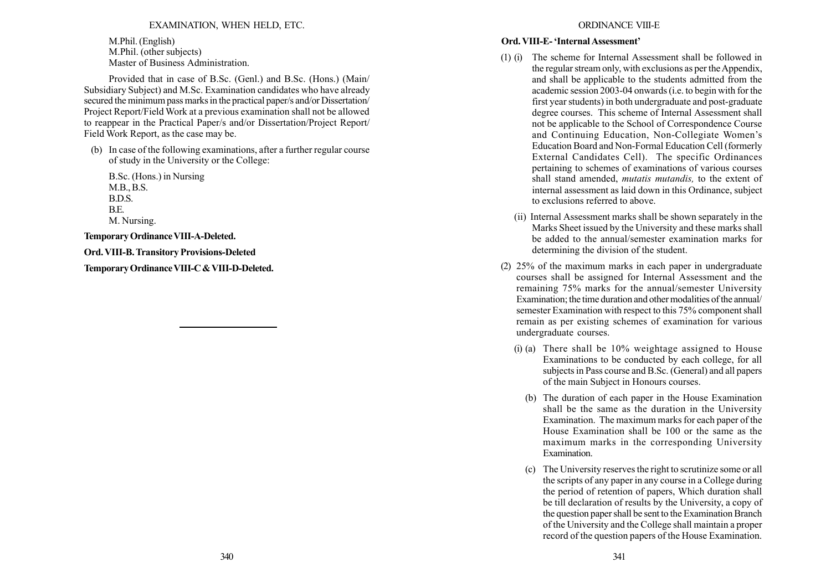# EXAMINATION, WHEN HELD, ETC.

M.Phil. (English) M.Phil. (other subjects) Master of Business Administration.

Provided that in case of B.Sc. (Genl.) and B.Sc. (Hons.) (Main/ Subsidiary Subject) and M.Sc. Examination candidates who have already secured the minimum pass marks in the practical paper/s and/or Dissertation/ Project Report/Field Work at a previous examination shall not be allowed to reappear in the Practical Paper/s and/or Dissertation/Project Report/ Field Work Report, as the case may be.

(b) In case of the following examinations, after a further regular course of study in the University or the College:

B.Sc. (Hons.) in Nursing M.B., B.S. B.D.S. B.E. M. Nursing.

TemporaryOrdinanceVIII-A-Deleted.

Ord. VIII-B.Transitory Provisions-Deleted

Temporary Ordinance VIII-C & VIII-D-Deleted.

## ORDINANCE VIII-E

# Ord. VIII-E- 'Internal Assessment'

- (1) (i) The scheme for Internal Assessment shall be followed in the regular stream only, with exclusions as per the Appendix, and shall be applicable to the students admitted from the academic session 2003-04 onwards (i.e. to begin with for the first year students) in both undergraduate and post-graduate degree courses. This scheme of Internal Assessment shall not be applicable to the School of Correspondence Course and Continuing Education, Non-Collegiate Women's Education Board and Non-Formal Education Cell (formerly External Candidates Cell). The specific Ordinances pertaining to schemes of examinations of various courses shall stand amended, *mutatis mutandis*, to the extent of internal assessment as laid down in this Ordinance, subject to exclusions referred to above.
	- (ii) Internal Assessment marks shall be shown separately in the Marks Sheet issued by the University and these marks shall be added to the annual/semester examination marks for determining the division of the student.
- (2) 25% of the maximum marks in each paper in undergraduate courses shall be assigned for Internal Assessment and the remaining 75% marks for the annual/semester University Examination; the time duration and other modalities of the annual/ semester Examination with respect to this 75% component shall remain as per existing schemes of examination for various undergraduate courses.
	- (i) (a) There shall be 10% weightage assigned to House Examinations to be conducted by each college, for all subjects in Pass course and B.Sc. (General) and all papers of the main Subject in Honours courses.
		- (b) The duration of each paper in the House Examination shall be the same as the duration in the University Examination. The maximum marks for each paper of the House Examination shall be 100 or the same as the maximum marks in the corresponding University Examination.
		- (c) The University reserves the right to scrutinize some or all the scripts of any paper in any course in a College during the period of retention of papers, Which duration shall be till declaration of results by the University, a copy of the question paper shall be sent to the Examination Branch of the University and the College shall maintain a proper record of the question papers of the House Examination.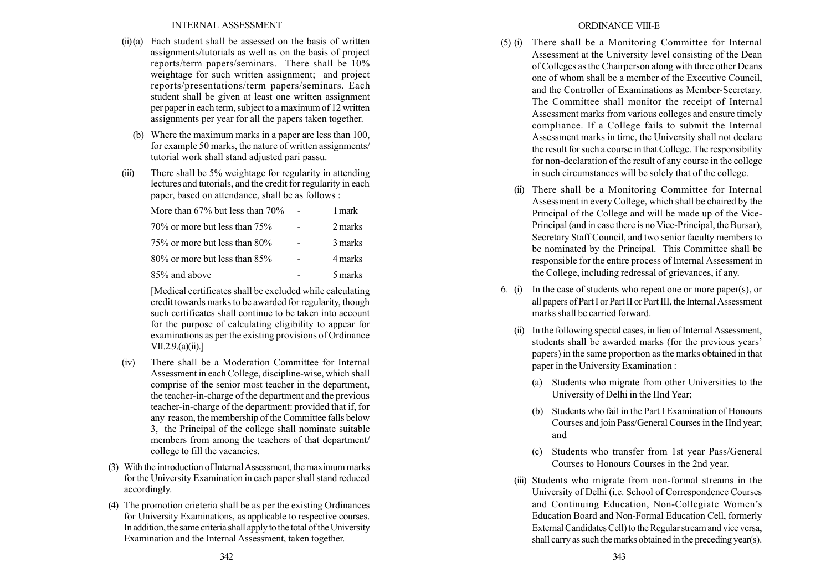## INTERNAL ASSESSMENT

- $(ii)(a)$  Each student shall be assessed on the basis of written assignments/tutorials as well as on the basis of project reports/term papers/seminars. There shall be 10% weightage for such written assignment; and project reports/presentations/term papers/seminars. Each student shall be given at least one written assignment per paper in each term, subject to a maximum of 12 written assignments per year for all the papers taken together.
	- (b) Where the maximum marks in a paper are less than 100, for example 50 marks, the nature of written assignments/ tutorial work shall stand adjusted pari passu.
- (iii) There shall be 5% weightage for regularity in attending lectures and tutorials, and the credit for regularity in each paper, based on attendance, shall be as follows :

| More than $67\%$ but less than $70\%$ | 1 mark  |
|---------------------------------------|---------|
| $70\%$ or more but less than $75\%$   | 2 marks |
| 75% or more but less than 80%         | 3 marks |
| $80\%$ or more but less than $85\%$   | 4 marks |
| 85% and above                         | 5 marks |

[Medical certificates shall be excluded while calculating credit towards marks to be awarded for regularity, though such certificates shall continue to be taken into account for the purpose of calculating eligibility to appear for examinations as per the existing provisions of Ordinance VII.2.9.(a)(ii).]

- (iv) There shall be a Moderation Committee for Internal Assessment in each College, discipline-wise, which shall comprise of the senior most teacher in the department, the teacher-in-charge of the department and the previous teacher-in-charge of the department: provided that if, for any reason, the membership of the Committee falls below 3, the Principal of the college shall nominate suitable members from among the teachers of that department/ college to fill the vacancies.
- (3) With the introduction of InternalAssessment, the maximum marks for the University Examination in each paper shall stand reduced accordingly.
- (4) The promotion crieteria shall be as per the existing Ordinances for University Examinations, as applicable to respective courses. In addition, the same criteria shall apply to the total of the University Examination and the Internal Assessment, taken together.

## ORDINANCE VIII-E

- (5) (i) There shall be a Monitoring Committee for Internal Assessment at the University level consisting of the Dean of Colleges as the Chairperson along with three other Deans one of whom shall be a member of the Executive Council, and the Controller of Examinations as Member-Secretary. The Committee shall monitor the receipt of Internal Assessment marks from various colleges and ensure timely compliance. If a College fails to submit the Internal Assessment marks in time, the University shall not declare the result for such a course in that College. The responsibility for non-declaration of the result of any course in the college in such circumstances will be solely that of the college.
	- (ii) There shall be a Monitoring Committee for Internal Assessment in every College, which shall be chaired by the Principal of the College and will be made up of the Vice-Principal (and in case there is no Vice-Principal, the Bursar), Secretary Staff Council, and two senior faculty members to be nominated by the Principal. This Committee shall be responsible for the entire process of Internal Assessment in the College, including redressal of grievances, if any.
- 6. (i) In the case of students who repeat one or more paper(s), or all papers of Part I or Part II or Part III, the Internal Assessment marks shall be carried forward.
	- (ii) In the following special cases, in lieu of Internal Assessment, students shall be awarded marks (for the previous years' papers) in the same proportion as the marks obtained in that paper in the University Examination :
		- (a) Students who migrate from other Universities to the University of Delhi in the IInd Year;
		- (b) Students who fail in the Part I Examination of Honours Courses and join Pass/General Courses in the IInd year; and
		- (c) Students who transfer from 1st year Pass/General Courses to Honours Courses in the 2nd year.
	- (iii) Students who migrate from non-formal streams in the University of Delhi (i.e. School of Correspondence Courses and Continuing Education, Non-Collegiate Women's Education Board and Non-Formal Education Cell, formerly External Candidates Cell) to the Regular stream and vice versa, shall carry as such the marks obtained in the preceding year(s).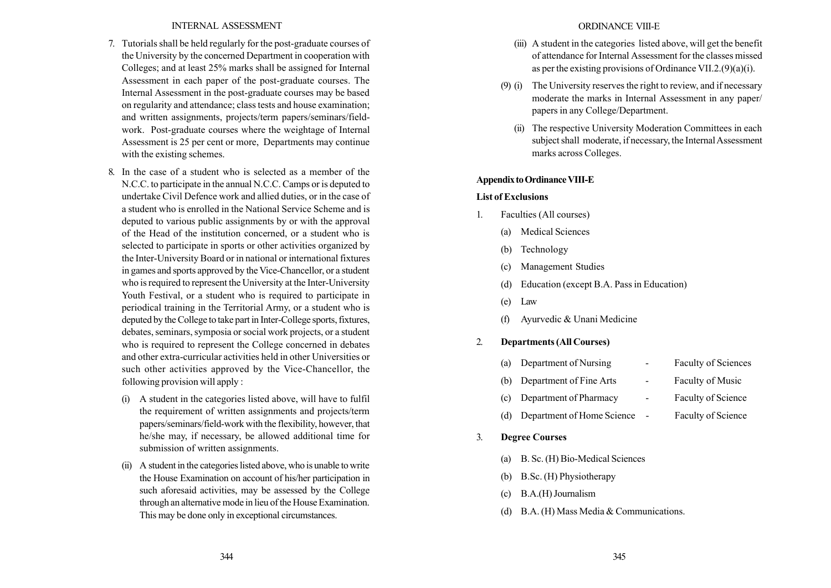## INTERNAL ASSESSMENT

- 7. Tutorials shall be held regularly for the post-graduate courses of the University by the concerned Department in cooperation with Colleges; and at least 25% marks shall be assigned for Internal Assessment in each paper of the post-graduate courses. The Internal Assessment in the post-graduate courses may be based on regularity and attendance; class tests and house examination; and written assignments, projects/term papers/seminars/fieldwork. Post-graduate courses where the weightage of Internal Assessment is 25 per cent or more, Departments may continue with the existing schemes.
- 8. In the case of a student who is selected as a member of the N.C.C. to participate in the annual N.C.C. Camps or is deputed to undertake Civil Defence work and allied duties, or in the case of a student who is enrolled in the National Service Scheme and is deputed to various public assignments by or with the approval of the Head of the institution concerned, or a student who is selected to participate in sports or other activities organized by the Inter-University Board or in national or international fixtures in games and sports approved by the Vice-Chancellor, or a student who is required to represent the University at the Inter-University Youth Festival, or a student who is required to participate in periodical training in the Territorial Army, or a student who is deputed by the College to take part in Inter-College sports, fixtures, debates, seminars, symposia or social work projects, or a student who is required to represent the College concerned in debates and other extra-curricular activities held in other Universities or such other activities approved by the Vice-Chancellor, the following provision will apply :
	- (i) A student in the categories listed above, will have to fulfil the requirement of written assignments and projects/term papers/seminars/field-work with the flexibility, however, that he/she may, if necessary, be allowed additional time for submission of written assignments.
	- (ii) A student in the categories listed above, who is unable to write the House Examination on account of his/her participation in such aforesaid activities, may be assessed by the College through an alternative mode in lieu of the House Examination. This may be done only in exceptional circumstances.

## ORDINANCE VIII-E

- (iii) A student in the categories listed above, will get the benefit of attendance for Internal Assessment for the classes missed as per the existing provisions of Ordinance VII.2. $(9)(a)(i)$ .
- (9) (i) The University reserves the right to review, and if necessary moderate the marks in Internal Assessment in any paper/ papers in any College/Department.
	- (ii) The respective University Moderation Committees in each subject shall moderate, if necessary, the Internal Assessment marks across Colleges.

### Appendix to Ordinance VIII-E

### List of Exclusions

- 1. Faculties (All courses)
	- (a) Medical Sciences
	- (b) Technology
	- (c) Management Studies
	- (d) Education (except B.A. Pass in Education)
	- (e) Law
	- (f) Ayurvedic & Unani Medicine

## 2. Departments (All Courses)

| (a) | Department of Nursing      | Faculty of Sciences       |
|-----|----------------------------|---------------------------|
| (b) | Department of Fine Arts    | <b>Faculty of Music</b>   |
| (c) | Department of Pharmacy     | Faculty of Science        |
| (d) | Department of Home Science | <b>Faculty of Science</b> |
|     |                            |                           |

- 3. Degree Courses
	- (a) B. Sc. (H) Bio-Medical Sciences
	- (b) B.Sc. (H) Physiotherapy
	- (c) B.A.(H) Journalism
	- (d) B.A. (H) Mass Media & Communications.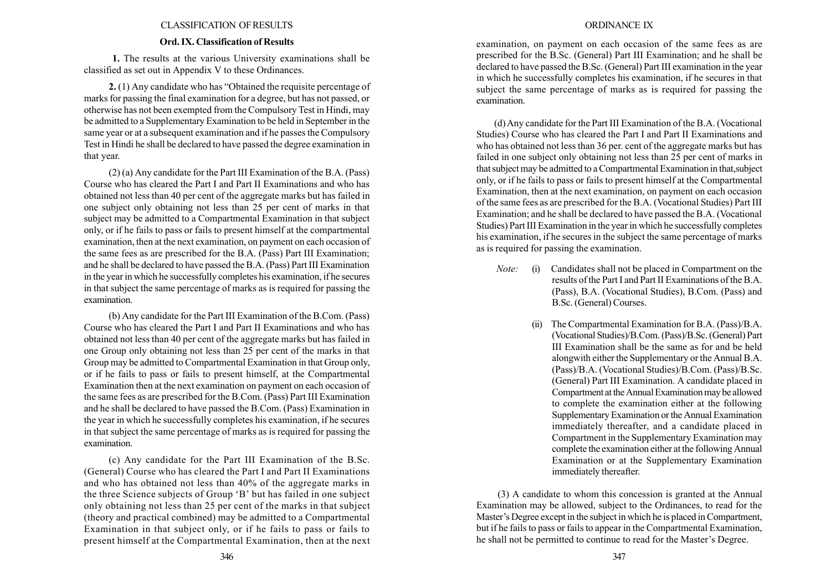### CLASSIFICATION OFRESULTS

## Ord. IX. Classification of Results

1. The results at the various University examinations shall be classified as set out in Appendix V to these Ordinances.

**2.** (1) Any candidate who has "Obtained the requisite percentage of marks for passing the final examination for a degree, but has not passed, or otherwise has not been exempted from the Compulsory Test in Hindi, may be admitted to a Supplementary Examination to be held in September in the same year or at a subsequent examination and if he passes the Compulsory Test in Hindi he shall be declared to have passed the degree examination in that year.

(2) (a) Any candidate for the Part III Examination of the B.A. (Pass) Course who has cleared the Part I and Part II Examinations and who has obtained not less than 40 per cent of the aggregate marks but has failed in one subject only obtaining not less than 25 per cent of marks in that subject may be admitted to a Compartmental Examination in that subject only, or if he fails to pass or fails to present himself at the compartmental examination, then at the next examination, on payment on each occasion of the same fees as are prescribed for the B.A. (Pass) Part III Examination; and he shall be declared to have passed the B.A. (Pass) Part III Examination in the year in which he successfully completes his examination, if he secures in that subject the same percentage of marks as is required for passing the examination.

(b) Any candidate for the Part III Examination of the B.Com. (Pass) Course who has cleared the Part I and Part II Examinations and who has obtained not less than 40 per cent of the aggregate marks but has failed in one Group only obtaining not less than 25 per cent of the marks in that Group may be admitted to Compartmental Examination in that Group only, or if he fails to pass or fails to present himself, at the Compartmental Examination then at the next examination on payment on each occasion of the same fees as are prescribed for the B.Com. (Pass) Part III Examination and he shall be declared to have passed the B.Com. (Pass) Examination in the year in which he successfully completes his examination, if he secures in that subject the same percentage of marks as is required for passing the examination.

(c) Any candidate for the Part III Examination of the B.Sc. (General) Course who has cleared the Part I and Part II Examinations and who has obtained not less than 40% of the aggregate marks in the three Science subjects of Group 'B' but has failed in one subject only obtaining not less than 25 per cent of the marks in that subject (theory and practical combined) may be admitted to a Compartmental Examination in that subject only, or if he fails to pass or fails to present himself at the Compartmental Examination, then at the next

## ORDINANCE IX

examination, on payment on each occasion of the same fees as are prescribed for the B.Sc. (General) Part III Examination; and he shall be declared to have passed the B.Sc. (General) Part III examination in the year in which he successfully completes his examination, if he secures in that subject the same percentage of marks as is required for passing the examination.

(d) Any candidate for the Part III Examination of the B.A. (Vocational Studies) Course who has cleared the Part I and Part II Examinations and who has obtained not less than 36 per. cent of the aggregate marks but has failed in one subject only obtaining not less than 25 per cent of marks in that subject may be admitted to a Compartmental Examination in that,subject only, or if he fails to pass or fails to present himself at the Compartmental Examination, then at the next examination, on payment on each occasion of the same fees as are prescribed for the B.A. (Vocational Studies) Part III Examination; and he shall be declared to have passed the B.A. (Vocational Studies) Part III Examination in the year in which he successfully completes his examination, if he secures in the subject the same percentage of marks as is required for passing the examination.

- Note: (i) Candidates shall not be placed in Compartment on the results of the Part I and Part II Examinations of the B.A. (Pass), B.A. (Vocational Studies), B.Com. (Pass) and B.Sc. (General) Courses.
	- (ii) The Compartmental Examination for B.A. (Pass)/B.A. (Vocational Studies)/B.Com. (Pass)/B.Sc. (General) Part III Examination shall be the same as for and be held alongwith either the Supplementary or the Annual B.A. (Pass)/B.A. (Vocational Studies)/B.Com. (Pass)/B.Sc. (General) Part III Examination. A candidate placed in Compartment at the Annual Examination may be allowed to complete the examination either at the following Supplementary Examination or the Annual Examination immediately thereafter, and a candidate placed in Compartment in the Supplementary Examination may complete the examination either at the following Annual Examination or at the Supplementary Examination immediately thereafter.

(3) A candidate to whom this concession is granted at the Annual Examination may be allowed, subject to the Ordinances, to read for the Master's Degree except in the subject in which he is placed in Compartment, but if he fails to pass or fails to appear in the Compartmental Examination, he shall not be permitted to continue to read for the Master's Degree.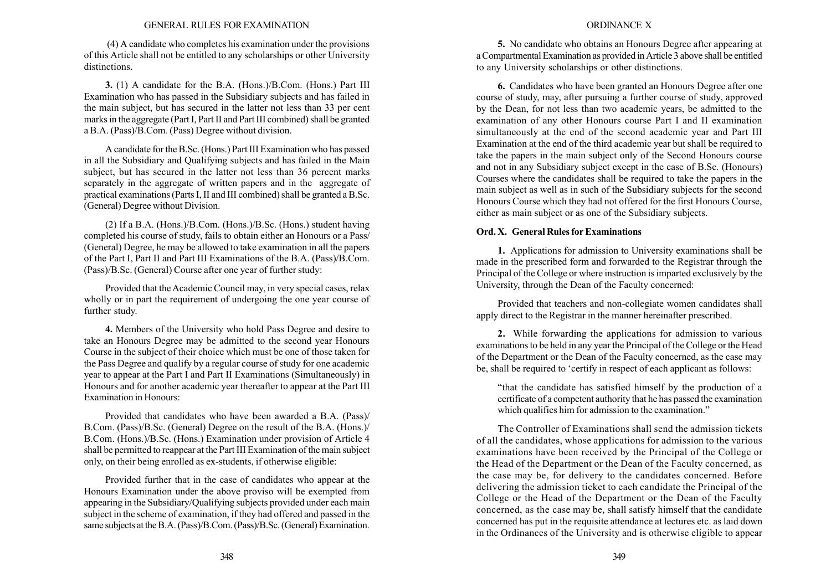### GENERAL RULES FOR EXAMINATION

(4) A candidate who completes his examination under the provisions of this Article shall not be entitled to any scholarships or other University distinctions.

3. (1) A candidate for the B.A. (Hons.)/B.Com. (Hons.) Part III Examination who has passed in the Subsidiary subjects and has failed in the main subject, but has secured in the latter not less than 33 per cent marks in the aggregate (Part I, Part II and Part III combined) shall be granted a B.A. (Pass)/B.Com. (Pass) Degree without division.

A candidate for the B.Sc. (Hons.) Part III Examination who has passed in all the Subsidiary and Qualifying subjects and has failed in the Main subject, but has secured in the latter not less than 36 percent marks separately in the aggregate of written papers and in the aggregate of practical examinations (Parts I, II and III combined) shall be granted a B.Sc. (General) Degree without Division.

(2) If a B.A. (Hons.)/B.Com. (Hons.)/B.Sc. (Hons.) student having completed his course of study, fails to obtain either an Honours or a Pass/ (General) Degree, he may be allowed to take examination in all the papers of the Part I, Part II and Part III Examinations of the B.A. (Pass)/B.Com. (Pass)/B.Sc. (General) Course after one year of further study:

Provided that the Academic Council may, in very special cases, relax wholly or in part the requirement of undergoing the one year course of further study.

4. Members of the University who hold Pass Degree and desire to take an Honours Degree may be admitted to the second year Honours Course in the subject of their choice which must be one of those taken for the Pass Degree and qualify by a regular course of study for one academic year to appear at the Part I and Part II Examinations (Simultaneously) in Honours and for another academic year thereafter to appear at the Part III Examination in Honours:

Provided that candidates who have been awarded a B.A. (Pass)/ B.Com. (Pass)/B.Sc. (General) Degree on the result of the B.A. (Hons.)/ B.Com. (Hons.)/B.Sc. (Hons.) Examination under provision of Article 4 shall be permitted to reappear at the Part III Examination of the main subject only, on their being enrolled as ex-students, if otherwise eligible:

Provided further that in the case of candidates who appear at the Honours Examination under the above proviso will be exempted from appearing in the Subsidiary/Qualifying subjects provided under each main subject in the scheme of examination, if they had offered and passed in the same subjects at the B.A. (Pass)/B.Com. (Pass)/B.Sc. (General) Examination.

### ORDINANCE X

5. No candidate who obtains an Honours Degree after appearing at a Compartmental Examination as provided in Article 3 above shall be entitled to any University scholarships or other distinctions.

6. Candidates who have been granted an Honours Degree after one course of study, may, after pursuing a further course of study, approved by the Dean, for not less than two academic years, be admitted to the examination of any other Honours course Part I and II examination simultaneously at the end of the second academic year and Part III Examination at the end of the third academic year but shall be required to take the papers in the main subject only of the Second Honours course and not in any Subsidiary subject except in the case of B.Sc. (Honours) Courses where the candidates shall be required to take the papers in the main subject as well as in such of the Subsidiary subjects for the second Honours Course which they had not offered for the first Honours Course, either as main subject or as one of the Subsidiary subjects.

### Ord. X. General Rules for Examinations

1. Applications for admission to University examinations shall be made in the prescribed form and forwarded to the Registrar through the Principal of the College or where instruction is imparted exclusively by the University, through the Dean of the Faculty concerned:

Provided that teachers and non-collegiate women candidates shall apply direct to the Registrar in the manner hereinafter prescribed.

2. While forwarding the applications for admission to various examinations to be held in any year the Principal of the College or the Head of the Department or the Dean of the Faculty concerned, as the case may be, shall be required to 'certify in respect of each applicant as follows:

"that the candidate has satisfied himself by the production of a certificate of a competent authority that he has passed the examination which qualifies him for admission to the examination."

The Controller of Examinations shall send the admission tickets of all the candidates, whose applications for admission to the various examinations have been received by the Principal of the College or the Head of the Department or the Dean of the Faculty concerned, as the case may be, for delivery to the candidates concerned. Before delivering the admission ticket to each candidate the Principal of the College or the Head of the Department or the Dean of the Faculty concerned, as the case may be, shall satisfy himself that the candidate concerned has put in the requisite attendance at lectures etc. as laid down in the Ordinances of the University and is otherwise eligible to appear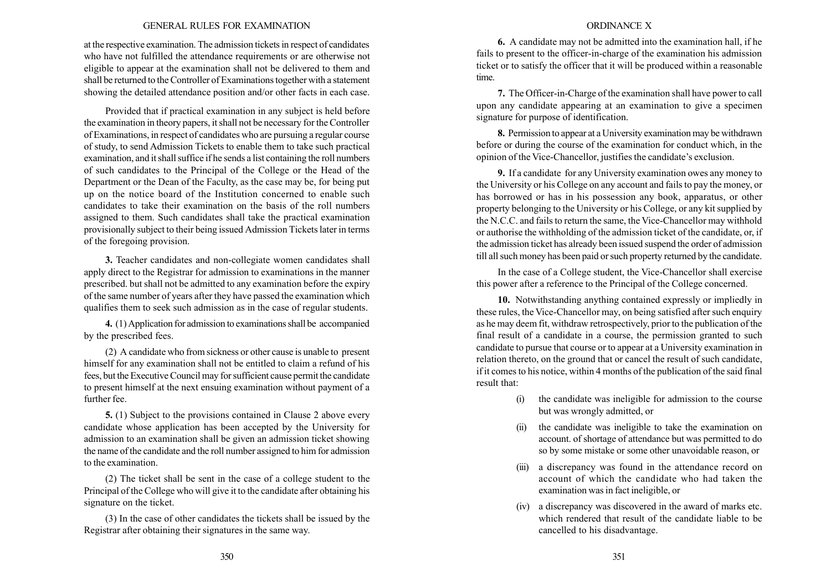### GENERAL RULES FOR EXAMINATION

at the respective examination. The admission tickets in respect of candidates who have not fulfilled the attendance requirements or are otherwise not eligible to appear at the examination shall not be delivered to them and shall be returned to the Controller of Examinations together with a statement showing the detailed attendance position and/or other facts in each case.

Provided that if practical examination in any subject is held before the examination in theory papers, it shall not be necessary for the Controller of Examinations, in respect of candidates who are pursuing a regular course of study, to send Admission Tickets to enable them to take such practical examination, and it shall suffice if he sends a list containing the roll numbers of such candidates to the Principal of the College or the Head of the Department or the Dean of the Faculty, as the case may be, for being put up on the notice board of the Institution concerned to enable such candidates to take their examination on the basis of the roll numbers assigned to them. Such candidates shall take the practical examination provisionally subject to their being issued Admission Tickets later in terms of the foregoing provision.

3. Teacher candidates and non-collegiate women candidates shall apply direct to the Registrar for admission to examinations in the manner prescribed. but shall not be admitted to any examination before the expiry of the same number of years after they have passed the examination which qualifies them to seek such admission as in the case of regular students.

4. (1) Application for admission to examinations shall be accompanied by the prescribed fees.

(2) A candidate who from sickness or other cause is unable to present himself for any examination shall not be entitled to claim a refund of his fees, but the Executive Council may for sufficient cause permit the candidate to present himself at the next ensuing examination without payment of a further fee.

5. (1) Subject to the provisions contained in Clause 2 above every candidate whose application has been accepted by the University for admission to an examination shall be given an admission ticket showing the name of the candidate and the roll number assigned to him for admission to the examination.

(2) The ticket shall be sent in the case of a college student to the Principal of the College who will give it to the candidate after obtaining his signature on the ticket.

(3) In the case of other candidates the tickets shall be issued by the Registrar after obtaining their signatures in the same way.

#### ORDINANCE X

6. A candidate may not be admitted into the examination hall, if he fails to present to the officer-in-charge of the examination his admission ticket or to satisfy the officer that it will be produced within a reasonable time.

7. The Officer-in-Charge of the examination shall have power to call upon any candidate appearing at an examination to give a specimen signature for purpose of identification.

8. Permission to appear at a University examination may be withdrawn before or during the course of the examination for conduct which, in the opinion of the Vice-Chancellor, justifies the candidate's exclusion.

9. If a candidate for any University examination owes any money to the University or his College on any account and fails to pay the money, or has borrowed or has in his possession any book, apparatus, or other property belonging to the University or his College, or any kit supplied by the N.C.C. and fails to return the same, the Vice-Chancellor may withhold or authorise the withholding of the admission ticket of the candidate, or, if the admission ticket has already been issued suspend the order of admission till all such money has been paid or such property returned by the candidate.

In the case of a College student, the Vice-Chancellor shall exercise this power after a reference to the Principal of the College concerned.

10. Notwithstanding anything contained expressly or impliedly in these rules, the Vice-Chancellor may, on being satisfied after such enquiry as he may deem fit, withdraw retrospectively, prior to the publication of the final result of a candidate in a course, the permission granted to such candidate to pursue that course or to appear at a University examination in relation thereto, on the ground that or cancel the result of such candidate, if it comes to his notice, within 4 months of the publication of the said final result that:

- (i) the candidate was ineligible for admission to the course but was wrongly admitted, or
- (ii) the candidate was ineligible to take the examination on account. of shortage of attendance but was permitted to do so by some mistake or some other unavoidable reason, or
- (iii) a discrepancy was found in the attendance record on account of which the candidate who had taken the examination was in fact ineligible, or
- (iv) a discrepancy was discovered in the award of marks etc. which rendered that result of the candidate liable to be cancelled to his disadvantage.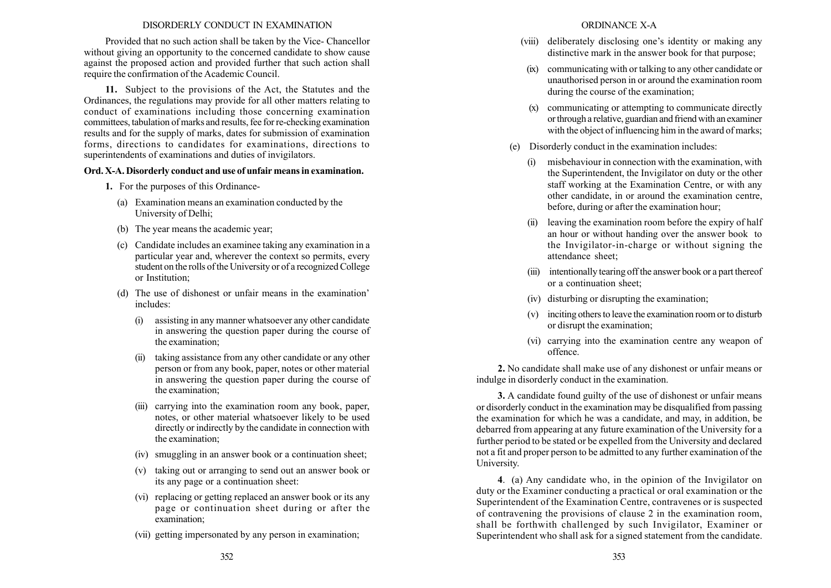# DISORDERLY CONDUCT IN EXAMINATION

Provided that no such action shall be taken by the Vice- Chancellor without giving an opportunity to the concerned candidate to show cause against the proposed action and provided further that such action shall require the confirmation of the Academic Council.

11. Subject to the provisions of the Act, the Statutes and the Ordinances, the regulations may provide for all other matters relating to conduct of examinations including those concerning examination committees, tabulation of marks and results, fee for re-checking examination results and for the supply of marks, dates for submission of examination forms, directions to candidates for examinations, directions to superintendents of examinations and duties of invigilators.

# Ord. X-A. Disorderly conduct and use of unfair means in examination.

- 1. For the purposes of this Ordinance-
	- (a) Examination means an examination conducted by the University of Delhi;
	- (b) The year means the academic year;
	- (c) Candidate includes an examinee taking any examination in a particular year and, wherever the context so permits, every student on the rolls of the University or of a recognized College or Institution;
	- (d) The use of dishonest or unfair means in the examination<sup>7</sup> includes:
		- (i) assisting in any manner whatsoever any other candidate in answering the question paper during the course of the examination;
		- (ii) taking assistance from any other candidate or any other person or from any book, paper, notes or other material in answering the question paper during the course of the examination;
		- (iii) carrying into the examination room any book, paper, notes, or other material whatsoever likely to be used directly or indirectly by the candidate in connection with the examination;
		- (iv) smuggling in an answer book or a continuation sheet;
		- (v) taking out or arranging to send out an answer book or its any page or a continuation sheet:
		- (vi) replacing or getting replaced an answer book or its any page or continuation sheet during or after the examination;
		- (vii) getting impersonated by any person in examination;
- (viii) deliberately disclosing one's identity or making any distinctive mark in the answer book for that purpose;
- (ix) communicating with or talking to any other candidate or unauthorised person in or around the examination room during the course of the examination;
- (x) communicating or attempting to communicate directly or through a relative, guardian and friend with an examiner with the object of influencing him in the award of marks;
- (e) Disorderly conduct in the examination includes:
	- (i) misbehaviour in connection with the examination, with the Superintendent, the Invigilator on duty or the other staff working at the Examination Centre, or with any other candidate, in or around the examination centre, before, during or after the examination hour;
	- (ii) leaving the examination room before the expiry of half an hour or without handing over the answer book to the Invigilator-in-charge or without signing the attendance sheet;
	- (iii) intentionally tearing off the answer book or a part thereof or a continuation sheet;
	- (iv) disturbing or disrupting the examination;
	- (v) inciting others to leave the examination room or to disturb or disrupt the examination;
	- (vi) carrying into the examination centre any weapon of offence.

2. No candidate shall make use of any dishonest or unfair means or indulge in disorderly conduct in the examination.

3. A candidate found guilty of the use of dishonest or unfair means or disorderly conduct in the examination may be disqualified from passing the examination for which he was a candidate, and may, in addition, be debarred from appearing at any future examination of the University for a further period to be stated or be expelled from the University and declared not a fit and proper person to be admitted to any further examination of the University.

4. (a) Any candidate who, in the opinion of the Invigilator on duty or the Examiner conducting a practical or oral examination or the Superintendent of the Examination Centre, contravenes or is suspected of contravening the provisions of clause 2 in the examination room, shall be forthwith challenged by such Invigilator, Examiner or Superintendent who shall ask for a signed statement from the candidate.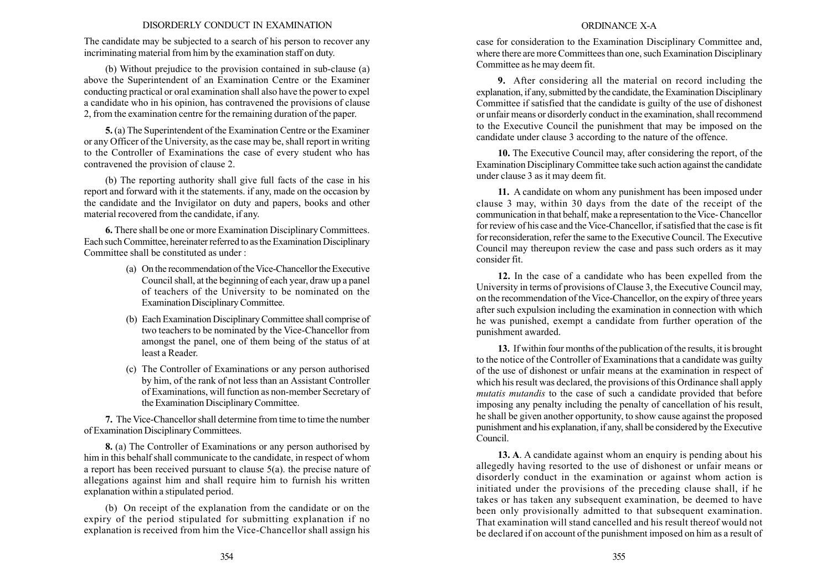## DISORDERLY CONDUCT IN EXAMINATION

The candidate may be subjected to a search of his person to recover any incriminating material from him by the examination staff on duty.

(b) Without prejudice to the provision contained in sub-clause (a) above the Superintendent of an Examination Centre or the Examiner conducting practical or oral examination shall also have the power to expel a candidate who in his opinion, has contravened the provisions of clause 2, from the examination centre for the remaining duration of the paper.

5. (a) The Superintendent of the Examination Centre or the Examiner or any Officer of the University, as the case may be, shall report in writing to the Controller of Examinations the case of every student who has contravened the provision of clause 2.

(b) The reporting authority shall give full facts of the case in his report and forward with it the statements. if any, made on the occasion by the candidate and the Invigilator on duty and papers, books and other material recovered from the candidate, if any.

6. There shall be one or more Examination Disciplinary Committees. Each such Committee, hereinater referred to as the Examination Disciplinary Committee shall be constituted as under :

- (a) On the recommendation of the Vice-Chancellor the Executive Council shall, at the beginning of each year, draw up a panel of teachers of the University to be nominated on the Examination Disciplinary Committee.
- (b) Each Examination Disciplinary Committee shall comprise of two teachers to be nominated by the Vice-Chancellor from amongst the panel, one of them being of the status of at least a Reader.
- (c) The Controller of Examinations or any person authorised by him, of the rank of not less than an Assistant Controller of Examinations, will function as non-member Secretary of the Examination Disciplinary Committee.

7. The Vice-Chancellor shall determine from time to time the number of Examination Disciplinary Committees.

8. (a) The Controller of Examinations or any person authorised by him in this behalf shall communicate to the candidate, in respect of whom a report has been received pursuant to clause 5(a). the precise nature of allegations against him and shall require him to furnish his written explanation within a stipulated period.

(b) On receipt of the explanation from the candidate or on the expiry of the period stipulated for submitting explanation if no explanation is received from him the Vice-Chancellor shall assign his

## ORDINANCE X-A

case for consideration to the Examination Disciplinary Committee and, where there are more Committees than one, such Examination Disciplinary Committee as he may deem fit.

9. After considering all the material on record including the explanation, if any, submitted by the candidate, the Examination Disciplinary Committee if satisfied that the candidate is guilty of the use of dishonest or unfair means or disorderly conduct in the examination, shall recommend to the Executive Council the punishment that may be imposed on the candidate under clause 3 according to the nature of the offence.

10. The Executive Council may, after considering the report, of the Examination Disciplinary Committee take such action against the candidate under clause 3 as it may deem fit.

11. A candidate on whom any punishment has been imposed under clause 3 may, within 30 days from the date of the receipt of the communication in that behalf, make a representation to the Vice- Chancellor for review of his case and the Vice-Chancellor, if satisfied that the case is fit for reconsideration, refer the same to the Executive Council. The Executive Council may thereupon review the case and pass such orders as it may consider fit.

12. In the case of a candidate who has been expelled from the University in terms of provisions of Clause 3, the Executive Council may, on the recommendation of the Vice-Chancellor, on the expiry of three years after such expulsion including the examination in connection with which he was punished, exempt a candidate from further operation of the punishment awarded.

13. If within four months of the publication of the results, it is brought to the notice of the Controller of Examinations that a candidate was guilty of the use of dishonest or unfair means at the examination in respect of which his result was declared, the provisions of this Ordinance shall apply mutatis mutandis to the case of such a candidate provided that before imposing any penalty including the penalty of cancellation of his result, he shall be given another opportunity, to show cause against the proposed punishment and his explanation, if any, shall be considered by the Executive Council.

13. A. A candidate against whom an enquiry is pending about his allegedly having resorted to the use of dishonest or unfair means or disorderly conduct in the examination or against whom action is initiated under the provisions of the preceding clause shall, if he takes or has taken any subsequent examination, be deemed to have been only provisionally admitted to that subsequent examination. That examination will stand cancelled and his result thereof would not be declared if on account of the punishment imposed on him as a result of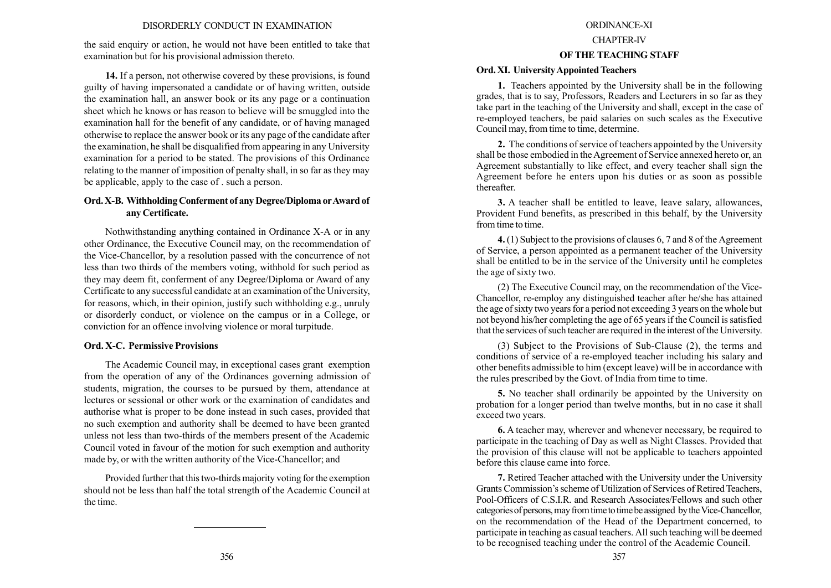## DISORDERLY CONDUCT IN EXAMINATION

the said enquiry or action, he would not have been entitled to take that examination but for his provisional admission thereto.

14. If a person, not otherwise covered by these provisions, is found guilty of having impersonated a candidate or of having written, outside the examination hall, an answer book or its any page or a continuation sheet which he knows or has reason to believe will be smuggled into the examination hall for the benefit of any candidate, or of having managed otherwise to replace the answer book or its any page of the candidate after the examination, he shall be disqualified from appearing in any University examination for a period to be stated. The provisions of this Ordinance relating to the manner of imposition of penalty shall, in so far as they may be applicable, apply to the case of . such a person.

# Ord. X-B. Withholding Conferment of any Degree/Diploma or Award of any Certificate.

Nothwithstanding anything contained in Ordinance X-A or in any other Ordinance, the Executive Council may, on the recommendation of the Vice-Chancellor, by a resolution passed with the concurrence of not less than two thirds of the members voting, withhold for such period as they may deem fit, conferment of any Degree/Diploma or Award of any Certificate to any successful candidate at an examination of the University, for reasons, which, in their opinion, justify such withholding e.g., unruly or disorderly conduct, or violence on the campus or in a College, or conviction for an offence involving violence or moral turpitude.

### Ord. X-C. Permissive Provisions

The Academic Council may, in exceptional cases grant exemption from the operation of any of the Ordinances governing admission of students, migration, the courses to be pursued by them, attendance at lectures or sessional or other work or the examination of candidates and authorise what is proper to be done instead in such cases, provided that no such exemption and authority shall be deemed to have been granted unless not less than two-thirds of the members present of the Academic Council voted in favour of the motion for such exemption and authority made by, or with the written authority of the Vice-Chancellor; and

Provided further that this two-thirds majority voting for the exemption should not be less than half the total strength of the Academic Council at the time.

#### ORDINANCE-XI

# CHAPTER-IV

## OF THE TEACHING STAFF

## Ord. XI. University Appointed Teachers

1. Teachers appointed by the University shall be in the following grades, that is to say, Professors, Readers and Lecturers in so far as they take part in the teaching of the University and shall, except in the case of re-employed teachers, be paid salaries on such scales as the Executive Council may, from time to time, determine.

2. The conditions of service of teachers appointed by the University shall be those embodied in the Agreement of Service annexed hereto or, an Agreement substantially to like effect, and every teacher shall sign the Agreement before he enters upon his duties or as soon as possible thereafter.

3. A teacher shall be entitled to leave, leave salary, allowances, Provident Fund benefits, as prescribed in this behalf, by the University from time to time.

4. (1) Subject to the provisions of clauses 6, 7 and 8 of the Agreement of Service, a person appointed as a permanent teacher of the University shall be entitled to be in the service of the University until he completes the age of sixty two.

(2) The Executive Council may, on the recommendation of the Vice-Chancellor, re-employ any distinguished teacher after he/she has attained the age of sixty two years for a period not exceeding 3 years on the whole but not beyond his/her completing the age of 65 years if the Council is satisfied that the services of such teacher are required in the interest of the University.

(3) Subject to the Provisions of Sub-Clause (2), the terms and conditions of service of a re-employed teacher including his salary and other benefits admissible to him (except leave) will be in accordance with the rules prescribed by the Govt. of India from time to time.

5. No teacher shall ordinarily be appointed by the University on probation for a longer period than twelve months, but in no case it shall exceed two years.

6. A teacher may, wherever and whenever necessary, be required to participate in the teaching of Day as well as Night Classes. Provided that the provision of this clause will not be applicable to teachers appointed before this clause came into force.

7. Retired Teacher attached with the University under the University Grants Commission's scheme of Utilization of Services of Retired Teachers, Pool-Officers of C.S.I.R. and Research Associates/Fellows and such other categories of persons, may from time to time be assigned by the Vice-Chancellor, on the recommendation of the Head of the Department concerned, to participate in teaching as casual teachers. All such teaching will be deemed to be recognised teaching under the control of the Academic Council.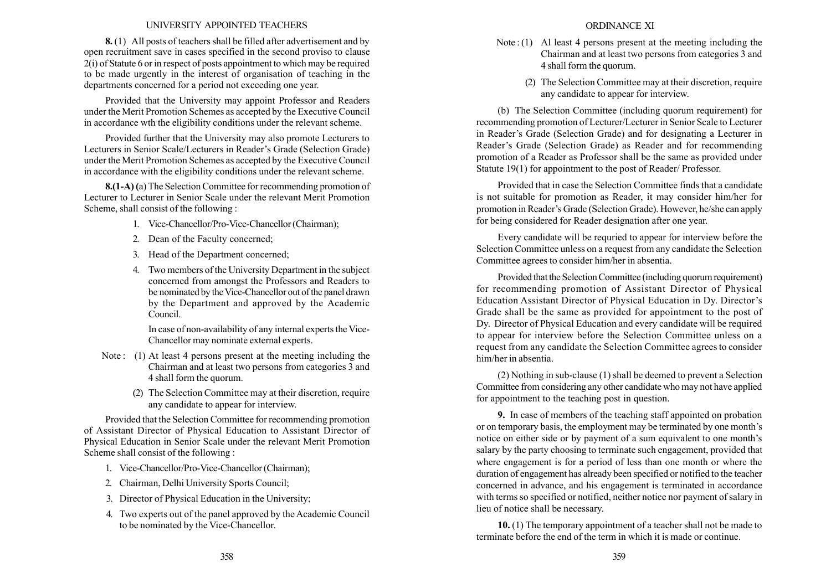## UNIVERSITY APPOINTED TEACHERS

8. (1) All posts of teachers shall be filled after advertisement and by open recruitment save in cases specified in the second proviso to clause 2(i) of Statute 6 or in respect of posts appointment to which may be required to be made urgently in the interest of organisation of teaching in the departments concerned for a period not exceeding one year.

Provided that the University may appoint Professor and Readers under the Merit Promotion Schemes as accepted by the Executive Council in accordance wth the eligibility conditions under the relevant scheme.

Provided further that the University may also promote Lecturers to Lecturers in Senior Scale/Lecturers in Reader's Grade (Selection Grade) under the Merit Promotion Schemes as accepted by the Executive Council in accordance with the eligibility conditions under the relevant scheme.

8.(1-A) (a) The Selection Committee for recommending promotion of Lecturer to Lecturer in Senior Scale under the relevant Merit Promotion Scheme, shall consist of the following :

- 1. Vice-Chancellor/Pro-Vice-Chancellor (Chairman);
- 2. Dean of the Faculty concerned;
- 3. Head of the Department concerned;
- 4. Two members of the University Department in the subject concerned from amongst the Professors and Readers to be nominated by the Vice-Chancellor out of the panel drawn by the Department and approved by the Academic Council.

In case of non-availability of any internal experts the Vice-Chancellor may nominate external experts.

- Note: (1) At least 4 persons present at the meeting including the Chairman and at least two persons from categories 3 and 4 shall form the quorum.
	- (2) The Selection Committee may at their discretion, require any candidate to appear for interview.

Provided that the Selection Committee for recommending promotion of Assistant Director of Physical Education to Assistant Director of Physical Education in Senior Scale under the relevant Merit Promotion Scheme shall consist of the following :

- 1. Vice-Chancellor/Pro-Vice-Chancellor (Chairman);
- 2. Chairman, Delhi University Sports Council;
- 3. Director of Physical Education in the University;
- 4. Two experts out of the panel approved by the Academic Council to be nominated by the Vice-Chancellor.
- Note : (1) Al least 4 persons present at the meeting including the Chairman and at least two persons from categories 3 and 4 shall form the quorum.
	- (2) The Selection Committee may at their discretion, require any candidate to appear for interview.

(b) The Selection Committee (including quorum requirement) for recommending promotion of Lecturer/Lecturer in Senior Scale to Lecturer in Reader's Grade (Selection Grade) and for designating a Lecturer in Reader's Grade (Selection Grade) as Reader and for recommending promotion of a Reader as Professor shall be the same as provided under Statute 19(1) for appointment to the post of Reader/ Professor.

Provided that in case the Selection Committee finds that a candidate is not suitable for promotion as Reader, it may consider him/her for promotion in Reader's Grade (Selection Grade). However, he/she can apply for being considered for Reader designation after one year.

Every candidate will be requried to appear for interview before the Selection Committee unless on a request from any candidate the Selection Committee agrees to consider him/her in absentia.

Provided that the Selection Committee (including quorum requirement) for recommending promotion of Assistant Director of Physical Education Assistant Director of Physical Education in Dy. Director's Grade shall be the same as provided for appointment to the post of Dy. Director of Physical Education and every candidate will be required to appear for interview before the Selection Committee unless on a request from any candidate the Selection Committee agrees to consider him/her in absentia.

(2) Nothing in sub-clause (1) shall be deemed to prevent a Selection Committee from considering any other candidate who may not have applied for appointment to the teaching post in question.

9. In case of members of the teaching staff appointed on probation or on temporary basis, the employment may be terminated by one month's notice on either side or by payment of a sum equivalent to one month's salary by the party choosing to terminate such engagement, provided that where engagement is for a period of less than one month or where the duration of engagement has already been specified or notified to the teacher concerned in advance, and his engagement is terminated in accordance with terms so specified or notified, neither notice nor payment of salary in lieu of notice shall be necessary.

10. (1) The temporary appointment of a teacher shall not be made to terminate before the end of the term in which it is made or continue.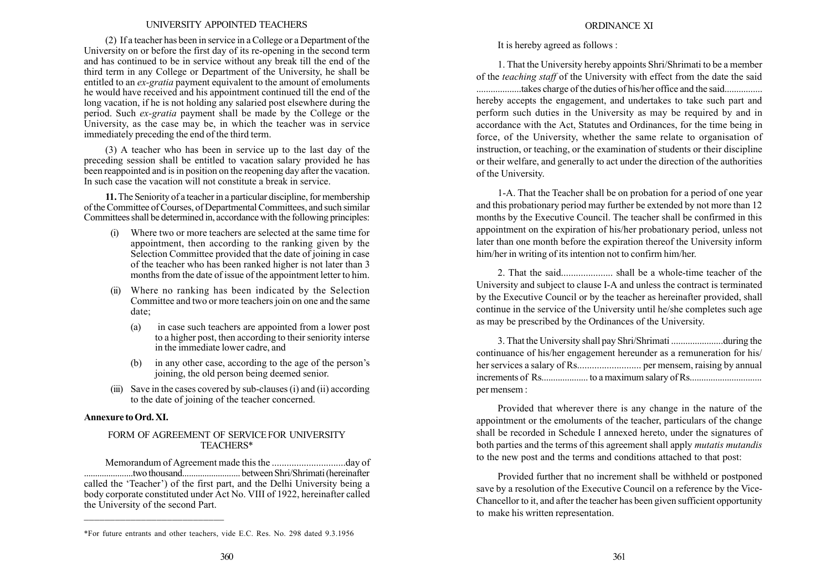### UNIVERSITY APPOINTED TEACHERS

(2) If a teacher has been in service in a College or a Department of the University on or before the first day of its re-opening in the second term and has continued to be in service without any break till the end of the third term in any College or Department of the University, he shall be entitled to an *ex-gratia* payment equivalent to the amount of emoluments he would have received and his appointment continued till the end of the long vacation, if he is not holding any salaried post elsewhere during the period. Such ex-gratia payment shall be made by the College or the University, as the case may be, in which the teacher was in service immediately preceding the end of the third term.

(3) A teacher who has been in service up to the last day of the preceding session shall be entitled to vacation salary provided he has been reappointed and is in position on the reopening day after the vacation. In such case the vacation will not constitute a break in service.

11.The Seniority of a teacher in a particular discipline, for membership of the Committee of Courses, of Departmental Committees, and such similar Committees shall be determined in, accordance with the following principles:

- (i) Where two or more teachers are selected at the same time for appointment, then according to the ranking given by the Selection Committee provided that the date of joining in case of the teacher who has been ranked higher is not later than 3 months from the date of issue of the appointment letter to him.
- (ii) Where no ranking has been indicated by the Selection Committee and two or more teachers join on one and the same date;
	- (a) in case such teachers are appointed from a lower post to a higher post, then according to their seniority interse in the immediate lower cadre, and
	- in any other case, according to the age of the person's joining, the old person being deemed senior.
- (iii) Save in the cases covered by sub-clauses (i) and (ii) according to the date of joining of the teacher concerned.

## Annexure to Ord. XI.

## FORM OF AGREEMENT OF SERVICE FOR UNIVERSITY TEACHERS\*

Memorandum of Agreement made this the ..............................day of ......................twothousand.......................... between Shri/Shrimati (hereinafter called the 'Teacher') of the first part, and the Delhi University being a body corporate constituted under Act No. VIII of 1922, hereinafter called the University of the second Part.  $\overline{a}$ 

It is hereby agreed as follows :

1. That the University hereby appoints Shri/Shrimati to be a member of the teaching staff of the University with effect from the date the said ...................takes charge of the duties of his/her office and the said................

hereby accepts the engagement, and undertakes to take such part and perform such duties in the University as may be required by and in accordance with the Act, Statutes and Ordinances, for the time being in force, of the University, whether the same relate to organisation of instruction, or teaching, or the examination of students or their discipline or their welfare, and generally to act under the direction of the authorities of the University.

1-A. That the Teacher shall be on probation for a period of one year and this probationary period may further be extended by not more than 12 months by the Executive Council. The teacher shall be confirmed in this appointment on the expiration of his/her probationary period, unless not later than one month before the expiration thereof the University inform him/her in writing of its intention not to confirm him/her.

2. That the said..................... shall be a whole-time teacher of the University and subject to clause I-A and unless the contract is terminated by the Executive Council or by the teacher as hereinafter provided, shall continue in the service of the University until he/she completes such age as may be prescribed by the Ordinances of the University.

3. That the University shall pay Shri/Shrimati ......................during the continuance of his/her engagement hereunder as a remuneration for his/ her services a salary of Rs.......................... per mensem, raising by annual increments of Rs.................... to a maximum salary of Rs............................... per mensem :

Provided that wherever there is any change in the nature of the appointment or the emoluments of the teacher, particulars of the change shall be recorded in Schedule I annexed hereto, under the signatures of both parties and the terms of this agreement shall apply mutatis mutandis to the new post and the terms and conditions attached to that post:

Provided further that no increment shall be withheld or postponed save by a resolution of the Executive Council on a reference by the Vice-Chancellor to it, and after the teacher has been given sufficient opportunity to make his written representation.

<sup>\*</sup>For future entrants and other teachers, vide E.C. Res. No. 298 dated 9.3.1956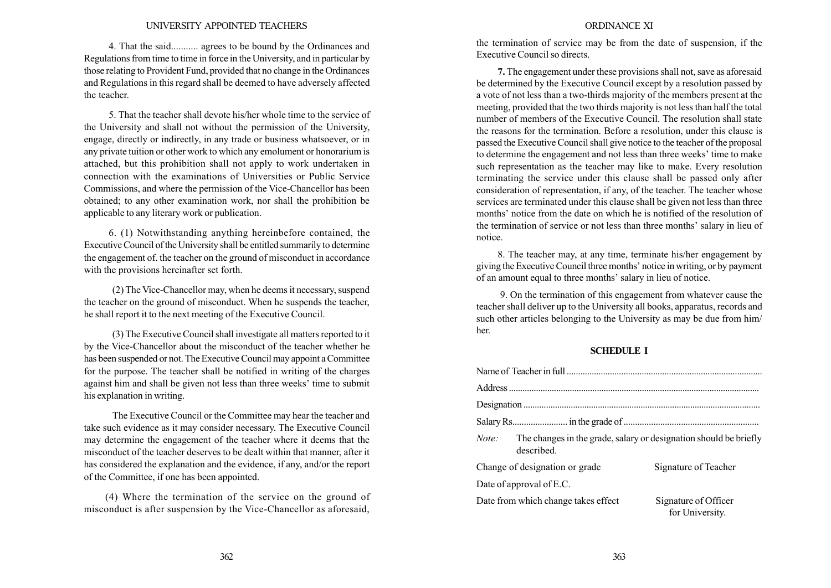#### UNIVERSITY APPOINTED TEACHERS

4. That the said........... agrees to be bound by the Ordinances and Regulations from time to time in force in the University, and in particular by those relating to Provident Fund, provided that no change in the Ordinances and Regulations in this regard shall be deemed to have adversely affected the teacher.

5. That the teacher shall devote his/her whole time to the service of the University and shall not without the permission of the University, engage, directly or indirectly, in any trade or business whatsoever, or in any private tuition or other work to which any emolument or honorarium is attached, but this prohibition shall not apply to work undertaken in connection with the examinations of Universities or Public Service Commissions, and where the permission of the Vice-Chancellor has been obtained; to any other examination work, nor shall the prohibition be applicable to any literary work or publication.

6. (1) Notwithstanding anything hereinbefore contained, the Executive Council of the University shall be entitled summarily to determine the engagement of. the teacher on the ground of misconduct in accordance with the provisions hereinafter set forth.

(2) The Vice-Chancellor may, when he deems it necessary, suspend the teacher on the ground of misconduct. When he suspends the teacher, he shall report it to the next meeting of the Executive Council.

(3) The Executive Council shall investigate all matters reported to it by the Vice-Chancellor about the misconduct of the teacher whether he has been suspended or not. The Executive Council may appoint a Committee for the purpose. The teacher shall be notified in writing of the charges against him and shall be given not less than three weeks' time to submit his explanation in writing.

The Executive Council or the Committee may hear the teacher and take such evidence as it may consider necessary. The Executive Council may determine the engagement of the teacher where it deems that the misconduct of the teacher deserves to be dealt within that manner, after it has considered the explanation and the evidence, if any, and/or the report of the Committee, if one has been appointed.

(4) Where the termination of the service on the ground of misconduct is after suspension by the Vice-Chancellor as aforesaid,

#### ORDINANCE XI

the termination of service may be from the date of suspension, if the Executive Council so directs.

7. The engagement under these provisions shall not, save as aforesaid be determined by the Executive Council except by a resolution passed by a vote of not less than a two-thirds majority of the members present at the meeting, provided that the two thirds majority is not less than half the total number of members of the Executive Council. The resolution shall state the reasons for the termination. Before a resolution, under this clause is passed the Executive Council shall give notice to the teacher of the proposal to determine the engagement and not less than three weeks' time to make such representation as the teacher may like to make. Every resolution terminating the service under this clause shall be passed only after consideration of representation, if any, of the teacher. The teacher whose services are terminated under this clause shall be given not less than three months' notice from the date on which he is notified of the resolution of the termination of service or not less than three months' salary in lieu of notice.

8. The teacher may, at any time, terminate his/her engagement by giving the Executive Council three months' notice in writing, or by payment of an amount equal to three months' salary in lieu of notice.

9. On the termination of this engagement from whatever cause the teacher shall deliver up to the University all books, apparatus, records and such other articles belonging to the University as may be due from him/ her.

## SCHEDULE I

| Note: | The changes in the grade, salary or designation should be briefly<br>described. |                                         |
|-------|---------------------------------------------------------------------------------|-----------------------------------------|
|       | Change of designation or grade                                                  | Signature of Teacher                    |
|       | Date of approval of E.C.                                                        |                                         |
|       | Date from which change takes effect                                             | Signature of Officer<br>for University. |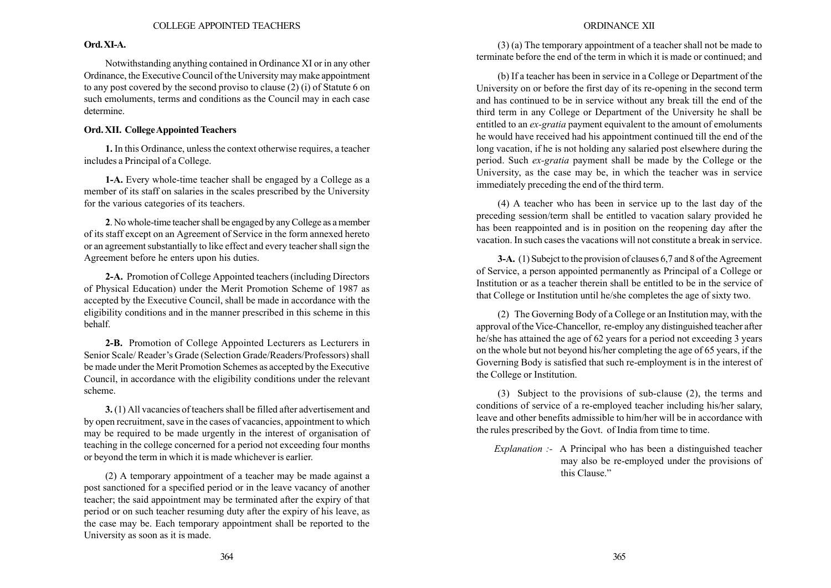# Ord.XI-A.

Notwithstanding anything contained in Ordinance XI or in any other Ordinance, the Executive Council of the University may make appointment to any post covered by the second proviso to clause (2) (i) of Statute 6 on such emoluments, terms and conditions as the Council may in each case determine.

# Ord. XII. CollegeAppointed Teachers

1. In this Ordinance, unless the context otherwise requires, a teacher includes a Principal of a College.

1-A. Every whole-time teacher shall be engaged by a College as a member of its staff on salaries in the scales prescribed by the University for the various categories of its teachers.

2. No whole-time teacher shall be engaged by any College as a member of its staff except on an Agreement of Service in the form annexed hereto or an agreement substantially to like effect and every teacher shall sign the Agreement before he enters upon his duties.

2-A. Promotion of College Appointed teachers (including Directors of Physical Education) under the Merit Promotion Scheme of 1987 as accepted by the Executive Council, shall be made in accordance with the eligibility conditions and in the manner prescribed in this scheme in this behalf.

2-B. Promotion of College Appointed Lecturers as Lecturers in Senior Scale/ Reader's Grade (Selection Grade/Readers/Professors) shall be made under the Merit Promotion Schemes as accepted by the Executive Council, in accordance with the eligibility conditions under the relevant scheme.

3. (1) All vacancies of teachers shall be filled after advertisement and by open recruitment, save in the cases of vacancies, appointment to which may be required to be made urgently in the interest of organisation of teaching in the college concerned for a period not exceeding four months or beyond the term in which it is made whichever is earlier.

(2) A temporary appointment of a teacher may be made against a post sanctioned for a specified period or in the leave vacancy of another teacher; the said appointment may be terminated after the expiry of that period or on such teacher resuming duty after the expiry of his leave, as the case may be. Each temporary appointment shall be reported to the University as soon as it is made.

# ORDINANCE XII

(3) (a) The temporary appointment of a teacher shall not be made to terminate before the end of the term in which it is made or continued; and

(b) If a teacher has been in service in a College or Department of the University on or before the first day of its re-opening in the second term and has continued to be in service without any break till the end of the third term in any College or Department of the University he shall be entitled to an ex-gratia payment equivalent to the amount of emoluments he would have received had his appointment continued till the end of the long vacation, if he is not holding any salaried post elsewhere during the period. Such ex-gratia payment shall be made by the College or the University, as the case may be, in which the teacher was in service immediately preceding the end of the third term.

(4) A teacher who has been in service up to the last day of the preceding session/term shall be entitled to vacation salary provided he has been reappointed and is in position on the reopening day after the vacation. In such cases the vacations will not constitute a break in service.

3-A. (1) Subejct to the provision of clauses 6,7 and 8 of the Agreement of Service, a person appointed permanently as Principal of a College or Institution or as a teacher therein shall be entitled to be in the service of that College or Institution until he/she completes the age of sixty two.

(2) The Governing Body of a College or an Institution may, with the approval of the Vice-Chancellor, re-employ any distinguished teacher after he/she has attained the age of 62 years for a period not exceeding 3 years on the whole but not beyond his/her completing the age of 65 years, if the Governing Body is satisfied that such re-employment is in the interest of the College or Institution.

(3) Subject to the provisions of sub-clause (2), the terms and conditions of service of a re-employed teacher including his/her salary, leave and other benefits admissible to him/her will be in accordance with the rules prescribed by the Govt. of India from time to time.

Explanation :- A Principal who has been a distinguished teacher may also be re-employed under the provisions of this Clause."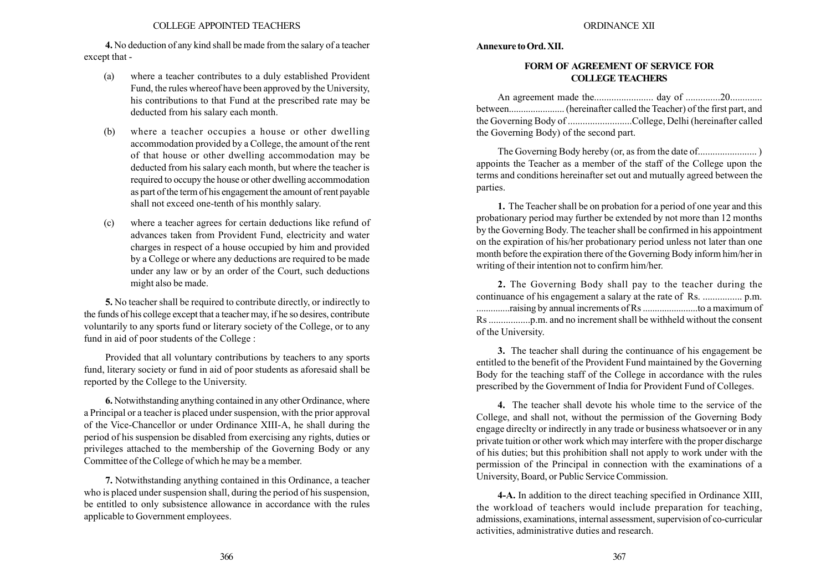4. No deduction of any kind shall be made from the salary of a teacher except that -

- (a) where a teacher contributes to a duly established Provident Fund, the rules whereof have been approved by the University, his contributions to that Fund at the prescribed rate may be deducted from his salary each month.
- (b) where a teacher occupies a house or other dwelling accommodation provided by a College, the amount of the rent of that house or other dwelling accommodation may be deducted from his salary each month, but where the teacher is required to occupy the house or other dwelling accommodation as part of the term of his engagement the amount of rent payable shall not exceed one-tenth of his monthly salary.
- (c) where a teacher agrees for certain deductions like refund of advances taken from Provident Fund, electricity and water charges in respect of a house occupied by him and provided by a College or where any deductions are required to be made under any law or by an order of the Court, such deductions might also be made.

5. No teacher shall be required to contribute directly, or indirectly to the funds of his college except that a teacher may, if he so desires, contribute voluntarily to any sports fund or literary society of the College, or to any fund in aid of poor students of the College :

Provided that all voluntary contributions by teachers to any sports fund, literary society or fund in aid of poor students as aforesaid shall be reported by the College to the University.

6. Notwithstanding anything contained in any other Ordinance, where a Principal or a teacher is placed under suspension, with the prior approval of the Vice-Chancellor or under Ordinance XIII-A, he shall during the period of his suspension be disabled from exercising any rights, duties or privileges attached to the membership of the Governing Body or any Committee of the College of which he may be a member.

7. Notwithstanding anything contained in this Ordinance, a teacher who is placed under suspension shall, during the period of his suspension, be entitled to only subsistence allowance in accordance with the rules applicable to Government employees.

#### Annexure to Ord. XII.

## FORM OF AGREEMENT OF SERVICE FOR COLLEGE TEACHERS

An agreement made the........................ day of ..............20............. between....................... (hereinafter called the Teacher) of the first part, and the Governing Body of ..........................College, Delhi (hereinafter called the Governing Body) of the second part.

The Governing Body hereby (or, as from the date of........................ ) appoints the Teacher as a member of the staff of the College upon the terms and conditions hereinafter set out and mutually agreed between the parties.

1. The Teacher shall be on probation for a period of one year and this probationary period may further be extended by not more than 12 months by the Governing Body. The teacher shall be confirmed in his appointment on the expiration of his/her probationary period unless not later than one month before the expiration there of the Governing Body inform him/her in writing of their intention not to confirm him/her.

2. The Governing Body shall pay to the teacher during the continuance of his engagement a salary at the rate of Rs. ................ p.m. ..............raising by annual increments of Rs .......................to a maximum of Rs .................p.m. and no increment shall be withheld without the consent of the University.

3. The teacher shall during the continuance of his engagement be entitled to the benefit of the Provident Fund maintained by the Governing Body for the teaching staff of the College in accordance with the rules prescribed by the Government of India for Provident Fund of Colleges.

4. The teacher shall devote his whole time to the service of the College, and shall not, without the permission of the Governing Body engage direclty or indirectly in any trade or business whatsoever or in any private tuition or other work which may interfere with the proper discharge of his duties; but this prohibition shall not apply to work under with the permission of the Principal in connection with the examinations of a University, Board, or Public Service Commission.

4-A. In addition to the direct teaching specified in Ordinance XIII, the workload of teachers would include preparation for teaching, admissions, examinations, internal assessment, supervision of co-curricular activities, administrative duties and research.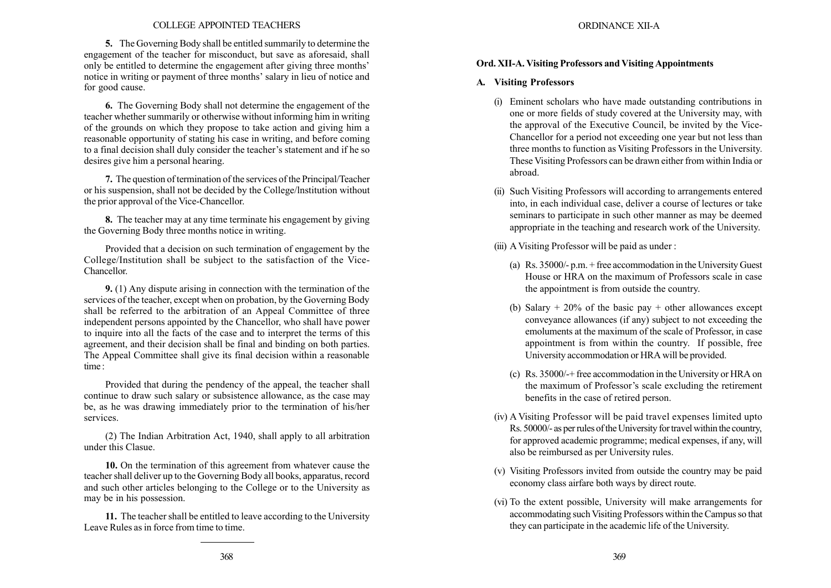### COLLEGE APPOINTED TEACHERS

5. The Governing Body shall be entitled summarily to determine the engagement of the teacher for misconduct, but save as aforesaid, shall only be entitled to determine the engagement after giving three months<sup>7</sup> notice in writing or payment of three months' salary in lieu of notice and for good cause.

6. The Governing Body shall not determine the engagement of the teacher whether summarily or otherwise without informing him in writing of the grounds on which they propose to take action and giving him a reasonable opportunity of stating his case in writing, and before coming to a final decision shall duly consider the teacher's statement and if he so desires give him a personal hearing.

7. The question of termination of the services of the Principal/Teacher or his suspension, shall not be decided by the College/lnstitution without the prior approval of the Vice-Chancellor.

8. The teacher may at any time terminate his engagement by giving the Governing Body three months notice in writing.

Provided that a decision on such termination of engagement by the College/Institution shall be subject to the satisfaction of the Vice-Chancellor.

9. (1) Any dispute arising in connection with the termination of the services of the teacher, except when on probation, by the Governing Body shall be referred to the arbitration of an Appeal Committee of three independent persons appointed by the Chancellor, who shall have power to inquire into all the facts of the case and to interpret the terms of this agreement, and their decision shall be final and binding on both parties. The Appeal Committee shall give its final decision within a reasonable time:

Provided that during the pendency of the appeal, the teacher shall continue to draw such salary or subsistence allowance, as the case may be, as he was drawing immediately prior to the termination of his/her services.

(2) The Indian Arbitration Act, 1940, shall apply to all arbitration under this Clasue.

10. On the termination of this agreement from whatever cause the teacher shall deliver up to the Governing Body all books, apparatus, record and such other articles belonging to the College or to the University as may be in his possession.

11. The teacher shall be entitled to leave according to the University Leave Rules as in force from time to time.

# Ord. XII-A. Visiting Professors and Visiting Appointments

# A. Visiting Professors

- (i) Eminent scholars who have made outstanding contributions in one or more fields of study covered at the University may, with the approval of the Executive Council, be invited by the Vice-Chancellor for a period not exceeding one year but not less than three months to function as Visiting Professors in the University. These Visiting Professors can be drawn either from within India or abroad.
- (ii) Such Visiting Professors will according to arrangements entered into, in each individual case, deliver a course of lectures or take seminars to participate in such other manner as may be deemed appropriate in the teaching and research work of the University.
- (iii) A Visiting Professor will be paid as under :
	- (a) Rs. 35000/- p.m. + free accommodation in the University Guest House or HRA on the maximum of Professors scale in case the appointment is from outside the country.
	- (b) Salary  $+ 20\%$  of the basic pay  $+$  other allowances except conveyance allowances (if any) subject to not exceeding the emoluments at the maximum of the scale of Professor, in case appointment is from within the country. If possible, free University accommodation or HRA will be provided.
	- (c) Rs. 35000/-+ free accommodation in the University or HRA on the maximum of Professor's scale excluding the retirement benefits in the case of retired person.
- (iv) A Visiting Professor will be paid travel expenses limited upto Rs. 50000/- as per rules of the University for travel within the country, for approved academic programme; medical expenses, if any, will also be reimbursed as per University rules.
- (v) Visiting Professors invited from outside the country may be paid economy class airfare both ways by direct route.
- (vi) To the extent possible, University will make arrangements for accommodating such Visiting Professors within the Campus so that they can participate in the academic life of the University.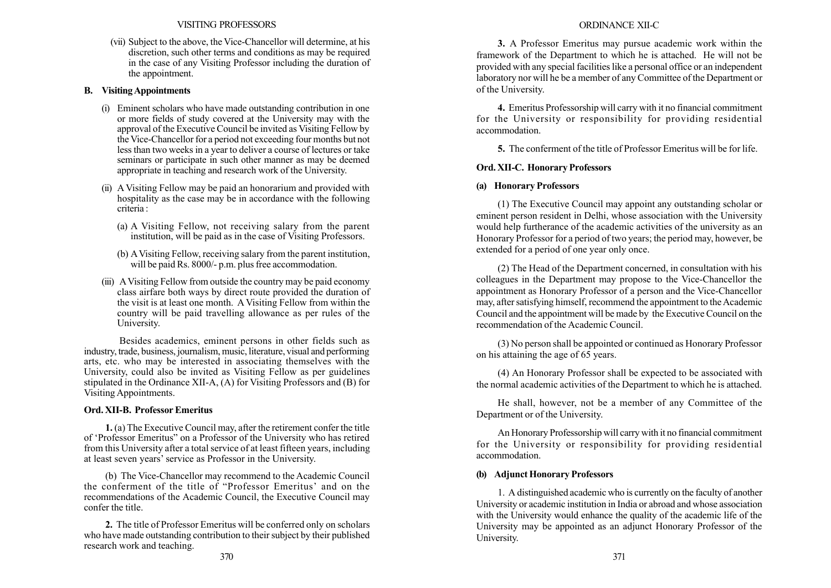(vii) Subject to the above, the Vice-Chancellor will determine, at his discretion, such other terms and conditions as may be required in the case of any Visiting Professor including the duration of the appointment.

# B. Visiting Appointments

- (i) Eminent scholars who have made outstanding contribution in one or more fields of study covered at the University may with the approval of the Executive Council be invited as Visiting Fellow by the Vice-Chancellor for a period not exceeding four months but not less than two weeks in a year to deliver a course of lectures or take seminars or participate in such other manner as may be deemed appropriate in teaching and research work of the University.
- (ii) A Visiting Fellow may be paid an honorarium and provided with hospitality as the case may be in accordance with the following criteria :
	- (a) A Visiting Fellow, not receiving salary from the parent institution, will be paid as in the case of Visiting Professors.
	- (b) AVisiting Fellow, receiving salary from the parent institution, will be paid Rs. 8000/- p.m. plus free accommodation.
- (iii) AVisiting Fellow from outside the country may be paid economy class airfare both ways by direct route provided the duration of the visit is at least one month. A Visiting Fellow from within the country will be paid travelling allowance as per rules of the University.

Besides academics, eminent persons in other fields such as industry, trade, business, journalism, music, literature, visual and performing arts, etc. who may be interested in associating themselves with the University, could also be invited as Visiting Fellow as per guidelines stipulated in the Ordinance XII-A, (A) for Visiting Professors and (B) for Visiting Appointments.

# Ord. XII-B. Professor Emeritus

1. (a) The Executive Council may, after the retirement confer the title of ëProfessor Emeritusî on a Professor of the University who has retired from this University after a total service of at least fifteen years, including at least seven years' service as Professor in the University.

(b) The Vice-Chancellor may recommend to the Academic Council the conferment of the title of "Professor Emeritus' and on the recommendations of the Academic Council, the Executive Council may confer the title.

2. The title of Professor Emeritus will be conferred only on scholars who have made outstanding contribution to their subject by their published research work and teaching.

3. A Professor Emeritus may pursue academic work within the framework of the Department to which he is attached. He will not be provided with any special facilities like a personal office or an independent laboratory nor will he be a member of any Committee of the Department or of the University.

4. Emeritus Professorship will carry with it no financial commitment for the University or responsibility for providing residential accommodation.

5. The conferment of the title of Professor Emeritus will be for life.

# Ord. XII-C. Honorary Professors

# (a) Honorary Professors

(1) The Executive Council may appoint any outstanding scholar or eminent person resident in Delhi, whose association with the University would help furtherance of the academic activities of the university as an Honorary Professor for a period of two years; the period may, however, be extended for a period of one year only once.

(2) The Head of the Department concerned, in consultation with his colleagues in the Department may propose to the Vice-Chancellor the appointment as Honorary Professor of a person and the Vice-Chancellor may, after satisfying himself, recommend the appointment to the Academic Council and the appointment will be made by the Executive Council on the recommendation of the Academic Council.

(3) No person shall be appointed or continued as Honorary Professor on his attaining the age of 65 years.

(4) An Honorary Professor shall be expected to be associated with the normal academic activities of the Department to which he is attached.

He shall, however, not be a member of any Committee of the Department or of the University.

An Honorary Professorship will carry with it no financial commitment for the University or responsibility for providing residential accommodation.

# (b) Adjunct Honorary Professors

1. A distinguished academic who is currently on the faculty of another University or academic institution in India or abroad and whose association with the University would enhance the quality of the academic life of the University may be appointed as an adjunct Honorary Professor of the University.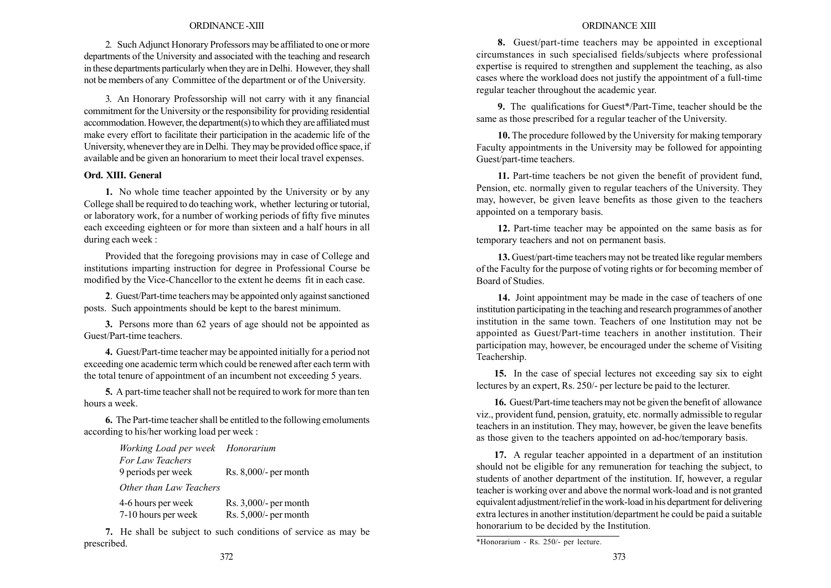#### ORDINANCE -XIII

2. Such Adjunct Honorary Professors may be affiliated to one or more departments of the University and associated with the teaching and research in these departments particularly when they are in Delhi. However, they shall not be members of any Committee of the department or of the University.

3. An Honorary Professorship will not carry with it any financial commitment for the University or the responsibility for providing residential accommodation. However, the department(s) to which they are affiliated must make every effort to facilitate their participation in the academic life of the University, whenever they are in Delhi. They may be provided office space, if available and be given an honorarium to meet their local travel expenses.

### Ord. XIII. General

1. No whole time teacher appointed by the University or by any College shall be required to do teaching work, whether lecturing or tutorial, or laboratory work, for a number of working periods of fifty five minutes each exceeding eighteen or for more than sixteen and a half hours in all during each week :

Provided that the foregoing provisions may in case of College and institutions imparting instruction for degree in Professional Course be modified by the Vice-Chancellor to the extent he deems fit in each case.

2. Guest/Part-time teachers may be appointed only against sanctioned posts. Such appointments should be kept to the barest minimum.

3. Persons more than 62 years of age should not be appointed as Guest/Part-time teachers.

4. Guest/Part-time teacher may be appointed initially for a period not exceeding one academic term which could be renewed after each term with the total tenure of appointment of an incumbent not exceeding 5 years.

5. A part-time teacher shall not be required to work for more than ten hours a week.

6. The Part-time teacher shall be entitled to the following emoluments according to his/her working load per week :

> Working Load per week Honorarium For Law Teachers 9 periods per week Rs. 8,000/- per month Other than Law Teachers

4-6 hours per week Rs. 3,000/- per month 7-10 hours per week Rs. 5,000/- per month

7. He shall be subject to such conditions of service as may be prescribed.

#### ORDINANCE XIII

8. Guest/part-time teachers may be appointed in exceptional circumstances in such specialised fields/subjects where professional expertise is required to strengthen and supplement the teaching, as also cases where the workload does not justify the appointment of a full-time regular teacher throughout the academic year.

9. The qualifications for Guest\*/Part-Time, teacher should be the same as those prescribed for a regular teacher of the University.

10. The procedure followed by the University for making temporary Faculty appointments in the University may be followed for appointing Guest/part-time teachers.

11. Part-time teachers be not given the benefit of provident fund, Pension, etc. normally given to regular teachers of the University. They may, however, be given leave benefits as those given to the teachers appointed on a temporary basis.

12. Part-time teacher may be appointed on the same basis as for temporary teachers and not on permanent basis.

13. Guest/part-time teachers may not be treated like regular members of the Faculty for the purpose of voting rights or for becoming member of Board of Studies.

14. Joint appointment may be made in the case of teachers of one institution participating in the teaching and research programmes of another institution in the same town. Teachers of one lnstitution may not be appointed as Guest/Part-time teachers in another institution. Their participation may, however, be encouraged under the scheme of Visiting Teachership.

15. In the case of special lectures not exceeding say six to eight lectures by an expert, Rs. 250/- per lecture be paid to the lecturer.

16. Guest/Part-time teachers may not be given the benefit of allowance viz., provident fund, pension, gratuity, etc. normally admissible to regular teachers in an institution. They may, however, be given the leave benefits as those given to the teachers appointed on ad-hoc/temporary basis.

17. A regular teacher appointed in a department of an institution should not be eligible for any remuneration for teaching the subject, to students of another department of the institution. If, however, a regular teacher is working over and above the normal work-load and is not granted equivalent adjustment/relief in the work-load in his department for delivering extra lectures in another institution/department he could be paid a suitable honorarium to be decided by the Institution.

<sup>\*</sup>Honorarium - Rs. 250/- per lecture.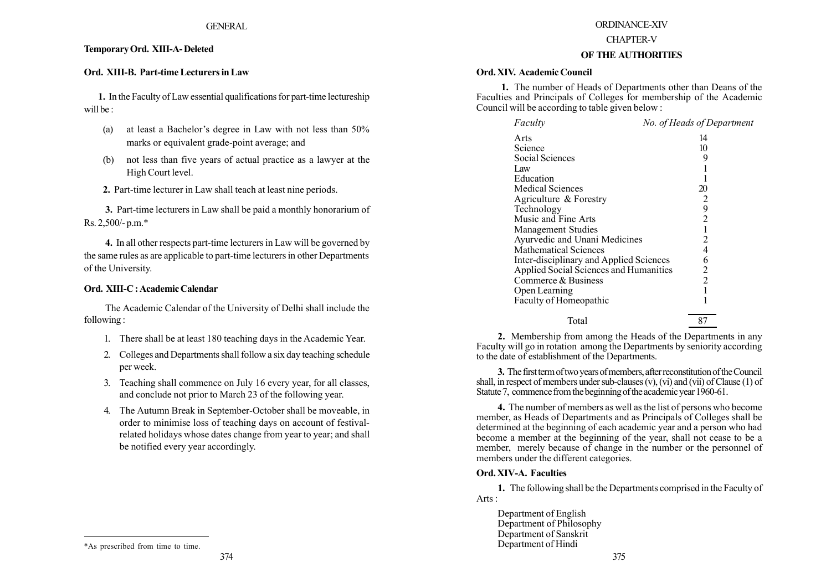## TemporaryOrd. XIII-A- Deleted

## Ord. XIII-B. Part-time Lecturers in Law

1. In the Faculty of Law essential qualifications for part-time lectureship will be :

- (a) at least a Bachelor's degree in Law with not less than  $50\%$ marks or equivalent grade-point average; and
- (b) not less than five years of actual practice as a lawyer at the High Court level.
- 2. Part-time lecturer in Law shall teach at least nine periods.

3. Part-time lecturers in Law shall be paid a monthly honorarium of Rs. 2,500/- p.m.\*

4. In all other respects part-time lecturers in Law will be governed by the same rules as are applicable to part-time lecturers in other Departments of the University.

#### Ord. XIII-C : Academic Calendar

The Academic Calendar of the University of Delhi shall include the following :

- 1. There shall be at least 180 teaching days in the Academic Year.
- 2. Colleges and Departments shall follow a six day teaching schedule per week.
- 3. Teaching shall commence on July 16 every year, for all classes, and conclude not prior to March 23 of the following year.
- 4. The Autumn Break in September-October shall be moveable, in order to minimise loss of teaching days on account of festivalrelated holidays whose dates change from year to year; and shall be notified every year accordingly.

#### ORDINANCE-XIV

#### CHAPTER-V

### OF THE AUTHORITIES

### Ord. XIV. Academic Council

1. The number of Heads of Departments other than Deans of the Faculties and Principals of Colleges for membership of the Academic Council will be according to table given below :

| Faculty                                 | No. of Heads of Department |
|-----------------------------------------|----------------------------|
| Arts                                    | 14                         |
| Science                                 | 10                         |
| Social Sciences                         | 9                          |
| 1 aw                                    |                            |
| Education                               |                            |
| <b>Medical Sciences</b>                 | 20                         |
| Agriculture & Forestry                  | $\overline{2}$             |
| Technology                              | 9                          |
| Music and Fine Arts                     | $\overline{c}$             |
| <b>Management Studies</b>               |                            |
| Ayurvedic and Unani Medicines           | 2                          |
| <b>Mathematical Sciences</b>            | 4                          |
| Inter-disciplinary and Applied Sciences | 6                          |
| Applied Social Sciences and Humanities  | 2                          |
| Commerce & Business                     | $\overline{2}$             |
| Open Learning                           |                            |
| Faculty of Homeopathic                  |                            |
| Total                                   | 87                         |
|                                         |                            |

2. Membership from among the Heads of the Departments in any Faculty will go in rotation among the Departments by seniority according to the date of establishment of the Departments.

3. The first term of two years of members, after reconstitution of the Council shall, in respect of members under sub-clauses (v), (vi) and (vii) of Clause (1) of Statute 7, commence from the beginning of the academic year 1960-61.

4. The number of members as well as the list of persons who become member, as Heads of Departments and as Principals of Colleges shall be determined at the beginning of each academic year and a person who had become a member at the beginning of the year, shall not cease to be a member, merely because of change in the number or the personnel of members under the different categories.

#### Ord. XIV-A. Faculties

1. The following shall be the Departments comprised in the Faculty of Arts :

Department of English Department of Philosophy Department of Sanskrit Department of Hindi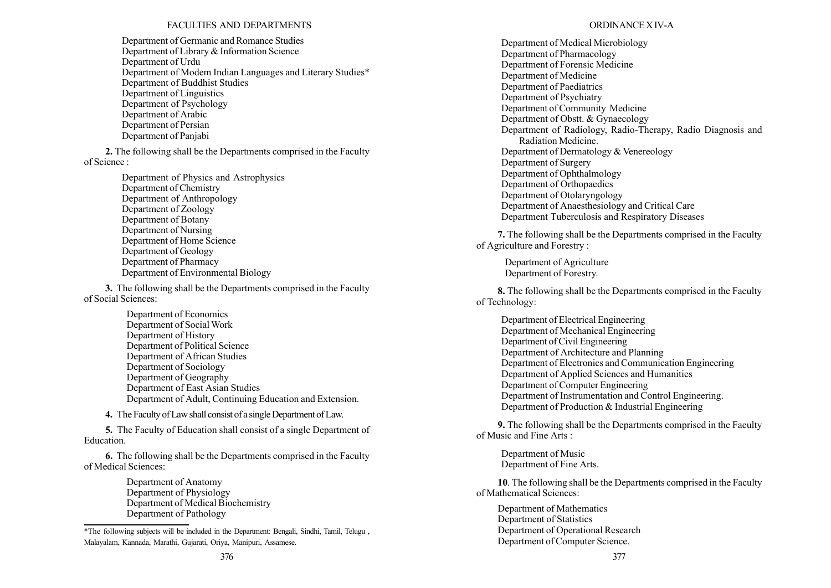## FACULTIES AND DEPARTMENTS

Department of Germanic and Romance Studies Department of Library & Information Science Department of Urdu Department of Modem Indian Languages and Literary Studies\* Department of Buddhist Studies Department of Linguistics Department of Psychology Department of Arabic Department of Persian Department of Panjabi

2. The following shall be the Departments comprised in the Faculty of Science :

> Department of Physics and Astrophysics Department of Chemistry Department of Anthropology Department of Zoology Department of Botany Department of Nursing Department of Home Science Department of Geology Department of Pharmacy Department of Environmental Biology

3. The following shall be the Departments comprised in the Faculty of Social Sciences:

> Department of Economics Department of Social Work Department of History Department of Political Science Department of African Studies Department of Sociology Department of Geography Department of East Asian Studies Department of Adult, Continuing Education and Extension.

4. The Faculty of Law shall consist of a single Department of Law.

5. The Faculty of Education shall consist of a single Department of Education.

6. The following shall be the Departments comprised in the Faculty of Medical Sciences:

> Department of Anatomy Department of Physiology Department of Medical Biochemistry Department of Pathology

## ORDINANCEX IV-A

Department of Medical Microbiology Department of Pharmacology Department of Forensic Medicine Department of Medicine Department of Paediatrics Department of Psychiatry Department of Community Medicine Department of Obstt. & Gynaecology Department of Radiology, Radio-Therapy, Radio Diagnosis and Radiation Medicine. Department of Dermatology & Venereology Department of Surgery Department of Ophthalmology Department of Orthopaedics Department of Otolaryngology Department of Anaesthesiology and Critical Care Department Tuberculosis and Respiratory Diseases

7. The following shall be the Departments comprised in the Faculty of Agriculture and Forestry :

Department of Agriculture Department of Forestry.

8. The following shall be the Departments comprised in the Faculty of Technology:

Department of Electrical Engineering Department of Mechanical Engineering Department of Civil Engineering Department of Architecture and Planning Department of Electronics and Communication Engineering Department of Applied Sciences and Humanities Department of Computer Engineering Department of Instrumentation and Control Engineering. Department of Production & Industrial Engineering

9. The following shall be the Departments comprised in the Faculty of Music and Fine Arts :

Department of Music Department of Fine Arts.

10. The following shall be the Departments comprised in the Faculty of Mathematical Sciences:

Department of Mathematics Department of Statistics Department of Operational Research Department of Computer Science.

<sup>\*</sup>The following subjects will be included in the Department: Bengali, Sindhi, Tamil, Telugu , Malayalam, Kannada, Marathi, Gujarati, Oriya, Manipuri, Assamese.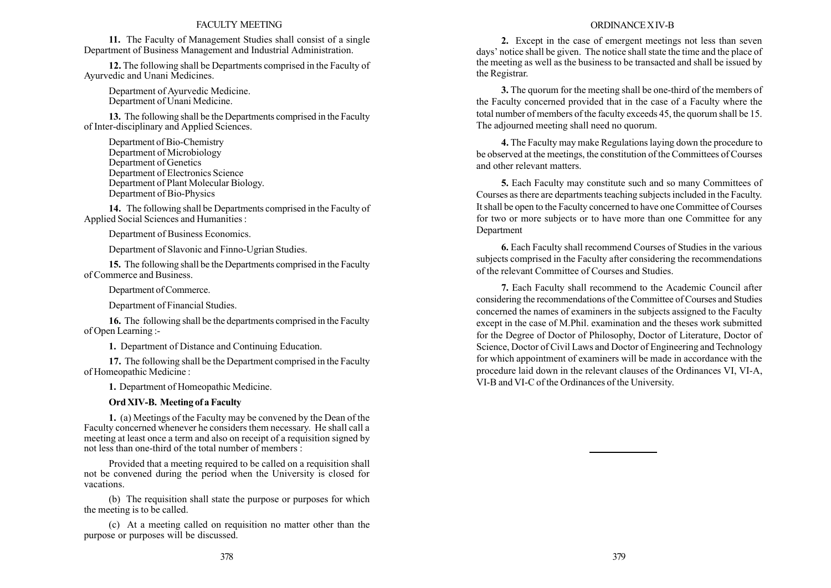#### FACULTY MEETING

11. The Faculty of Management Studies shall consist of a single Department of Business Management and Industrial Administration.

12. The following shall be Departments comprised in the Faculty of Ayurvedic and Unani Medicines.

Department of Ayurvedic Medicine. Department of Unani Medicine.

13. The following shall be the Departments comprised in the Faculty of Inter-disciplinary and Applied Sciences.

Department of Bio-Chemistry Department of Microbiology Department of Genetics Department of Electronics Science Department of Plant Molecular Biology. Department of Bio-Physics

14. The following shall be Departments comprised in the Faculty of Applied Social Sciences and Humanities :

Department of Business Economics.

Department of Slavonic and Finno-Ugrian Studies.

15. The following shall be the Departments comprised in the Faculty of Commerce and Business.

Department of Commerce.

Department of Financial Studies.

16. The following shall be the departments comprised in the Faculty of Open Learning :-

1. Department of Distance and Continuing Education.

17. The following shall be the Department comprised in the Faculty of Homeopathic Medicine :

1. Department of Homeopathic Medicine.

### Ord XIV-B. Meeting of a Faculty

1. (a) Meetings of the Faculty may be convened by the Dean of the Faculty concerned whenever he considers them necessary. He shall call a meeting at least once a term and also on receipt of a requisition signed by not less than one-third of the total number of members :

Provided that a meeting required to be called on a requisition shall not be convened during the period when the University is closed for vacations.

(b) The requisition shall state the purpose or purposes for which the meeting is to be called.

(c) At a meeting called on requisition no matter other than the purpose or purposes will be discussed.

#### ORDINANCEX IV-B

2. Except in the case of emergent meetings not less than seven days' notice shall be given. The notice shall state the time and the place of the meeting as well as the business to be transacted and shall be issued by the Registrar.

3. The quorum for the meeting shall be one-third of the members of the Faculty concerned provided that in the case of a Faculty where the total number of members of the faculty exceeds 45, the quorum shall be 15. The adjourned meeting shall need no quorum.

4. The Faculty may make Regulations laying down the procedure to be observed at the meetings, the constitution of the Committees of Courses and other relevant matters.

5. Each Faculty may constitute such and so many Committees of Courses as there are departments teaching subjects included in the Faculty. It shall be open to the Faculty concerned to have one Committee of Courses for two or more subjects or to have more than one Committee for any Department

6. Each Faculty shall recommend Courses of Studies in the various subjects comprised in the Faculty after considering the recommendations of the relevant Committee of Courses and Studies.

7. Each Faculty shall recommend to the Academic Council after considering the recommendations of the Committee of Courses and Studies concerned the names of examiners in the subjects assigned to the Faculty except in the case of M.Phil. examination and the theses work submitted for the Degree of Doctor of Philosophy, Doctor of Literature, Doctor of Science, Doctor of Civil Laws and Doctor of Engineering and Technology for which appointment of examiners will be made in accordance with the procedure laid down in the relevant clauses of the Ordinances VI, VI-A, VI-B and VI-C of the Ordinances of the University.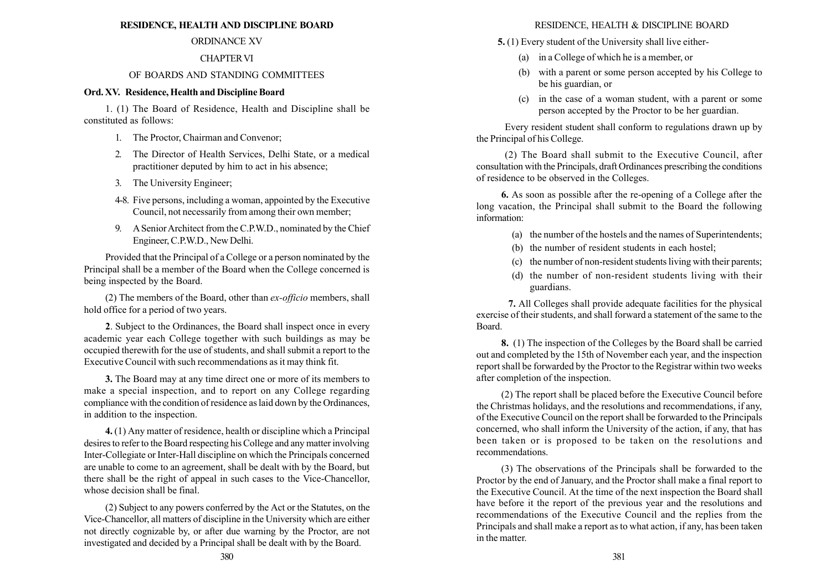## RESIDENCE, HEALTH AND DISCIPLINE BOARD

# ORDINANCE XV

# CHAPTERVI

# OF BOARDS AND STANDING COMMITTEES

# Ord. XV. Residence, Health and Discipline Board

1. (1) The Board of Residence, Health and Discipline shall be constituted as follows:

- 1. The Proctor, Chairman and Convenor;
- 2. The Director of Health Services, Delhi State, or a medical practitioner deputed by him to act in his absence;
- 3. The University Engineer;
- 4-8. Five persons, including a woman, appointed by the Executive Council, not necessarily from among their own member;
- 9. A Senior Architect from the C.P.W.D., nominated by the Chief Engineer, C.P.W.D., New Delhi.

Provided that the Principal of a College or a person nominated by the Principal shall be a member of the Board when the College concerned is being inspected by the Board.

(2) The members of the Board, other than ex-officio members, shall hold office for a period of two years.

2. Subject to the Ordinances, the Board shall inspect once in every academic year each College together with such buildings as may be occupied therewith for the use of students, and shall submit a report to the Executive Council with such recommendations as it may think fit.

3. The Board may at any time direct one or more of its members to make a special inspection, and to report on any College regarding compliance with the condition of residence as laid down by the Ordinances, in addition to the inspection.

4. (1) Any matter of residence, health or discipline which a Principal desires to refer to the Board respecting his College and any matter involving Inter-Collegiate or Inter-Hall discipline on which the Principals concerned are unable to come to an agreement, shall be dealt with by the Board, but there shall be the right of appeal in such cases to the Vice-Chancellor, whose decision shall be final.

(2) Subject to any powers conferred by the Act or the Statutes, on the Vice-Chancellor, all matters of discipline in the University which are either not directly cognizable by, or after due warning by the Proctor, are not investigated and decided by a Principal shall be dealt with by the Board.

# RESIDENCE, HEALTH & DISCIPLINE BOARD

- 5. (1) Every student of the University shall live either-
	- (a) in a College of which he is a member, or
	- (b) with a parent or some person accepted by his College to be his guardian, or
	- (c) in the case of a woman student, with a parent or some person accepted by the Proctor to be her guardian.

Every resident student shall conform to regulations drawn up by the Principal of his College.

(2) The Board shall submit to the Executive Council, after consultation with the Principals, draft Ordinances prescribing the conditions of residence to be observed in the Colleges.

6. As soon as possible after the re-opening of a College after the long vacation, the Principal shall submit to the Board the following information:

- (a) the number of the hostels and the names of Superintendents;
- (b) the number of resident students in each hostel;
- (c) the number of non-resident students living with their parents;
- (d) the number of non-resident students living with their guardians.

7. All Colleges shall provide adequate facilities for the physical exercise of their students, and shall forward a statement of the same to the Board.

8. (1) The inspection of the Colleges by the Board shall be carried out and completed by the 15th of November each year, and the inspection report shall be forwarded by the Proctor to the Registrar within two weeks after completion of the inspection.

(2) The report shall be placed before the Executive Council before the Christmas holidays, and the resolutions and recommendations, if any, of the Executive Council on the report shall be forwarded to the Principals concerned, who shall inform the University of the action, if any, that has been taken or is proposed to be taken on the resolutions and recommendations.

(3) The observations of the Principals shall be forwarded to the Proctor by the end of January, and the Proctor shall make a final report to the Executive Council. At the time of the next inspection the Board shall have before it the report of the previous year and the resolutions and recommendations of the Executive Council and the replies from the Principals and shall make a report as to what action, if any, has been taken in the matter.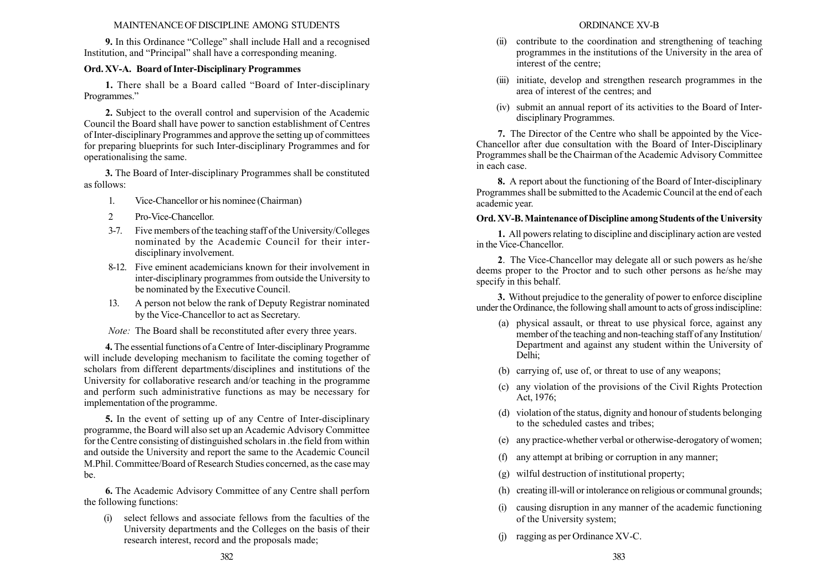## MAINTENANCE OF DISCIPLINE AMONG STUDENTS

9. In this Ordinance "College" shall include Hall and a recognised Institution, and "Principal" shall have a corresponding meaning.

# Ord. XV-A. Board of Inter-Disciplinary Programmes

1. There shall be a Board called "Board of Inter-disciplinary Programmes."

2. Subject to the overall control and supervision of the Academic Council the Board shall have power to sanction establishment of Centres of Inter-disciplinary Programmes and approve the setting up of committees for preparing blueprints for such Inter-disciplinary Programmes and for operationalising the same.

3. The Board of Inter-disciplinary Programmes shall be constituted as follows:

- 1. Vice-Chancellor or his nominee (Chairman)
- 2 Pro-Vice-Chancellor.
- 3-7. Five members of the teaching staff of the University/Colleges nominated by the Academic Council for their interdisciplinary involvement.
- 8-12. Five eminent academicians known for their involvement in inter-disciplinary programmes from outside the University to be nominated by the Executive Council.
- 13. A person not below the rank of Deputy Registrar nominated by the Vice-Chancellor to act as Secretary.

Note: The Board shall be reconstituted after every three years.

4. The essential functions of a Centre of Inter-disciplinary Programme will include developing mechanism to facilitate the coming together of scholars from different departments/disciplines and institutions of the University for collaborative research and/or teaching in the programme and perform such administrative functions as may be necessary for implementation of the programme.

5. In the event of setting up of any Centre of Inter-disciplinary programme, the Board will also set up an Academic Advisory Committee for the Centre consisting of distinguished scholars in .the field from within and outside the University and report the same to the Academic Council M.Phil. Committee/Board of Research Studies concerned, as the case may be.

6. The Academic Advisory Committee of any Centre shall perforn the following functions:

(i) select fellows and associate fellows from the faculties of the University departments and the Colleges on the basis of their research interest, record and the proposals made;

- (ii) contribute to the coordination and strengthening of teaching programmes in the institutions of the University in the area of interest of the centre;
- (iii) initiate, develop and strengthen research programmes in the area of interest of the centres; and
- (iv) submit an annual report of its activities to the Board of Interdisciplinary Programmes.

7. The Director of the Centre who shall be appointed by the Vice-Chancellor after due consultation with the Board of Inter-Disciplinary Programmes shall be the Chairman of the Academic Advisory Committee in each case.

8. A report about the functioning of the Board of Inter-disciplinary Programmes shall be submitted to the Academic Council at the end of each academic year.

# Ord. XV-B.Maintenance of Discipline among Students of the University

1. All powers relating to discipline and disciplinary action are vested in the Vice-Chancellor.

2. The Vice-Chancellor may delegate all or such powers as he/she deems proper to the Proctor and to such other persons as he/she may specify in this behalf.

3. Without prejudice to the generality of power to enforce discipline under the Ordinance, the following shall amount to acts of gross indiscipline:

- (a) physical assault, or threat to use physical force, against any member of the teaching and non-teaching staff of any Institution/ Department and against any student within the University of Delhi;
- (b) carrying of, use of, or threat to use of any weapons;
- (c) any violation of the provisions of the Civil Rights Protection Act, 1976;
- (d) violation of the status, dignity and honour of students belonging to the scheduled castes and tribes;
- (e) any practice-whether verbal or otherwise-derogatory of women;
- (f) any attempt at bribing or corruption in any manner;
- (g) wilful destruction of institutional property;
- (h) creating ill-will or intolerance on religious or communal grounds;
- (i) causing disruption in any manner of the academic functioning of the University system;
- (j) ragging as per Ordinance XV-C.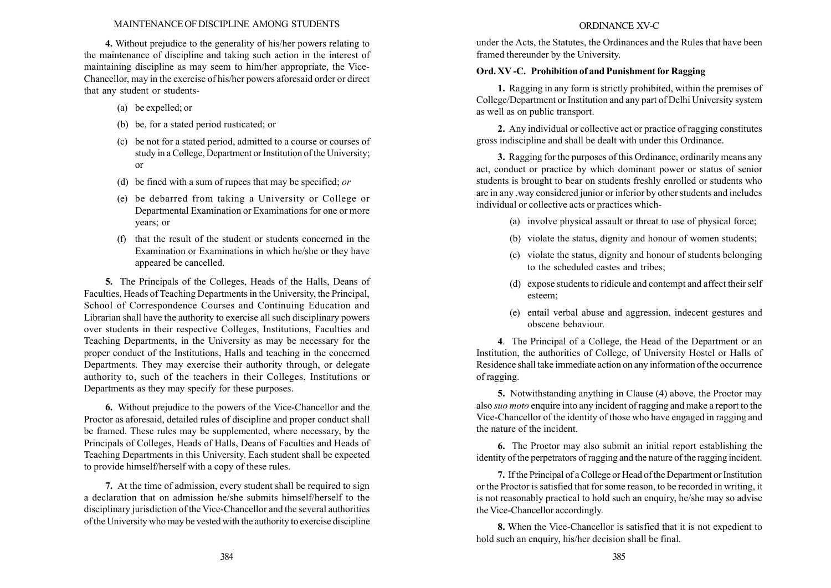## MAINTENANCE OF DISCIPLINE AMONG STUDENTS

4. Without prejudice to the generality of his/her powers relating to the maintenance of discipline and taking such action in the interest of maintaining discipline as may seem to him/her appropriate, the Vice-Chancellor, may in the exercise of his/her powers aforesaid order or direct that any student or students-

- (a) be expelled; or
- (b) be, for a stated period rusticated; or
- (c) be not for a stated period, admitted to a course or courses of study in a College, Department or Institution of the University; or
- (d) be fined with a sum of rupees that may be specified; or
- (e) be debarred from taking a University or College or Departmental Examination or Examinations for one or more years; or
- (f) that the result of the student or students concerned in the Examination or Examinations in which he/she or they have appeared be cancelled.

5. The Principals of the Colleges, Heads of the Halls, Deans of Faculties, Heads of Teaching Departments in the University, the Principal, School of Correspondence Courses and Continuing Education and Librarian shall have the authority to exercise all such disciplinary powers over students in their respective Colleges, Institutions, Faculties and Teaching Departments, in the University as may be necessary for the proper conduct of the Institutions, Halls and teaching in the concerned Departments. They may exercise their authority through, or delegate authority to, such of the teachers in their Colleges, Institutions or Departments as they may specify for these purposes.

6. Without prejudice to the powers of the Vice-Chancellor and the Proctor as aforesaid, detailed rules of discipline and proper conduct shall be framed. These rules may be supplemented, where necessary, by the Principals of Colleges, Heads of Halls, Deans of Faculties and Heads of Teaching Departments in this University. Each student shall be expected to provide himself/herself with a copy of these rules.

7. At the time of admission, every student shall be required to sign a declaration that on admission he/she submits himself/herself to the disciplinary jurisdiction of the Vice-Chancellor and the several authorities of the University who may be vested with the authority to exercise discipline

## ORDINANCE XV-C

under the Acts, the Statutes, the Ordinances and the Rules that have been framed thereunder by the University.

# Ord. XV -C. Prohibition of and Punishment for Ragging

1. Ragging in any form is strictly prohibited, within the premises of College/Department or Institution and any part of Delhi University system as well as on public transport.

2. Any individual or collective act or practice of ragging constitutes gross indiscipline and shall be dealt with under this Ordinance.

3. Ragging for the purposes of this Ordinance, ordinarily means any act, conduct or practice by which dominant power or status of senior students is brought to bear on students freshly enrolled or students who are in any .way considered junior or inferior by other students and includes individual or collective acts or practices which-

- (a) involve physical assault or threat to use of physical force;
- (b) violate the status, dignity and honour of women students;
- (c) violate the status, dignity and honour of students belonging to the scheduled castes and tribes;
- (d) expose students to ridicule and contempt and affect their self esteem;
- (e) entail verbal abuse and aggression, indecent gestures and obscene behaviour.

4. The Principal of a College, the Head of the Department or an Institution, the authorities of College, of University Hostel or Halls of Residence shall take immediate action on any information of the occurrence of ragging.

5. Notwithstanding anything in Clause (4) above, the Proctor may also suo moto enquire into any incident of ragging and make a report to the Vice-Chancellor of the identity of those who have engaged in ragging and the nature of the incident.

6. The Proctor may also submit an initial report establishing the identity of the perpetrators of ragging and the nature of the ragging incident.

7. If the Principal of a College or Head of the Department or Institution or the Proctor is satisfied that for some reason, to be recorded in writing, it is not reasonably practical to hold such an enquiry, he/she may so advise the Vice-Chancellor accordingly.

8. When the Vice-Chancellor is satisfied that it is not expedient to hold such an enquiry, his/her decision shall be final.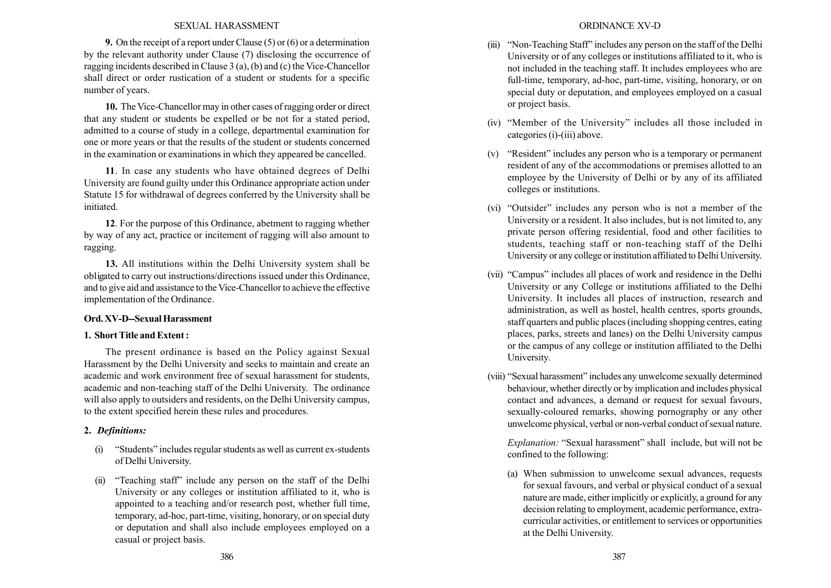## SEXUAL HARASSMENT

9. On the receipt of a report under Clause (5) or (6) or a determination by the relevant authority under Clause (7) disclosing the occurrence of ragging incidents described in Clause 3 (a), (b) and (c) the Vice-Chancellor shall direct or order rustication of a student or students for a specific number of years.

10. The Vice-Chancellor may in other cases of ragging order or direct that any student or students be expelled or be not for a stated period, admitted to a course of study in a college, departmental examination for one or more years or that the results of the student or students concerned in the examination or examinations in which they appeared be cancelled.

11. In case any students who have obtained degrees of Delhi University are found guilty under this Ordinance appropriate action under Statute 15 for withdrawal of degrees conferred by the University shall be initiated.

12. For the purpose of this Ordinance, abetment to ragging whether by way of any act, practice or incitement of ragging will also amount to ragging.

13. All institutions within the Delhi University system shall be ob1igated to carry out instructions/directions issued under this Ordinance, and to give aid and assistance to the Vice-Chancellor to achieve the effective implementation of the Ordinance.

## Ord. XV-D--Sexual Harassment

## 1. Short Title and Extent :

The present ordinance is based on the Policy against Sexual Harassment by the Delhi University and seeks to maintain and create an academic and work environment free of sexual harassment for students, academic and non-teaching staff of the Delhi University. The ordinance will also apply to outsiders and residents, on the Delhi University campus, to the extent specified herein these rules and procedures.

## 2. Definitions:

- (i) "Students" includes regular students as well as current ex-students of Delhi University.
- (ii) "Teaching staff" include any person on the staff of the Delhi University or any colleges or institution affiliated to it, who is appointed to a teaching and/or research post, whether full time, temporary, ad-hoc, part-time, visiting, honorary, or on special duty or deputation and shall also include employees employed on a casual or project basis.
- $(iii)$  "Non-Teaching Staff" includes any person on the staff of the Delhi University or of any colleges or institutions affiliated to it, who is not included in the teaching staff. It includes employees who are full-time, temporary, ad-hoc, part-time, visiting, honorary, or on special duty or deputation, and employees employed on a casual or project basis.
- $(iv)$  "Member of the University" includes all those included in categories (i)-(iii) above.
- $(v)$  "Resident" includes any person who is a temporary or permanent resident of any of the accommodations or premises allotted to an employee by the University of Delhi or by any of its affiliated colleges or institutions.
- (vi) "Outsider" includes any person who is not a member of the University or a resident. It also includes, but is not limited to, any private person offering residential, food and other facilities to students, teaching staff or non-teaching staff of the Delhi University or any college or institution affiliated to Delhi University.
- (vii) "Campus" includes all places of work and residence in the Delhi University or any College or institutions affiliated to the Delhi University. It includes all places of instruction, research and administration, as well as hostel, health centres, sports grounds, staff quarters and public places (including shopping centres, eating places, parks, streets and lanes) on the Delhi University campus or the campus of any college or institution affiliated to the Delhi University.
- (viii) "Sexual harassment" includes any unwelcome sexually determined behaviour, whether directly or by implication and includes physical contact and advances, a demand or request for sexual favours, sexually-coloured remarks, showing pornography or any other unwelcome physical, verbal or non-verbal conduct of sexual nature.

Explanation: "Sexual harassment" shall include, but will not be confined to the following:

(a) When submission to unwelcome sexual advances, requests for sexual favours, and verbal or physical conduct of a sexual nature are made, either implicitly or explicitly, a ground for any decision relating to employment, academic performance, extracurricular activities, or entitlement to services or opportunities at the Delhi University.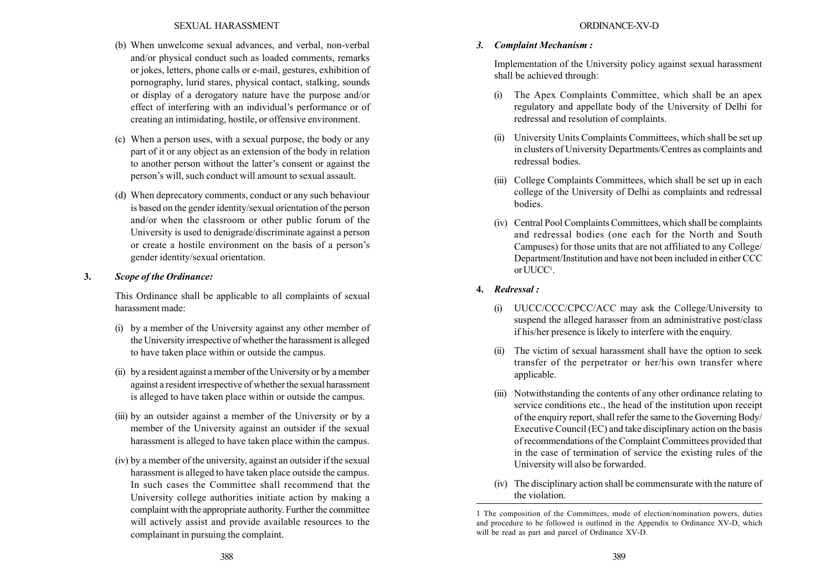## SEXUAL HARASSMENT

- (b) When unwelcome sexual advances, and verbal, non-verbal and/or physical conduct such as loaded comments, remarks or jokes, letters, phone calls or e-mail, gestures, exhibition of pornography, lurid stares, physical contact, stalking, sounds or display of a derogatory nature have the purpose and/or effect of interfering with an individual's performance or of creating an intimidating, hostile, or offensive environment.
- (c) When a person uses, with a sexual purpose, the body or any part of it or any object as an extension of the body in relation to another person without the latter's consent or against the person's will, such conduct will amount to sexual assault.
- (d) When deprecatory comments, conduct or any such behaviour is based on the gender identity/sexual orientation of the person and/or when the classroom or other public forum of the University is used to denigrade/discriminate against a person or create a hostile environment on the basis of a person's gender identity/sexual orientation.

## 3. Scope of the Ordinance:

This Ordinance shall be applicable to all complaints of sexual harassment made:

- (i) by a member of the University against any other member of the University irrespective of whether the harassment is alleged to have taken place within or outside the campus.
- (ii) by a resident against a member of the University or by a member against a resident irrespective of whether the sexual harassment is alleged to have taken place within or outside the campus.
- (iii) by an outsider against a member of the University or by a member of the University against an outsider if the sexual harassment is alleged to have taken place within the campus.
- (iv) by a member of the university, against an outsider if the sexual harassment is alleged to have taken place outside the campus. In such cases the Committee shall recommend that the University college authorities initiate action by making a complaint with the appropriate authority. Further the committee will actively assist and provide available resources to the complainant in pursuing the complaint.

## ORDINANCE-XV-D

## 3. Complaint Mechanism :

Implementation of the University policy against sexual harassment shall be achieved through:

- (i) The Apex Complaints Committee, which shall be an apex regulatory and appellate body of the University of Delhi for redressal and resolution of complaints.
- (ii) University Units Complaints Committees, which shall be set up in clusters of University Departments/Centres as complaints and redressal bodies.
- (iii) College Complaints Committees, which shall be set up in each college of the University of Delhi as complaints and redressal bodies.
- (iv) Central Pool Complaints Committees, which shall be complaints and redressal bodies (one each for the North and South Campuses) for those units that are not affiliated to any College/ Department/Institution and have not been included in either CCC or  $\mathrm{UUCC}^1$ .
- 4. Redressal :
	- (i) UUCC/CCC/CPCC/ACC may ask the College/University to suspend the alleged harasser from an administrative post/class if his/her presence is likely to interfere with the enquiry.
	- (ii) The victim of sexual harassment shall have the option to seek transfer of the perpetrator or her/his own transfer where applicable.
	- (iii) Notwithstanding the contents of any other ordinance relating to service conditions etc., the head of the institution upon receipt of the enquiry report, shall refer the same to the Governing Body/ Executive Council (EC) and take disciplinary action on the basis of recommendations of the Complaint Committees provided that in the case of termination of service the existing rules of the University will also be forwarded.
	- (iv) The disciplinary action shall be commensurate with the nature of the violation.

<sup>1</sup> The composition of the Committees, mode of election/nomination powers, duties and procedure to be followed is outlined in the Appendix to Ordinance XV-D, which will be read as part and parcel of Ordinance XV-D.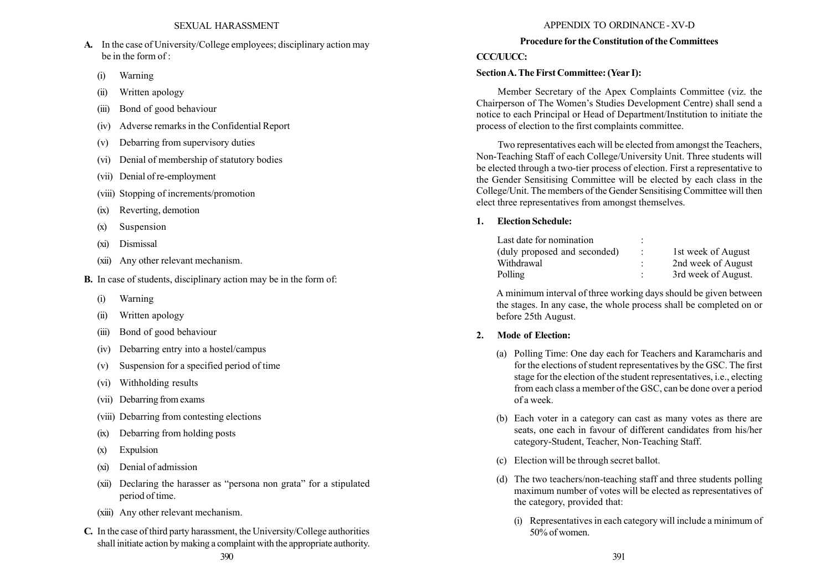- A. In the case of University/College employees; disciplinary action may be in the form of :
	- (i) Warning
	- (ii) Written apology
	- (iii) Bond of good behaviour
	- (iv) Adverse remarks in the Confidential Report
	- (v) Debarring from supervisory duties
	- (vi) Denial of membership of statutory bodies
	- (vii) Denial of re-employment
	- (viii) Stopping of increments/promotion
	- (ix) Reverting, demotion
	- (x) Suspension
	- (xi) Dismissal
	- (xii) Any other relevant mechanism.
- B. In case of students, disciplinary action may be in the form of:
	- (i) Warning
	- (ii) Written apology
	- (iii) Bond of good behaviour
	- (iv) Debarring entry into a hostel/campus
	- (v) Suspension for a specified period of time
	- (vi) Withholding results
	- (vii) Debarring from exams
	- (viii) Debarring from contesting elections
	- (ix) Debarring from holding posts
	- (x) Expulsion
	- (xi) Denial of admission
	- (xii) Declaring the harasser as "persona non grata" for a stipulated period of time.
	- (xiii) Any other relevant mechanism.
- C. In the case of third party harassment, the University/College authorities shall initiate action by making a complaint with the appropriate authority.

# APPENDIX TO ORDINANCE - XV-D

## Procedure for the Constitution of the Committees

# CCC/UUCC.

# SectionA. The First Committee: (Year I):

Member Secretary of the Apex Complaints Committee (viz. the Chairperson of The Women's Studies Development Centre) shall send a notice to each Principal or Head of Department/Institution to initiate the process of election to the first complaints committee.

Two representatives each will be elected from amongst the Teachers, Non-Teaching Staff of each College/University Unit. Three students will be elected through a two-tier process of election. First a representative to the Gender Sensitising Committee will be elected by each class in the College/Unit. The members of the Gender Sensitising Committee will then elect three representatives from amongst themselves.

# 1. Election Schedule:

| Last date for nomination     | ٠<br>$\hat{\phantom{a}}$ |                     |
|------------------------------|--------------------------|---------------------|
| (duly proposed and seconded) | $\ddot{\phantom{a}}$     | 1st week of August  |
| Withdrawal                   | ٠                        | 2nd week of August  |
| Polling                      | ٠                        | 3rd week of August. |

A minimum interval of three working days should be given between the stages. In any case, the whole process shall be completed on or before 25th August.

# 2. Mode of Election:

- (a) Polling Time: One day each for Teachers and Karamcharis and for the elections of student representatives by the GSC. The first stage for the election of the student representatives, i.e., electing from each class a member of the GSC, can be done over a period of a week.
- (b) Each voter in a category can cast as many votes as there are seats, one each in favour of different candidates from his/her category-Student, Teacher, Non-Teaching Staff.
- (c) Election will be through secret ballot.
- (d) The two teachers/non-teaching staff and three students polling maximum number of votes will be elected as representatives of the category, provided that:
	- (i) Representatives in each category will include a minimum of 50% of women.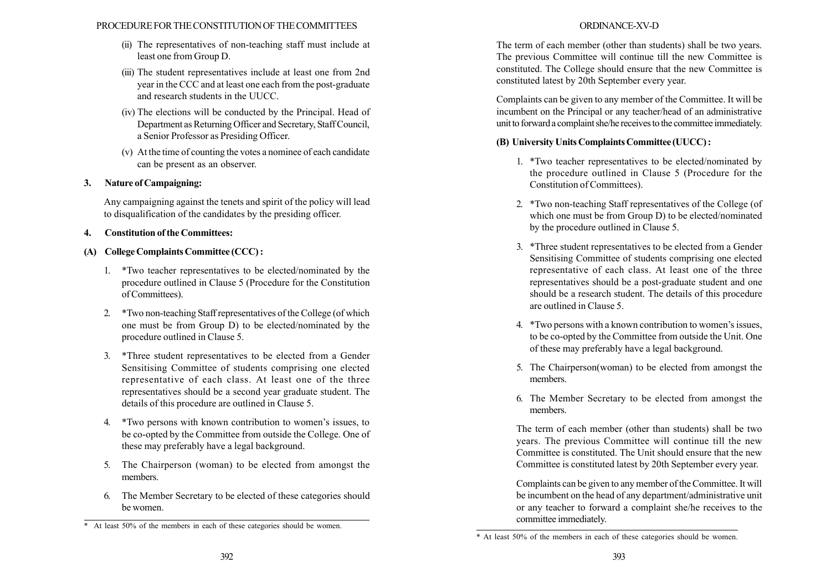## PROCEDURE FOR THE CONSTITUTION OF THE COMMITTEES

- (ii) The representatives of non-teaching staff must include at least one from Group D.
- (iii) The student representatives include at least one from 2nd year in the CCC and at least one each from the post-graduate and research students in the UUCC.
- (iv) The elections will be conducted by the Principal. Head of Department as Returning Officer and Secretary, Staff Council, a Senior Professor as Presiding Officer.
- (v) At the time of counting the votes a nominee of each candidate can be present as an observer.

# 3. Nature of Campaigning:

Any campaigning against the tenets and spirit of the policy will lead to disqualification of the candidates by the presiding officer.

# 4. Constitution of the Committees:

# (A) College Complaints Committee (CCC) :

- 1. \*Two teacher representatives to be elected/nominated by the procedure outlined in Clause 5 (Procedure for the Constitution of Committees).
- 2. \*Two non-teaching Staff representatives of the College (of which one must be from Group D) to be elected/nominated by the procedure outlined in Clause 5.
- 3. \*Three student representatives to be elected from a Gender Sensitising Committee of students comprising one elected representative of each class. At least one of the three representatives should be a second year graduate student. The details of this procedure are outlined in Clause 5.
- 4. \*Two persons with known contribution to women's issues, to be co-opted by the Committee from outside the College. One of these may preferably have a legal background.
- 5. The Chairperson (woman) to be elected from amongst the members.
- 6. The Member Secretary to be elected of these categories should be women.

# ORDINANCE-XV-D

The term of each member (other than students) shall be two years. The previous Committee will continue till the new Committee is constituted. The College should ensure that the new Committee is constituted latest by 20th September every year.

Complaints can be given to any member of the Committee. It will be incumbent on the Principal or any teacher/head of an administrative unit to forward a complaint she/he receives to the committee immediately.

# (B) University Units Complaints Committee (UUCC) :

- 1. \*Two teacher representatives to be elected/nominated by the procedure outlined in Clause 5 (Procedure for the Constitution of Committees).
- 2. \*Two non-teaching Staff representatives of the College (of which one must be from Group D) to be elected/nominated by the procedure outlined in Clause 5.
- 3. \*Three student representatives to be elected from a Gender Sensitising Committee of students comprising one elected representative of each class. At least one of the three representatives should be a post-graduate student and one should be a research student. The details of this procedure are outlined in Clause 5.
- 4. \*Two persons with a known contribution to women's issues, to be co-opted by the Committee from outside the Unit. One of these may preferably have a legal background.
- 5. The Chairperson(woman) to be elected from amongst the members.
- 6. The Member Secretary to be elected from amongst the members.

The term of each member (other than students) shall be two years. The previous Committee will continue till the new Committee is constituted. The Unit should ensure that the new Committee is constituted latest by 20th September every year.

Complaints can be given to any member of the Committee. It will be incumbent on the head of any department/administrative unit or any teacher to forward a complaint she/he receives to the committee immediately.

<sup>\*</sup> At least 50% of the members in each of these categories should be women.

<sup>\*</sup> At least 50% of the members in each of these categories should be women.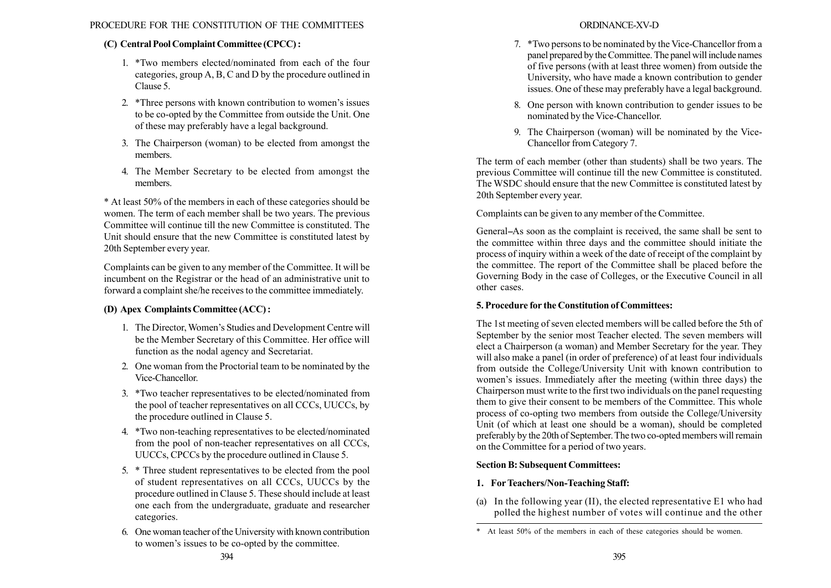# (C) Central Pool Complaint Committee (CPCC) :

- 1. \*Two members elected/nominated from each of the four categories, group A, B, C and D by the procedure outlined in Clause 5.
- 2. \*Three persons with known contribution to women's issues to be co-opted by the Committee from outside the Unit. One of these may preferably have a legal background.
- 3. The Chairperson (woman) to be elected from amongst the members.
- 4. The Member Secretary to be elected from amongst the members.

\* At least 50% of the members in each of these categories should be women. The term of each member shall be two years. The previous Committee will continue till the new Committee is constituted. The Unit should ensure that the new Committee is constituted latest by 20th September every year.

Complaints can be given to any member of the Committee. It will be incumbent on the Registrar or the head of an administrative unit to forward a complaint she/he receives to the committee immediately.

# (D) Apex Complaints Committee (ACC) :

- 1. The Director, Women's Studies and Development Centre will be the Member Secretary of this Committee. Her office will function as the nodal agency and Secretariat.
- 2. One woman from the Proctorial team to be nominated by the Vice-Chancellor.
- 3. \*Two teacher representatives to be elected/nominated from the pool of teacher representatives on all CCCs, UUCCs, by the procedure outlined in Clause 5.
- 4. \*Two non-teaching representatives to be elected/nominated from the pool of non-teacher representatives on all CCCs, UUCCs, CPCCs by the procedure outlined in Clause 5.
- 5. \* Three student representatives to be elected from the pool of student representatives on all CCCs, UUCCs by the procedure outlined in Clause 5. These should include at least one each from the undergraduate, graduate and researcher categories.
- 6. One woman teacher of the University with known contribution to women's issues to be co-opted by the committee.

# ORDINANCE-XV-D

- 7. \*Two persons to be nominated by the Vice-Chancellor from a panel prepared by the Committee. The panel will include names of five persons (with at least three women) from outside the University, who have made a known contribution to gender issues. One of these may preferably have a legal background.
- 8. One person with known contribution to gender issues to be nominated by the Vice-Chancellor.
- 9. The Chairperson (woman) will be nominated by the Vice-Chancellor from Category 7.

The term of each member (other than students) shall be two years. The previous Committee will continue till the new Committee is constituted. The WSDC should ensure that the new Committee is constituted latest by 20th September every year.

Complaints can be given to any member of the Committee.

General–As soon as the complaint is received, the same shall be sent to the committee within three days and the committee should initiate the process of inquiry within a week of the date of receipt of the complaint by the committee. The report of the Committee shall be placed before the Governing Body in the case of Colleges, or the Executive Council in all other cases.

# 5. Procedure for the Constitution of Committees:

The 1st meeting of seven elected members will be called before the 5th of September by the senior most Teacher elected. The seven members will elect a Chairperson (a woman) and Member Secretary for the year. They will also make a panel (in order of preference) of at least four individuals from outside the College/University Unit with known contribution to women's issues. Immediately after the meeting (within three days) the Chairperson must write to the first two individuals on the panel requesting them to give their consent to be members of the Committee. This whole process of co-opting two members from outside the College/University Unit (of which at least one should be a woman), should be completed preferably by the 20th of September.The two co-opted members will remain on the Committee for a period of two years.

# Section B: Subsequent Committees:

# 1. ForTeachers/Non-Teaching Staff:

(a) In the following year (II), the elected representative E1 who had polled the highest number of votes will continue and the other

<sup>\*</sup> At least 50% of the members in each of these categories should be women.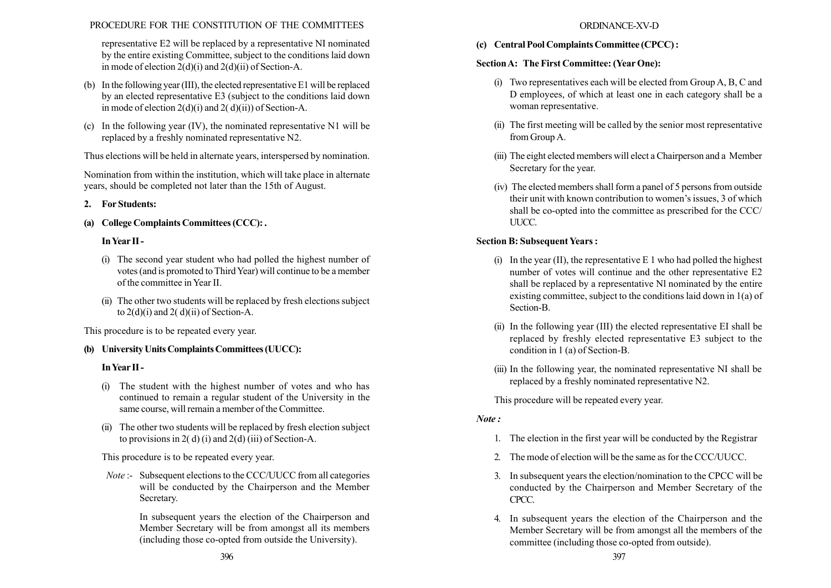representative E2 will be replaced by a representative NI nominated by the entire existing Committee, subject to the conditions laid down in mode of election  $2(d)(i)$  and  $2(d)(ii)$  of Section-A.

- (b) In the following year (III), the elected representative E1 will be replaced by an elected representative E3 (subject to the conditions laid down in mode of election  $2(d)(i)$  and  $2(d)(ii)$ ) of Section-A.
- (c) In the following year (IV), the nominated representative N1 will be replaced by a freshly nominated representative N2.

Thus elections will be held in alternate years, interspersed by nomination.

Nomination from within the institution, which will take place in alternate years, should be completed not later than the 15th of August.

# 2. For Students:

(a) College Complaints Committees (CCC): .

# InYear II -

- (i) The second year student who had polled the highest number of votes (and is promoted to Third Year) will continue to be a member of the committee in Year II.
- (ii) The other two students will be replaced by fresh elections subject to  $2(d)(i)$  and  $2(d)(ii)$  of Section-A.

This procedure is to be repeated every year.

# (b) University Units Complaints Committees (UUCC):

## InYear II -

- (i) The student with the highest number of votes and who has continued to remain a regular student of the University in the same course, will remain a member of the Committee.
- (ii) The other two students will be replaced by fresh election subject to provisions in 2(d) (i) and 2(d) (iii) of Section-A.

This procedure is to be repeated every year.

Note :- Subsequent elections to the CCC/UUCC from all categories will be conducted by the Chairperson and the Member Secretary.

> In subsequent years the election of the Chairperson and Member Secretary will be from amongst all its members (including those co-opted from outside the University).

### ORDINANCE-XV-D

(c) Central Pool Complaints Committee (CPCC) :

# SectionA: The First Committee: (Year One):

- (i) Two representatives each will be elected from Group A, B, C and D employees, of which at least one in each category shall be a woman representative.
- (ii) The first meeting will be called by the senior most representative from Group A.
- (iii) The eight elected members will elect a Chairperson and a Member Secretary for the year.
- (iv) The elected members shall form a panel of 5 persons from outside their unit with known contribution to women's issues, 3 of which shall be co-opted into the committee as prescribed for the CCC/ UUCC.

# Section B: Subsequent Years :

- (i) In the year  $(II)$ , the representative E 1 who had polled the highest number of votes will continue and the other representative E2 shall be replaced by a representative Nl nominated by the entire existing committee, subject to the conditions laid down in 1(a) of Section-B.
- (ii) In the following year (III) the elected representative EI shall be replaced by freshly elected representative E3 subject to the condition in 1 (a) of Section-B.
- (iii) In the following year, the nominated representative NI shall be replaced by a freshly nominated representative N2.

This procedure will be repeated every year.

# Note :

- 1. The election in the first year will be conducted by the Registrar
- 2. The mode of election will be the same as for the CCC/UUCC.
- 3. In subsequent years the election/nomination to the CPCC will be conducted by the Chairperson and Member Secretary of the CPCC.
- 4. In subsequent years the election of the Chairperson and the Member Secretary will be from amongst all the members of the committee (including those co-opted from outside).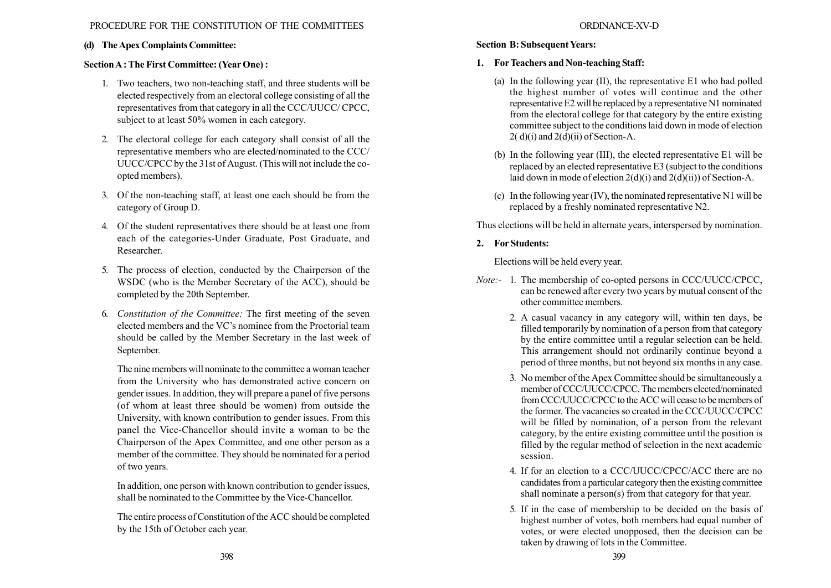# (d) The Apex Complaints Committee:

# SectionA : The First Committee: (Year One) :

- 1. Two teachers, two non-teaching staff, and three students will be elected respectively from an electoral college consisting of all the representatives from that category in all the CCC/UUCC/ CPCC, subject to at least 50% women in each category.
- 2. The electoral college for each category shall consist of all the representative members who are elected/nominated to the CCC/ UUCC/CPCC by the 31st of August. (This will not include the coopted members).
- 3. Of the non-teaching staff, at least one each should be from the category of Group D.
- 4. Of the student representatives there should be at least one from each of the categories-Under Graduate, Post Graduate, and Researcher.
- 5. The process of election, conducted by the Chairperson of the WSDC (who is the Member Secretary of the ACC), should be completed by the 20th September.
- 6. Constitution of the Committee: The first meeting of the seven elected members and the VC's nominee from the Proctorial team should be called by the Member Secretary in the last week of September.

The nine members will nominate to the committee a woman teacher from the University who has demonstrated active concern on gender issues. In addition, they will prepare a panel of five persons (of whom at least three should be women) from outside the University, with known contribution to gender issues. From this panel the Vice-Chancellor should invite a woman to be the Chairperson of the Apex Committee, and one other person as a member of the committee. They should be nominated for a period of two years.

In addition, one person with known contribution to gender issues, shall be nominated to the Committee by the Vice-Chancellor.

The entire process of Constitution of the ACC should be completed by the 15th of October each year.

# Section B: Subsequent Years:

# 1. ForTeachers and Non-teaching Staff:

- (a) In the following year (II), the representative E1 who had polled the highest number of votes will continue and the other representative E2 will be replaced by a representative N1 nominated from the electoral college for that category by the entire existing committee subject to the conditions laid down in mode of election  $2(d)(i)$  and  $2(d)(ii)$  of Section-A.
- (b) In the following year (III), the elected representative E1 will be replaced by an elected representative E3 (subject to the conditions laid down in mode of election  $2(d)(i)$  and  $2(d)(ii)$  of Section-A.
- (c) In the following year (IV), the nominated representative N1 will be replaced by a freshly nominated representative N2.

Thus elections will be held in alternate years, interspersed by nomination.

# 2. For Students:

Elections will be held every year.

- Note:- 1. The membership of co-opted persons in CCC/UUCC/CPCC, can be renewed after every two years by mutual consent of the other committee members.
	- 2. A casual vacancy in any category will, within ten days, be filled temporarily by nomination of a person from that category by the entire committee until a regular selection can be held. This arrangement should not ordinarily continue beyond a period of three months, but not beyond six months in any case.
	- 3. No member of the Apex Committee should be simultaneously a member of CCC/UUCC/CPCC. The members elected/nominated from CCC/UUCC/CPCC to the ACC will cease to be members of the former. The vacancies so created in the CCC/UUCC/CPCC will be filled by nomination, of a person from the relevant category, by the entire existing committee until the position is filled by the regular method of selection in the next academic session.
	- 4. If for an election to a CCC/UUCC/CPCC/ACC there are no candidates from a particular category then the existing committee shall nominate a person(s) from that category for that year.
	- 5. If in the case of membership to be decided on the basis of highest number of votes, both members had equal number of votes, or were elected unopposed, then the decision can be taken by drawing of lots in the Committee.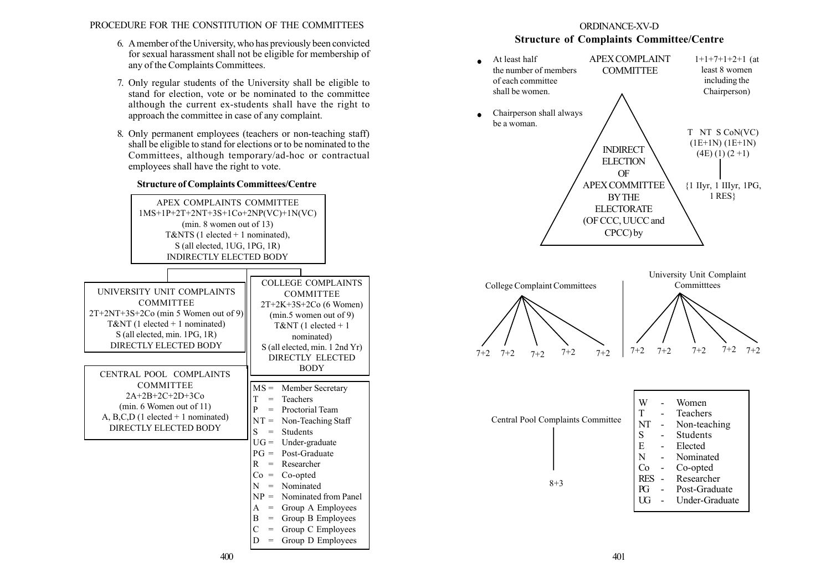- 6. Amember of the University, who has previously been convicted for sexual harassment shall not be eligible for membership of any of the Complaints Committees.
- 7. Only regular students of the University shall be eligible to stand for election, vote or be nominated to the committee although the current ex-students shall have the right to approach the committee in case of any complaint.
- 8. Only permanent employees (teachers or non-teaching staff) shall be eligible to stand for elections or to be nominated to the Committees, although temporary/ad-hoc or contractual employees shall have the right to vote.



# ORDINANCE-XV-D Structure of Complaints Committee/Centre

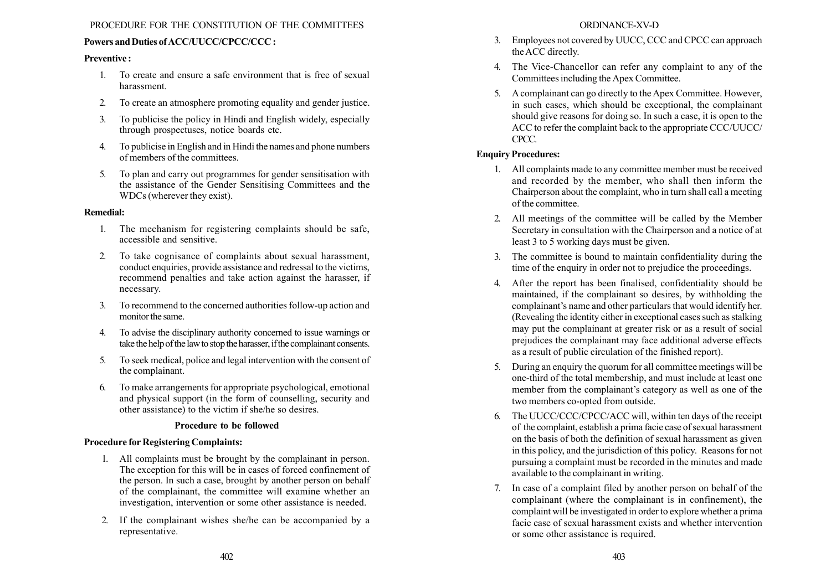# Powers and Duties of ACC/UUCC/CPCC/CCC :

### Preventive :

- 1. To create and ensure a safe environment that is free of sexual harassment.
- 2. To create an atmosphere promoting equality and gender justice.
- 3. To publicise the policy in Hindi and English widely, especially through prospectuses, notice boards etc.
- 4. To publicise in English and in Hindi the names and phone numbers of members of the committees.
- 5. To plan and carry out programmes for gender sensitisation with the assistance of the Gender Sensitising Committees and the WDCs (wherever they exist).

### Remedial:

- 1. The mechanism for registering complaints should be safe, accessible and sensitive.
- 2. To take cognisance of complaints about sexual harassment, conduct enquiries, provide assistance and redressal to the victims, recommend penalties and take action against the harasser, if necessary.
- 3. To recommend to the concerned authorities follow-up action and monitor the same.
- 4. To advise the disciplinary authority concerned to issue warnings or take the help of the law to stop the harasser, if the complainant consents.
- 5. To seek medical, police and legal intervention with the consent of the complainant.
- 6. To make arrangements for appropriate psychological, emotional and physical support (in the form of counselling, security and other assistance) to the victim if she/he so desires.

### Procedure to be followed

## Procedure for Registering Complaints:

- 1. All complaints must be brought by the complainant in person. The exception for this will be in cases of forced confinement of the person. In such a case, brought by another person on behalf of the complainant, the committee will examine whether an investigation, intervention or some other assistance is needed.
- 2. If the complainant wishes she/he can be accompanied by a representative.
- 3. Employees not covered by UUCC, CCC and CPCC can approach the ACC directly.
- 4. The Vice-Chancellor can refer any complaint to any of the Committees including the Apex Committee.
- 5. A complainant can go directly to the Apex Committee. However, in such cases, which should be exceptional, the complainant should give reasons for doing so. In such a case, it is open to the ACC to refer the complaint back to the appropriate CCC/UUCC/ CPCC.

# Enquiry Procedures:

- 1. All complaints made to any committee member must be received and recorded by the member, who shall then inform the Chairperson about the complaint, who in turn shall call a meeting of the committee.
- 2. All meetings of the committee will be called by the Member Secretary in consultation with the Chairperson and a notice of at least 3 to 5 working days must be given.
- 3. The committee is bound to maintain confidentiality during the time of the enquiry in order not to prejudice the proceedings.
- 4. After the report has been finalised, confidentiality should be maintained, if the complainant so desires, by withholding the complainant's name and other particulars that would identify her. (Revealing the identity either in exceptional cases such as stalking may put the complainant at greater risk or as a result of social prejudices the complainant may face additional adverse effects as a result of public circulation of the finished report).
- 5. During an enquiry the quorum for all committee meetings will be one-third of the total membership, and must include at least one member from the complainant's category as well as one of the two members co-opted from outside.
- 6. The UUCC/CCC/CPCC/ACC will, within ten days of the receipt of the complaint, establish a prima facie case of sexual harassment on the basis of both the definition of sexual harassment as given in this policy, and the jurisdiction of this policy. Reasons for not pursuing a complaint must be recorded in the minutes and made available to the complainant in writing.
- 7. In case of a complaint filed by another person on behalf of the complainant (where the complainant is in confinement), the complaint will be investigated in order to explore whether a prima facie case of sexual harassment exists and whether intervention or some other assistance is required.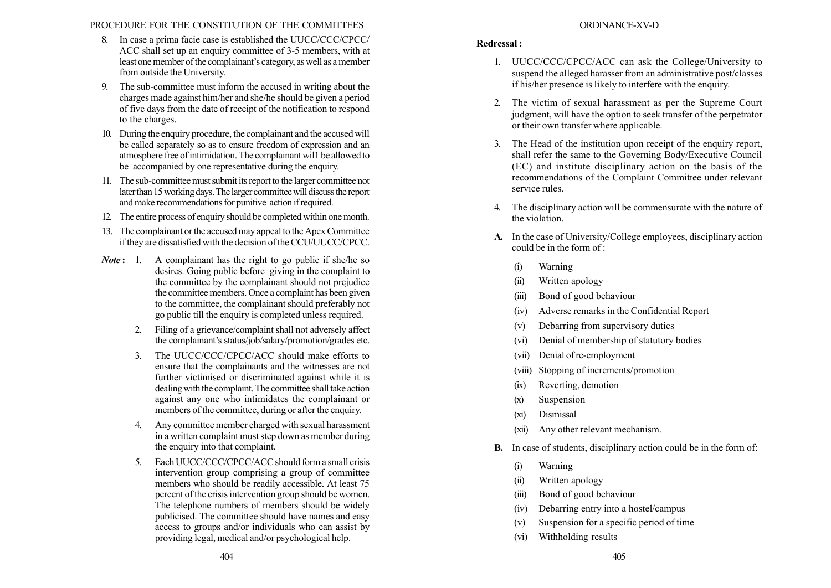- 8. In case a prima facie case is established the UUCC/CCC/CPCC/ ACC shall set up an enquiry committee of 3-5 members, with at least one member of the complainant's category, as well as a member from outside the University.
- 9. The sub-committee must inform the accused in writing about the charges made against him/her and she/he should be given a period of five days from the date of receipt of the notification to respond to the charges.
- 10. During the enquiry procedure, the complainant and the accused will be called separately so as to ensure freedom of expression and an atmosphere free of intimidation. The complainant will be allowed to be accompanied by one representative during the enquiry.
- 11. The sub-committee must submit its report to the larger committee not later than 15 working days. The larger committee will discuss the report and make recommendations for punitive action if required.
- 12. The entire process of enquiry should be completed within one month.
- 13. The complainant or the accused may appeal to the Apex Committee if they are dissatisfied with the decision of the CCU/UUCC/CPCC.
- **Note:** 1. A complainant has the right to go public if she/he so desires. Going public before giving in the complaint to the committee by the complainant should not prejudice the committee members. Once a complaint has been given to the committee, the complainant should preferably not go public till the enquiry is completed unless required.
	- 2. Filing of a grievance/complaint shall not adversely affect the complainant's status/job/salary/promotion/grades etc.
	- 3. The UUCC/CCC/CPCC/ACC should make efforts to ensure that the complainants and the witnesses are not further victimised or discriminated against while it is dealing with the complaint. The committee shall take action against any one who intimidates the complainant or members of the committee, during or after the enquiry.
	- 4. Any committee member charged with sexual harassment in a written complaint must step down as member during the enquiry into that complaint.
	- 5. Each UUCC/CCC/CPCC/ACC should form a small crisis intervention group comprising a group of committee members who should be readily accessible. At least 75 percent of the crisis intervention group should be women. The telephone numbers of members should be widely publicised. The committee should have names and easy access to groups and/or individuals who can assist by providing legal, medical and/or psychological help.

## ORDINANCE-XV-D

# Redressal :

- 1. UUCC/CCC/CPCC/ACC can ask the College/University to suspend the alleged harasser from an administrative post/classes if his/her presence is likely to interfere with the enquiry.
- 2. The victim of sexual harassment as per the Supreme Court judgment, will have the option to seek transfer of the perpetrator or their own transfer where applicable.
- 3. The Head of the institution upon receipt of the enquiry report, shall refer the same to the Governing Body/Executive Council (EC) and institute disciplinary action on the basis of the recommendations of the Complaint Committee under relevant service rules.
- 4. The disciplinary action will be commensurate with the nature of the violation.
- A. In the case of University/College employees, disciplinary action could be in the form of :
	- (i) Warning
	- (ii) Written apology
	- (iii) Bond of good behaviour
	- (iv) Adverse remarks in the Confidential Report
	- (v) Debarring from supervisory duties
	- (vi) Denial of membership of statutory bodies
	- (vii) Denial of re-employment
	- (viii) Stopping of increments/promotion
	- (ix) Reverting, demotion
	- (x) Suspension
	- (xi) Dismissal
	- (xii) Any other relevant mechanism.
- B. In case of students, disciplinary action could be in the form of:
	- (i) Warning
	- (ii) Written apology
	- (iii) Bond of good behaviour
	- (iv) Debarring entry into a hostel/campus
	- (v) Suspension for a specific period of time
	- (vi) Withholding results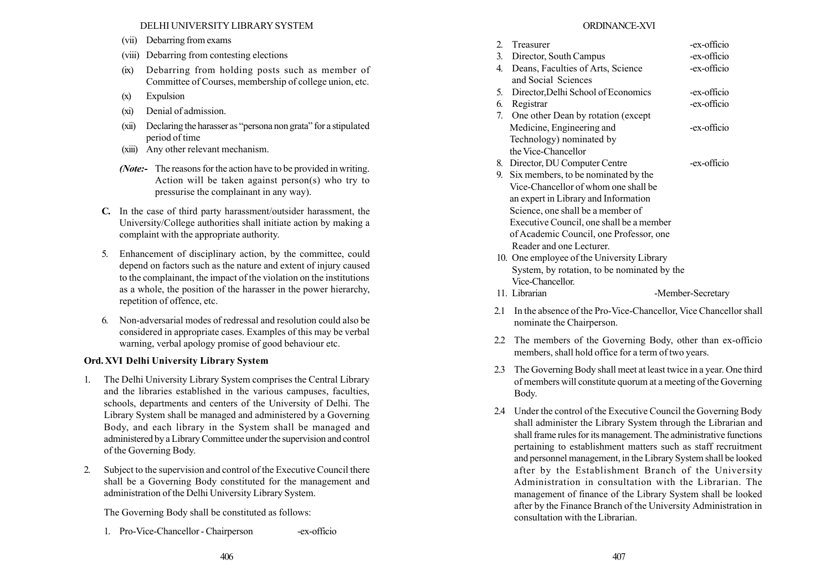DELHI UNIVERSITY LIBRARY SYSTEM

- (vii) Debarring from exams
- (viii) Debarring from contesting elections
- (ix) Debarring from holding posts such as member of Committee of Courses, membership of college union, etc.
- (x) Expulsion
- (xi) Denial of admission.
- $(xii)$  Declaring the harasser as "persona non grata" for a stipulated period of time
- (xiii) Any other relevant mechanism.
- (*Note*:- The reasons for the action have to be provided in writing. Action will be taken against person(s) who try to pressurise the complainant in any way).
- C. In the case of third party harassment/outsider harassment, the University/College authorities shall initiate action by making a complaint with the appropriate authority.
- 5. Enhancement of disciplinary action, by the committee, could depend on factors such as the nature and extent of injury caused to the complainant, the impact of the violation on the institutions as a whole, the position of the harasser in the power hierarchy, repetition of offence, etc.
- 6. Non-adversarial modes of redressal and resolution could also be considered in appropriate cases. Examples of this may be verbal warning, verbal apology promise of good behaviour etc.

# Ord. XVI Delhi University Library System

- 1. The Delhi University Library System comprises the Central Library and the libraries established in the various campuses, faculties, schools, departments and centers of the University of Delhi. The Library System shall be managed and administered by a Governing Body, and each library in the System shall be managed and administered by a Library Committee under the supervision and control of the Governing Body.
- 2. Subject to the supervision and control of the Executive Council there shall be a Governing Body constituted for the management and administration of the Delhi University Library System.

The Governing Body shall be constituted as follows:

1. Pro-Vice-Chancellor - Chairperson -ex-officio

## ORDINANCE-XVI

| 2. | Treasurer                                   |                   |  | -ex-officio |  |
|----|---------------------------------------------|-------------------|--|-------------|--|
| 3. | Director, South Campus                      |                   |  | -ex-officio |  |
| 4. | Deans, Faculties of Arts, Science           |                   |  | -ex-officio |  |
|    | and Social Sciences                         |                   |  |             |  |
| 5. | Director, Delhi School of Economics         |                   |  | -ex-officio |  |
| 6. | Registrar                                   |                   |  | -ex-officio |  |
|    | 7. One other Dean by rotation (except       |                   |  |             |  |
|    | Medicine, Engineering and                   |                   |  | -ex-officio |  |
|    | Technology) nominated by                    |                   |  |             |  |
|    | the Vice-Chancellor                         |                   |  |             |  |
| 8. | Director, DU Computer Centre                |                   |  | -ex-officio |  |
| 9. | Six members, to be nominated by the         |                   |  |             |  |
|    | Vice-Chancellor of whom one shall be        |                   |  |             |  |
|    | an expert in Library and Information        |                   |  |             |  |
|    | Science, one shall be a member of           |                   |  |             |  |
|    | Executive Council, one shall be a member    |                   |  |             |  |
|    | of Academic Council, one Professor, one     |                   |  |             |  |
|    | Reader and one Lecturer.                    |                   |  |             |  |
|    | 10. One employee of the University Library  |                   |  |             |  |
|    | System, by rotation, to be nominated by the |                   |  |             |  |
|    | Vice-Chancellor.                            |                   |  |             |  |
|    | 11. Librarian                               | -Member-Secretary |  |             |  |
|    |                                             |                   |  |             |  |

- 2.1 In the absence of the Pro-Vice-Chancellor, Vice Chancellor shall nominate the Chairperson.
- 2.2 The members of the Governing Body, other than ex-officio members, shall hold office for a term of two years.
- 2.3 The Governing Body shall meet at least twice in a year. One third of members will constitute quorum at a meeting of the Governing Body.
- 2.4 Under the control of the Executive Council the Governing Body shall administer the Library System through the Librarian and shall frame rules for its management. The administrative functions pertaining to establishment matters such as staff recruitment and personnel management, in the Library System shall be looked after by the Establishment Branch of the University Administration in consultation with the Librarian. The management of finance of the Library System shall be looked after by the Finance Branch of the University Administration in consultation with the Librarian.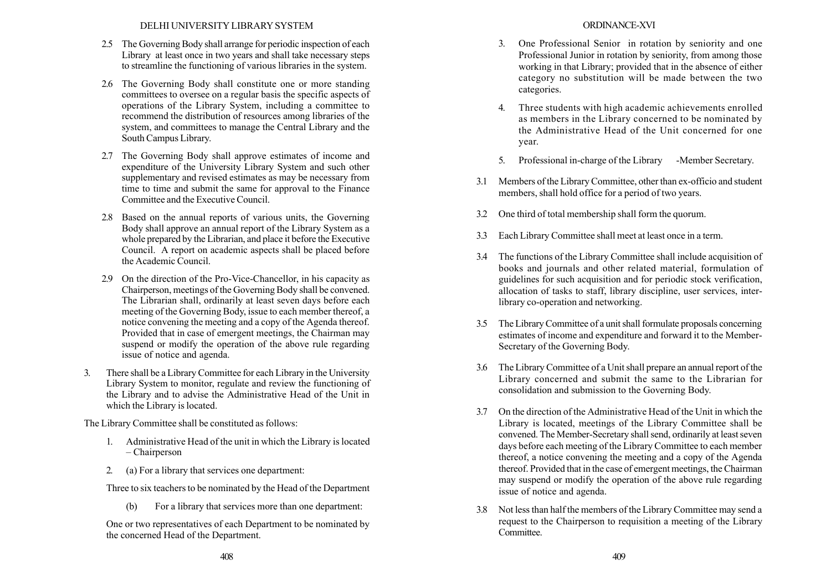- 2.5 The Governing Body shall arrange for periodic inspection of each Library at least once in two years and shall take necessary steps to streamline the functioning of various libraries in the system.
- 2.6 The Governing Body shall constitute one or more standing committees to oversee on a regular basis the specific aspects of operations of the Library System, including a committee to recommend the distribution of resources among libraries of the system, and committees to manage the Central Library and the South Campus Library.
- 2.7 The Governing Body shall approve estimates of income and expenditure of the University Library System and such other supplementary and revised estimates as may be necessary from time to time and submit the same for approval to the Finance Committee and the Executive Council.
- 2.8 Based on the annual reports of various units, the Governing Body shall approve an annual report of the Library System as a whole prepared by the Librarian, and place it before the Executive Council. A report on academic aspects shall be placed before the Academic Council.
- 2.9 On the direction of the Pro-Vice-Chancellor, in his capacity as Chairperson, meetings of the Governing Body shall be convened. The Librarian shall, ordinarily at least seven days before each meeting of the Governing Body, issue to each member thereof, a notice convening the meeting and a copy of the Agenda thereof. Provided that in case of emergent meetings, the Chairman may suspend or modify the operation of the above rule regarding issue of notice and agenda.
- 3. There shall be a Library Committee for each Library in the University Library System to monitor, regulate and review the functioning of the Library and to advise the Administrative Head of the Unit in which the Library is located.

The Library Committee shall be constituted as follows:

- 1. Administrative Head of the unit in which the Library is located – Chairperson
- 2. (a) For a library that services one department:

Three to six teachers to be nominated by the Head of the Department

(b) For a library that services more than one department:

One or two representatives of each Department to be nominated by the concerned Head of the Department.

- 3. One Professional Senior in rotation by seniority and one Professional Junior in rotation by seniority, from among those working in that Library; provided that in the absence of either category no substitution will be made between the two categories.
- 4. Three students with high academic achievements enrolled as members in the Library concerned to be nominated by the Administrative Head of the Unit concerned for one year.
- 5. Professional in-charge of the Library -Member Secretary.
- 3.1 Members of the Library Committee, other than ex-officio and student members, shall hold office for a period of two years.
- 3.2 One third of total membership shall form the quorum.
- 3.3 Each Library Committee shall meet at least once in a term.
- 3.4 The functions of the Library Committee shall include acquisition of books and journals and other related material, formulation of guidelines for such acquisition and for periodic stock verification, allocation of tasks to staff, library discipline, user services, interlibrary co-operation and networking.
- 3.5 The Library Committee of a unit shall formulate proposals concerning estimates of income and expenditure and forward it to the Member-Secretary of the Governing Body.
- 3.6 The Library Committee of a Unit shall prepare an annual report of the Library concerned and submit the same to the Librarian for consolidation and submission to the Governing Body.
- 3.7 On the direction of the Administrative Head of the Unit in which the Library is located, meetings of the Library Committee shall be convened. The Member-Secretary shall send, ordinarily at least seven days before each meeting of the Library Committee to each member thereof, a notice convening the meeting and a copy of the Agenda thereof. Provided that in the case of emergent meetings, the Chairman may suspend or modify the operation of the above rule regarding issue of notice and agenda.
- 3.8 Not less than half the members of the Library Committee may send a request to the Chairperson to requisition a meeting of the Library **Committee**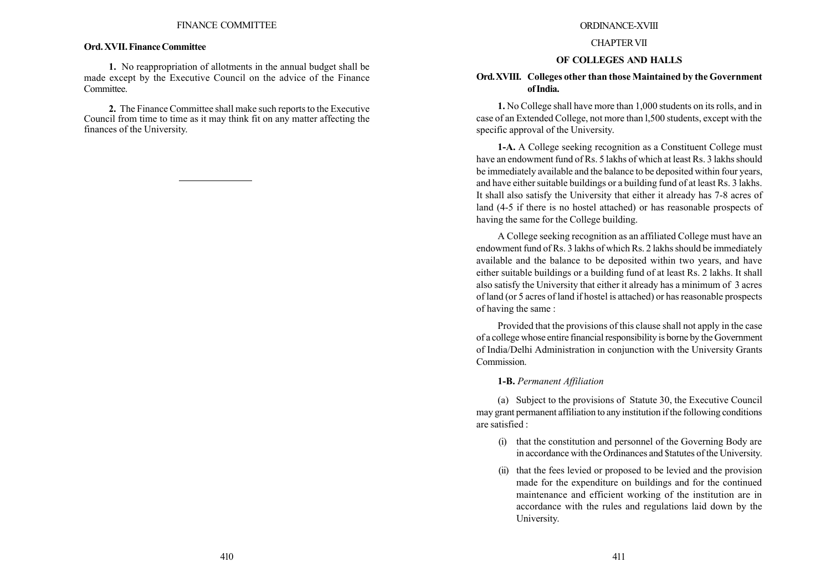#### Ord. XVII. Finance Committee

1. No reappropriation of allotments in the annual budget shall be made except by the Executive Council on the advice of the Finance Committee.

2. The Finance Committee shall make such reports to the Executive Council from time to time as it may think fit on any matter affecting the finances of the University.

#### ORDINANCE-XVIII

#### CHAPTERVII

#### OF COLLEGES AND HALLS

### Ord.XVIII. Colleges other than those Maintained by the Government of India.

1. No College shall have more than 1,000 students on its rolls, and in case of an Extended College, not more than l,500 students, except with the specific approval of the University.

1-A. A College seeking recognition as a Constituent College must have an endowment fund of Rs. 5 lakhs of which at least Rs. 3 lakhs should be immediately available and the balance to be deposited within four years, and have either suitable buildings or a building fund of at least Rs. 3 lakhs. It shall also satisfy the University that either it already has 7-8 acres of land (4-5 if there is no hostel attached) or has reasonable prospects of having the same for the College building.

A College seeking recognition as an affiliated College must have an endowment fund of Rs. 3 lakhs of which Rs. 2 lakhs should be immediately available and the balance to be deposited within two years, and have either suitable buildings or a building fund of at least Rs. 2 lakhs. It shall also satisfy the University that either it already has a minimum of 3 acres of land (or 5 acres of land if hostel is attached) or has reasonable prospects of having the same :

Provided that the provisions of this clause shall not apply in the case of a college whose entire financial responsibility is borne by the Government of India/Delhi Administration in conjunction with the University Grants Commission.

1-B. Permanent Affiliation

(a) Subject to the provisions of Statute 30, the Executive Council may grant permanent affiliation to any institution if the following conditions are satisfied :

- (i) that the constitution and personnel of the Governing Body are in accordance with the Ordinances and \$tatutes of the University.
- (ii) that the fees levied or proposed to be levied and the provision made for the expenditure on buildings and for the continued maintenance and efficient working of the institution are in accordance with the rules and regulations laid down by the University.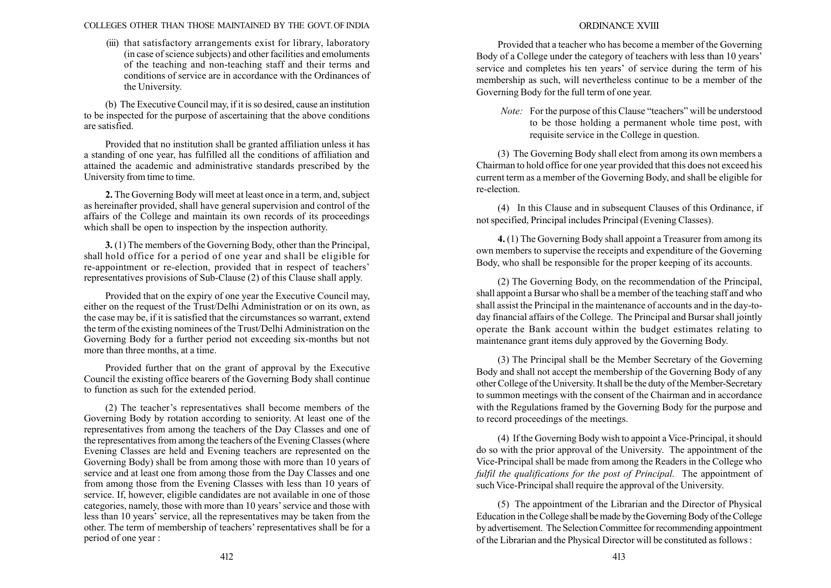#### COLLEGES OTHER THAN THOSE MAINTAINED BY THE GOVT. OF INDIA

(iii) that satisfactory arrangements exist for library, laboratory (in case of science subjects) and other facilities and emoluments of the teaching and non-teaching staff and their terms and conditions of service are in accordance with the Ordinances of the University.

(b) The Executive Council may, if it is so desired, cause an institution to be inspected for the purpose of ascertaining that the above conditions are satisfied.

Provided that no institution shall be granted affiliation unless it has a standing of one year, has fulfilled all the conditions of affiliation and attained the academic and administrative standards prescribed by the University from time to time.

2. The Governing Body will meet at least once in a term, and, subject as hereinafter provided, shall have general supervision and control of the affairs of the College and maintain its own records of its proceedings which shall be open to inspection by the inspection authority.

3. (1) The members of the Governing Body, other than the Principal, shall hold office for a period of one year and shall be eligible for re-appointment or re-election, provided that in respect of teachers' representatives provisions of Sub-Clause (2) of this Clause shall apply.

Provided that on the expiry of one year the Executive Council may, either on the request of the Trust/Delhi Administration or on its own, as the case may be, if it is satisfied that the circumstances so warrant, extend the term of the existing nominees of the Trust/Delhi Administration on the Governing Body for a further period not exceeding six-months but not more than three months, at a time.

Provided further that on the grant of approval by the Executive Council the existing office bearers of the Governing Body shall continue to function as such for the extended period.

(2) The teacher's representatives shall become members of the Governing Body by rotation according to seniority. At least one of the representatives from among the teachers of the Day Classes and one of the representatives from among the teachers of the Evening Classes (where Evening Classes are held and Evening teachers are represented on the Governing Body) shall be from among those with more than 10 years of service and at least one from among those from the Day Classes and one from among those from the Evening Classes with less than 10 years of service. If, however, eligible candidates are not available in one of those categories, namely, those with more than 10 years' service and those with less than 10 years' service, all the representatives may be taken from the other. The term of membership of teachers' representatives shall be for a period of one year :

#### ORDINANCE XVIII

Provided that a teacher who has become a member of the Governing Body of a College under the category of teachers with less than 10 years<sup>7</sup> service and completes his ten years' of service during the term of his membership as such, will nevertheless continue to be a member of the Governing Body for the full term of one year.

*Note*: For the purpose of this Clause "teachers" will be understood to be those holding a permanent whole time post, with requisite service in the College in question.

(3) The Governing Body shall elect from among its own members a Chairman to hold office for one year provided that this does not exceed his current term as a member of the Governing Body, and shall be eligible for re-election.

(4) In this Clause and in subsequent Clauses of this Ordinance, if not specified, Principal includes Principal (Evening Classes).

4. (1) The Governing Body shall appoint a Treasurer from among its own members to supervise the receipts and expenditure of the Governing Body, who shall be responsible for the proper keeping of its accounts.

(2) The Governing Body, on the recommendation of the Principal, shall appoint a Bursar who shall be a member of the teaching staff and who shall assist the Principal in the maintenance of accounts and in the day-today financial affairs of the College. The Principal and Bursar shall jointly operate the Bank account within the budget estimates relating to maintenance grant items duly approved by the Governing Body.

(3) The Principal shall be the Member Secretary of the Governing Body and shall not accept the membership of the Governing Body of any other College of the University. It shall be the duty of the Member-Secretary to summon meetings with the consent of the Chairman and in accordance with the Regulations framed by the Governing Body for the purpose and to record proceedings of the meetings.

(4) If the Governing Body wish to appoint a Vice-Principal, it should do so with the prior approval of the University. The appointment of the Vice-Principal shall be made from among the Readers in the College who fulfil the qualifications for the post of Principal. The appointment of such Vice-Principal shall require the approval of the University.

(5) The appointment of the Librarian and the Director of Physical Education in theCollege shall be made by the Governing Body of the College by advertisement. The Selection Committee for recommending appointment of the Librarian and the Physical Director will be constituted as follows :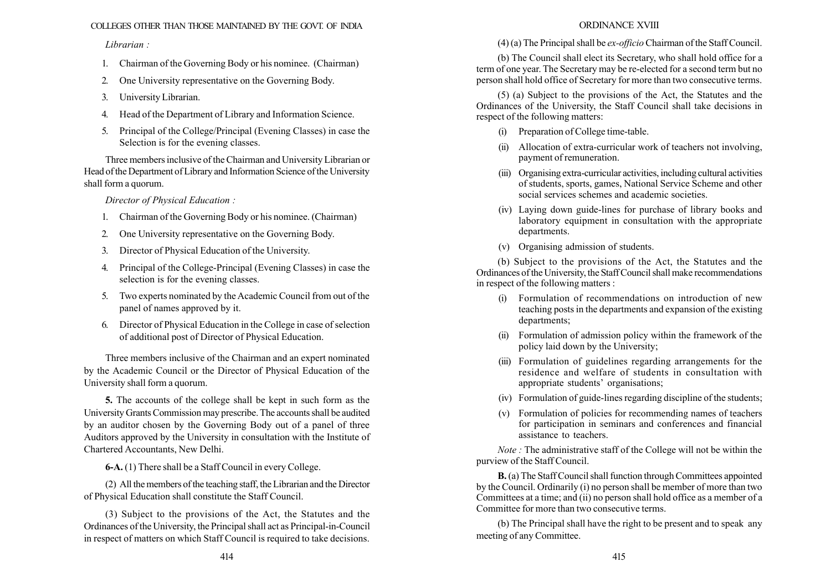### COLLEGES OTHER THAN THOSE MAINTAINED BY THE GOVT. OF INDIA

Librarian :

- 1. Chairman of the Governing Body or his nominee. (Chairman)
- 2. One University representative on the Governing Body.
- 3. University Librarian.
- 4. Head of the Department of Library and Information Science.
- 5. Principal of the College/Principal (Evening Classes) in case the Selection is for the evening classes.

Three members inclusive of the Chairman and University Librarian or Head of the Department of Library and Information Science of the University shall form a quorum.

Director of Physical Education :

- 1. Chairman of the Governing Body or his nominee. (Chairman)
- 2. One University representative on the Governing Body.
- 3. Director of Physical Education of the University.
- 4. Principal of the College-Principal (Evening Classes) in case the selection is for the evening classes.
- 5. Two experts nominated by the Academic Council from out of the panel of names approved by it.
- 6. Director of Physical Education in the College in case of selection of additional post of Director of Physical Education.

Three members inclusive of the Chairman and an expert nominated by the Academic Council or the Director of Physical Education of the University shall form a quorum.

5. The accounts of the college shall be kept in such form as the University Grants Commission may prescribe. The accounts shall be audited by an auditor chosen by the Governing Body out of a panel of three Auditors approved by the University in consultation with the Institute of Chartered Accountants, New Delhi.

6-A. (1) There shall be a Staff Council in every College.

(2) All the members of the teaching staff, the Librarian and the Director of Physical Education shall constitute the Staff Council.

(3) Subject to the provisions of the Act, the Statutes and the Ordinances of the University, the Principal shall act as Principal-in-Council in respect of matters on which Staff Council is required to take decisions.

## ORDINANCE XVIII

(4) (a) The Principal shall be ex-officio Chairman of the Staff Council.

(b) The Council shall elect its Secretary, who shall hold office for a term of one year. The Secretary may be re-elected for a second term but no person shall hold office of Secretary for more than two consecutive terms.

(5) (a) Subject to the provisions of the Act, the Statutes and the Ordinances of the University, the Staff Council shall take decisions in respect of the following matters:

- (i) Preparation of College time-table.
- (ii) Allocation of extra-curricular work of teachers not involving, payment of remuneration.
- (iii) Organising extra-curricular activities, including cultural activities of students, sports, games, National Service Scheme and other social services schemes and academic societies.
- (iv) Laying down guide-lines for purchase of library books and laboratory equipment in consultation with the appropriate departments.
- (v) Organising admission of students.

(b) Subject to the provisions of the Act, the Statutes and the Ordinances of the University, the Staff Council shall make recommendations in respect of the following matters :

- (i) Formulation of recommendations on introduction of new teaching posts in the departments and expansion of the existing departments;
- (ii) Formulation of admission policy within the framework of the policy laid down by the University;
- (iii) Formulation of guidelines regarding arrangements for the residence and welfare of students in consultation with appropriate students' organisations;
- (iv) Formulation of guide-lines regarding discipline of the students;
- (v) Formulation of policies for recommending names of teachers for participation in seminars and conferences and financial assistance to teachers.

Note : The administrative staff of the College will not be within the purview of the Staff Council.

B. (a) The Staff Council shall function through Committees appointed by the Council. Ordinarily (i) no person shall be member of more than two Committees at a time; and (ii) no person shall hold office as a member of a Committee for more than two consecutive terms.

(b) The Principal shall have the right to be present and to speak any meeting of any Committee.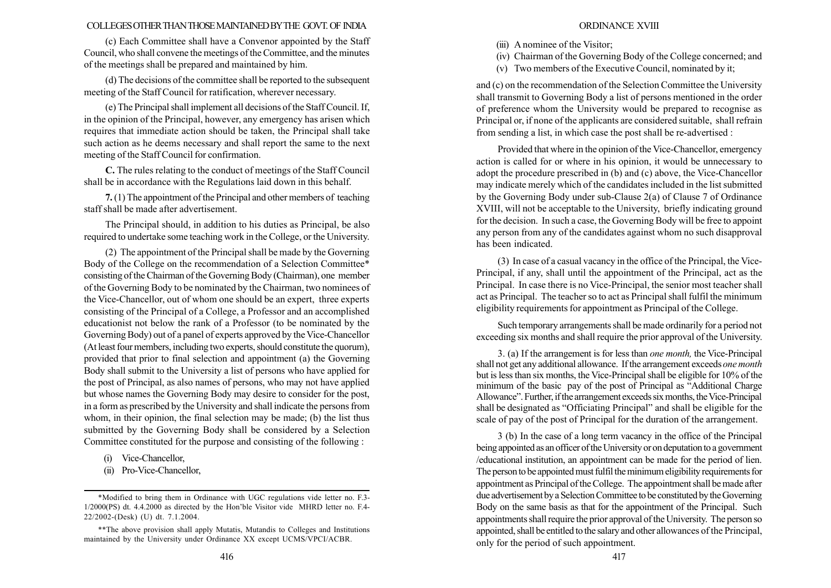#### COLLEGESOTHERTHANTHOSEMAINTAINEDBYTHE GOVT. OF INDIA

(c) Each Committee shall have a Convenor appointed by the Staff Council, who shall convene the meetings of the Committee, and the minutes of the meetings shall be prepared and maintained by him.

(d) The decisions of the committee shall be reported to the subsequent meeting of the Staff Council for ratification, wherever necessary.

(e) The Principal shall implement all decisions of the Staff Council. If, in the opinion of the Principal, however, any emergency has arisen which requires that immediate action should be taken, the Principal shall take such action as he deems necessary and shall report the same to the next meeting of the Staff Council for confirmation.

C. The rules relating to the conduct of meetings of the Staff Council shall be in accordance with the Regulations laid down in this behalf.

7.(1) The appointment of the Principal and other members of teaching staff shall be made after advertisement.

The Principal should, in addition to his duties as Principal, be also required to undertake some teaching work in the College, or the University.

(2) The appointment of the Principal shall be made by the Governing Body of the College on the recommendation of a Selection Committee\* consisting of the Chairman of the Governing Body (Chairman), one member of the Governing Body to be nominated by the Chairman, two nominees of the Vice-Chancellor, out of whom one should be an expert, three experts consisting of the Principal of a College, a Professor and an accomplished educationist not below the rank of a Professor (to be nominated by the Governing Body) out of a panel of experts approved by the Vice-Chancellor (At least four members, including two experts, should constitute the quorum), provided that prior to final selection and appointment (a) the Governing Body shall submit to the University a list of persons who have applied for the post of Principal, as also names of persons, who may not have applied but whose names the Governing Body may desire to consider for the post, in a form as prescribed by the University and shall indicate the persons from whom, in their opinion, the final selection may be made; (b) the list thus submitted by the Governing Body shall be considered by a Selection Committee constituted for the purpose and consisting of the following :

- (i) Vice-Chancellor,
- (ii) Pro-Vice-Chancellor,
- (iii) A nominee of the Visitor;
- (iv) Chairman of the Governing Body of the College concerned; and
- (v) Two members of the Executive Council, nominated by it;

and (c) on the recommendation of the Selection Committee the University shall transmit to Governing Body a list of persons mentioned in the order of preference whom the University would be prepared to recognise as Principal or, if none of the applicants are considered suitable, shall refrain from sending a list, in which case the post shall be re-advertised :

Provided that where in the opinion of the Vice-Chancellor, emergency action is called for or where in his opinion, it would be unnecessary to adopt the procedure prescribed in (b) and (c) above, the Vice-Chancellor may indicate merely which of the candidates included in the list submitted by the Governing Body under sub-Clause 2(a) of Clause 7 of Ordinance XVIII, will not be acceptable to the University, briefly indicating ground for the decision. In such a case, the Governing Body will be free to appoint any person from any of the candidates against whom no such disapproval has been indicated.

(3) In case of a casual vacancy in the office of the Principal, the Vice-Principal, if any, shall until the appointment of the Principal, act as the Principal. In case there is no Vice-Principal, the senior most teacher shall act as Principal. The teacher so to act as Principal shall fulfil the minimum eligibility requirements for appointment as Principal of the College.

Such temporary arrangements shall be made ordinarily for a period not exceeding six months and shall require the prior approval of the University.

3. (a) If the arrangement is for less than one month, the Vice-Principal shall not get any additional allowance. If the arrangement exceeds one month but is less than six months, the Vice-Principal shall be eligible for 10% of the minimum of the basic pay of the post of Principal as "Additional Charge Allowance". Further, if the arrangement exceeds six months, the Vice-Principal shall be designated as "Officiating Principal" and shall be eligible for the scale of pay of the post of Principal for the duration of the arrangement.

3 (b) In the case of a long term vacancy in the office of the Principal being appointed as an officer of the University or on deputation to a government /educational institution, an appointment can be made for the period of lien. The person to be appointed must fulfil the minimum eligibility requirements for appointment as Principal of the College. The appointment shall be made after due advertisement by a Selection Committee to be constituted by the Governing Body on the same basis as that for the appointment of the Principal. Such appointments shall require the prior approval of the University. The person so appointed, shall be entitled to the salary and other allowances of the Principal, only for the period of such appointment.

<sup>\*</sup>Modified to bring them in Ordinance with UGC regulations vide letter no. F.3- 1/2000(PS) dt. 4.4.2000 as directed by the Honíble Visitor vide MHRD letter no. F.4- 22/2002-(Desk) (U) dt. 7.1.2004.

<sup>\*\*</sup>The above provision shall apply Mutatis, Mutandis to Colleges and Institutions maintained by the University under Ordinance XX except UCMS/VPCI/ACBR.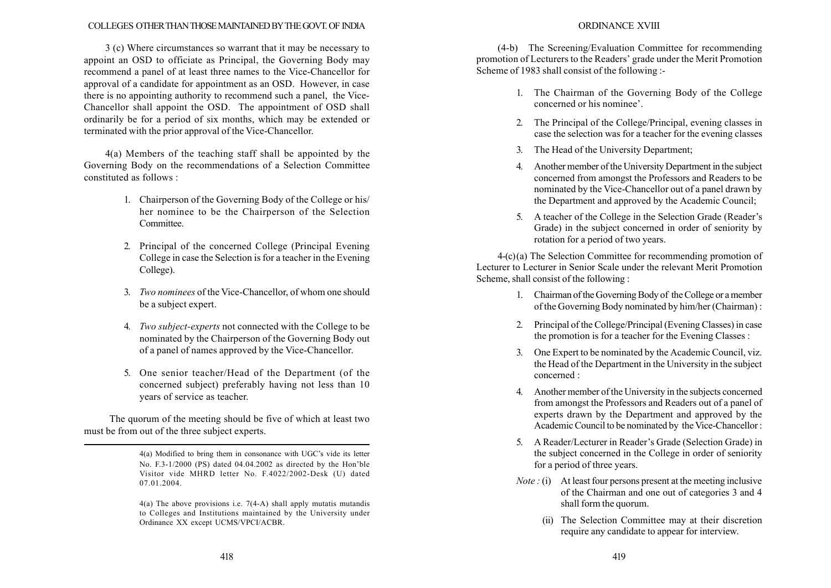#### COLLEGES OTHER THAN THOSE MAINTAINED BY THE GOVT. OF INDIA

3 (c) Where circumstances so warrant that it may be necessary to appoint an OSD to officiate as Principal, the Governing Body may recommend a panel of at least three names to the Vice-Chancellor for approval of a candidate for appointment as an OSD. However, in case there is no appointing authority to recommend such a panel, the Vice-Chancellor shall appoint the OSD. The appointment of OSD shall ordinarily be for a period of six months, which may be extended or terminated with the prior approval of the Vice-Chancellor.

4(a) Members of the teaching staff shall be appointed by the Governing Body on the recommendations of a Selection Committee constituted as follows :

- 1. Chairperson of the Governing Body of the College or his/ her nominee to be the Chairperson of the Selection **Committee**
- 2. Principal of the concerned College (Principal Evening College in case the Selection is for a teacher in the Evening College).
- 3. Two nominees of the Vice-Chancellor, of whom one should be a subject expert.
- 4. Two subject-experts not connected with the College to be nominated by the Chairperson of the Governing Body out of a panel of names approved by the Vice-Chancellor.
- 5. One senior teacher/Head of the Department (of the concerned subject) preferably having not less than 10 years of service as teacher.

The quorum of the meeting should be five of which at least two must be from out of the three subject experts.

> $4(a)$  Modified to bring them in consonance with UGC's vide its letter No. F.3-1/2000 (PS) dated  $04.04.2002$  as directed by the Hon'ble Visitor vide MHRD letter No. F.4022/2002-Desk (U) dated 07.01.2004.

> 4(a) The above provisions i.e. 7(4-A) shall apply mutatis mutandis to Colleges and Institutions maintained by the University under Ordinance XX except UCMS/VPCI/ACBR.

### ORDINANCE XVIII

(4-b) The Screening/Evaluation Committee for recommending promotion of Lecturers to the Readers' grade under the Merit Promotion Scheme of 1983 shall consist of the following :-

- 1. The Chairman of the Governing Body of the College concerned or his nominee'.
- 2. The Principal of the College/Principal, evening classes in case the selection was for a teacher for the evening classes
- 3. The Head of the University Department;
- 4. Another member of the University Department in the subject concerned from amongst the Professors and Readers to be nominated by the Vice-Chancellor out of a panel drawn by the Department and approved by the Academic Council;
- 5. A teacher of the College in the Selection Grade (Reader's Grade) in the subject concerned in order of seniority by rotation for a period of two years.

4-(c) (a) The Selection Committee for recommending promotion of Lecturer to Lecturer in Senior Scale under the relevant Merit Promotion Scheme, shall consist of the following :

- 1. Chairman of the Governing Body of the College or a member of the Governing Body nominated by him/her (Chairman) :
- 2. Principal of the College/Principal (Evening Classes) in case the promotion is for a teacher for the Evening Classes :
- 3. One Expert to be nominated by the Academic Council, viz. the Head of the Department in the University in the subject concerned :
- 4. Another member of the University in the subjects concerned from amongst the Professors and Readers out of a panel of experts drawn by the Department and approved by the Academic Council to be nominated by the Vice-Chancellor :
- 5. A Reader/Lecturer in Reader's Grade (Selection Grade) in the subject concerned in the College in order of seniority for a period of three years.
- *Note* : (i) At least four persons present at the meeting inclusive of the Chairman and one out of categories 3 and 4 shall form the quorum.
	- (ii) The Selection Committee may at their discretion require any candidate to appear for interview.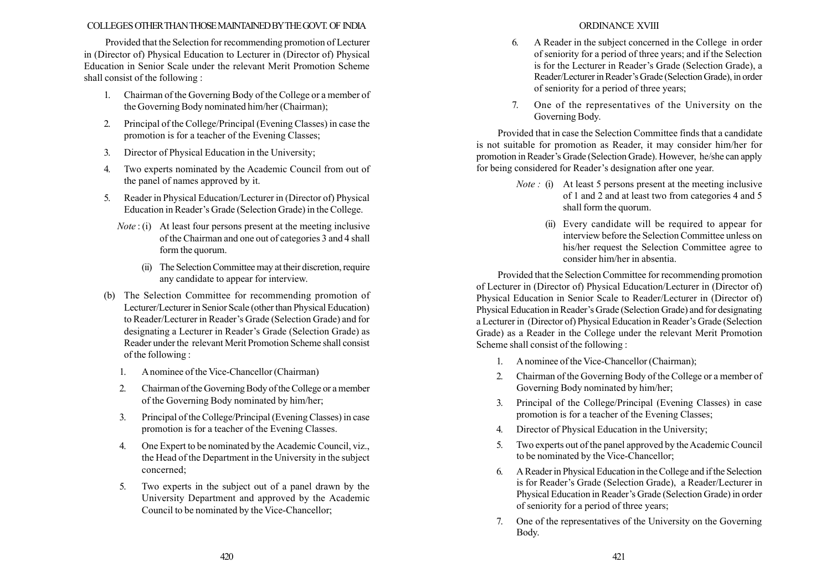### COLLEGESOTHERTHANTHOSEMAINTAINEDBYTHEGOVT. OF INDIA

Provided that the Selection for recommending promotion of Lecturer in (Director of) Physical Education to Lecturer in (Director of) Physical Education in Senior Scale under the relevant Merit Promotion Scheme shall consist of the following :

- 1. Chairman of the Governing Body of the College or a member of the Governing Body nominated him/her (Chairman);
- 2. Principal of the College/Principal (Evening Classes) in case the promotion is for a teacher of the Evening Classes;
- 3. Director of Physical Education in the University;
- 4. Two experts nominated by the Academic Council from out of the panel of names approved by it.
- 5. Reader in Physical Education/Lecturer in (Director of) Physical Education in Reader's Grade (Selection Grade) in the College.
	- $Note: (i)$  At least four persons present at the meeting inclusive of the Chairman and one out of categories 3 and 4 shall form the quorum.
		- (ii) The Selection Committee may at their discretion, require any candidate to appear for interview.
- (b) The Selection Committee for recommending promotion of Lecturer/Lecturer in Senior Scale (other than Physical Education) to Reader/Lecturer in Reader's Grade (Selection Grade) and for designating a Lecturer in Reader's Grade (Selection Grade) as Reader under the relevant Merit Promotion Scheme shall consist of the following :
	- 1. A nominee of the Vice-Chancellor (Chairman)
	- 2. Chairman of the Governing Body of the College or a member of the Governing Body nominated by him/her;
	- 3. Principal of the College/Principal (Evening Classes) in case promotion is for a teacher of the Evening Classes.
	- 4. One Expert to be nominated by the Academic Council, viz., the Head of the Department in the University in the subject concerned;
	- 5. Two experts in the subject out of a panel drawn by the University Department and approved by the Academic Council to be nominated by the Vice-Chancellor;

### ORDINANCE XVIII

- 6. A Reader in the subject concerned in the College in order of seniority for a period of three years; and if the Selection is for the Lecturer in Reader's Grade (Selection Grade), a Reader/Lecturer in Reader's Grade (Selection Grade), in order of seniority for a period of three years;
- 7. One of the representatives of the University on the Governing Body.

Provided that in case the Selection Committee finds that a candidate is not suitable for promotion as Reader, it may consider him/her for promotion in Reader's Grade (Selection Grade). However, he/she can apply for being considered for Reader's designation after one year.

- Note : (i) At least 5 persons present at the meeting inclusive of 1 and 2 and at least two from categories 4 and 5 shall form the quorum.
	- (ii) Every candidate will be required to appear for interview before the Selection Committee unless on his/her request the Selection Committee agree to consider him/her in absentia.

Provided that the Selection Committee for recommending promotion of Lecturer in (Director of) Physical Education/Lecturer in (Director of) Physical Education in Senior Scale to Reader/Lecturer in (Director of) Physical Education in Reader's Grade (Selection Grade) and for designating a Lecturer in (Director of) Physical Education in Reader's Grade (Selection Grade) as a Reader in the College under the relevant Merit Promotion Scheme shall consist of the following :

- 1. A nominee of the Vice-Chancellor (Chairman);
- 2. Chairman of the Governing Body of the College or a member of Governing Body nominated by him/her;
- 3. Principal of the College/Principal (Evening Classes) in case promotion is for a teacher of the Evening Classes;
- 4. Director of Physical Education in the University;
- 5. Two experts out of the panel approved by the Academic Council to be nominated by the Vice-Chancellor;
- 6. A Reader in Physical Education in the College and if the Selection is for Reader's Grade (Selection Grade), a Reader/Lecturer in Physical Education in Reader's Grade (Selection Grade) in order of seniority for a period of three years;
- 7. One of the representatives of the University on the Governing Body.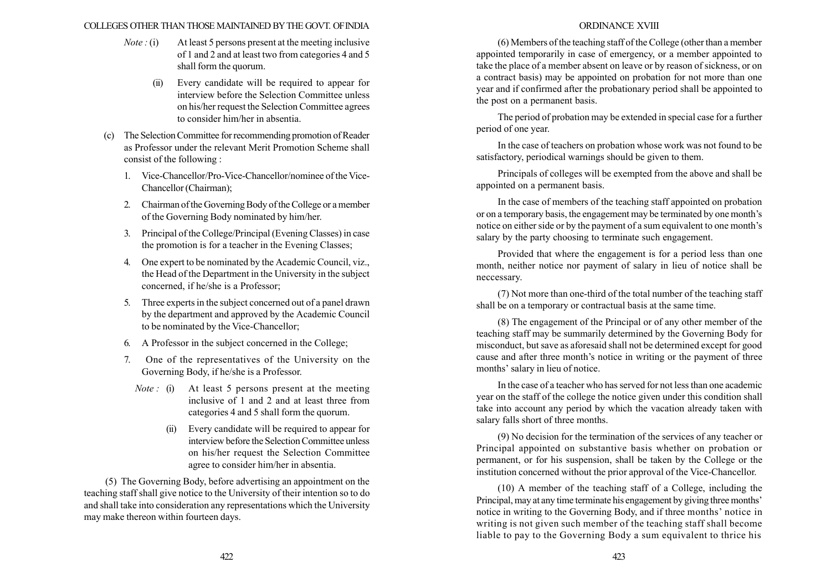#### COLLEGES OTHER THAN THOSE MAINTAINED BYTHE GOVT. OFINDIA

- *Note* : (i) At least 5 persons present at the meeting inclusive of 1 and 2 and at least two from categories 4 and 5 shall form the quorum.
	- (ii) Every candidate will be required to appear for interview before the Selection Committee unless on his/her request the Selection Committee agrees to consider him/her in absentia.
- (c) The Selection Committee for recommending promotion of Reader as Professor under the relevant Merit Promotion Scheme shall consist of the following :
	- 1. Vice-Chancellor/Pro-Vice-Chancellor/nominee of the Vice-Chancellor (Chairman);
	- 2. Chairman of the Governing Body of the College or a member of the Governing Body nominated by him/her.
	- 3. Principal of the College/Principal (Evening Classes) in case the promotion is for a teacher in the Evening Classes;
	- 4. One expert to be nominated by the Academic Council, viz., the Head of the Department in the University in the subject concerned, if he/she is a Professor;
	- 5. Three experts in the subject concerned out of a panel drawn by the department and approved by the Academic Council to be nominated by the Vice-Chancellor;
	- 6. A Professor in the subject concerned in the College;
	- 7. One of the representatives of the University on the Governing Body, if he/she is a Professor.
		- Note : (i) At least 5 persons present at the meeting inclusive of 1 and 2 and at least three from categories 4 and 5 shall form the quorum.
			- (ii) Every candidate will be required to appear for interview before the Selection Committee unless on his/her request the Selection Committee agree to consider him/her in absentia.

(5) The Governing Body, before advertising an appointment on the teaching staff shall give notice to the University of their intention so to do and shall take into consideration any representations which the University may make thereon within fourteen days.

### ORDINANCE XVIII

(6) Members of the teaching staff of the College (other than a member appointed temporarily in case of emergency, or a member appointed to take the place of a member absent on leave or by reason of sickness, or on a contract basis) may be appointed on probation for not more than one year and if confirmed after the probationary period shall be appointed to the post on a permanent basis.

The period of probation may be extended in special case for a further period of one year.

In the case of teachers on probation whose work was not found to be satisfactory, periodical warnings should be given to them.

Principals of colleges will be exempted from the above and shall be appointed on a permanent basis.

In the case of members of the teaching staff appointed on probation or on a temporary basis, the engagement may be terminated by one month's notice on either side or by the payment of a sum equivalent to one month's salary by the party choosing to terminate such engagement.

Provided that where the engagement is for a period less than one month, neither notice nor payment of salary in lieu of notice shall be neccessary.

(7) Not more than one-third of the total number of the teaching staff shall be on a temporary or contractual basis at the same time.

(8) The engagement of the Principal or of any other member of the teaching staff may be summarily determined by the Governing Body for misconduct, but save as aforesaid shall not be determined except for good cause and after three month's notice in writing or the payment of three months' salary in lieu of notice.

In the case of a teacher who has served for not less than one academic year on the staff of the college the notice given under this condition shall take into account any period by which the vacation already taken with salary falls short of three months.

(9) No decision for the termination of the services of any teacher or Principal appointed on substantive basis whether on probation or permanent, or for his suspension, shall be taken by the College or the institution concerned without the prior approval of the Vice-Chancellor.

(10) A member of the teaching staff of a College, including the Principal, may at any time terminate his engagement by giving three months<sup>7</sup> notice in writing to the Governing Body, and if three months' notice in writing is not given such member of the teaching staff shall become liable to pay to the Governing Body a sum equivalent to thrice his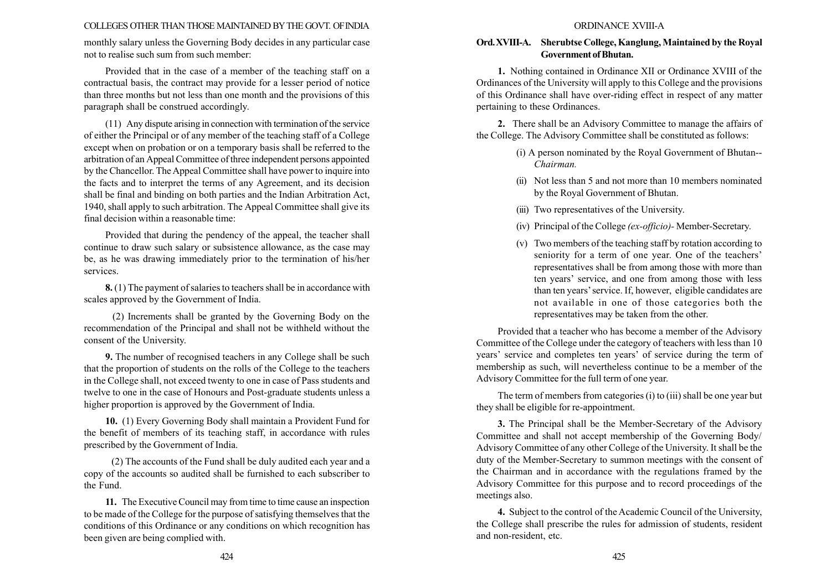#### COLLEGES OTHER THAN THOSE MAINTAINED BYTHE GOVT. OFINDIA

monthly salary unless the Governing Body decides in any particular case not to realise such sum from such member:

Provided that in the case of a member of the teaching staff on a contractual basis, the contract may provide for a lesser period of notice than three months but not less than one month and the provisions of this paragraph shall be construed accordingly.

(11) Any dispute arising in connection with termination of the service of either the Principal or of any member of the teaching staff of a College except when on probation or on a temporary basis shall be referred to the arbitration of an Appeal Committee of three independent persons appointed by the Chancellor. The Appeal Committee shall have power to inquire into the facts and to interpret the terms of any Agreement, and its decision shall be final and binding on both parties and the Indian Arbitration Act, 1940, shall apply to such arbitration. The Appeal Committee shall give its final decision within a reasonable time:

Provided that during the pendency of the appeal, the teacher shall continue to draw such salary or subsistence allowance, as the case may be, as he was drawing immediately prior to the termination of his/her services.

8. (1) The payment of salaries to teachers shall be in accordance with scales approved by the Government of India.

(2) Increments shall be granted by the Governing Body on the recommendation of the Principal and shall not be withheld without the consent of the University.

9. The number of recognised teachers in any College shall be such that the proportion of students on the rolls of the College to the teachers in the College shall, not exceed twenty to one in case of Pass students and twelve to one in the case of Honours and Post-graduate students unless a higher proportion is approved by the Government of India.

10. (1) Every Governing Body shall maintain a Provident Fund for the benefit of members of its teaching staff, in accordance with rules prescribed by the Government of India.

(2) The accounts of the Fund shall be duly audited each year and a copy of the accounts so audited shall be furnished to each subscriber to the Fund.

11. The Executive Council may from time to time cause an inspection to be made of the College for the purpose of satisfying themselves that the conditions of this Ordinance or any conditions on which recognition has been given are being complied with.

#### ORDINANCE XVIII-A

### Ord.XVIII-A. Sherubtse College, Kanglung, Maintained by the Royal Government ofBhutan.

1. Nothing contained in Ordinance XII or Ordinance XVIII of the Ordinances of the University will apply to this College and the provisions of this Ordinance shall have over-riding effect in respect of any matter pertaining to these Ordinances.

2. There shall be an Advisory Committee to manage the affairs of the College. The Advisory Committee shall be constituted as follows:

- (i) A person nominated by the Royal Government of Bhutan-- Chairman.
- (ii) Not less than 5 and not more than 10 members nominated by the Royal Government of Bhutan.
- (iii) Two representatives of the University.
- (iv) Principal of the College (ex-officio)- Member-Secretary.
- (v) Two members of the teaching staff by rotation according to seniority for a term of one year. One of the teachers' representatives shall be from among those with more than ten years' service, and one from among those with less than ten yearsí service. If, however, eligible candidates are not available in one of those categories both the representatives may be taken from the other.

Provided that a teacher who has become a member of the Advisory Committee of the College under the category of teachers with less than 10 years' service and completes ten years' of service during the term of membership as such, will nevertheless continue to be a member of the Advisory Committee for the full term of one year.

The term of members from categories (i) to (iii) shall be one year but they shall be eligible for re-appointment.

3. The Principal shall be the Member-Secretary of the Advisory Committee and shall not accept membership of the Governing Body/ Advisory Committee of any other College of the University. It shall be the duty of the Member-Secretary to summon meetings with the consent of the Chairman and in accordance with the regulations framed by the Advisory Committee for this purpose and to record proceedings of the meetings also.

4. Subject to the control of the Academic Council of the University, the College shall prescribe the rules for admission of students, resident and non-resident, etc.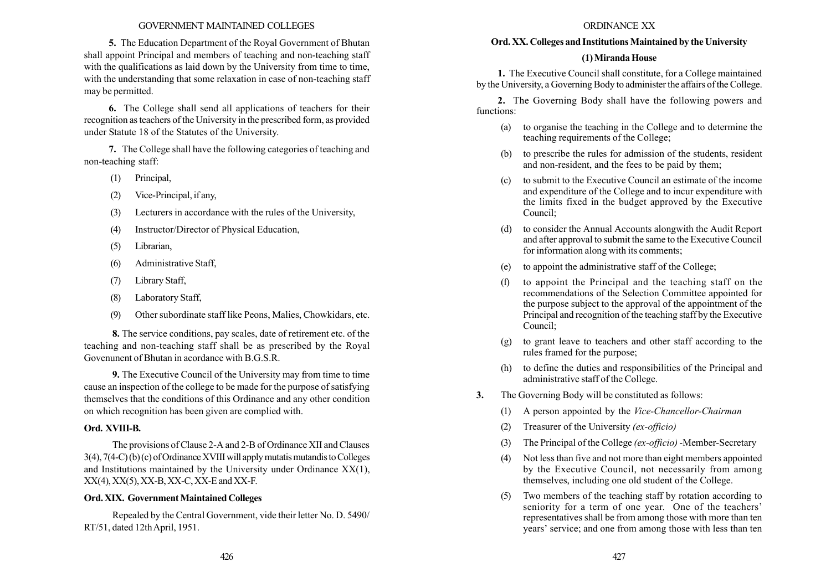#### GOVERNMENT MAINTAINED COLLEGES

5. The Education Department of the Royal Government of Bhutan shall appoint Principal and members of teaching and non-teaching staff with the qualifications as laid down by the University from time to time, with the understanding that some relaxation in case of non-teaching staff may be permitted.

6. The College shall send all applications of teachers for their recognition as teachers of the University in the prescribed form, as provided under Statute 18 of the Statutes of the University.

7. The College shall have the following categories of teaching and non-teaching staff:

- (1) Principal,
- (2) Vice-Principal, if any,
- (3) Lecturers in accordance with the rules of the University,
- (4) Instructor/Director of Physical Education,
- (5) Librarian,
- (6) Administrative Staff,
- (7) Library Staff,
- (8) Laboratory Staff,
- (9) Other subordinate staff like Peons, Malies, Chowkidars, etc.

8. The service conditions, pay scales, date of retirement etc. of the teaching and non-teaching staff shall be as prescribed by the Royal Govenunent of Bhutan in acordance with B.G.S.R.

9. The Executive Council of the University may from time to time cause an inspection of the college to be made for the purpose of satisfying themselves that the conditions of this Ordinance and any other condition on which recognition has been given are complied with.

#### Ord. XVIII-B.

The provisions of Clause 2-A and 2-B of Ordinance XII and Clauses  $3(4)$ ,  $7(4-C)$  (b) (c) of Ordinance XVIII will apply mutatis mutandis to Colleges and Institutions maintained by the University under Ordinance XX(1),  $XX(4)$ ,  $XX(5)$ ,  $XX-B$ ,  $XX-C$ ,  $XX-E$  and  $XX-F$ .

#### Ord. XIX. Government Maintained Colleges

Repealed by the Central Government, vide their letter No. D. 5490/ RT/51, dated 12thApril, 1951.

#### ORDINANCE XX

#### Ord. XX. Colleges and Institutions Maintained by the University

### (1)Miranda House

1. The Executive Council shall constitute, for a College maintained by the University, a Governing Body to administer the affairs of the College.

2. The Governing Body shall have the following powers and functions:

- (a) to organise the teaching in the College and to determine the teaching requirements of the College;
- (b) to prescribe the rules for admission of the students, resident and non-resident, and the fees to be paid by them;
- (c) to submit to the Executive Council an estimate of the income and expenditure of the College and to incur expenditure with the limits fixed in the budget approved by the Executive Council;
- (d) to consider the Annual Accounts alongwith the Audit Report and after approval to submit the same to the Executive Council for information along with its comments;
- (e) to appoint the administrative staff of the College;
- (f) to appoint the Principal and the teaching staff on the recommendations of the Selection Committee appointed for the purpose subject to the approval of the appointment of the Principal and recognition of the teaching staff by the Executive Council;
- (g) to grant leave to teachers and other staff according to the rules framed for the purpose;
- (h) to define the duties and responsibilities of the Principal and administrative staff of the College.
- 3. The Governing Body will be constituted as follows:
	- (1) A person appointed by the Vice-Chancellor-Chairman
	- (2) Treasurer of the University (ex-officio)
	- (3) The Principal of the College (ex-officio) -Member-Secretary
	- (4) Not less than five and not more than eight members appointed by the Executive Council, not necessarily from among themselves, including one old student of the College.
	- (5) Two members of the teaching staff by rotation according to seniority for a term of one year. One of the teachers' representatives shall be from among those with more than ten years' service; and one from among those with less than ten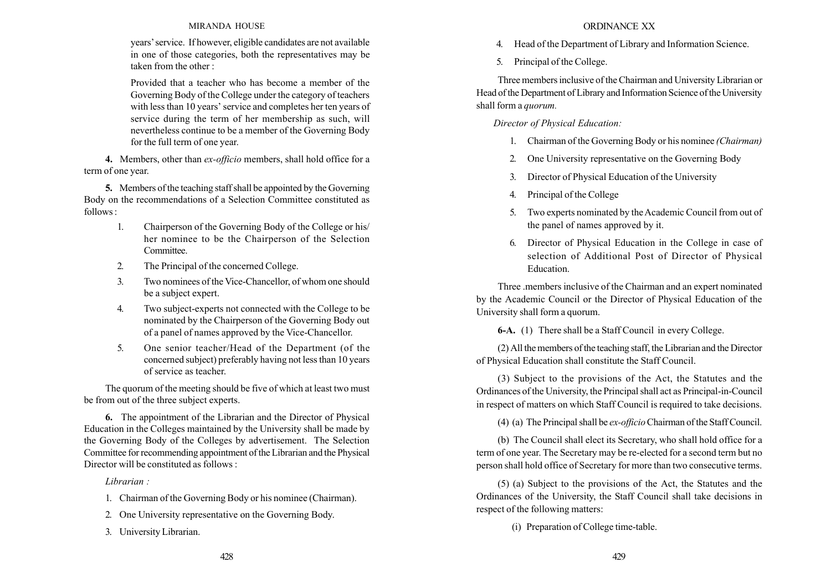### MIRANDA HOUSE

years' service. If however, eligible candidates are not available in one of those categories, both the representatives may be taken from the other :

Provided that a teacher who has become a member of the Governing Body of the College under the category of teachers with less than 10 years' service and completes her ten years of service during the term of her membership as such, will nevertheless continue to be a member of the Governing Body for the full term of one year.

4. Members, other than *ex-officio* members, shall hold office for a term of one year.

5. Members of the teaching staff shall be appointed by the Governing Body on the recommendations of a Selection Committee constituted as follows :

- 1. Chairperson of the Governing Body of the College or his/ her nominee to be the Chairperson of the Selection Committee.
- 2. The Principal of the concerned College.
- 3. Two nominees of the Vice-Chancellor, of whom one should be a subject expert.
- 4. Two subject-experts not connected with the College to be nominated by the Chairperson of the Governing Body out of a panel of names approved by the Vice-Chancellor.
- 5. One senior teacher/Head of the Department (of the concerned subject) preferably having not less than 10 years of service as teacher.

The quorum of the meeting should be five of which at least two must be from out of the three subject experts.

6. The appointment of the Librarian and the Director of Physical Education in the Colleges maintained by the University shall be made by the Governing Body of the Colleges by advertisement. The Selection Committee for recommending appointment of the Librarian and the Physical Director will be constituted as follows :

Librarian :

- 1. Chairman of the Governing Body or his nominee (Chairman).
- 2. One University representative on the Governing Body.
- 3. University Librarian.

### ORDINANCE XX

- 4. Head of the Department of Library and Information Science.
- 5. Principal of the College.

Three members inclusive of the Chairman and University Librarian or Head of the Department of Library and Information Science of the University shall form a quorum.

Director of Physical Education:

- 1. Chairman of the Governing Body or his nominee (Chairman)
- 2. One University representative on the Governing Body
- 3. Director of Physical Education of the University
- 4. Principal of the College
- 5. Two experts nominated by the Academic Council from out of the panel of names approved by it.
- 6. Director of Physical Education in the College in case of selection of Additional Post of Director of Physical Education.

Three .members inclusive of the Chairman and an expert nominated by the Academic Council or the Director of Physical Education of the University shall form a quorum.

6-A. (1) There shall be a Staff Council in every College.

(2) All the members of the teaching staff, the Librarian and the Director of Physical Education shall constitute the Staff Council.

(3) Subject to the provisions of the Act, the Statutes and the Ordinances of the University, the Principal shall act as Principal-in-Council in respect of matters on which Staff Council is required to take decisions.

(4) (a) The Principal shall be *ex-officio* Chairman of the Staff Council.

(b) The Council shall elect its Secretary, who shall hold office for a term of one year. The Secretary may be re-elected for a second term but no person shall hold office of Secretary for more than two consecutive terms.

(5) (a) Subject to the provisions of the Act, the Statutes and the Ordinances of the University, the Staff Council shall take decisions in respect of the following matters:

(i) Preparation of College time-table.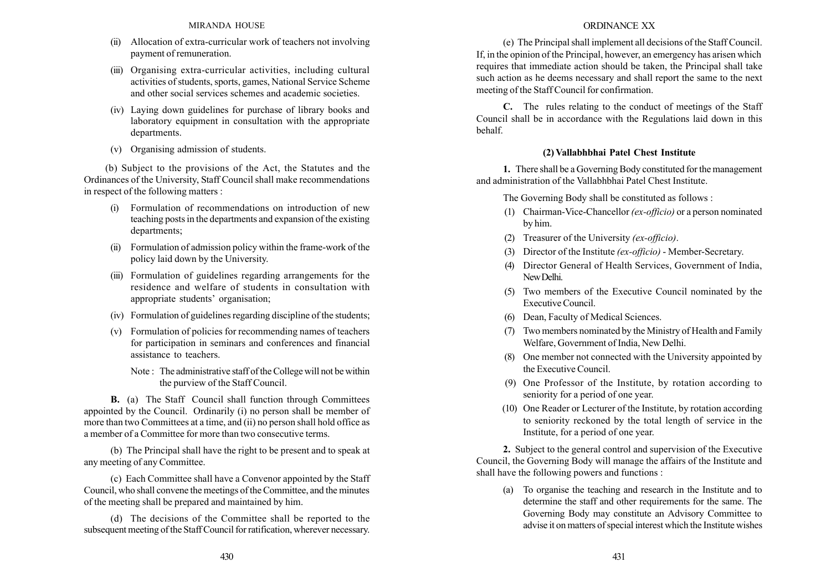- (ii) Allocation of extra-curricular work of teachers not involving payment of remuneration.
- (iii) Organising extra-curricular activities, including cultural activities of students, sports, games, National Service Scheme and other social services schemes and academic societies.
- (iv) Laying down guidelines for purchase of library books and laboratory equipment in consultation with the appropriate departments.
- (v) Organising admission of students.

(b) Subject to the provisions of the Act, the Statutes and the Ordinances of the University, Staff Council shall make recommendations in respect of the following matters :

- (i) Formulation of recommendations on introduction of new teaching posts in the departments and expansion of the existing departments;
- (ii) Formulation of admission policy within the frame-work of the policy laid down by the University.
- (iii) Formulation of guidelines regarding arrangements for the residence and welfare of students in consultation with appropriate students' organisation;
- (iv) Formulation of guidelines regarding discipline of the students;
- (v) Formulation of policies for recommending names of teachers for participation in seminars and conferences and financial assistance to teachers.
	- Note : The administrative staff of the College will not be within the purview of the Staff Council.

B. (a) The Staff Council shall function through Committees appointed by the Council. Ordinarily (i) no person shall be member of more than two Committees at a time, and (ii) no person shall hold office as a member of a Committee for more than two consecutive terms.

(b) The Principal shall have the right to be present and to speak at any meeting of any Committee.

(c) Each Committee shall have a Convenor appointed by the Staff Council, who shall convene the meetings of the Committee, and the minutes of the meeting shall be prepared and maintained by him.

(d) The decisions of the Committee shall be reported to the subsequent meeting of the Staff Council for ratification, wherever necessary.

### ORDINANCE XX

(e) The Principal shall implement all decisions of the Staff Council. If, in the opinion of the Principal, however, an emergency has arisen which requires that immediate action should be taken, the Principal shall take such action as he deems necessary and shall report the same to the next meeting of the Staff Council for confirmation.

C. The rules relating to the conduct of meetings of the Staff Council shall be in accordance with the Regulations laid down in this behalf.

# (2) Vallabhbhai Patel Chest Institute

1. There shall be a Governing Body constituted for the management and administration of the Vallabhbhai Patel Chest Institute.

The Governing Body shall be constituted as follows :

- (1) Chairman-Vice-Chancellor (ex-officio) or a person nominated by him.
- (2) Treasurer of the University (ex-officio).
- (3) Director of the Institute (ex-officio) Member-Secretary.
- (4) Director General of Health Services, Government of India, NewDelhi.
- (5) Two members of the Executive Council nominated by the Executive Council.
- (6) Dean, Faculty of Medical Sciences.
- (7) Two members nominated by the Ministry of Health and Family Welfare, Government of India, New Delhi.
- (8) One member not connected with the University appointed by the Executive Council.
- (9) One Professor of the Institute, by rotation according to seniority for a period of one year.
- (10) One Reader or Lecturer of the Institute, by rotation according to seniority reckoned by the total length of service in the Institute, for a period of one year.

2. Subject to the general control and supervision of the Executive Council, the Governing Body will manage the affairs of the Institute and shall have the following powers and functions :

(a) To organise the teaching and research in the Institute and to determine the staff and other requirements for the same. The Governing Body may constitute an Advisory Committee to advise it on matters of special interest which the Institute wishes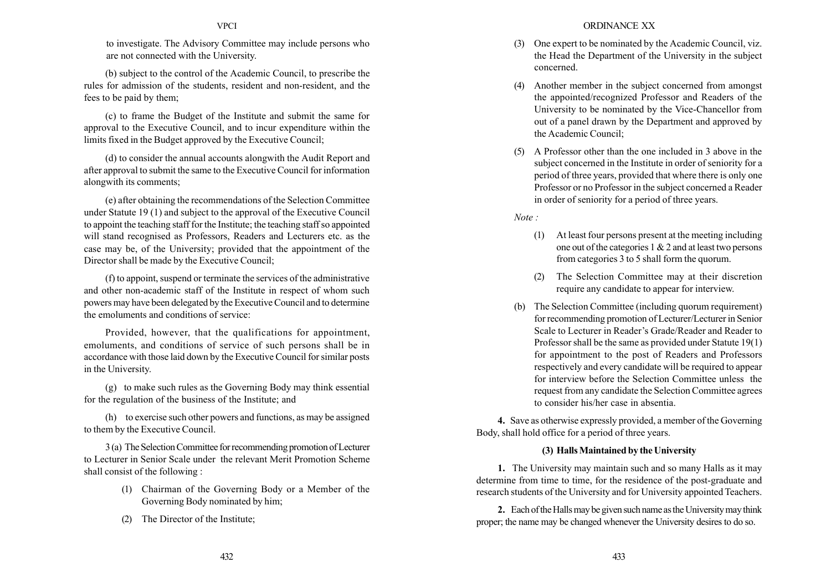to investigate. The Advisory Committee may include persons who are not connected with the University.

(b) subject to the control of the Academic Council, to prescribe the rules for admission of the students, resident and non-resident, and the fees to be paid by them;

(c) to frame the Budget of the Institute and submit the same for approval to the Executive Council, and to incur expenditure within the limits fixed in the Budget approved by the Executive Council;

(d) to consider the annual accounts alongwith the Audit Report and after approval to submit the same to the Executive Council for information alongwith its comments;

(e) after obtaining the recommendations of the Selection Committee under Statute 19 (1) and subject to the approval of the Executive Council to appoint the teaching staff for the Institute; the teaching staff so appointed will stand recognised as Professors, Readers and Lecturers etc. as the case may be, of the University; provided that the appointment of the Director shall be made by the Executive Council;

(f) to appoint, suspend or terminate the services of the administrative and other non-academic staff of the Institute in respect of whom such powers may have been delegated by the Executive Council and to determine the emoluments and conditions of service:

Provided, however, that the qualifications for appointment, emoluments, and conditions of service of such persons shall be in accordance with those laid down by the Executive Council for similar posts in the University.

(g) to make such rules as the Governing Body may think essential for the regulation of the business of the Institute; and

(h) to exercise such other powers and functions, as may be assigned to them by the Executive Council.

3 (a) The SelectionCommittee for recommending promotion of Lecturer to Lecturer in Senior Scale under the relevant Merit Promotion Scheme shall consist of the following :

- (1) Chairman of the Governing Body or a Member of the Governing Body nominated by him;
- (2) The Director of the Institute;
- (3) One expert to be nominated by the Academic Council, viz. the Head the Department of the University in the subject concerned.
- (4) Another member in the subject concerned from amongst the appointed/recognized Professor and Readers of the University to be nominated by the Vice-Chancellor from out of a panel drawn by the Department and approved by the Academic Council;
- (5) A Professor other than the one included in 3 above in the subject concerned in the Institute in order of seniority for a period of three years, provided that where there is only one Professor or no Professor in the subject concerned a Reader in order of seniority for a period of three years.

 $Note:$ 

- (1) At least four persons present at the meeting including one out of the categories 1 & 2 and at least two persons from categories 3 to 5 shall form the quorum.
- (2) The Selection Committee may at their discretion require any candidate to appear for interview.
- (b) The Selection Committee (including quorum requirement) for recommending promotion of Lecturer/Lecturer in Senior Scale to Lecturer in Reader's Grade/Reader and Reader to Professor shall be the same as provided under Statute 19(1) for appointment to the post of Readers and Professors respectively and every candidate will be required to appear for interview before the Selection Committee unless the request from any candidate the Selection Committee agrees to consider his/her case in absentia.

4. Save as otherwise expressly provided, a member of the Governing Body, shall hold office for a period of three years.

### (3) Halls Maintained by the University

1. The University may maintain such and so many Halls as it may determine from time to time, for the residence of the post-graduate and research students of the University and for University appointed Teachers.

2. Each of the Halls may be given such name as the University may think proper; the name may be changed whenever the University desires to do so.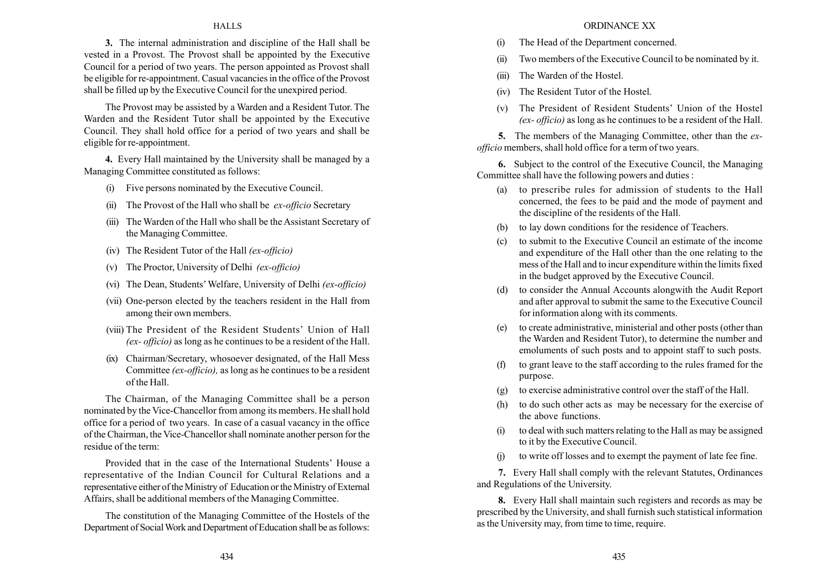#### **HALLS**

3. The internal administration and discipline of the Hall shall be vested in a Provost. The Provost shall be appointed by the Executive Council for a period of two years. The person appointed as Provost shall be eligible for re-appointment. Casual vacancies in the office of the Provost shall be filled up by the Executive Council for the unexpired period.

The Provost may be assisted by a Warden and a Resident Tutor. The Warden and the Resident Tutor shall be appointed by the Executive Council. They shall hold office for a period of two years and shall be eligible for re-appointment.

4. Every Hall maintained by the University shall be managed by a Managing Committee constituted as follows:

- (i) Five persons nominated by the Executive Council.
- (ii) The Provost of the Hall who shall be  $ex\text{-}of\text{ficio}$  Secretary
- (iii) The Warden of the Hall who shall be the Assistant Secretary of the Managing Committee.
- (iv) The Resident Tutor of the Hall (ex-officio)
- (v) The Proctor, University of Delhi (ex-officio)
- (vi) The Dean, Students' Welfare, University of Delhi  $(ex\text{-}officio)$
- (vii) One-person elected by the teachers resident in the Hall from among their own members.
- (viii) The President of the Resident Students' Union of Hall (ex- officio) as long as he continues to be a resident of the Hall.
- (ix) Chairman/Secretary, whosoever designated, of the Hall Mess Committee (ex-officio), as long as he continues to be a resident of the Hall.

The Chairman, of the Managing Committee shall be a person nominated by the Vice-Chancellor from among its members. He shall hold office for a period of two years. In case of a casual vacancy in the office of the Chairman, the Vice-Chancellor shall nominate another person for the residue of the term:

Provided that in the case of the International Students' House a representative of the Indian Council for Cultural Relations and a representative either of the Ministry of Education or the Ministry of External Affairs, shall be additional members of the Managing Committee.

The constitution of the Managing Committee of the Hostels of the Department of Social Work and Department of Education shall be as follows:

#### ORDINANCE XX

- (i) The Head of the Department concerned.
- (ii) Two members of the Executive Council to be nominated by it.
- (iii) The Warden of the Hostel.
- (iv) The Resident Tutor of the Hostel.
- (v) The President of Resident Students' Union of the Hostel (ex- officio) as long as he continues to be a resident of the Hall.

5. The members of the Managing Committee, other than the exofficio members, shall hold office for a term of two years.

6. Subject to the control of the Executive Council, the Managing Committee shall have the following powers and duties :

- (a) to prescribe rules for admission of students to the Hall concerned, the fees to be paid and the mode of payment and the discipline of the residents of the Hall.
- (b) to lay down conditions for the residence of Teachers.
- (c) to submit to the Executive Council an estimate of the income and expenditure of the Hall other than the one relating to the mess of the Hall and to incur expenditure within the limits fixed in the budget approved by the Executive Council.
- (d) to consider the Annual Accounts alongwith the Audit Report and after approval to submit the same to the Executive Council for information along with its comments.
- (e) to create administrative, ministerial and other posts (other than the Warden and Resident Tutor), to determine the number and emoluments of such posts and to appoint staff to such posts.
- (f) to grant leave to the staff according to the rules framed for the purpose.
- (g) to exercise administrative control over the staff of the Hall.
- (h) to do such other acts as may be necessary for the exercise of the above functions.
- (i) to deal with such matters relating to the Hall as may be assigned to it by the Executive Council.
- (j) to write off losses and to exempt the payment of late fee fine.

7. Every Hall shall comply with the relevant Statutes, Ordinances and Regulations of the University.

8. Every Hall shall maintain such registers and records as may be prescribed by the University, and shall furnish such statistical information as the University may, from time to time, require.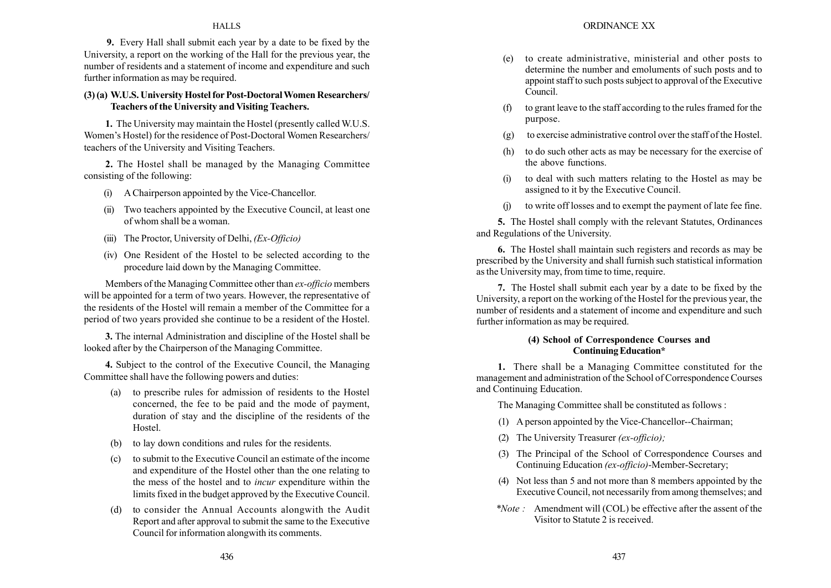### **HALLS**

9. Every Hall shall submit each year by a date to be fixed by the University, a report on the working of the Hall for the previous year, the number of residents and a statement of income and expenditure and such further information as may be required.

### (3) (a) W.U.S. University Hostel for Post-DoctoralWomen Researchers/ Teachers of the University and Visiting Teachers.

1. The University may maintain the Hostel (presently called W.U.S. Women's Hostel) for the residence of Post-Doctoral Women Researchers/ teachers of the University and Visiting Teachers.

2. The Hostel shall be managed by the Managing Committee consisting of the following:

- (i) A Chairperson appointed by the Vice-Chancellor.
- (ii) Two teachers appointed by the Executive Council, at least one of whom shall be a woman.
- (iii) The Proctor, University of Delhi,  $(EX-Officio)$
- (iv) One Resident of the Hostel to be selected according to the procedure laid down by the Managing Committee.

Members of the Managing Committee other than ex-officio members will be appointed for a term of two years. However, the representative of the residents of the Hostel will remain a member of the Committee for a period of two years provided she continue to be a resident of the Hostel.

3. The internal Administration and discipline of the Hostel shall be looked after by the Chairperson of the Managing Committee.

4. Subject to the control of the Executive Council, the Managing Committee shall have the following powers and duties:

- (a) to prescribe rules for admission of residents to the Hostel concerned, the fee to be paid and the mode of payment, duration of stay and the discipline of the residents of the Hostel.
- (b) to lay down conditions and rules for the residents.
- (c) to submit to the Executive Council an estimate of the income and expenditure of the Hostel other than the one relating to the mess of the hostel and to incur expenditure within the limits fixed in the budget approved by the Executive Council.
- (d) to consider the Annual Accounts alongwith the Audit Report and after approval to submit the same to the Executive Council for information alongwith its comments.
- (e) to create administrative, ministerial and other posts to determine the number and emoluments of such posts and to appoint staff to such posts subject to approval of the Executive Council.
- (f) to grant leave to the staff according to the rules framed for the purpose.
- (g) to exercise administrative control over the staff of the Hostel.
- (h) to do such other acts as may be necessary for the exercise of the above functions.
- (i) to deal with such matters relating to the Hostel as may be assigned to it by the Executive Council.
- (j) to write off losses and to exempt the payment of late fee fine.

5. The Hostel shall comply with the relevant Statutes, Ordinances and Regulations of the University.

6. The Hostel shall maintain such registers and records as may be prescribed by the University and shall furnish such statistical information as the University may, from time to time, require.

7. The Hostel shall submit each year by a date to be fixed by the University, a report on the working of the Hostel for the previous year, the number of residents and a statement of income and expenditure and such further information as may be required.

### (4) School of Correspondence Courses and Continuing Education\*

1. There shall be a Managing Committee constituted for the management and administration of the School of Correspondence Courses and Continuing Education.

The Managing Committee shall be constituted as follows :

- (1) A person appointed by the Vice-Chancellor--Chairman;
- (2) The University Treasurer (ex-officio);
- (3) The Principal of the School of Correspondence Courses and Continuing Education (ex-officio)-Member-Secretary;
- (4) Not less than 5 and not more than 8 members appointed by the Executive Council, not necessarily from among themselves; and
- \*Note : Amendment will (COL) be effective after the assent of the Visitor to Statute 2 is received.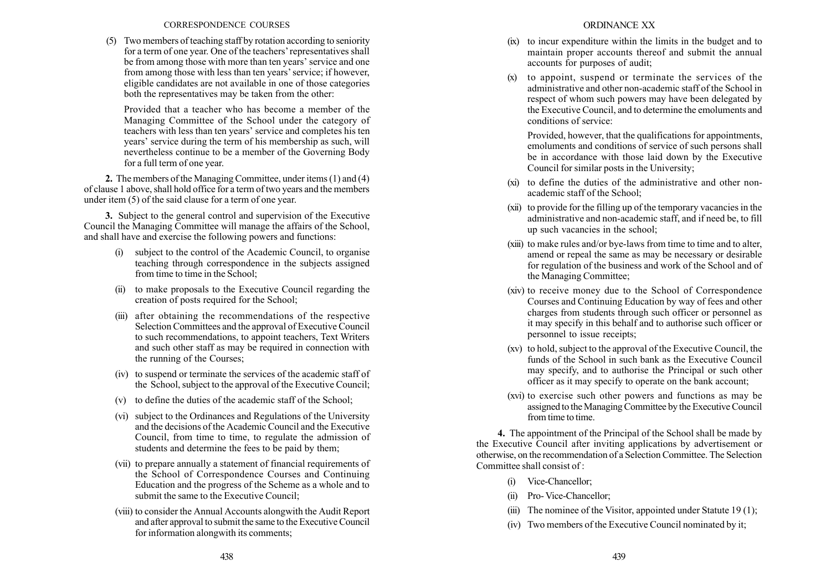#### CORRESPONDENCE COURSES

(5) Two members of teaching staff by rotation according to seniority for a term of one year. One of the teachers' representatives shall be from among those with more than ten years' service and one from among those with less than ten years' service; if however, eligible candidates are not available in one of those categories both the representatives may be taken from the other:

Provided that a teacher who has become a member of the Managing Committee of the School under the category of teachers with less than ten years' service and completes his ten years' service during the term of his membership as such, will nevertheless continue to be a member of the Governing Body for a full term of one year.

2. The members of the Managing Committee, under items (1) and (4) of clause 1 above, shall hold office for a term of two years and the members under item (5) of the said clause for a term of one year.

3. Subject to the general control and supervision of the Executive Council the Managing Committee will manage the affairs of the School, and shall have and exercise the following powers and functions:

- (i) subject to the control of the Academic Council, to organise teaching through correspondence in the subjects assigned from time to time in the School;
- (ii) to make proposals to the Executive Council regarding the creation of posts required for the School;
- (iii) after obtaining the recommendations of the respective Selection Committees and the approval of Executive Council to such recommendations, to appoint teachers, Text Writers and such other staff as may be required in connection with the running of the Courses;
- (iv) to suspend or terminate the services of the academic staff of the School, subject to the approval of the Executive Council;
- (v) to define the duties of the academic staff of the School;
- (vi) subject to the Ordinances and Regulations of the University and the decisions of the Academic Council and the Executive Council, from time to time, to regulate the admission of students and determine the fees to be paid by them;
- (vii) to prepare annually a statement of financial requirements of the School of Correspondence Courses and Continuing Education and the progress of the Scheme as a whole and to submit the same to the Executive Council;
- (viii) to consider the Annual Accounts alongwith the Audit Report and after approval to submit the same to the Executive Council for information alongwith its comments;
- (ix) to incur expenditure within the limits in the budget and to maintain proper accounts thereof and submit the annual accounts for purposes of audit;
- (x) to appoint, suspend or terminate the services of the administrative and other non-academic staff of the School in respect of whom such powers may have been delegated by the Executive Council, and to determine the emoluments and conditions of service:

Provided, however, that the qualifications for appointments, emoluments and conditions of service of such persons shall be in accordance with those laid down by the Executive Council for similar posts in the University;

- (xi) to define the duties of the administrative and other nonacademic staff of the School;
- (xii) to provide for the filling up of the temporary vacancies in the administrative and non-academic staff, and if need be, to fill up such vacancies in the school;
- (xiii) to make rules and/or bye-laws from time to time and to alter, amend or repeal the same as may be necessary or desirable for regulation of the business and work of the School and of the Managing Committee;
- (xiv) to receive money due to the School of Correspondence Courses and Continuing Education by way of fees and other charges from students through such officer or personnel as it may specify in this behalf and to authorise such officer or personnel to issue receipts;
- (xv) to hold, subject to the approval of the Executive Council, the funds of the School in such bank as the Executive Council may specify, and to authorise the Principal or such other officer as it may specify to operate on the bank account;
- (xvi) to exercise such other powers and functions as may be assigned to the Managing Committee by the Executive Council from time to time.

4. The appointment of the Principal of the School shall be made by the Executive Council after inviting applications by advertisement or otherwise, on the recommendation of a Selection Committee. The Selection Committee shall consist of :

- (i) Vice-Chancellor;
- (ii) Pro- Vice-Chancellor;
- (iii) The nominee of the Visitor, appointed under Statute 19(1);
- (iv) Two members of the Executive Council nominated by it;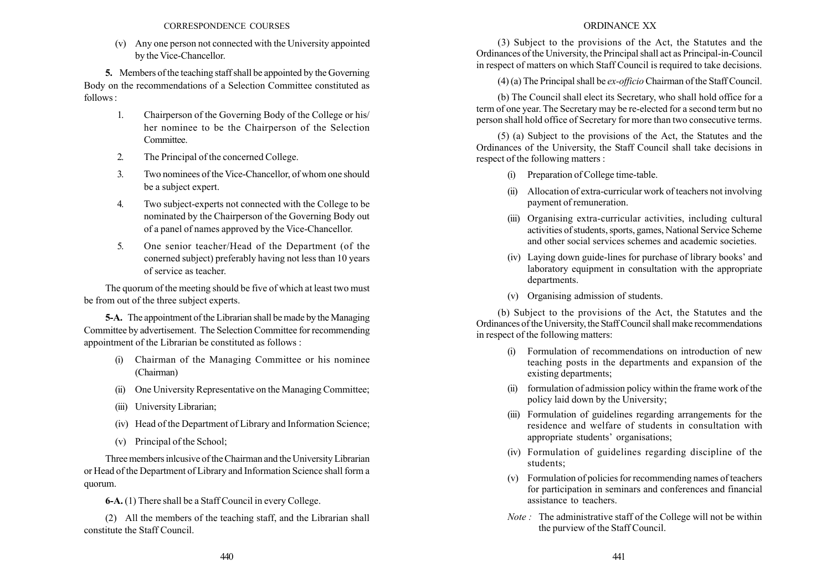(v) Any one person not connected with the University appointed by the Vice-Chancellor.

5. Members of the teaching staff shall be appointed by the Governing Body on the recommendations of a Selection Committee constituted as  $follows.$ 

- 1. Chairperson of the Governing Body of the College or his/ her nominee to be the Chairperson of the Selection Committee.
- 2. The Principal of the concerned College.
- 3. Two nominees of the Vice-Chancellor, of whom one should be a subject expert.
- 4. Two subject-experts not connected with the College to be nominated by the Chairperson of the Governing Body out of a panel of names approved by the Vice-Chancellor.
- 5. One senior teacher/Head of the Department (of the conerned subject) preferably having not less than 10 years of service as teacher.

The quorum of the meeting should be five of which at least two must be from out of the three subject experts.

5-A. The appointment of the Librarian shall be made by the Managing Committee by advertisement. The Selection Committee for recommending appointment of the Librarian be constituted as follows :

- (i) Chairman of the Managing Committee or his nominee (Chairman)
- (ii) One University Representative on the Managing Committee;
- (iii) University Librarian;
- (iv) Head of the Department of Library and Information Science;
- (v) Principal of the School;

Three members inlcusive of the Chairman and the University Librarian or Head of the Department of Library and Information Science shall form a quorum.

6-A. (1) There shall be a Staff Council in every College.

(2) All the members of the teaching staff, and the Librarian shall constitute the Staff Council.

## ORDINANCE XX

(3) Subject to the provisions of the Act, the Statutes and the Ordinances of the University, the Principal shall act as Principal-in-Council in respect of matters on which Staff Council is required to take decisions.

(4) (a) The Principal shall be ex-officio Chairman of the Staff Council.

(b) The Council shall elect its Secretary, who shall hold office for a term of one year. The Secretary may be re-elected for a second term but no person shall hold office of Secretary for more than two consecutive terms.

(5) (a) Subject to the provisions of the Act, the Statutes and the Ordinances of the University, the Staff Council shall take decisions in respect of the following matters :

- (i) Preparation of College time-table.
- (ii) Allocation of extra-curricular work of teachers not involving payment of remuneration.
- (iii) Organising extra-curricular activities, including cultural activities of students, sports, games, National Service Scheme and other social services schemes and academic societies.
- (iv) Laying down guide-lines for purchase of library books' and laboratory equipment in consultation with the appropriate departments.
- (v) Organising admission of students.

(b) Subject to the provisions of the Act, the Statutes and the Ordinances of the University, the Staff Council shall make recommendations in respect of the following matters:

- (i) Formulation of recommendations on introduction of new teaching posts in the departments and expansion of the existing departments;
- (ii) formulation of admission policy within the frame work of the policy laid down by the University;
- (iii) Formulation of guidelines regarding arrangements for the residence and welfare of students in consultation with appropriate students' organisations;
- (iv) Formulation of guidelines regarding discipline of the students;
- (v) Formulation of policies for recommending names of teachers for participation in seminars and conferences and financial assistance to teachers.
- Note : The administrative staff of the College will not be within the purview of the Staff Council.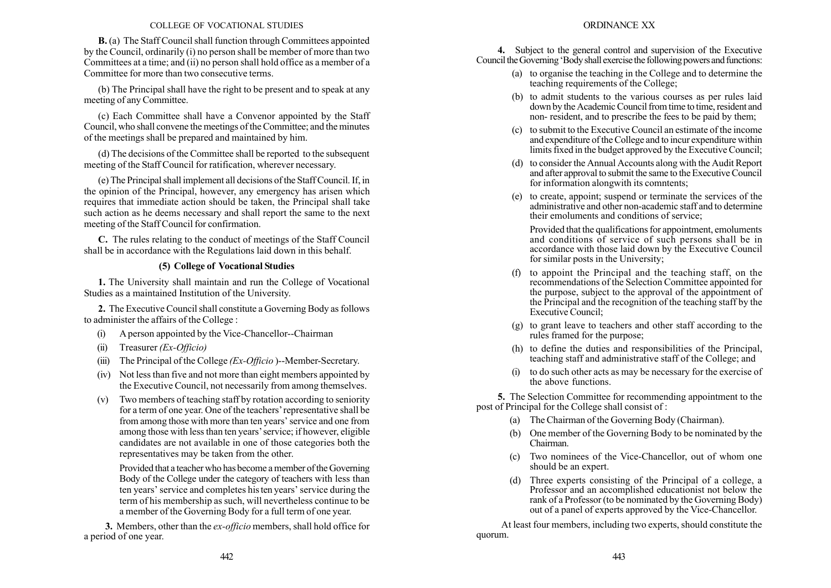#### COLLEGE OF VOCATIONAL STUDIES

B. (a) The Staff Council shall function through Committees appointed by the Council, ordinarily (i) no person shall be member of more than two Committees at a time; and (ii) no person shall hold office as a member of a Committee for more than two consecutive terms.

(b) The Principal shall have the right to be present and to speak at any meeting of any Committee.

(c) Each Committee shall have a Convenor appointed by the Staff Council, who shall convene the meetings of the Committee; and the minutes of the meetings shall be prepared and maintained by him.

(d) The decisions of the Committee shall be reported to the subsequent meeting of the Staff Council for ratification, wherever necessary.

(e) The Principal shall implement all decisions of the Staff Council. If, in the opinion of the Principal, however, any emergency has arisen which requires that immediate action should be taken, the Principal shall take such action as he deems necessary and shall report the same to the next meeting of the Staff Council for confirmation.

C. The rules relating to the conduct of meetings of the Staff Council shall be in accordance with the Regulations laid down in this behalf.

## (5) College of Vocational Studies

1. The University shall maintain and run the College of Vocational Studies as a maintained Institution of the University.

2. The Executive Council shall constitute a Governing Body as follows to administer the affairs of the College :

- (i) A person appointed by the Vice-Chancellor--Chairman
- (ii) Treasurer  $(EX-Officio)$
- (iii) The Principal of the College  $(EX-Officio)$ --Member-Secretary.
- (iv) Not less than five and not more than eight members appointed by the Executive Council, not necessarily from among themselves.
- (v) Two members of teaching staff by rotation according to seniority for a term of one year. One of the teachers' representative shall be from among those with more than ten years' service and one from among those with less than ten years' service; if however, eligible candidates are not available in one of those categories both the representatives may be taken from the other.

Provided that a teacher who has become a member of the Governing Body of the College under the category of teachers with less than ten years' service and completes his ten years' service during the term of his membership as such, will nevertheless continue to be a member of the Governing Body for a full term of one year.

3. Members, other than the *ex-officio* members, shall hold office for a period of one year.

4. Subject to the general control and supervision of the Executive Council the Governing 'Body shall exercise the following powers and functions:

- (a) to organise the teaching in the College and to determine the teaching requirements of the College;
- (b) to admit students to the various courses as per rules laid down by the Academic Council from time to time, resident and non- resident, and to prescribe the fees to be paid by them;
- (c) to submit to the Executive Council an estimate of the income and expenditure of the College and to incur expenditure within limits fixed in the budget approved by the Executive Council;
- (d) to consider the Annual Accounts along with the Audit Report and after approval to submit the same to the Executive Council for information alongwith its comntents;
- (e) to create, appoint; suspend or terminate the services of the administrative and other non-academic staff and to determine their emoluments and conditions of service;

Provided that the qualifications for appointment, emoluments and conditions of service of such persons shall be in accordance with those laid down by the Executive Council for similar posts in the University;

- (f) to appoint the Principal and the teaching staff, on the recommendations of the Selection Committee appointed for the purpose, subject to the approval of the appointment of the Principal and the recognition of the teaching staff by the Executive Council;
- (g) to grant leave to teachers and other staff according to the rules framed for the purpose;
- (h) to define the duties and responsibilities of the Principal, teaching staff and administrative staff of the College; and
- (i) to do such other acts as may be necessary for the exercise of the above functions.

5. The Selection Committee for recommending appointment to the post of Principal for the College shall consist of :

- (a) The Chairman of the Governing Body (Chairman).
- (b) One member of the Governing Body to be nominated by the Chairman.
- (c) Two nominees of the Vice-Chancellor, out of whom one should be an expert.
- (d) Three experts consisting of the Principal of a college, a Professor and an accomplished educationist not below the rank of a Professor (to be nominated by the Governing Body) out of a panel of experts approved by the Vice-Chancellor.

At least four members, including two experts, should constitute the quorum.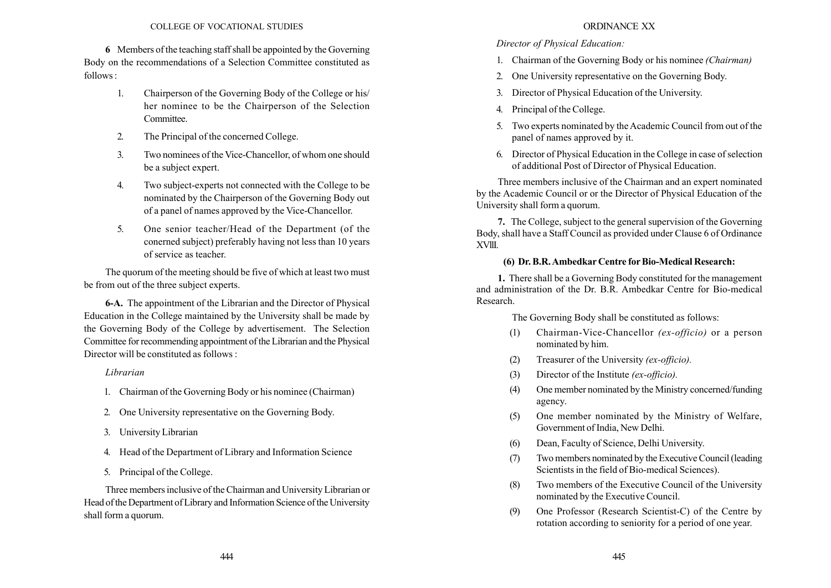6 Members of the teaching staff shall be appointed by the Governing Body on the recommendations of a Selection Committee constituted as  $follows.$ 

- 1. Chairperson of the Governing Body of the College or his/ her nominee to be the Chairperson of the Selection Committee.
- 2. The Principal of the concerned College.
- 3. Two nominees of the Vice-Chancellor, of whom one should be a subject expert.
- 4. Two subject-experts not connected with the College to be nominated by the Chairperson of the Governing Body out of a panel of names approved by the Vice-Chancellor.
- 5. One senior teacher/Head of the Department (of the conerned subject) preferably having not less than 10 years of service as teacher.

The quorum of the meeting should be five of which at least two must be from out of the three subject experts.

6-A. The appointment of the Librarian and the Director of Physical Education in the College maintained by the University shall be made by the Governing Body of the College by advertisement. The Selection Committee for recommending appointment of the Librarian and the Physical Director will be constituted as follows :

### Librarian

- 1. Chairman of the Governing Body or his nominee (Chairman)
- 2. One University representative on the Governing Body.
- 3. University Librarian
- 4. Head of the Department of Library and Information Science
- 5. Principal of the College.

Three members inclusive of the Chairman and University Librarian or Head of the Department of Library and Information Science of the University shall form a quorum.

#### ORDINANCE XX

### Director of Physical Education:

- 1. Chairman of the Governing Body or his nominee (Chairman)
- 2. One University representative on the Governing Body.
- 3. Director of Physical Education of the University.
- 4. Principal of the College.
- 5. Two experts nominated by the Academic Council from out of the panel of names approved by it.
- 6. Director of Physical Education in the College in case of selection of additional Post of Director of Physical Education.

Three members inclusive of the Chairman and an expert nominated by the Academic Council or or the Director of Physical Education of the University shall form a quorum.

7. The College, subject to the general supervision of the Governing Body, shall have a Staff Council as provided under Clause 6 of Ordinance XVllI.

#### (6) Dr. B.R.Ambedkar Centre for Bio-Medical Research:

1. There shall be a Governing Body constituted for the management and administration of the Dr. B.R. Ambedkar Centre for Bio-medical Research.

The Governing Body shall be constituted as follows:

- (1) Chairman-Vice-Chancellor (ex-officio) or a person nominated by him.
- (2) Treasurer of the University (ex-officio).
- (3) Director of the Institute (ex-officio).
- (4) One member nominated by the Ministry concerned/funding agency.
- (5) One member nominated by the Ministry of Welfare, Government of India, New Delhi.
- (6) Dean, Faculty of Science, Delhi University.
- (7) Two members nominated by the Executive Council (leading Scientists in the field of Bio-medical Sciences).
- (8) Two members of the Executive Council of the University nominated by the Executive Council.
- (9) One Professor (Research Scientist-C) of the Centre by rotation according to seniority for a period of one year.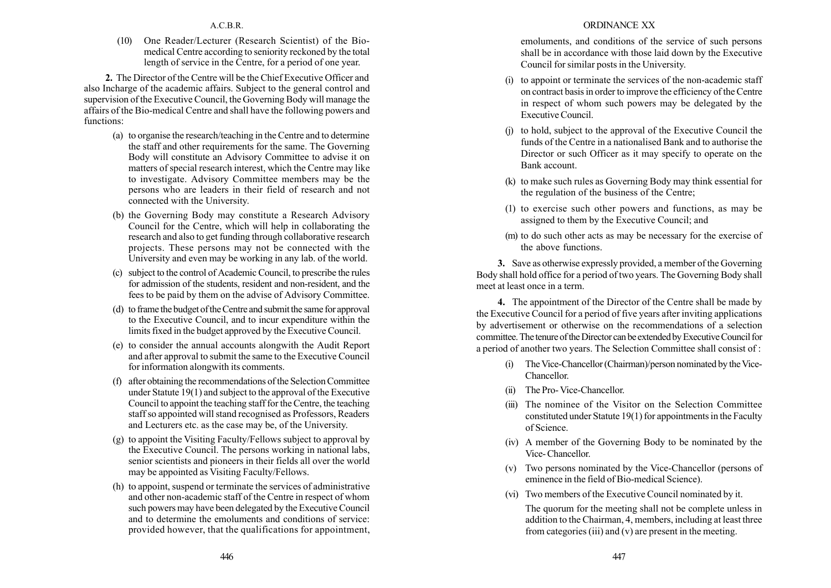A.C.B.R.

(10) One Reader/Lecturer (Research Scientist) of the Biomedical Centre according to seniority reckoned by the total length of service in the Centre, for a period of one year.

2. The Director of the Centre will be the Chief Executive Officer and also Incharge of the academic affairs. Subject to the general control and supervision of the Executive Council, the Governing Body will manage the affairs of the Bio-medical Centre and shall have the following powers and functions:

- (a) to organise the research/teaching in the Centre and to determine the staff and other requirements for the same. The Governing Body will constitute an Advisory Committee to advise it on matters of special research interest, which the Centre may like to investigate. Advisory Committee members may be the persons who are leaders in their field of research and not connected with the University.
- (b) the Governing Body may constitute a Research Advisory Council for the Centre, which will help in collaborating the research and also to get funding through collaborative research projects. These persons may not be connected with the University and even may be working in any lab. of the world.
- (c) subject to the control of Academic Council, to prescribe the rules for admission of the students, resident and non-resident, and the fees to be paid by them on the advise of Advisory Committee.
- (d) to frame the budget of the Centre and submit the same for approval to the Executive Council, and to incur expenditure within the limits fixed in the budget approved by the Executive Council.
- (e) to consider the annual accounts alongwith the Audit Report and after approval to submit the same to the Executive Council for information alongwith its comments.
- (f) after obtaining the recommendations of the Selection Committee under Statute 19(1) and subject to the approval of the Executive Council to appoint the teaching staff for the Centre, the teaching staff so appointed will stand recognised as Professors, Readers and Lecturers etc. as the case may be, of the University.
- (g) to appoint the Visiting Faculty/Fellows subject to approval by the Executive Council. The persons working in national labs, senior scientists and pioneers in their fields all over the world may be appointed as Visiting Faculty/Fellows.
- (h) to appoint, suspend or terminate the services of administrative and other non-academic staff of the Centre in respect of whom such powers may have been delegated by the Executive Council and to determine the emoluments and conditions of service: provided however, that the qualifications for appointment,

### ORDINANCE XX

emoluments, and conditions of the service of such persons shall be in accordance with those laid down by the Executive Council for similar posts in the University.

- (i) to appoint or terminate the services of the non-academic staff on contract basis in order to improve the efficiency of the Centre in respect of whom such powers may be delegated by the Executive Council.
- (j) to hold, subject to the approval of the Executive Council the funds of the Centre in a nationalised Bank and to authorise the Director or such Officer as it may specify to operate on the Bank account.
- (k) to make such rules as Governing Body may think essential for the regulation of the business of the Centre;
- (1) to exercise such other powers and functions, as may be assigned to them by the Executive Council; and
- (m) to do such other acts as may be necessary for the exercise of the above functions.

3. Save as otherwise expressly provided, a member of the Governing Body shall hold office for a period of two years. The Governing Body shall meet at least once in a term.

4. The appointment of the Director of the Centre shall be made by the Executive Council for a period of five years after inviting applications by advertisement or otherwise on the recommendations of a selection committee. The tenure of the Director can be extended by Executive Council for a period of another two years. The Selection Committee shall consist of :

- (i) The Vice-Chancellor (Chairman)/person nominated by theVice-Chancellor.
- (ii) The Pro- Vice-Chancellor.
- (iii) The nominee of the Visitor on the Selection Committee constituted under Statute 19(1) for appointments in the Faculty of Science.
- (iv) A member of the Governing Body to be nominated by the Vice- Chancellor.
- (v) Two persons nominated by the Vice-Chancellor (persons of eminence in the field of Bio-medical Science).
- (vi) Two members of the Executive Council nominated by it.

The quorum for the meeting shall not be complete unless in addition to the Chairman, 4, members, including at least three from categories (iii) and (v) are present in the meeting.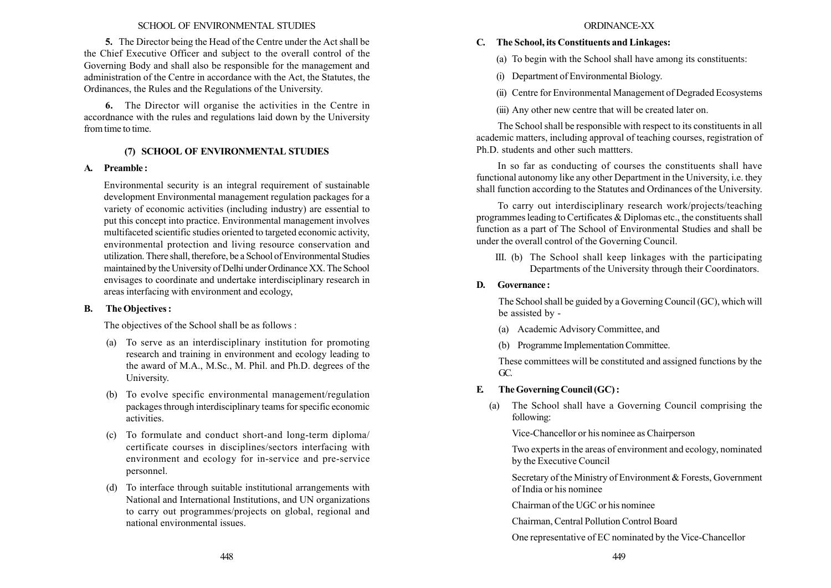#### SCHOOL OF ENVIRONMENTAL STUDIES

5. The Director being the Head of the Centre under the Act shall be the Chief Executive Officer and subject to the overall control of the Governing Body and shall also be responsible for the management and administration of the Centre in accordance with the Act, the Statutes, the Ordinances, the Rules and the Regulations of the University.

6. The Director will organise the activities in the Centre in accordnance with the rules and regulations laid down by the University from time to time.

## (7) SCHOOL OF ENVIRONMENTAL STUDIES

### A. Preamble :

Environmental security is an integral requirement of sustainable development Environmental management regulation packages for a variety of economic activities (including industry) are essential to put this concept into practice. Environmental management involves multifaceted scientific studies oriented to targeted economic activity, environmental protection and living resource conservation and utilization. There shall, therefore, be a School of Environmental Studies maintained by the University of Delhi under Ordinance XX. The School envisages to coordinate and undertake interdisciplinary research in areas interfacing with environment and ecology,

### B. The Objectives :

The objectives of the School shall be as follows :

- (a) To serve as an interdisciplinary institution for promoting research and training in environment and ecology leading to the award of M.A., M.Sc., M. Phil. and Ph.D. degrees of the University.
- (b) To evolve specific environmental management/regulation packages through interdisciplinary teams for specific economic activities.
- (c) To formulate and conduct short-and long-term diploma/ certificate courses in disciplines/sectors interfacing with environment and ecology for in-service and pre-service personnel.
- (d) To interface through suitable institutional arrangements with National and International Institutions, and UN organizations to carry out programmes/projects on global, regional and national environmental issues.

### C. The School, its Constituents and Linkages:

(a) To begin with the School shall have among its constituents:

- (i) Department of Environmental Biology.
- (ii) Centre for Environmental Management of Degraded Ecosystems

(iii) Any other new centre that will be created later on.

The School shall be responsible with respect to its constituents in all academic matters, including approval of teaching courses, registration of Ph.D. students and other such mattters.

In so far as conducting of courses the constituents shall have functional autonomy like any other Department in the University, i.e. they shall function according to the Statutes and Ordinances of the University.

To carry out interdisciplinary research work/projects/teaching programmes leading to Certificates & Diplomas etc., the constituents shall function as a part of The School of Environmental Studies and shall be under the overall control of the Governing Council.

III. (b) The School shall keep linkages with the participating Departments of the University through their Coordinators.

### D. Governance :

The School shall be guided by a Governing Council (GC), which will be assisted by -

- (a) Academic Advisory Committee, and
- (b) Programme Implementation Committee.

These committees will be constituted and assigned functions by the GC.

## E. The Governing Council (GC) :

(a) The School shall have a Governing Council comprising the following:

Vice-Chancellor or his nominee as Chairperson

Two experts in the areas of environment and ecology, nominated by the Executive Council

Secretary of the Ministry of Environment & Forests, Government of India or his nominee

Chairman of the UGC or his nominee

Chairman, Central Pollution Control Board

One representative of EC nominated by the Vice-Chancellor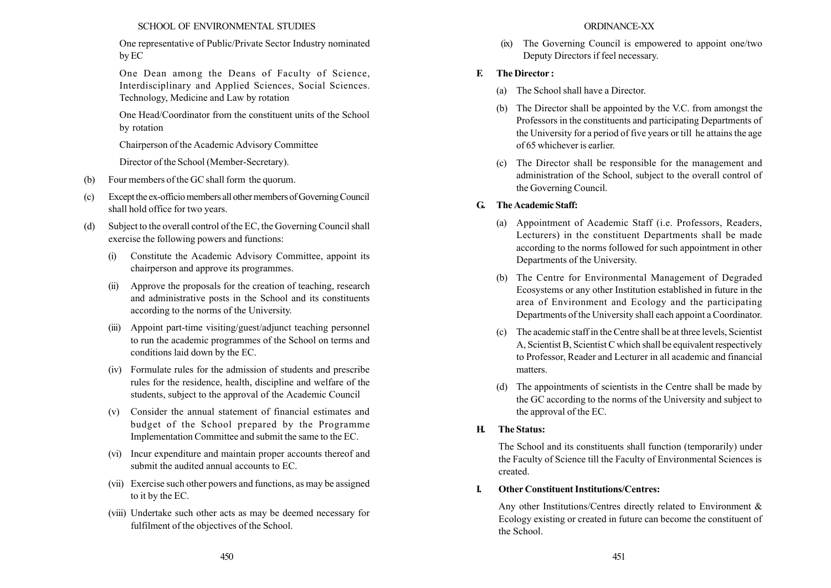### SCHOOL OF ENVIRONMENTAL STUDIES

One representative of Public/Private Sector Industry nominated by EC

One Dean among the Deans of Faculty of Science, Interdisciplinary and Applied Sciences, Social Sciences. Technology, Medicine and Law by rotation

One Head/Coordinator from the constituent units of the School by rotation

Chairperson of the Academic Advisory Committee

Director of the School (Member-Secretary).

- (b) Four members of the GC shall form the quorum.
- (c) Exceptthe ex-officio members all other members of GoverningCouncil shall hold office for two years.
- (d) Subject to the overall control of the EC, the Governing Council shall exercise the following powers and functions:
	- (i) Constitute the Academic Advisory Committee, appoint its chairperson and approve its programmes.
	- (ii) Approve the proposals for the creation of teaching, research and administrative posts in the School and its constituents according to the norms of the University.
	- (iii) Appoint part-time visiting/guest/adjunct teaching personnel to run the academic programmes of the School on terms and conditions laid down by the EC.
	- (iv) Formulate rules for the admission of students and prescribe rules for the residence, health, discipline and welfare of the students, subject to the approval of the Academic Council
	- (v) Consider the annual statement of financial estimates and budget of the School prepared by the Programme Implementation Committee and submit the same to the EC.
	- (vi) Incur expenditure and maintain proper accounts thereof and submit the audited annual accounts to EC.
	- (vii) Exercise such other powers and functions, as may be assigned to it by the EC.
	- (viii) Undertake such other acts as may be deemed necessary for fulfilment of the objectives of the School.

### ORDINANCE-XX

(ix) The Governing Council is empowered to appoint one/two Deputy Directors if feel necessary.

## F. The Director :

- (a) The School shall have a Director.
- (b) The Director shall be appointed by the V.C. from amongst the Professors in the constituents and participating Departments of the University for a period of five years or till he attains the age of 65 whichever is earlier.
- (c) The Director shall be responsible for the management and administration of the School, subject to the overall control of the Governing Council.

# G. The Academic Staff:

- (a) Appointment of Academic Staff (i.e. Professors, Readers, Lecturers) in the constituent Departments shall be made according to the norms followed for such appointment in other Departments of the University.
- (b) The Centre for Environmental Management of Degraded Ecosystems or any other Institution established in future in the area of Environment and Ecology and the participating Departments of the University shall each appoint a Coordinator.
- (c) The academic staff in the Centre shall be at three levels, Scientist A, Scientist B, Scientist C which shall be equivalent respectively to Professor, Reader and Lecturer in all academic and financial matters.
- (d) The appointments of scientists in the Centre shall be made by the GC according to the norms of the University and subject to the approval of the EC.

## H. The Status:

The School and its constituents shall function (temporarily) under the Faculty of Science till the Faculty of Environmental Sciences is created.

# I. Other Constituent Institutions/Centres:

Any other Institutions/Centres directly related to Environment & Ecology existing or created in future can become the constituent of the School.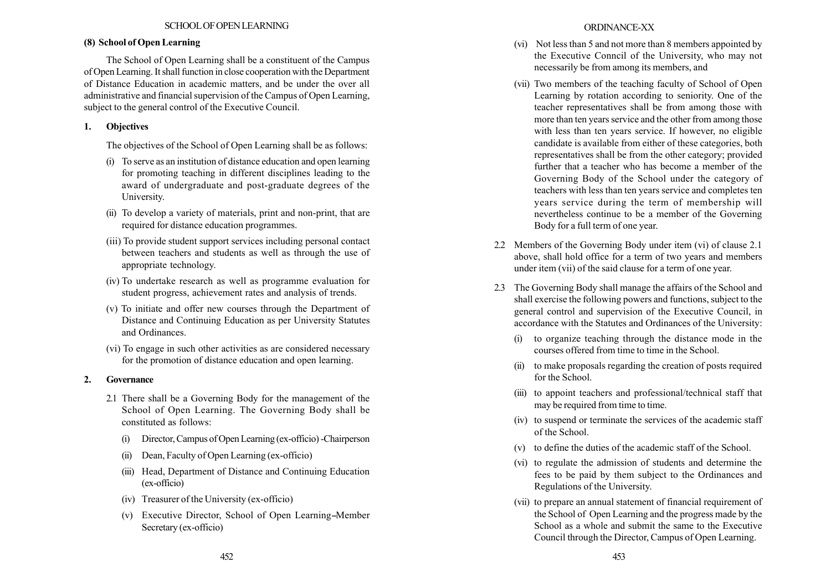# (8) School of Open Learning

The School of Open Learning shall be a constituent of the Campus of Open Learning. It shall function in close cooperation with the Department of Distance Education in academic matters, and be under the over all administrative and financial supervision of the Campus of Open Learning, subject to the general control of the Executive Council.

# 1. Objectives

The objectives of the School of Open Learning shall be as follows:

- (i) To serve as an institution of distance education and open learning for promoting teaching in different disciplines leading to the award of undergraduate and post-graduate degrees of the University.
- (ii) To develop a variety of materials, print and non-print, that are required for distance education programmes.
- (iii) To provide student support services including personal contact between teachers and students as well as through the use of appropriate technology.
- (iv) To undertake research as well as programme evaluation for student progress, achievement rates and analysis of trends.
- (v) To initiate and offer new courses through the Department of Distance and Continuing Education as per University Statutes and Ordinances.
- (vi) To engage in such other activities as are considered necessary for the promotion of distance education and open learning.

# 2. Governance

- 2.1 There shall be a Governing Body for the management of the School of Open Learning. The Governing Body shall be constituted as follows:
	- (i) Director, Campus of Open Learning (ex-officio) -Chairperson
	- (ii) Dean, Faculty of Open Learning (ex-officio)
	- (iii) Head, Department of Distance and Continuing Education (ex-officio)
	- (iv) Treasurer of the University (ex-officio)
	- (v) Executive Director, School of Open Learning-Member Secretary (ex-officio)
- (vi) Not less than 5 and not more than 8 members appointed by the Executive Conncil of the University, who may not necessarily be from among its members, and
- (vii) Two members of the teaching faculty of School of Open Learning by rotation according to seniority. One of the teacher representatives shall be from among those with more than ten years service and the other from among those with less than ten years service. If however, no eligible candidate is available from either of these categories, both representatives shall be from the other category; provided further that a teacher who has become a member of the Governing Body of the School under the category of teachers with less than ten years service and completes ten years service during the term of membership will nevertheless continue to be a member of the Governing Body for a full term of one year.
- 2.2 Members of the Governing Body under item (vi) of clause 2.1 above, shall hold office for a term of two years and members under item (vii) of the said clause for a term of one year.
- 2.3 The Governing Body shall manage the affairs of the School and shall exercise the following powers and functions, subject to the general control and supervision of the Executive Council, in accordance with the Statutes and Ordinances of the University:
	- (i) to organize teaching through the distance mode in the courses offered from time to time in the School.
	- (ii) to make proposals regarding the creation of posts required for the School.
	- (iii) to appoint teachers and professional/technical staff that may be required from time to time.
	- (iv) to suspend or terminate the services of the academic staff of the School.
	- (v) to define the duties of the academic staff of the School.
	- (vi) to regulate the admission of students and determine the fees to be paid by them subject to the Ordinances and Regulations of the University.
	- (vii) to prepare an annual statement of financial requirement of the School of Open Learning and the progress made by the School as a whole and submit the same to the Executive Council through the Director, Campus of Open Learning.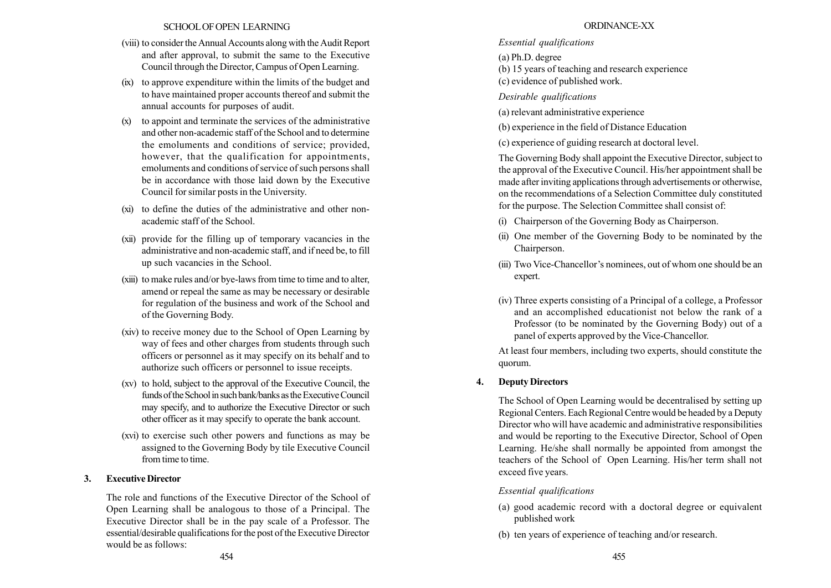### SCHOOLOFOPEN LEARNING

- (viii) to consider the Annual Accounts along with the Audit Report and after approval, to submit the same to the Executive Council through the Director, Campus of Open Learning.
- (ix) to approve expenditure within the limits of the budget and to have maintained proper accounts thereof and submit the annual accounts for purposes of audit.
- (x) to appoint and terminate the services of the administrative and other non-academic staff of the School and to determine the emoluments and conditions of service; provided, however, that the qualification for appointments, emoluments and conditions of service of such persons shall be in accordance with those laid down by the Executive Council for similar posts in the University.
- (xi) to define the duties of the administrative and other nonacademic staff of the School.
- (xii) provide for the filling up of temporary vacancies in the administrative and non-academic staff, and if need be, to fill up such vacancies in the School.
- (xiii) to make rules and/or bye-laws from time to time and to alter, amend or repeal the same as may be necessary or desirable for regulation of the business and work of the School and of the Governing Body.
- (xiv) to receive money due to the School of Open Learning by way of fees and other charges from students through such officers or personnel as it may specify on its behalf and to authorize such officers or personnel to issue receipts.
- (xv) to hold, subject to the approval of the Executive Council, the funds of the School in such bank/banks as the Executive Council may specify, and to authorize the Executive Director or such other officer as it may specify to operate the bank account.
- (xvi) to exercise such other powers and functions as may be assigned to the Governing Body by tile Executive Council from time to time.

## 3. Executive Director

The role and functions of the Executive Director of the School of Open Learning shall be analogous to those of a Principal. The Executive Director shall be in the pay scale of a Professor. The essential/desirable qualifications for the post of the Executive Director would be as follows: 454 455

## ORDINANCE-XX

# Essential qualifications

(a) Ph.D. degree

(b) 15 years of teaching and research experience

(c) evidence of published work.

Desirable qualifications

(a) relevant administrative experience

(b) experience in the field of Distance Education

(c) experience of guiding research at doctoral level.

The Governing Body shall appoint the Executive Director, subject to the approval of the Executive Council. His/her appointment shall be made after inviting applications through advertisements or otherwise, on the recommendations of a Selection Committee duly constituted for the purpose. The Selection Committee shall consist of:

- (i) Chairperson of the Governing Body as Chairperson.
- (ii) One member of the Governing Body to be nominated by the Chairperson.
- (iii) Two Vice-Chancellor's nominees, out of whom one should be an expert.
- (iv) Three experts consisting of a Principal of a college, a Professor and an accomplished educationist not below the rank of a Professor (to be nominated by the Governing Body) out of a panel of experts approved by the Vice-Chancellor.

At least four members, including two experts, should constitute the quorum.

# 4. Deputy Directors

The School of Open Learning would be decentralised by setting up Regional Centers. Each Regional Centre would be headed by a Deputy Director who will have academic and administrative responsibilities and would be reporting to the Executive Director, School of Open Learning. He/she shall normally be appointed from amongst the teachers of the School of Open Learning. His/her term shall not exceed five years.

# Essential qualifications

- (a) good academic record with a doctoral degree or equivalent published work
- (b) ten years of experience of teaching and/or research.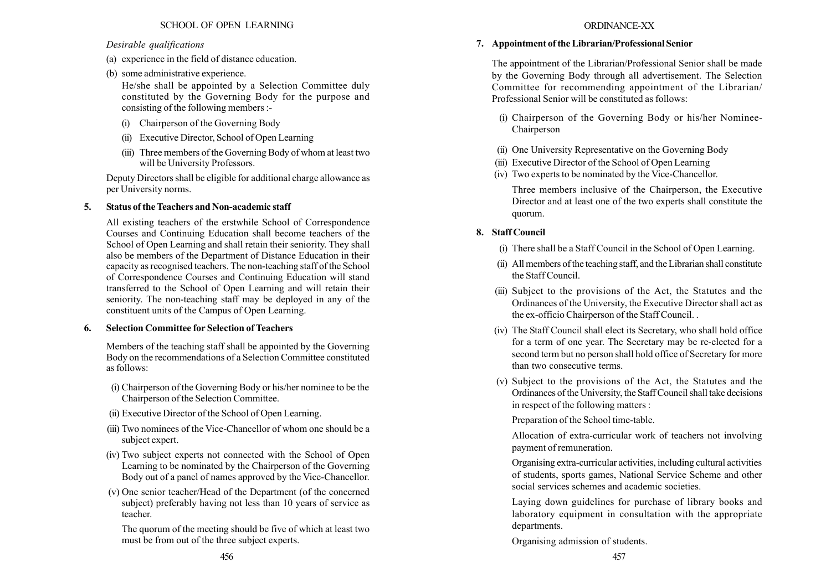# Desirable qualifications

- (a) experience in the field of distance education.
- (b) some administrative experience.

He/she shall be appointed by a Selection Committee duly constituted by the Governing Body for the purpose and consisting of the following members :-

- (i) Chairperson of the Governing Body
- (ii) Executive Director, School of Open Learning
- (iii) Three members of the Governing Body of whom at least two will be University Professors.

Deputy Directors shall be eligible for additional charge allowance as per University norms.

# 5. Status of the Teachers and Non-academic staff

All existing teachers of the erstwhile School of Correspondence Courses and Continuing Education shall become teachers of the School of Open Learning and shall retain their seniority. They shall also be members of the Department of Distance Education in their capacity as recognised teachers. The non-teaching staff of the School of Correspondence Courses and Continuing Education will stand transferred to the School of Open Learning and will retain their seniority. The non-teaching staff may be deployed in any of the constituent units of the Campus of Open Learning.

# 6. Selection Committee for Selection of Teachers

Members of the teaching staff shall be appointed by the Governing Body on the recommendations of a Selection Committee constituted as follows:

- (i) Chairperson of the Governing Body or his/her nominee to be the Chairperson of the Selection Committee.
- (ii) Executive Director of the School of Open Learning.
- (iii) Two nominees of the Vice-Chancellor of whom one should be a subject expert.
- (iv) Two subject experts not connected with the School of Open Learning to be nominated by the Chairperson of the Governing Body out of a panel of names approved by the Vice-Chancellor.
- (v) One senior teacher/Head of the Department (of the concerned subject) preferably having not less than 10 years of service as teacher.

The quorum of the meeting should be five of which at least two must be from out of the three subject experts.

# 7. Appointment of the Librarian/Professional Senior

The appointment of the Librarian/Professional Senior shall be made by the Governing Body through all advertisement. The Selection Committee for recommending appointment of the Librarian/ Professional Senior will be constituted as follows:

- (i) Chairperson of the Governing Body or his/her Nominee-Chairperson
- (ii) One University Representative on the Governing Body
- (iii) Executive Director of the School of Open Learning
- (iv) Two experts to be nominated by the Vice-Chancellor.

Three members inclusive of the Chairperson, the Executive Director and at least one of the two experts shall constitute the quorum.

# 8. Staff Council

- (i) There shall be a Staff Council in the School of Open Learning.
- (ii) Allmembers of the teaching staff, and the Librarian shall constitute the Staff Council.
- (iii) Subject to the provisions of the Act, the Statutes and the Ordinances of the University, the Executive Director shall act as the ex-officio Chairperson of the Staff Council. .
- (iv) The Staff Council shall elect its Secretary, who shall hold office for a term of one year. The Secretary may be re-elected for a second term but no person shall hold office of Secretary for more than two consecutive terms.
- (v) Subject to the provisions of the Act, the Statutes and the Ordinances of the University, the Staff Council shall take decisions in respect of the following matters :

Preparation of the School time-table.

Allocation of extra-curricular work of teachers not involving payment of remuneration.

Organising extra-curricular activities, including cultural activities of students, sports games, National Service Scheme and other social services schemes and academic societies.

Laying down guidelines for purchase of library books and laboratory equipment in consultation with the appropriate departments.

Organising admission of students.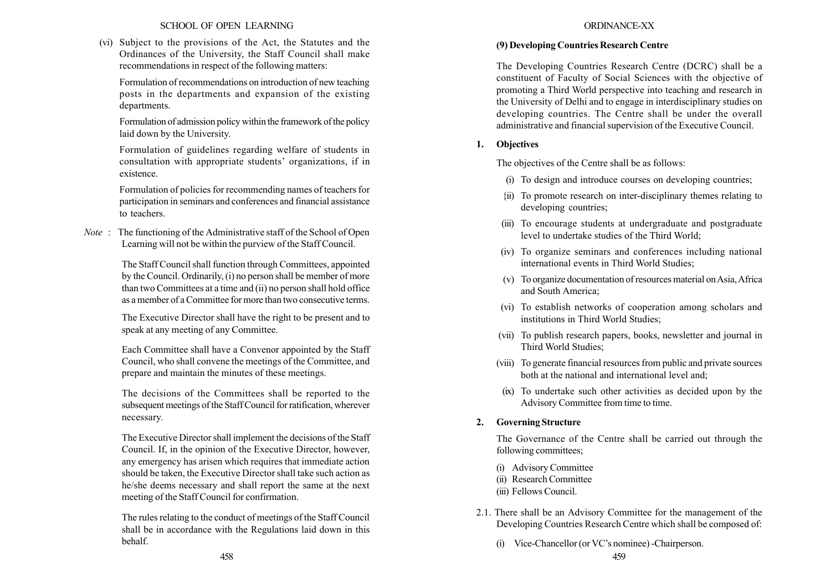### SCHOOL OF OPEN LEARNING

(vi) Subject to the provisions of the Act, the Statutes and the Ordinances of the University, the Staff Council shall make recommendations in respect of the following matters:

Formulation of recommendations on introduction of new teaching posts in the departments and expansion of the existing departments.

Formulation of admission policy within the framework of the policy laid down by the University.

Formulation of guidelines regarding welfare of students in consultation with appropriate students' organizations, if in existence.

Formulation of policies for recommending names of teachers for participation in seminars and conferences and financial assistance to teachers.

Note : The functioning of the Administrative staff of the School of Open Learning will not be within the purview of the Staff Council.

> The Staff Council shall function through Committees, appointed by the Council. Ordinarily, (i) no person shall be member of more than two Committees at a time and (ii) no person shall hold office as a member of a Committee for more than two consecutive terms.

> The Executive Director shall have the right to be present and to speak at any meeting of any Committee.

> Each Committee shall have a Convenor appointed by the Staff Council, who shall convene the meetings of the Committee, and prepare and maintain the minutes of these meetings.

> The decisions of the Committees shall be reported to the subsequent meetings of the Staff Council for ratification, wherever necessary.

> The Executive Director shall implement the decisions of the Staff Council. If, in the opinion of the Executive Director, however, any emergency has arisen which requires that immediate action should be taken, the Executive Director shall take such action as he/she deems necessary and shall report the same at the next meeting of the Staff Council for confirmation.

> The rules relating to the conduct of meetings of the Staff Council shall be in accordance with the Regulations laid down in this behalf.

## ORDINANCE-XX

### (9) Developing Countries Research Centre

The Developing Countries Research Centre (DCRC) shall be a constituent of Faculty of Social Sciences with the objective of promoting a Third World perspective into teaching and research in the University of Delhi and to engage in interdisciplinary studies on developing countries. The Centre shall be under the overall administrative and financial supervision of the Executive Council.

## 1. Objectives

The objectives of the Centre shall be as follows:

- (i) To design and introduce courses on developing countries;
- {ii) To promote research on inter-disciplinary themes relating to developing countries;
- (iii) To encourage students at undergraduate and postgraduate level to undertake studies of the Third World;
- (iv) To organize seminars and conferences including national international events in Third World Studies;
- (v) To organize documentation of resources material onAsia,Africa and South America;
- (vi) To establish networks of cooperation among scholars and institutions in Third World Studies;
- (vii) To publish research papers, books, newsletter and journal in Third World Studies;
- (viii) To generate financial resources from public and private sources both at the national and international level and;
- (ix) To undertake such other activities as decided upon by the Advisory Committee from time to time.

# 2. Governing Structure

The Governance of the Centre shall be carried out through the following committees;

- (i) Advisory Committee
- (ii) Research Committee
- (iii) Fellows Council.
- 2.1. There shall be an Advisory Committee for the management of the Developing Countries Research Centre which shall be composed of:
	- (i) Vice-Chancellor (or VC's nominee) -Chairperson.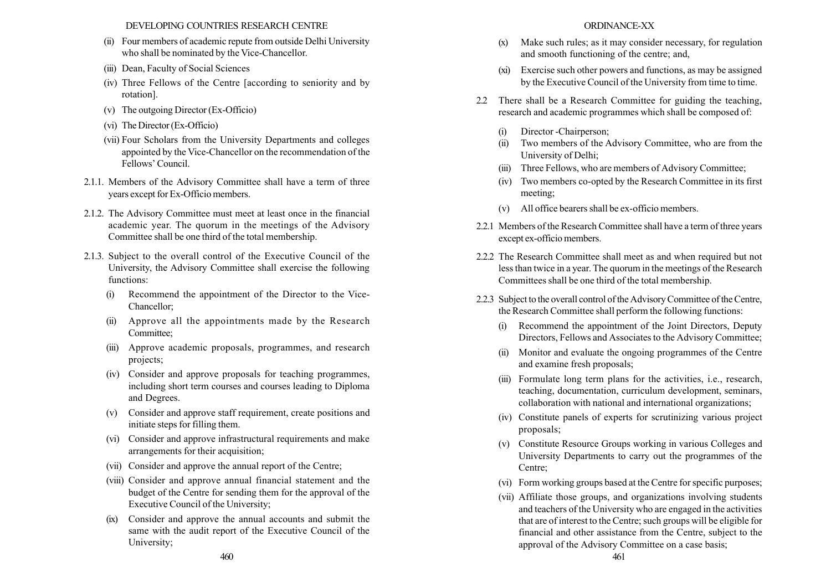### DEVELOPING COUNTRIES RESEARCH CENTRE

- (ii) Four members of academic repute from outside Delhi University who shall be nominated by the Vice-Chancellor.
- (iii) Dean, Faculty of Social Sciences
- (iv) Three Fellows of the Centre [according to seniority and by rotation].
- (v) The outgoing Director (Ex-Officio)
- (vi) TheDirector (Ex-Officio)
- (vii) Four Scholars from the University Departments and colleges appointed by the Vice-Chancellor on the recommendation of the Fellows' Council.
- 2.1.1. Members of the Advisory Committee shall have a term of three years except for Ex-Officio members.
- 2.1.2. The Advisory Committee must meet at least once in the financial academic year. The quorum in the meetings of the Advisory Committee shall be one third of the total membership.
- 2.1.3. Subject to the overall control of the Executive Council of the University, the Advisory Committee shall exercise the following functions:
	- (i) Recommend the appointment of the Director to the Vice-Chancellor;
	- (ii) Approve all the appointments made by the Research Committee;
	- (iii) Approve academic proposals, programmes, and research projects;
	- (iv) Consider and approve proposals for teaching programmes, including short term courses and courses leading to Diploma and Degrees.
	- (v) Consider and approve staff requirement, create positions and initiate steps for filling them.
	- (vi) Consider and approve infrastructural requirements and make arrangements for their acquisition;
	- (vii) Consider and approve the annual report of the Centre;
	- (viii) Consider and approve annual financial statement and the budget of the Centre for sending them for the approval of the Executive Council of the University;
	- (ix) Consider and approve the annual accounts and submit the same with the audit report of the Executive Council of the University;

#### ORDINANCE-XX

- (x) Make such rules; as it may consider necessary, for regulation and smooth functioning of the centre; and,
- (xi) Exercise such other powers and functions, as may be assigned by the Executive Council of the University from time to time.
- 2.2 There shall be a Research Committee for guiding the teaching, research and academic programmes which shall be composed of:
	- (i) Director -Chairperson;
	- (ii) Two members of the Advisory Committee, who are from the University of Delhi;
	- (iii) Three Fellows, who are members of Advisory Committee;
	- (iv) Two members co-opted by the Research Committee in its first meeting;
	- (v) All office bearers shall be ex-officio members.
- 2.2.1 Members of the Research Committee shall have a term of three years except ex-officio members.
- 2.2.2 The Research Committee shall meet as and when required but not less than twice in a year. The quorum in the meetings of the Research Committees shall be one third of the total membership.
- 2.2.3 Subject to the overall control of the Advisory Committee of the Centre, the Research Committee shall perform the following functions:
	- (i) Recommend the appointment of the Joint Directors, Deputy Directors, Fellows and Associates to the Advisory Committee;
	- (ii) Monitor and evaluate the ongoing programmes of the Centre and examine fresh proposals;
	- (iii) Formulate long term plans for the activities, i.e., research, teaching, documentation, curriculum development, seminars, collaboration with national and international organizations;
	- (iv) Constitute panels of experts for scrutinizing various project proposals;
	- (v) Constitute Resource Groups working in various Colleges and University Departments to carry out the programmes of the Centre;
	- (vi) Form working groups based at the Centre for specific purposes;
- (vii) Affiliate those groups, and organizations involving students and teachers of the University who are engaged in the activities that are of interest to the Centre; such groups will be eligible for financial and other assistance from the Centre, subject to the approval of the Advisory Committee on a case basis; 460 461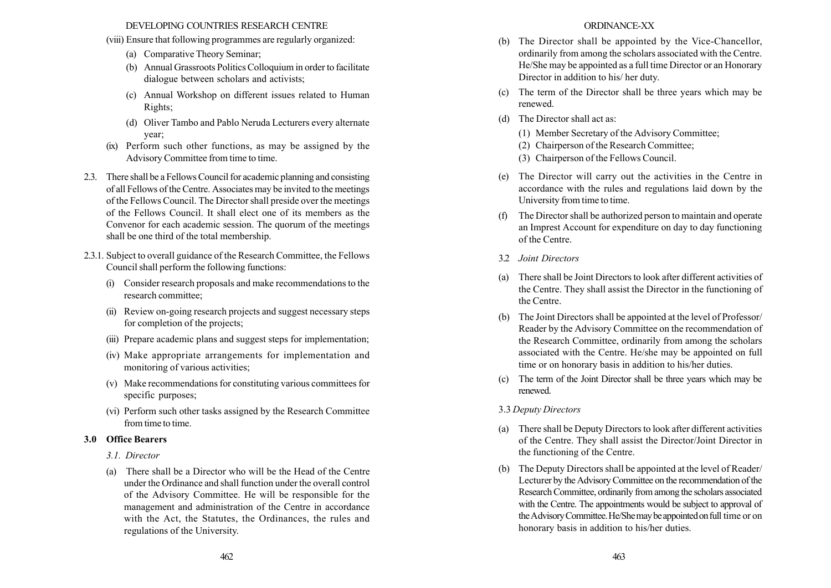### DEVELOPING COUNTRIES RESEARCH CENTRE

- (viii) Ensure that following programmes are regularly organized:
	- (a) Comparative Theory Seminar;
	- (b) Annual Grassroots Politics Colloquium in order to facilitate dialogue between scholars and activists;
	- (c) Annual Workshop on different issues related to Human Rights;
	- (d) Oliver Tambo and Pablo Neruda Lecturers every alternate year;
- (ix) Perform such other functions, as may be assigned by the Advisory Committee from time to time.
- 2.3. There shall be a Fellows Council for academic planning and consisting of all Fellows of the Centre. Associates may be invited to the meetings of the Fellows Council. The Director shall preside over the meetings of the Fellows Council. It shall elect one of its members as the Convenor for each academic session. The quorum of the meetings shall be one third of the total membership.
- 2.3.1. Subject to overall guidance of the Research Committee, the Fellows Council shall perform the following functions:
	- (i) Consider research proposals and make recommendations to the research committee;
	- (ii) Review on-going research projects and suggest necessary steps for completion of the projects;
	- (iii) Prepare academic plans and suggest steps for implementation;
	- (iv) Make appropriate arrangements for implementation and monitoring of various activities;
	- (v) Make recommendations for constituting various committees for specific purposes;
	- (vi) Perform such other tasks assigned by the Research Committee from time to time.

### 3.0 Office Bearers

- 3.1. Director
- (a) There shall be a Director who will be the Head of the Centre under the Ordinance and shall function under the overall control of the Advisory Committee. He will be responsible for the management and administration of the Centre in accordance with the Act, the Statutes, the Ordinances, the rules and regulations of the University.

### ORDINANCE-XX

- (b) The Director shall be appointed by the Vice-Chancellor, ordinarily from among the scholars associated with the Centre. He/She may be appointed as a full time Director or an Honorary Director in addition to his/ her duty.
- (c) The term of the Director shall be three years which may be renewed.
- (d) The Director shall act as:
	- (1) Member Secretary of the Advisory Committee;
	- (2) Chairperson of the Research Committee;
	- (3) Chairperson of the Fellows Council.
- (e) The Director will carry out the activities in the Centre in accordance with the rules and regulations laid down by the University from time to time.
- (f) The Director shall be authorized person to maintain and operate an Imprest Account for expenditure on day to day functioning of the Centre.
- 3.2 Joint Directors
- (a) There shall be Joint Directors to look after different activities of the Centre. They shall assist the Director in the functioning of the Centre.
- (b) The Joint Directors shall be appointed at the level of Professor/ Reader by the Advisory Committee on the recommendation of the Research Committee, ordinarily from among the scholars associated with the Centre. He/she may be appointed on full time or on honorary basis in addition to his/her duties.
- (c) The term of the Joint Director shall be three years which may be renewed.

## 3.3 Deputy Directors

- (a) There shall be Deputy Directors to look after different activities of the Centre. They shall assist the Director/Joint Director in the functioning of the Centre.
- (b) The Deputy Directors shall be appointed at the level of Reader/ Lecturer by the Advisory Committee on the recommendation of the Research Committee, ordinarily from among the scholars associated with the Centre. The appointments would be subject to approval of the Advisory Committee. He/She may be appointed on full time or on honorary basis in addition to his/her duties.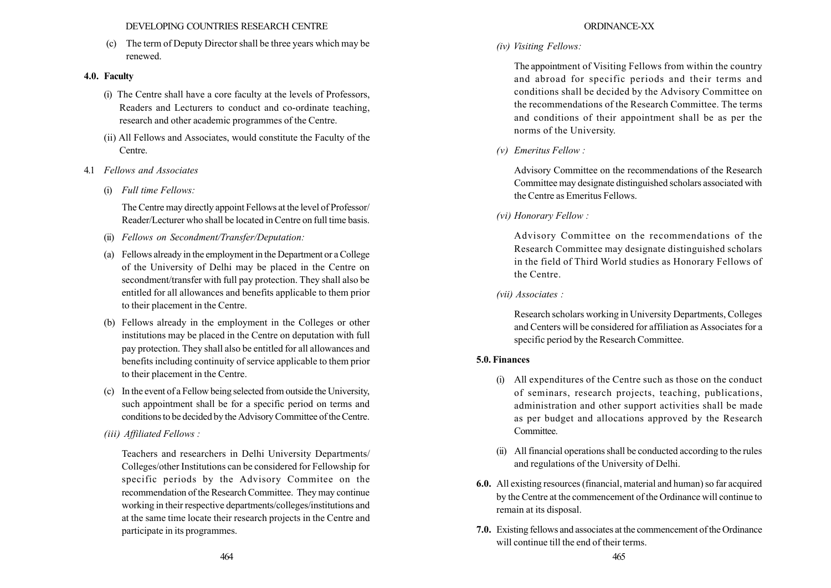### DEVELOPING COUNTRIES RESEARCH CENTRE

(c) The term of Deputy Director shall be three years which may be renewed.

# 4.0. Faculty

- (i) The Centre shall have a core faculty at the levels of Professors, Readers and Lecturers to conduct and co-ordinate teaching, research and other academic programmes of the Centre.
- (ii) All Fellows and Associates, would constitute the Faculty of the Centre.
- 4.1 Fellows and Associates
	- (i) Full time Fellows:

The Centre may directly appoint Fellows at the level of Professor/ Reader/Lecturer who shall be located in Centre on full time basis.

- (ii) Fellows on Secondment/Transfer/Deputation:
- (a) Fellows already in the employment in the Department or a College of the University of Delhi may be placed in the Centre on secondment/transfer with full pay protection. They shall also be entitled for all allowances and benefits applicable to them prior to their placement in the Centre.
- (b) Fellows already in the employment in the Colleges or other institutions may be placed in the Centre on deputation with full pay protection. They shall also be entitled for all allowances and benefits including continuity of service applicable to them prior to their placement in the Centre.
- (c) In the event of a Fellow being selected from outside the University, such appointment shall be for a specific period on terms and conditions to be decided by the Advisory Committee of the Centre.
- (iii) Affiliated Fellows :

Teachers and researchers in Delhi University Departments/ Colleges/other Institutions can be considered for Fellowship for specific periods by the Advisory Commitee on the recommendation of the Research Committee. They may continue working in their respective departments/colleges/institutions and at the same time locate their research projects in the Centre and participate in its programmes.

# ORDINANCE-XX

(iv) Visiting Fellows:

The appointment of Visiting Fellows from within the country and abroad for specific periods and their terms and conditions shall be decided by the Advisory Committee on the recommendations of the Research Committee. The terms and conditions of their appointment shall be as per the norms of the University.

(v) Emeritus Fellow :

Advisory Committee on the recommendations of the Research Committee may designate distinguished scholars associated with the Centre as Emeritus Fellows.

(vi) Honorary Fellow :

Advisory Committee on the recommendations of the Research Committee may designate distinguished scholars in the field of Third World studies as Honorary Fellows of the Centre.

(vii) Associates :

Research scholars working in University Departments, Colleges and Centers will be considered for affiliation as Associates for a specific period by the Research Committee.

# 5.0. Finances

- (i) All expenditures of the Centre such as those on the conduct of seminars, research projects, teaching, publications, administration and other support activities shall be made as per budget and allocations approved by the Research **Committee**
- (ii) All financial operations shall be conducted according to the rules and regulations of the University of Delhi.
- 6.0. All existing resources (financial, material and human) so far acquired by the Centre at the commencement of the Ordinance will continue to remain at its disposal.
- 7.0. Existing fellows and associates at the commencement of the Ordinance will continue till the end of their terms.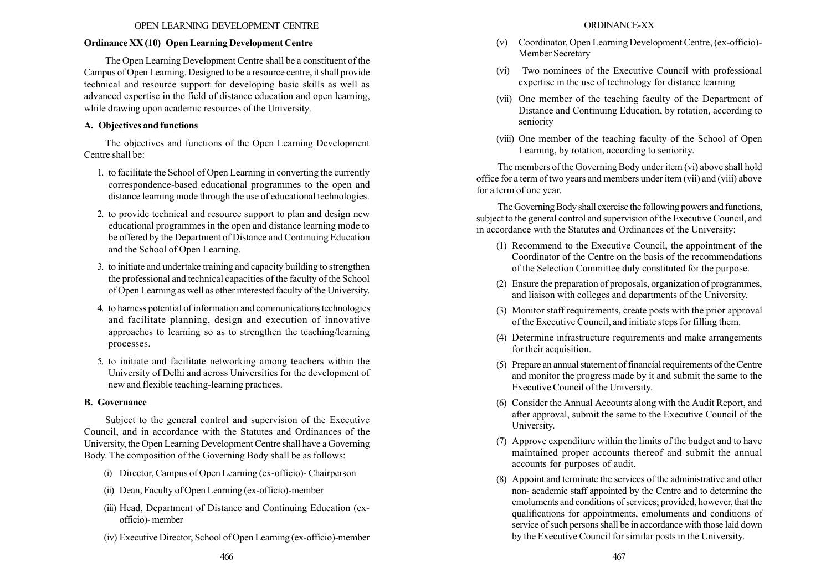### OPEN LEARNING DEVELOPMENT CENTRE

### Ordinance XX (10) Open Learning Development Centre

The Open Learning Development Centre shall be a constituent of the Campus of Open Learning. Designed to be a resource centre, it shall provide technical and resource support for developing basic skills as well as advanced expertise in the field of distance education and open learning, while drawing upon academic resources of the University.

# A. Objectives and functions

The objectives and functions of the Open Learning Development Centre shall be:

- 1. to facilitate the School of Open Learning in converting the currently correspondence-based educational programmes to the open and distance learning mode through the use of educational technologies.
- 2. to provide technical and resource support to plan and design new educational programmes in the open and distance learning mode to be offered by the Department of Distance and Continuing Education and the School of Open Learning.
- 3. to initiate and undertake training and capacity building to strengthen the professional and technical capacities of the faculty of the School of Open Learning as well as other interested faculty of the University.
- 4. to harness potential of information and communications technologies and facilitate planning, design and execution of innovative approaches to learning so as to strengthen the teaching/learning processes.
- 5. to initiate and facilitate networking among teachers within the University of Delhi and across Universities for the development of new and flexible teaching-learning practices.

# B. Governance

Subject to the general control and supervision of the Executive Council, and in accordance with the Statutes and Ordinances of the University, the Open Learning Development Centre shall have a Governing Body. The composition of the Governing Body shall be as follows:

- (i) Director, Campus of Open Learning (ex-officio)- Chairperson
- (ii) Dean, Faculty of Open Learning (ex-officio)-member
- (iii) Head, Department of Distance and Continuing Education (exofficio)- member
- (iv) Executive Director, School of Open Learning (ex-officio)-member
- (v) Coordinator, Open Learning Development Centre, (ex-officio)- Member Secretary
- (vi) Two nominees of the Executive Council with professional expertise in the use of technology for distance learning
- (vii) One member of the teaching faculty of the Department of Distance and Continuing Education, by rotation, according to seniority
- (viii) One member of the teaching faculty of the School of Open Learning, by rotation, according to seniority.

The members of the Governing Body under item (vi) above shall hold office for a term of two years and members under item (vii) and (viii) above for a term of one year.

The Governing Body shall exercise the following powers and functions, subject to the general control and supervision of the Executive Council, and in accordance with the Statutes and Ordinances of the University:

- (1) Recommend to the Executive Council, the appointment of the Coordinator of the Centre on the basis of the recommendations of the Selection Committee duly constituted for the purpose.
- (2) Ensure the preparation of proposals, organization of programmes, and liaison with colleges and departments of the University.
- (3) Monitor staff requirements, create posts with the prior approval of the Executive Council, and initiate steps for filling them.
- (4) Determine infrastructure requirements and make arrangements for their acquisition.
- (5) Prepare an annual statement of financial requirements of the Centre and monitor the progress made by it and submit the same to the Executive Council of the University.
- (6) Consider the Annual Accounts along with the Audit Report, and after approval, submit the same to the Executive Council of the University.
- (7) Approve expenditure within the limits of the budget and to have maintained proper accounts thereof and submit the annual accounts for purposes of audit.
- (8) Appoint and terminate the services of the administrative and other non- academic staff appointed by the Centre and to determine the emoluments and conditions of services; provided, however, that the qualifications for appointments, emoluments and conditions of service of such persons shall be in accordance with those laid down by the Executive Council for similar posts in the University.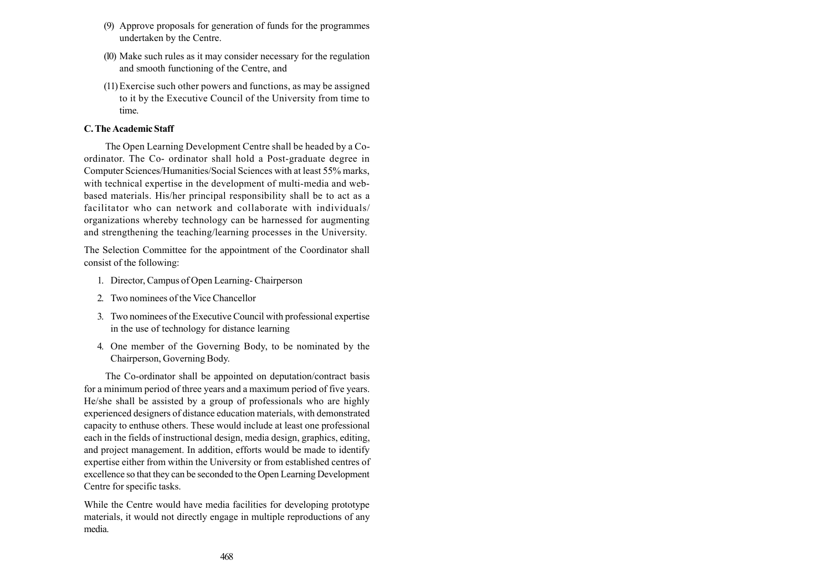- (9) Approve proposals for generation of funds for the programmes undertaken by the Centre.
- (l0) Make such rules as it may consider necessary for the regulation and smooth functioning of the Centre, and
- (11)Exercise such other powers and functions, as may be assigned to it by the Executive Council of the University from time to time.

# C. The Academic Staff

The Open Learning Development Centre shall be headed by a Coordinator. The Co- ordinator shall hold a Post-graduate degree in Computer Sciences/Humanities/Social Sciences with at least 55% marks, with technical expertise in the development of multi-media and webbased materials. His/her principal responsibility shall be to act as a facilitator who can network and collaborate with individuals/ organizations whereby technology can be harnessed for augmenting and strengthening the teaching/learning processes in the University.

The Selection Committee for the appointment of the Coordinator shall consist of the following:

- 1. Director, Campus of Open Learning- Chairperson
- 2. Two nominees of the Vice Chancellor
- 3. Two nominees of the Executive Council with professional expertise in the use of technology for distance learning
- 4. One member of the Governing Body, to be nominated by the Chairperson, Governing Body.

The Co-ordinator shall be appointed on deputation/contract basis for a minimum period of three years and a maximum period of five years. He/she shall be assisted by a group of professionals who are highly experienced designers of distance education materials, with demonstrated capacity to enthuse others. These would include at least one professional each in the fields of instructional design, media design, graphics, editing, and project management. In addition, efforts would be made to identify expertise either from within the University or from established centres of excellence so that they can be seconded to the Open Learning Development Centre for specific tasks.

While the Centre would have media facilities for developing prototype materials, it would not directly engage in multiple reproductions of any media.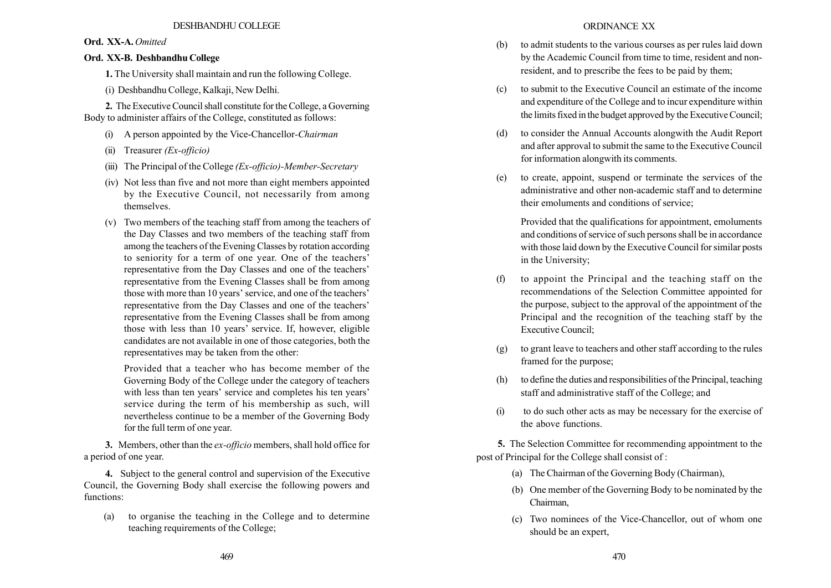# Ord. XX-A. Omitted

# Ord. XX-B. Deshbandhu College

1. The University shall maintain and run the following College.

(i) Deshbandhu College, Kalkaji, New Delhi.

2. The Executive Council shall constitute for the College, a Governing Body to administer affairs of the College, constituted as follows:

- (i) A person appointed by the Vice-Chancellor-Chairman
- (ii) Treasurer (Ex-officio)
- (iii) The Principal of the College  $(EX-officio)$ -Member-Secretary
- (iv) Not less than five and not more than eight members appointed by the Executive Council, not necessarily from among themselves.
- (v) Two members of the teaching staff from among the teachers of the Day Classes and two members of the teaching staff from among the teachers of the Evening Classes by rotation according to seniority for a term of one year. One of the teachers' representative from the Day Classes and one of the teachers' representative from the Evening Classes shall be from among those with more than 10 years' service, and one of the teachers' representative from the Day Classes and one of the teachers' representative from the Evening Classes shall be from among those with less than 10 years' service. If, however, eligible candidates are not available in one of those categories, both the representatives may be taken from the other:

Provided that a teacher who has become member of the Governing Body of the College under the category of teachers with less than ten years' service and completes his ten years' service during the term of his membership as such, will nevertheless continue to be a member of the Governing Body for the full term of one year.

3. Members, other than the *ex-officio* members, shall hold office for a period of one year.

4. Subject to the general control and supervision of the Executive Council, the Governing Body shall exercise the following powers and functions:

(a) to organise the teaching in the College and to determine teaching requirements of the College;

- (b) to admit students to the various courses as per rules laid down by the Academic Council from time to time, resident and nonresident, and to prescribe the fees to be paid by them;
- (c) to submit to the Executive Council an estimate of the income and expenditure of the College and to incur expenditure within the limits fixed in the budget approved by the Executive Council;
- (d) to consider the Annual Accounts alongwith the Audit Report and after approval to submit the same to the Executive Council for information alongwith its comments.
- (e) to create, appoint, suspend or terminate the services of the administrative and other non-academic staff and to determine their emoluments and conditions of service;

Provided that the qualifications for appointment, emoluments and conditions of service of such persons shall be in accordance with those laid down by the Executive Council for similar posts in the University;

- (f) to appoint the Principal and the teaching staff on the recommendations of the Selection Committee appointed for the purpose, subject to the approval of the appointment of the Principal and the recognition of the teaching staff by the Executive Council;
- (g) to grant leave to teachers and other staff according to the rules framed for the purpose;
- (h) to define the duties and responsibilities of the Principal, teaching staff and administrative staff of the College; and
- (i) to do such other acts as may be necessary for the exercise of the above functions.

5. The Selection Committee for recommending appointment to the post of Principal for the College shall consist of :

- (a) The Chairman of the Governing Body (Chairman),
- (b) One member of the Governing Body to be nominated by the Chairman,
- (c) Two nominees of the Vice-Chancellor, out of whom one should be an expert,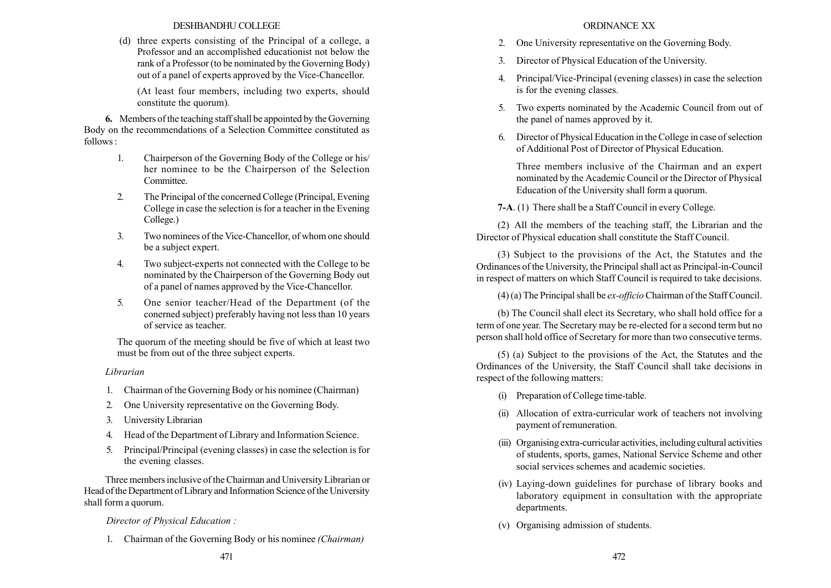## DESHBANDHU COLLEGE

(d) three experts consisting of the Principal of a college, a Professor and an accomplished educationist not below the rank of a Professor (to be nominated by the Governing Body) out of a panel of experts approved by the Vice-Chancellor.

(At least four members, including two experts, should constitute the quorum).

6. Members of the teaching staff shall be appointed by the Governing Body on the recommendations of a Selection Committee constituted as follows :

- 1. Chairperson of the Governing Body of the College or his/ her nominee to be the Chairperson of the Selection Committee.
- 2. The Principal of the concerned College (Principal, Evening College in case the selection is for a teacher in the Evening College.)
- 3. Two nominees of the Vice-Chancellor, of whom one should be a subject expert.
- 4. Two subject-experts not connected with the College to be nominated by the Chairperson of the Governing Body out of a panel of names approved by the Vice-Chancellor.
- 5. One senior teacher/Head of the Department (of the conerned subject) preferably having not less than 10 years of service as teacher.

The quorum of the meeting should be five of which at least two must be from out of the three subject experts.

# Librarian

- 1. Chairman of the Governing Body or his nominee (Chairman)
- 2. One University representative on the Governing Body.
- 3. University Librarian
- 4. Head of the Department of Library and Information Science.
- 5. Principal/Principal (evening classes) in case the selection is for the evening classes.

Three members inclusive of the Chairman and University Librarian or Head of the Department of Library and Information Science of the University shall form a quorum.

# Director of Physical Education :

1. Chairman of the Governing Body or his nominee (Chairman)

### ORDINANCE XX

- 2. One University representative on the Governing Body.
- 3. Director of Physical Education of the University.
- 4. Principal/Vice-Principal (evening classes) in case the selection is for the evening classes.
- 5. Two experts nominated by the Academic Council from out of the panel of names approved by it.
- 6. Director of Physical Education in the College in case of selection of Additional Post of Director of Physical Education.

Three members inclusive of the Chairman and an expert nominated by the Academic Council or the Director of Physical Education of the University shall form a quorum.

7-A. (1) There shall be a Staff Council in every College.

(2) All the members of the teaching staff, the Librarian and the Director of Physical education shall constitute the Staff Council.

(3) Subject to the provisions of the Act, the Statutes and the Ordinances of the University, the Principal shall act as Principal-in-Council in respect of matters on which Staff Council is required to take decisions.

(4) (a) The Principal shall be ex-officio Chairman of the Staff Council.

(b) The Council shall elect its Secretary, who shall hold office for a term of one year. The Secretary may be re-elected for a second term but no person shall hold office of Secretary for more than two consecutive terms.

(5) (a) Subject to the provisions of the Act, the Statutes and the Ordinances of the University, the Staff Council shall take decisions in respect of the following matters:

- (i) Preparation of College time-table.
- (ii) Allocation of extra-curricular work of teachers not involving payment of remuneration.
- (iii) Organising extra-curricular activities, including cultural activities of students, sports, games, National Service Scheme and other social services schemes and academic societies.
- (iv) Laying-down guidelines for purchase of library books and laboratory equipment in consultation with the appropriate departments.
- (v) Organising admission of students.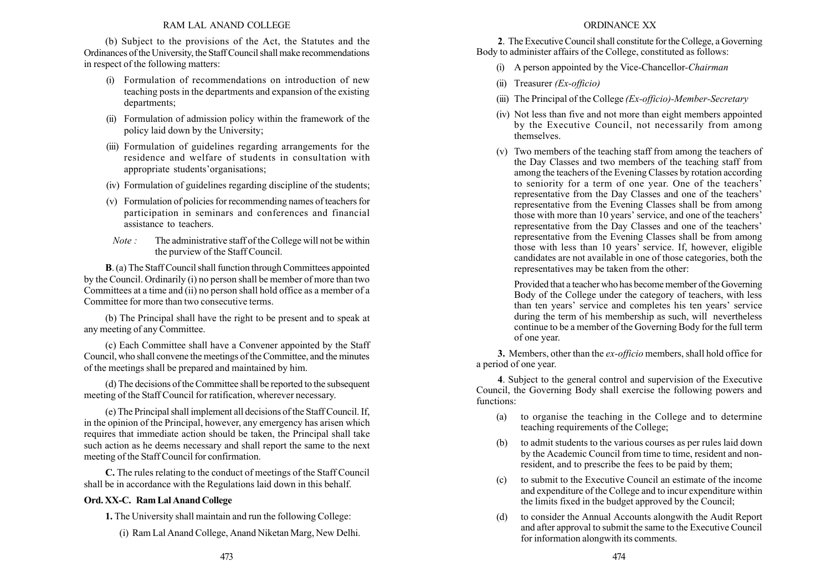#### RAM LAL ANAND COLLEGE

(b) Subject to the provisions of the Act, the Statutes and the Ordinances of the University, the Staff Council shall make recommendations in respect of the following matters:

- (i) Formulation of recommendations on introduction of new teaching posts in the departments and expansion of the existing departments;
- (ii) Formulation of admission policy within the framework of the policy laid down by the University;
- (iii) Formulation of guidelines regarding arrangements for the residence and welfare of students in consultation with appropriate students' organisations;
- (iv) Formulation of guidelines regarding discipline of the students;
- (v) Formulation of policies for recommending names of teachers for participation in seminars and conferences and financial assistance to teachers.
- Note : The administrative staff of the College will not be within the purview of the Staff Council.

B. (a) The Staff Council shall function through Committees appointed by the Council. Ordinarily (i) no person shall be member of more than two Committees at a time and (ii) no person shall hold office as a member of a Committee for more than two consecutive terms.

(b) The Principal shall have the right to be present and to speak at any meeting of any Committee.

(c) Each Committee shall have a Convener appointed by the Staff Council, who shall convene the meetings of the Committee, and the minutes of the meetings shall be prepared and maintained by him.

(d) The decisions of the Committee shall be reported to the subsequent meeting of the Staff Council for ratification, wherever necessary.

(e) The Principal shall implement all decisions of the Staff Council. If, in the opinion of the Principal, however, any emergency has arisen which requires that immediate action should be taken, the Principal shall take such action as he deems necessary and shall report the same to the next meeting of the Staff Council for confirmation.

C. The rules relating to the conduct of meetings of the Staff Council shall be in accordance with the Regulations laid down in this behalf.

# Ord. XX-C. Ram Lal Anand College

1. The University shall maintain and run the following College:

(i) Ram Lal Anand College, Anand Niketan Marg, New Delhi.

### ORDINANCE XX

2. The Executive Council shall constitute for the College, a Governing Body to administer affairs of the College, constituted as follows:

- (i) A person appointed by the Vice-Chancellor-Chairman
- (ii) Treasurer (Ex-officio)
- (iii) The Principal of the College  $(EX-officio)$ -Member-Secretary
- (iv) Not less than five and not more than eight members appointed by the Executive Council, not necessarily from among themselves.
- (v) Two members of the teaching staff from among the teachers of the Day Classes and two members of the teaching staff from among the teachers of the Evening Classes by rotation according to seniority for a term of one year. One of the teachers' representative from the Day Classes and one of the teachers' representative from the Evening Classes shall be from among those with more than 10 years' service, and one of the teachers' representative from the Day Classes and one of the teachers' representative from the Evening Classes shall be from among those with less than 10 years' service. If, however, eligible candidates are not available in one of those categories, both the representatives may be taken from the other:

Provided that a teacher who has become member of the Governing Body of the College under the category of teachers, with less than ten years' service and completes his ten years' service during the term of his membership as such, will nevertheless continue to be a member of the Governing Body for the full term of one year.

3. Members, other than the *ex-officio* members, shall hold office for a period of one year.

4. Subject to the general control and supervision of the Executive Council, the Governing Body shall exercise the following powers and functions:

- (a) to organise the teaching in the College and to determine teaching requirements of the College;
- (b) to admit students to the various courses as per rules laid down by the Academic Council from time to time, resident and nonresident, and to prescribe the fees to be paid by them;
- (c) to submit to the Executive Council an estimate of the income and expenditure of the College and to incur expenditure within the limits fixed in the budget approved by the Council;
- (d) to consider the Annual Accounts alongwith the Audit Report and after approval to submit the same to the Executive Council for information alongwith its comments.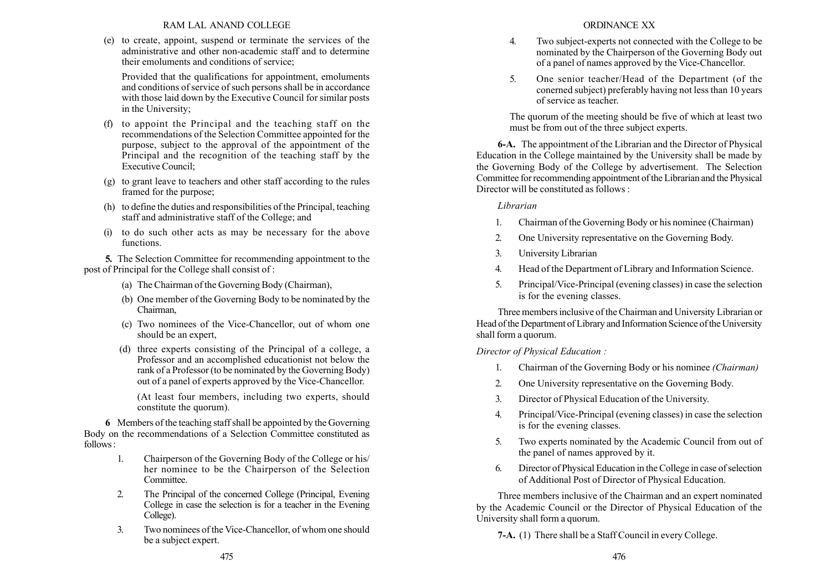## RAM LAL ANAND COLLEGE

(e) to create, appoint, suspend or terminate the services of the administrative and other non-academic staff and to determine their emoluments and conditions of service;

Provided that the qualifications for appointment, emoluments and conditions of service of such persons shall be in accordance with those laid down by the Executive Council for similar posts in the University;

- (f) to appoint the Principal and the teaching staff on the recommendations of the Selection Committee appointed for the purpose, subject to the approval of the appointment of the Principal and the recognition of the teaching staff by the Executive Council;
- (g) to grant leave to teachers and other staff according to the rules framed for the purpose;
- (h) to define the duties and responsibilities of the Principal, teaching staff and administrative staff of the College; and
- (i) to do such other acts as may be necessary for the above functions.

5. The Selection Committee for recommending appointment to the post of Principal for the College shall consist of :

- (a) The Chairman of the Governing Body (Chairman),
- (b) One member of the Governing Body to be nominated by the Chairman,
- (c) Two nominees of the Vice-Chancellor, out of whom one should be an expert,
- (d) three experts consisting of the Principal of a college, a Professor and an accomplished educationist not below the rank of a Professor (to be nominated by the Governing Body) out of a panel of experts approved by the Vice-Chancellor.

(At least four members, including two experts, should constitute the quorum).

6 Members of the teaching staff shall be appointed by the Governing Body on the recommendations of a Selection Committee constituted as follows:

- 1. Chairperson of the Governing Body of the College or his/ her nominee to be the Chairperson of the Selection Committee.
- 2. The Principal of the concerned College (Principal, Evening College in case the selection is for a teacher in the Evening College).
- 3. Two nominees of the Vice-Chancellor, of whom one should be a subject expert.
- 4. Two subject-experts not connected with the College to be nominated by the Chairperson of the Governing Body out of a panel of names approved by the Vice-Chancellor.
- 5. One senior teacher/Head of the Department (of the conerned subject) preferably having not less than 10 years of service as teacher.

The quorum of the meeting should be five of which at least two must be from out of the three subject experts.

6-A. The appointment of the Librarian and the Director of Physical Education in the College maintained by the University shall be made by the Governing Body of the College by advertisement. The Selection Committee for recommending appointment of the Librarian and the Physical Director will be constituted as follows :

# Librarian

- 1. Chairman of the Governing Body or his nominee (Chairman)
- 2. One University representative on the Governing Body.
- 3. University Librarian
- 4. Head of the Department of Library and Information Science.
- 5. Principal/Vice-Principal (evening classes) in case the selection is for the evening classes.

Three members inclusive of the Chairman and University Librarian or Head of the Department of Library and Information Science of the University shall form a quorum.

Director of Physical Education :

- 1. Chairman of the Governing Body or his nominee (Chairman)
- 2. One University representative on the Governing Body.
- 3. Director of Physical Education of the University.
- 4. Principal/Vice-Principal (evening classes) in case the selection is for the evening classes.
- 5. Two experts nominated by the Academic Council from out of the panel of names approved by it.
- 6. Director of Physical Education in the College in case of selection of Additional Post of Director of Physical Education.

Three members inclusive of the Chairman and an expert nominated by the Academic Council or the Director of Physical Education of the University shall form a quorum.

7-A. (1) There shall be a Staff Council in every College.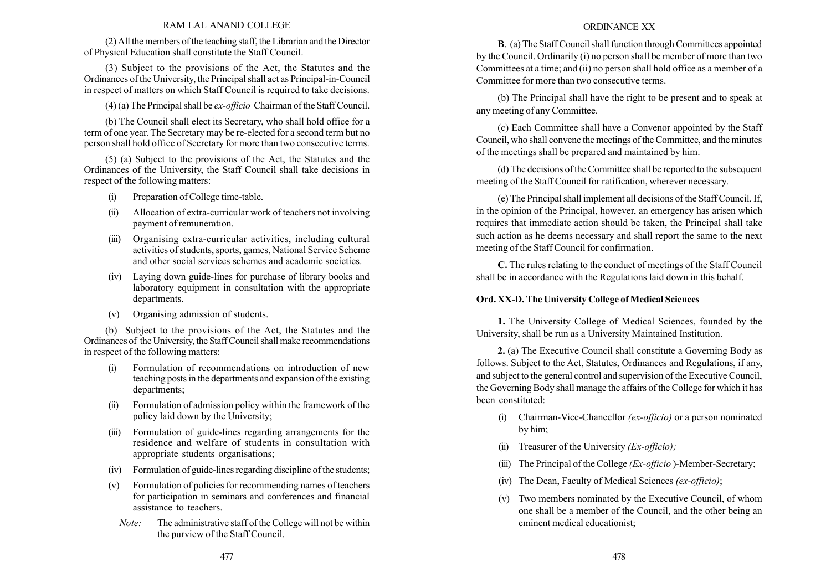### RAM LAL ANAND COLLEGE

(2) All the members of the teaching staff, the Librarian and the Director of Physical Education shall constitute the Staff Council.

(3) Subject to the provisions of the Act, the Statutes and the Ordinances of the University, the Principal shall act as Principal-in-Council in respect of matters on which Staff Council is required to take decisions.

(4) (a) The Principal shall be ex-officio Chairman of the Staff Council.

(b) The Council shall elect its Secretary, who shall hold office for a term of one year. The Secretary may be re-elected for a second term but no person shall hold office of Secretary for more than two consecutive terms.

(5) (a) Subject to the provisions of the Act, the Statutes and the Ordinances of the University, the Staff Council shall take decisions in respect of the following matters:

- (i) Preparation of College time-table.
- (ii) Allocation of extra-curricular work of teachers not involving payment of remuneration.
- (iii) Organising extra-curricular activities, including cultural activities of students, sports, games, National Service Scheme and other social services schemes and academic societies.
- (iv) Laying down guide-lines for purchase of library books and laboratory equipment in consultation with the appropriate departments.
- (v) Organising admission of students.

(b) Subject to the provisions of the Act, the Statutes and the Ordinances of the University, the Staff Council shall make recommendations in respect of the following matters:

- (i) Formulation of recommendations on introduction of new teaching posts in the departments and expansion of the existing departments;
- (ii) Formulation of admission policy within the framework of the policy laid down by the University;
- (iii) Formulation of guide-lines regarding arrangements for the residence and welfare of students in consultation with appropriate students organisations;
- (iv) Formulation of guide-lines regarding discipline of the students;
- (v) Formulation of policies for recommending names of teachers for participation in seminars and conferences and financial assistance to teachers.
	- Note: The administrative staff of the College will not be within the purview of the Staff Council.

### ORDINANCE XX

B. (a) The Staff Council shall function through Committees appointed by the Council. Ordinarily (i) no person shall be member of more than two Committees at a time; and (ii) no person shall hold office as a member of a Committee for more than two consecutive terms.

(b) The Principal shall have the right to be present and to speak at any meeting of any Committee.

(c) Each Committee shall have a Convenor appointed by the Staff Council, who shall convene the meetings of the Committee, and the minutes of the meetings shall be prepared and maintained by him.

(d) The decisions of the Committee shall be reported to the subsequent meeting of the Staff Council for ratification, wherever necessary.

(e) The Principal shall implement all decisions of the Staff Council. If, in the opinion of the Principal, however, an emergency has arisen which requires that immediate action should be taken, the Principal shall take such action as he deems necessary and shall report the same to the next meeting of the Staff Council for confirmation.

C. The rules relating to the conduct of meetings of the Staff Council shall be in accordance with the Regulations laid down in this behalf.

### Ord. XX-D. The University College of Medical Sciences

1. The University College of Medical Sciences, founded by the University, shall be run as a University Maintained Institution.

2. (a) The Executive Council shall constitute a Governing Body as follows. Subject to the Act, Statutes, Ordinances and Regulations, if any, and subject to the general control and supervision of the Executive Council, the Governing Body shall manage the affairs of the College for which it has been constituted:

- (i) Chairman-Vice-Chancellor (ex-officio) or a person nominated by him;
- (ii) Treasurer of the University  $(Ex\text{-}off)$ :
- (iii) The Principal of the College  $(EX-officio)$ -Member-Secretary;
- (iv) The Dean, Faculty of Medical Sciences  $(ex\text{-}officio)$ ;
- (v) Two members nominated by the Executive Council, of whom one shall be a member of the Council, and the other being an eminent medical educationist;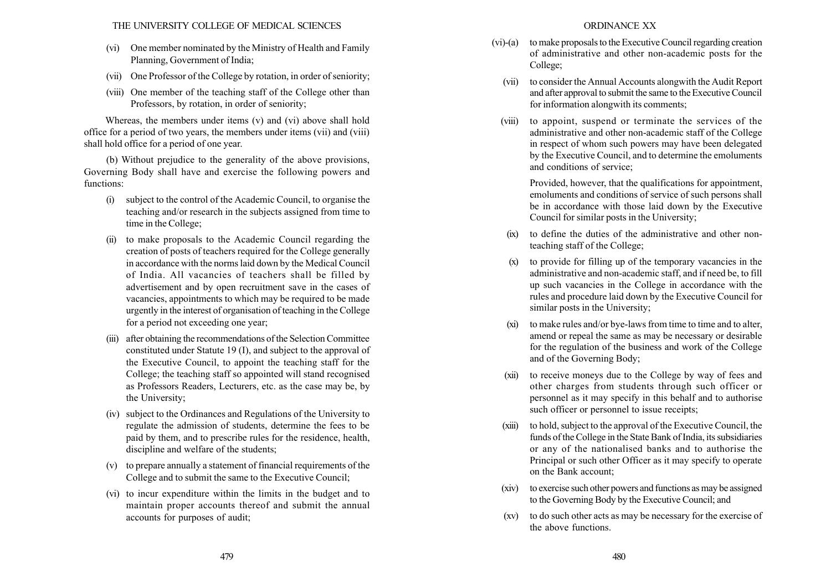- (vi) One member nominated by the Ministry of Health and Family Planning, Government of India;
- (vii) One Professor of the College by rotation, in order of seniority;
- (viii) One member of the teaching staff of the College other than Professors, by rotation, in order of seniority;

Whereas, the members under items (v) and (vi) above shall hold office for a period of two years, the members under items (vii) and (viii) shall hold office for a period of one year.

(b) Without prejudice to the generality of the above provisions, Governing Body shall have and exercise the following powers and functions:

- (i) subject to the control of the Academic Council, to organise the teaching and/or research in the subjects assigned from time to time in the College;
- (ii) to make proposals to the Academic Council regarding the creation of posts of teachers required for the College generally in accordance with the norms laid down by the Medical Council of India. All vacancies of teachers shall be filled by advertisement and by open recruitment save in the cases of vacancies, appointments to which may be required to be made urgently in the interest of organisation of teaching in the College for a period not exceeding one year;
- (iii) after obtaining the recommendations of the Selection Committee constituted under Statute 19 (I), and subject to the approval of the Executive Council, to appoint the teaching staff for the College; the teaching staff so appointed will stand recognised as Professors Readers, Lecturers, etc. as the case may be, by the University;
- (iv) subject to the Ordinances and Regulations of the University to regulate the admission of students, determine the fees to be paid by them, and to prescribe rules for the residence, health, discipline and welfare of the students;
- (v) to prepare annually a statement of financial requirements of the College and to submit the same to the Executive Council;
- (vi) to incur expenditure within the limits in the budget and to maintain proper accounts thereof and submit the annual accounts for purposes of audit;
- (vi)-(a) to make proposals to the Executive Council regarding creation of administrative and other non-academic posts for the College;
	- (vii) to consider the Annual Accounts alongwith the Audit Report and after approval to submit the same to the Executive Council for information alongwith its comments;
	- (viii) to appoint, suspend or terminate the services of the administrative and other non-academic staff of the College in respect of whom such powers may have been delegated by the Executive Council, and to determine the emoluments and conditions of service;

Provided, however, that the qualifications for appointment, emoluments and conditions of service of such persons shall be in accordance with those laid down by the Executive Council for similar posts in the University;

- (ix) to define the duties of the administrative and other nonteaching staff of the College;
- (x) to provide for filling up of the temporary vacancies in the administrative and non-academic staff, and if need be, to fill up such vacancies in the College in accordance with the rules and procedure laid down by the Executive Council for similar posts in the University;
- (xi) to make rules and/or bye-laws from time to time and to alter, amend or repeal the same as may be necessary or desirable for the regulation of the business and work of the College and of the Governing Body;
- (xii) to receive moneys due to the College by way of fees and other charges from students through such officer or personnel as it may specify in this behalf and to authorise such officer or personnel to issue receipts;
- (xiii) to hold, subject to the approval of the Executive Council, the funds of the College in the State Bank of India, its subsidiaries or any of the nationalised banks and to authorise the Principal or such other Officer as it may specify to operate on the Bank account;
- (xiv) to exercise such other powers and functions as may be assigned to the Governing Body by the Executive Council; and
- (xv) to do such other acts as may be necessary for the exercise of the above functions.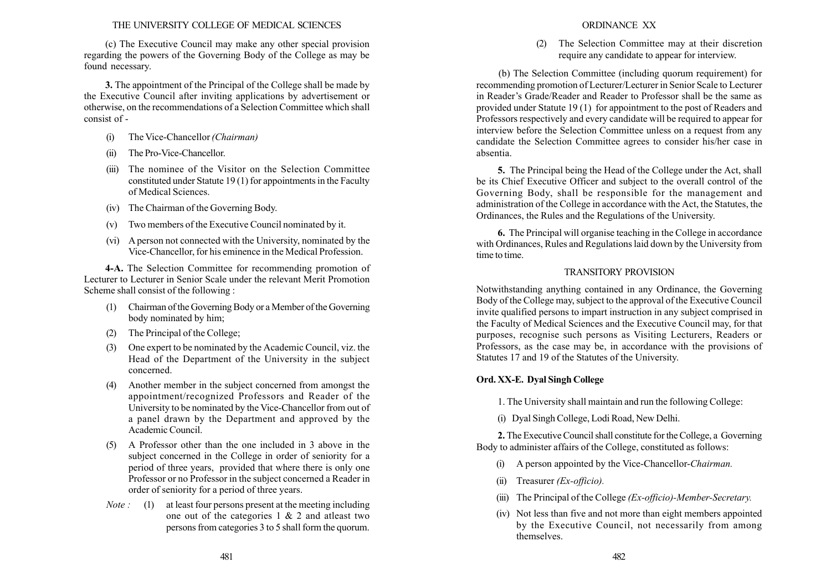### THE UNIVERSITY COLLEGE OF MEDICAL SCIENCES

(c) The Executive Council may make any other special provision regarding the powers of the Governing Body of the College as may be found necessary.

3. The appointment of the Principal of the College shall be made by the Executive Council after inviting applications by advertisement or otherwise, on the recommendations of a Selection Committee which shall consist of -

- (i) The Vice-Chancellor (Chairman)
- (ii) The Pro-Vice-Chancellor.
- (iii) The nominee of the Visitor on the Selection Committee constituted under Statute 19 (1) for appointments in the Faculty of Medical Sciences.
- (iv) The Chairman of the Governing Body.
- (v) Two members of the Executive Council nominated by it.
- (vi) A person not connected with the University, nominated by the Vice-Chancellor, for his eminence in the Medical Profession.

4-A. The Selection Committee for recommending promotion of Lecturer to Lecturer in Senior Scale under the relevant Merit Promotion Scheme shall consist of the following :

- (1) Chairman of the Governing Body or a Member of the Governing body nominated by him;
- (2) The Principal of the College;
- (3) One expert to be nominated by the Academic Council, viz. the Head of the Department of the University in the subject concerned.
- (4) Another member in the subject concerned from amongst the appointment/recognized Professors and Reader of the University to be nominated by the Vice-Chancellor from out of a panel drawn by the Department and approved by the Academic Council.
- (5) A Professor other than the one included in 3 above in the subject concerned in the College in order of seniority for a period of three years, provided that where there is only one Professor or no Professor in the subject concerned a Reader in order of seniority for a period of three years.
- *Note* : (1) at least four persons present at the meeting including one out of the categories  $1 \& 2$  and at least two persons from categories 3 to 5 shall form the quorum.

### ORDINANCE XX

(2) The Selection Committee may at their discretion require any candidate to appear for interview.

(b) The Selection Committee (including quorum requirement) for recommending promotion of Lecturer/Lecturer in Senior Scale to Lecturer in Reader's Grade/Reader and Reader to Professor shall be the same as provided under Statute 19 (1) for appointment to the post of Readers and Professors respectively and every candidate will be required to appear for interview before the Selection Committee unless on a request from any candidate the Selection Committee agrees to consider his/her case in absentia.

5. The Principal being the Head of the College under the Act, shall be its Chief Executive Officer and subject to the overall control of the Governing Body, shall be responsible for the management and administration of the College in accordance with the Act, the Statutes, the Ordinances, the Rules and the Regulations of the University.

6. The Principal will organise teaching in the College in accordance with Ordinances, Rules and Regulations laid down by the University from time to time.

## TRANSITORY PROVISION

Notwithstanding anything contained in any Ordinance, the Governing Body of the College may, subject to the approval of the Executive Council invite qualified persons to impart instruction in any subject comprised in the Faculty of Medical Sciences and the Executive Council may, for that purposes, recognise such persons as Visiting Lecturers, Readers or Professors, as the case may be, in accordance with the provisions of Statutes 17 and 19 of the Statutes of the University.

# Ord. XX-E. Dyal Singh College

1. The University shall maintain and run the following College:

(i) Dyal Singh College, Lodi Road, New Delhi.

2. The Executive Council shall constitute for the College, a Governing Body to administer affairs of the College, constituted as follows:

- (i) A person appointed by the Vice-Chancellor-Chairman.
- (ii) Treasurer (Ex-officio).
- (iii) The Principal of the College (*Ex-officio*)-Member-Secretary.
- (iv) Not less than five and not more than eight members appointed by the Executive Council, not necessarily from among themselves.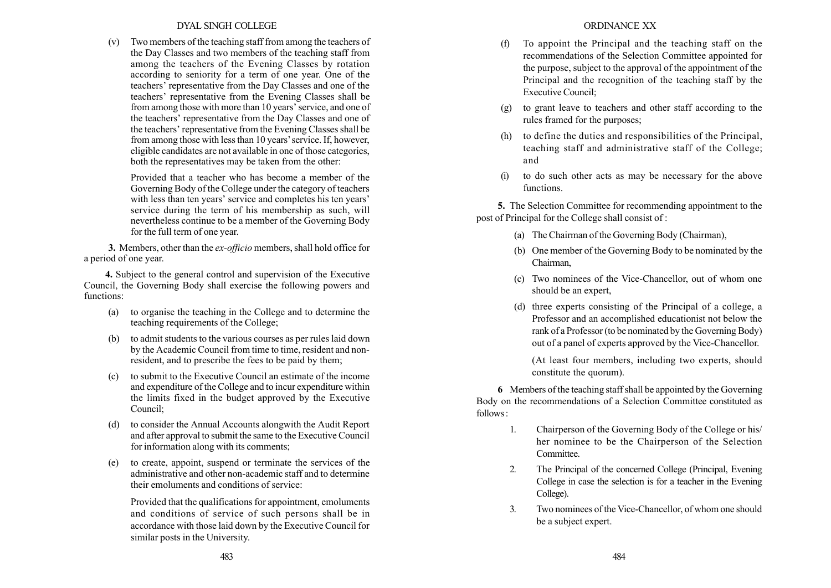### DYAL SINGH COLLEGE

(v) Two members of the teaching staff from among the teachers of the Day Classes and two members of the teaching staff from among the teachers of the Evening Classes by rotation according to seniority for a term of one year. One of the teachers' representative from the Day Classes and one of the teachers' representative from the Evening Classes shall be from among those with more than 10 years' service, and one of the teachers' representative from the Day Classes and one of the teachers' representative from the Evening Classes shall be from among those with less than 10 years' service. If, however, eligible candidates are not available in one of those categories, both the representatives may be taken from the other:

Provided that a teacher who has become a member of the Governing Body of the College under the category of teachers with less than ten years' service and completes his ten years' service during the term of his membership as such, will nevertheless continue to be a member of the Governing Body for the full term of one year.

3. Members, other than the *ex-officio* members, shall hold office for a period of one year.

4. Subject to the general control and supervision of the Executive Council, the Governing Body shall exercise the following powers and functions:

- (a) to organise the teaching in the College and to determine the teaching requirements of the College;
- (b) to admit students to the various courses as per rules laid down by the Academic Council from time to time, resident and nonresident, and to prescribe the fees to be paid by them;
- (c) to submit to the Executive Council an estimate of the income and expenditure of the College and to incur expenditure within the limits fixed in the budget approved by the Executive Council;
- (d) to consider the Annual Accounts alongwith the Audit Report and after approval to submit the same to the Executive Council for information along with its comments;
- (e) to create, appoint, suspend or terminate the services of the administrative and other non-academic staff and to determine their emoluments and conditions of service:

Provided that the qualifications for appointment, emoluments and conditions of service of such persons shall be in accordance with those laid down by the Executive Council for similar posts in the University.

- (f) To appoint the Principal and the teaching staff on the recommendations of the Selection Committee appointed for the purpose, subject to the approval of the appointment of the Principal and the recognition of the teaching staff by the Executive Council;
- (g) to grant leave to teachers and other staff according to the rules framed for the purposes;
- (h) to define the duties and responsibilities of the Principal, teaching staff and administrative staff of the College; and
- to do such other acts as may be necessary for the above functions.

5. The Selection Committee for recommending appointment to the post of Principal for the College shall consist of :

- (a) The Chairman of the Governing Body (Chairman),
- (b) One member of the Governing Body to be nominated by the Chairman,
- (c) Two nominees of the Vice-Chancellor, out of whom one should be an expert,
- (d) three experts consisting of the Principal of a college, a Professor and an accomplished educationist not below the rank of a Professor (to be nominated by the Governing Body) out of a panel of experts approved by the Vice-Chancellor.

(At least four members, including two experts, should constitute the quorum).

6 Members of the teaching staff shall be appointed by the Governing Body on the recommendations of a Selection Committee constituted as follows:

- 1. Chairperson of the Governing Body of the College or his/ her nominee to be the Chairperson of the Selection Committee.
- 2. The Principal of the concerned College (Principal, Evening College in case the selection is for a teacher in the Evening College).
- 3. Two nominees of the Vice-Chancellor, of whom one should be a subject expert.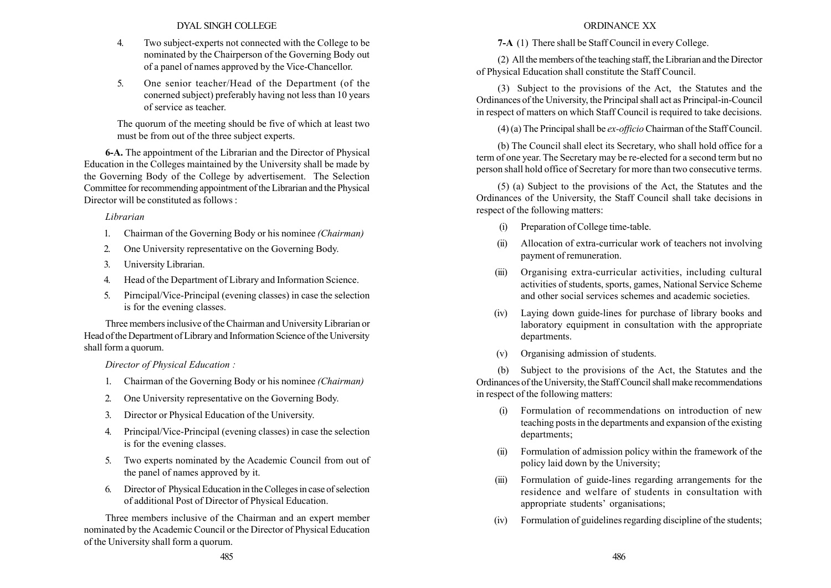DYAL SINGH COLLEGE

- 4. Two subject-experts not connected with the College to be nominated by the Chairperson of the Governing Body out of a panel of names approved by the Vice-Chancellor.
- 5. One senior teacher/Head of the Department (of the conerned subject) preferably having not less than 10 years of service as teacher.

The quorum of the meeting should be five of which at least two must be from out of the three subject experts.

6-A. The appointment of the Librarian and the Director of Physical Education in the Colleges maintained by the University shall be made by the Governing Body of the College by advertisement. The Selection Committee for recommending appointment of the Librarian and the Physical Director will be constituted as follows :

Librarian

- 1. Chairman of the Governing Body or his nominee (Chairman)
- 2. One University representative on the Governing Body.
- 3. University Librarian.
- 4. Head of the Department of Library and Information Science.
- 5. Pirncipal/Vice-Principal (evening classes) in case the selection is for the evening classes.

Three members inclusive of the Chairman and University Librarian or Head of the Department of Library and Information Science of the University shall form a quorum.

Director of Physical Education :

- 1. Chairman of the Governing Body or his nominee (Chairman)
- 2. One University representative on the Governing Body.
- 3. Director or Physical Education of the University.
- 4. Principal/Vice-Principal (evening classes) in case the selection is for the evening classes.
- 5. Two experts nominated by the Academic Council from out of the panel of names approved by it.
- 6. Director of Physical Education in the Colleges in case of selection of additional Post of Director of Physical Education.

Three members inclusive of the Chairman and an expert member nominated by the Academic Council or the Director of Physical Education of the University shall form a quorum.

# ORDINANCE XX

7-A (1) There shall be Staff Council in every College.

(2) All the members of the teaching staff, the Librarian and the Director of Physical Education shall constitute the Staff Council.

(3) Subject to the provisions of the Act, the Statutes and the Ordinances of the University, the Principal shall act as Principal-in-Council in respect of matters on which Staff Council is required to take decisions.

(4) (a) The Principal shall be ex-officio Chairman of the Staff Council.

(b) The Council shall elect its Secretary, who shall hold office for a term of one year. The Secretary may be re-elected for a second term but no person shall hold office of Secretary for more than two consecutive terms.

(5) (a) Subject to the provisions of the Act, the Statutes and the Ordinances of the University, the Staff Council shall take decisions in respect of the following matters:

- (i) Preparation of College time-table.
- (ii) Allocation of extra-curricular work of teachers not involving payment of remuneration.
- (iii) Organising extra-curricular activities, including cultural activities of students, sports, games, National Service Scheme and other social services schemes and academic societies.
- (iv) Laying down guide-lines for purchase of library books and laboratory equipment in consultation with the appropriate departments.
- (v) Organising admission of students.

(b) Subject to the provisions of the Act, the Statutes and the Ordinances of the University, the Staff Council shall make recommendations in respect of the following matters:

- Formulation of recommendations on introduction of new teaching posts in the departments and expansion of the existing departments;
- (ii) Formulation of admission policy within the framework of the policy laid down by the University;
- (iii) Formulation of guide-lines regarding arrangements for the residence and welfare of students in consultation with appropriate students' organisations;
- (iv) Formulation of guidelines regarding discipline of the students;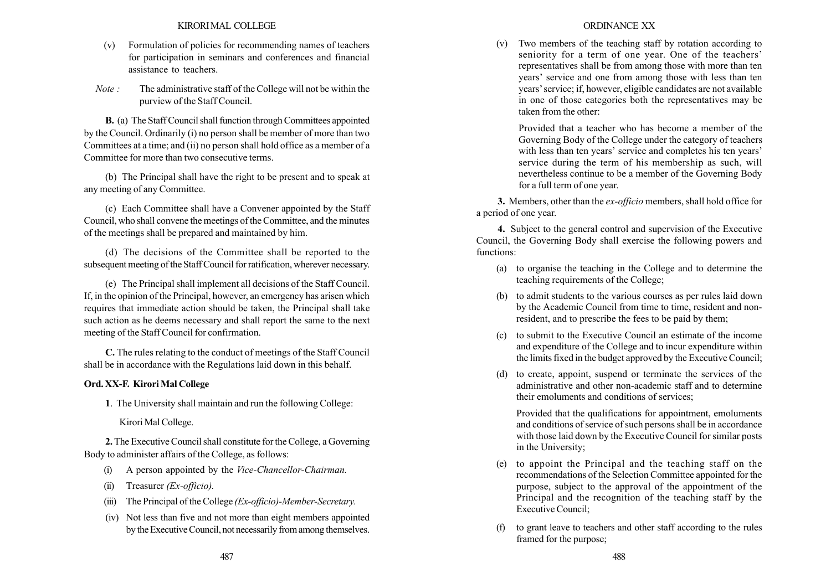- (v) Formulation of policies for recommending names of teachers for participation in seminars and conferences and financial assistance to teachers.
- Note : The administrative staff of the College will not be within the purview of the Staff Council.

B. (a) The Staff Council shall function through Committees appointed by the Council. Ordinarily (i) no person shall be member of more than two Committees at a time; and (ii) no person shall hold office as a member of a Committee for more than two consecutive terms.

(b) The Principal shall have the right to be present and to speak at any meeting of any Committee.

(c) Each Committee shall have a Convener appointed by the Staff Council, who shall convene the meetings of the Committee, and the minutes of the meetings shall be prepared and maintained by him.

(d) The decisions of the Committee shall be reported to the subsequent meeting of the Staff Council for ratification, wherever necessary.

(e) The Principal shall implement all decisions of the Staff Council. If, in the opinion of the Principal, however, an emergency has arisen which requires that immediate action should be taken, the Principal shall take such action as he deems necessary and shall report the same to the next meeting of the Staff Council for confirmation.

C. The rules relating to the conduct of meetings of the Staff Council shall be in accordance with the Regulations laid down in this behalf.

# Ord. XX-F. Kirori Mal College

1. The University shall maintain and run the following College:

Kirori Mal College.

2. The Executive Council shall constitute for the College, a Governing Body to administer affairs of the College, as follows:

- (i) A person appointed by the Vice-Chancellor-Chairman.
- (ii) Treasurer (Ex-officio).
- (iii) The Principal of the College  $(EX-officio)$ -Member-Secretary.
- (iv) Not less than five and not more than eight members appointed by the Executive Council, not necessarily from among themselves.

(v) Two members of the teaching staff by rotation according to seniority for a term of one year. One of the teachers' representatives shall be from among those with more than ten years' service and one from among those with less than ten years' service; if, however, eligible candidates are not available in one of those categories both the representatives may be taken from the other:

Provided that a teacher who has become a member of the Governing Body of the College under the category of teachers with less than ten years' service and completes his ten years' service during the term of his membership as such, will nevertheless continue to be a member of the Governing Body for a full term of one year.

3. Members, other than the *ex-officio* members, shall hold office for a period of one year.

4. Subject to the general control and supervision of the Executive Council, the Governing Body shall exercise the following powers and functions:

- (a) to organise the teaching in the College and to determine the teaching requirements of the College;
- (b) to admit students to the various courses as per rules laid down by the Academic Council from time to time, resident and nonresident, and to prescribe the fees to be paid by them;
- (c) to submit to the Executive Council an estimate of the income and expenditure of the College and to incur expenditure within the limits fixed in the budget approved by the Executive Council;
- (d) to create, appoint, suspend or terminate the services of the administrative and other non-academic staff and to determine their emoluments and conditions of services;

Provided that the qualifications for appointment, emoluments and conditions of service of such persons shall be in accordance with those laid down by the Executive Council for similar posts in the University;

- (e) to appoint the Principal and the teaching staff on the recommendations of the Selection Committee appointed for the purpose, subject to the approval of the appointment of the Principal and the recognition of the teaching staff by the Executive Council;
- (f) to grant leave to teachers and other staff according to the rules framed for the purpose;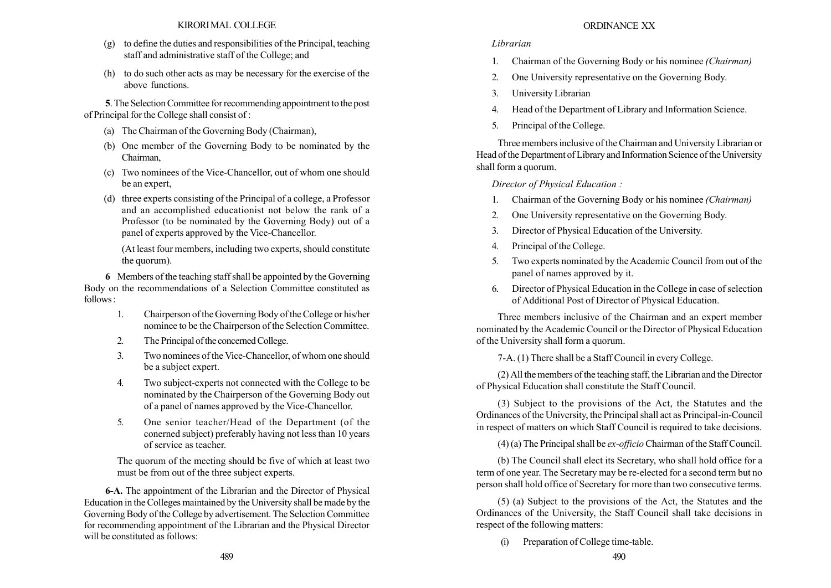- (g) to define the duties and responsibilities of the Principal, teaching staff and administrative staff of the College; and
- (h) to do such other acts as may be necessary for the exercise of the above functions.

5. The Selection Committee for recommending appointment to the post of Principal for the College shall consist of :

- (a) The Chairman of the Governing Body (Chairman),
- (b) One member of the Governing Body to be nominated by the Chairman,
- (c) Two nominees of the Vice-Chancellor, out of whom one should be an expert,
- (d) three experts consisting of the Principal of a college, a Professor and an accomplished educationist not below the rank of a Professor (to be nominated by the Governing Body) out of a panel of experts approved by the Vice-Chancellor.

(At least four members, including two experts, should constitute the quorum).

6 Members of the teaching staff shall be appointed by the Governing Body on the recommendations of a Selection Committee constituted as follows:

- 1. Chairperson of the Governing Body of the College or his/her nominee to be the Chairperson of the Selection Committee.
- 2. The Principal of the concerned College.
- 3. Two nominees of the Vice-Chancellor, of whom one should be a subject expert.
- 4. Two subject-experts not connected with the College to be nominated by the Chairperson of the Governing Body out of a panel of names approved by the Vice-Chancellor.
- 5. One senior teacher/Head of the Department (of the conerned subject) preferably having not less than 10 years of service as teacher.

The quorum of the meeting should be five of which at least two must be from out of the three subject experts.

6-A. The appointment of the Librarian and the Director of Physical Education in the Colleges maintained by the University shall be made by the Governing Body of the College by advertisement. The Selection Committee for recommending appointment of the Librarian and the Physical Director will be constituted as follows:

# ORDINANCE XX

# Librarian

- 1. Chairman of the Governing Body or his nominee (Chairman)
- 2. One University representative on the Governing Body.
- 3. University Librarian
- 4. Head of the Department of Library and Information Science.
- 5. Principal of the College.

Three members inclusive of the Chairman and University Librarian or Head of the Department of Library and Information Science of the University shall form a quorum.

Director of Physical Education :

- 1. Chairman of the Governing Body or his nominee (Chairman)
- 2. One University representative on the Governing Body.
- 3. Director of Physical Education of the University.
- 4. Principal of the College.
- 5. Two experts nominated by the Academic Council from out of the panel of names approved by it.
- 6. Director of Physical Education in the College in case of selection of Additional Post of Director of Physical Education.

Three members inclusive of the Chairman and an expert member nominated by the Academic Council or the Director of Physical Education of the University shall form a quorum.

7-A. (1) There shall be a Staff Council in every College.

(2) All the members of the teaching staff, the Librarian and the Director of Physical Education shall constitute the Staff Council.

(3) Subject to the provisions of the Act, the Statutes and the Ordinances of the University, the Principal shall act as Principal-in-Council in respect of matters on which Staff Council is required to take decisions.

(4) (a) The Principal shall be ex-officio Chairman of the Staff Council.

(b) The Council shall elect its Secretary, who shall hold office for a term of one year. The Secretary may be re-elected for a second term but no person shall hold office of Secretary for more than two consecutive terms.

(5) (a) Subject to the provisions of the Act, the Statutes and the Ordinances of the University, the Staff Council shall take decisions in respect of the following matters:

(i) Preparation of College time-table.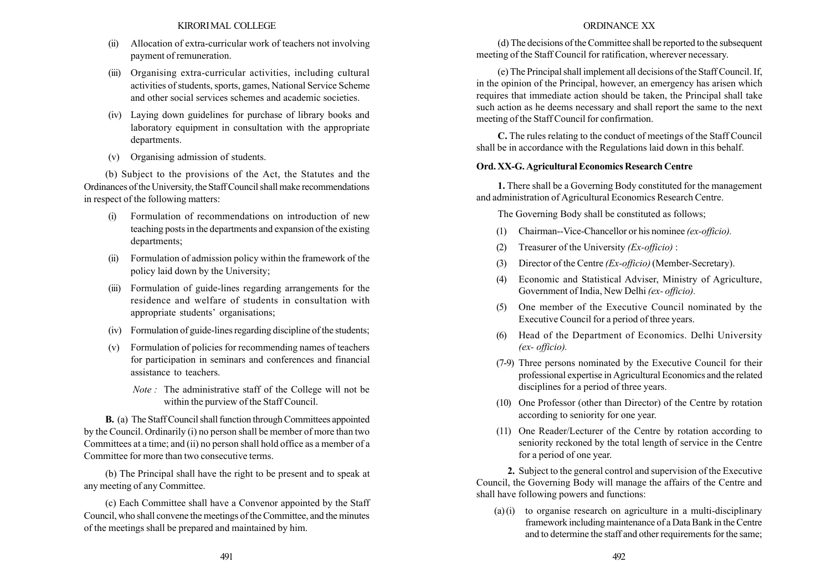- (ii) Allocation of extra-curricular work of teachers not involving payment of remuneration.
- (iii) Organising extra-curricular activities, including cultural activities of students, sports, games, National Service Scheme and other social services schemes and academic societies.
- (iv) Laying down guidelines for purchase of library books and laboratory equipment in consultation with the appropriate departments.
- (v) Organising admission of students.

(b) Subject to the provisions of the Act, the Statutes and the Ordinances of the University, the Staff Council shall make recommendations in respect of the following matters:

- (i) Formulation of recommendations on introduction of new teaching posts in the departments and expansion of the existing departments;
- (ii) Formulation of admission policy within the framework of the policy laid down by the University;
- (iii) Formulation of guide-lines regarding arrangements for the residence and welfare of students in consultation with appropriate students' organisations;
- (iv) Formulation of guide-lines regarding discipline of the students;
- (v) Formulation of policies for recommending names of teachers for participation in seminars and conferences and financial assistance to teachers.
	- Note : The administrative staff of the College will not be within the purview of the Staff Council.

B. (a) The Staff Council shall function through Committees appointed by the Council. Ordinarily (i) no person shall be member of more than two Committees at a time; and (ii) no person shall hold office as a member of a Committee for more than two consecutive terms.

(b) The Principal shall have the right to be present and to speak at any meeting of any Committee.

(c) Each Committee shall have a Convenor appointed by the Staff Council, who shall convene the meetings of the Committee, and the minutes of the meetings shall be prepared and maintained by him.

# ORDINANCE XX

(d) The decisions of the Committee shall be reported to the subsequent meeting of the Staff Council for ratification, wherever necessary.

(e) The Principal shall implement all decisions of the Staff Council. If, in the opinion of the Principal, however, an emergency has arisen which requires that immediate action should be taken, the Principal shall take such action as he deems necessary and shall report the same to the next meeting of the Staff Council for confirmation.

C. The rules relating to the conduct of meetings of the Staff Council shall be in accordance with the Regulations laid down in this behalf.

# Ord. XX-G. Agricultural Economics Research Centre

1. There shall be a Governing Body constituted for the management and administration of Agricultural Economics Research Centre.

The Governing Body shall be constituted as follows;

- (1) Chairman--Vice-Chancellor or his nominee (ex-officio).
- (2) Treasurer of the University  $(EX-officio)$ :
- (3) Director of the Centre (Ex-officio)(Member-Secretary).
- (4) Economic and Statistical Adviser, Ministry of Agriculture, Government of India, New Delhi (ex- officio).
- (5) One member of the Executive Council nominated by the Executive Council for a period of three years.
- (6) Head of the Department of Economics. Delhi University (ex- officio).
- (7-9) Three persons nominated by the Executive Council for their professional expertise in Agricultural Economics and the related disciplines for a period of three years.
- (10) One Professor (other than Director) of the Centre by rotation according to seniority for one year.
- (11) One Reader/Lecturer of the Centre by rotation according to seniority reckoned by the total length of service in the Centre for a period of one year.

2. Subject to the general control and supervision of the Executive Council, the Governing Body will manage the affairs of the Centre and shall have following powers and functions:

 $(a)$  (i) to organise research on agriculture in a multi-disciplinary framework including maintenance of a Data Bank in the Centre and to determine the staff and other requirements for the same;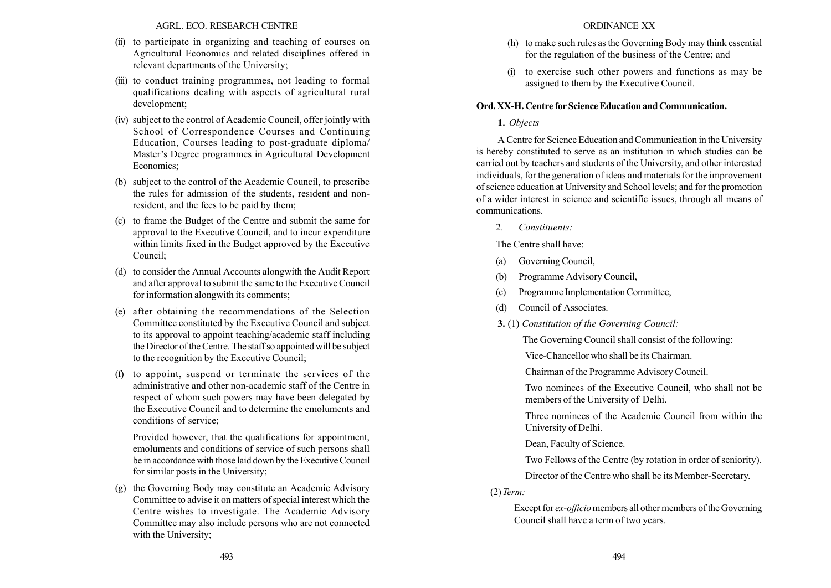AGRL. ECO. RESEARCH CENTRE

- (ii) to participate in organizing and teaching of courses on Agricultural Economics and related disciplines offered in relevant departments of the University;
- (iii) to conduct training programmes, not leading to formal qualifications dealing with aspects of agricultural rural development;
- (iv) subject to the control of Academic Council, offer jointly with School of Correspondence Courses and Continuing Education, Courses leading to post-graduate diploma/ Master's Degree programmes in Agricultural Development Economics;
- (b) subject to the control of the Academic Council, to prescribe the rules for admission of the students, resident and nonresident, and the fees to be paid by them;
- (c) to frame the Budget of the Centre and submit the same for approval to the Executive Council, and to incur expenditure within limits fixed in the Budget approved by the Executive Council;
- (d) to consider the Annual Accounts alongwith the Audit Report and after approval to submit the same to the Executive Council for information alongwith its comments;
- (e) after obtaining the recommendations of the Selection Committee constituted by the Executive Council and subject to its approval to appoint teaching/academic staff including the Director of the Centre. The staff so appointed will be subject to the recognition by the Executive Council;
- (f) to appoint, suspend or terminate the services of the administrative and other non-academic staff of the Centre in respect of whom such powers may have been delegated by the Executive Council and to determine the emoluments and conditions of service;

Provided however, that the qualifications for appointment, emoluments and conditions of service of such persons shall be in accordance with those laid down by the Executive Council for similar posts in the University;

(g) the Governing Body may constitute an Academic Advisory Committee to advise it on matters of special interest which the Centre wishes to investigate. The Academic Advisory Committee may also include persons who are not connected with the University;

- (h) to make such rules as the Governing Body may think essential for the regulation of the business of the Centre; and
- (i) to exercise such other powers and functions as may be assigned to them by the Executive Council.

## Ord. XX-H. Centre for Science Education and Communication.

# 1. Objects

A Centre for Science Education and Communication in the University is hereby constituted to serve as an institution in which studies can be carried out by teachers and students of the University, and other interested individuals, for the generation of ideas and materials for the improvement of science education at University and School levels; and for the promotion of a wider interest in science and scientific issues, through all means of communications.

2. Constituents:

The Centre shall have:

- (a) Governing Council,
- (b) Programme Advisory Council,
- (c) Programme Implementation Committee,
- (d) Council of Associates.
- 3. (1) Constitution of the Governing Council:

The Governing Council shall consist of the following:

Vice-Chancellor who shall be its Chairman.

Chairman of the Programme Advisory Council.

Two nominees of the Executive Council, who shall not be members of the University of Delhi.

Three nominees of the Academic Council from within the University of Delhi.

Dean, Faculty of Science.

Two Fellows of the Centre (by rotation in order of seniority).

Director of the Centre who shall be its Member-Secretary.

(2) Term:

Except for *ex-officio* members all other members of the Governing Council shall have a term of two years.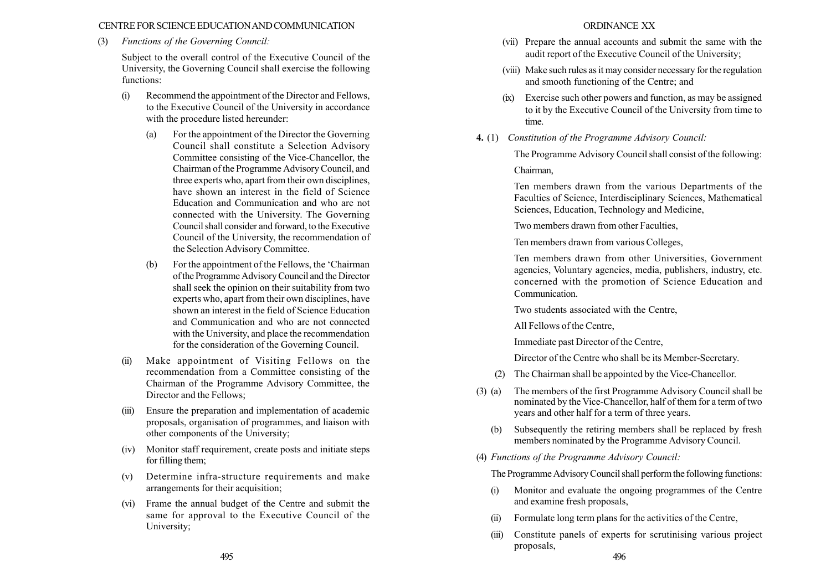### CENTRE FOR SCIENCE EDUCATIONANDCOMMUNICATION

### (3) Functions of the Governing Council:

Subject to the overall control of the Executive Council of the University, the Governing Council shall exercise the following functions:

- (i) Recommend the appointment of the Director and Fellows, to the Executive Council of the University in accordance with the procedure listed hereunder:
	- (a) For the appointment of the Director the Governing Council shall constitute a Selection Advisory Committee consisting of the Vice-Chancellor, the Chairman of the Programme Advisory Council, and three experts who, apart from their own disciplines, have shown an interest in the field of Science Education and Communication and who are not connected with the University. The Governing Council shall consider and forward, to the Executive Council of the University, the recommendation of the Selection Advisory Committee.
	- $(b)$  For the appointment of the Fellows, the 'Chairman' of the Programme Advisory Council and the Director shall seek the opinion on their suitability from two experts who, apart from their own disciplines, have shown an interest in the field of Science Education and Communication and who are not connected with the University, and place the recommendation for the consideration of the Governing Council.
- (ii) Make appointment of Visiting Fellows on the recommendation from a Committee consisting of the Chairman of the Programme Advisory Committee, the Director and the Fellows;
- Ensure the preparation and implementation of academic proposals, organisation of programmes, and liaison with other components of the University;
- (iv) Monitor staff requirement, create posts and initiate steps for filling them;
- (v) Determine infra-structure requirements and make arrangements for their acquisition;
- (vi) Frame the annual budget of the Centre and submit the same for approval to the Executive Council of the University;

### ORDINANCE XX

- (vii) Prepare the annual accounts and submit the same with the audit report of the Executive Council of the University;
- (viii) Make such rules as it may consider necessary for the regulation and smooth functioning of the Centre; and
- (ix) Exercise such other powers and function, as may be assigned to it by the Executive Council of the University from time to time.
- 4. (1) Constitution of the Programme Advisory Council:

The Programme Advisory Council shall consist of the following: Chairman,

Ten members drawn from the various Departments of the Faculties of Science, Interdisciplinary Sciences, Mathematical Sciences, Education, Technology and Medicine,

Two members drawn from other Faculties,

Ten members drawn from various Colleges,

Ten members drawn from other Universities, Government agencies, Voluntary agencies, media, publishers, industry, etc. concerned with the promotion of Science Education and Communication.

Two students associated with the Centre,

All Fellows of the Centre,

Immediate past Director of the Centre,

Director of the Centre who shall be its Member-Secretary.

- (2) The Chairman shall be appointed by the Vice-Chancellor.
- (3) (a) The members of the first Programme Advisory Council shall be nominated by the Vice-Chancellor, half of them for a term of two years and other half for a term of three years.
	- (b) Subsequently the retiring members shall be replaced by fresh members nominated by the Programme Advisory Council.
- (4) Functions of the Programme Advisory Council:

The Programme Advisory Council shall perform the following functions:

- (i) Monitor and evaluate the ongoing programmes of the Centre and examine fresh proposals,
- (ii) Formulate long term plans for the activities of the Centre,
- (iii) Constitute panels of experts for scrutinising various project proposals, 495 496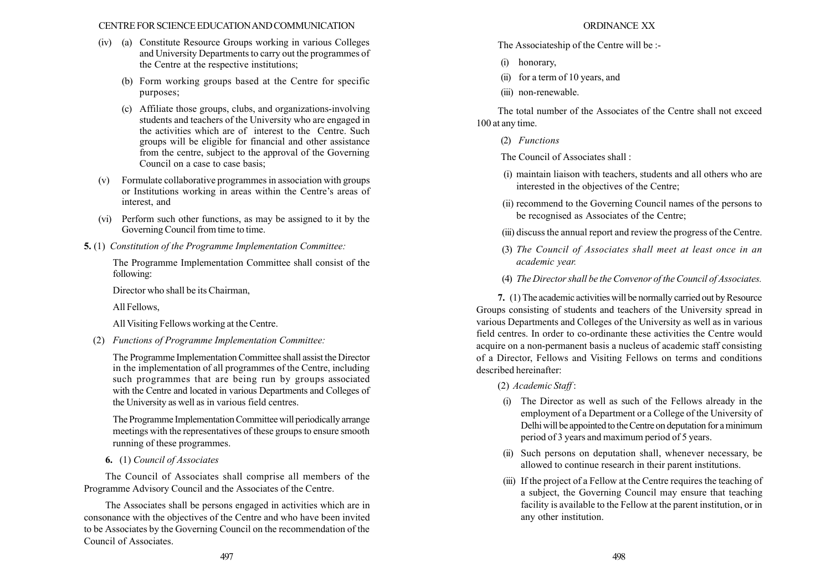### CENTRE FOR SCIENCE EDUCATIONANDCOMMUNICATION

- (iv) (a) Constitute Resource Groups working in various Colleges and University Departments to carry out the programmes of the Centre at the respective institutions;
	- (b) Form working groups based at the Centre for specific purposes;
	- (c) Affiliate those groups, clubs, and organizations-involving students and teachers of the University who are engaged in the activities which are of interest to the Centre. Such groups will be eligible for financial and other assistance from the centre, subject to the approval of the Governing Council on a case to case basis;
- (v) Formulate collaborative programmes in association with groups or Institutions working in areas within the Centre's areas of interest, and
- (vi) Perform such other functions, as may be assigned to it by the Governing Council from time to time.
- 5. (1) Constitution of the Programme Implementation Committee:

The Programme Implementation Committee shall consist of the following:

Director who shall be its Chairman,

All Fellows,

All Visiting Fellows working at the Centre.

(2) Functions of Programme Implementation Committee:

The Programme Implementation Committee shall assist the Director in the implementation of all programmes of the Centre, including such programmes that are being run by groups associated with the Centre and located in various Departments and Colleges of the University as well as in various field centres.

The Programme Implementation Committee will periodically arrange meetings with the representatives of these groups to ensure smooth running of these programmes.

6. (1) Council of Associates

The Council of Associates shall comprise all members of the Programme Advisory Council and the Associates of the Centre.

The Associates shall be persons engaged in activities which are in consonance with the objectives of the Centre and who have been invited to be Associates by the Governing Council on the recommendation of the Council of Associates.

### ORDINANCE XX

The Associateship of the Centre will be :-

- (i) honorary,
- (ii) for a term of 10 years, and
- (iii) non-renewable.

The total number of the Associates of the Centre shall not exceed 100 at any time.

(2) Functions

The Council of Associates shall :

- (i) maintain liaison with teachers, students and all others who are interested in the objectives of the Centre;
- (ii) recommend to the Governing Council names of the persons to be recognised as Associates of the Centre;
- (iii) discuss the annual report and review the progress of the Centre.
- (3) The Council of Associates shall meet at least once in an academic year.
- (4) The Director shall be the Convenor of the Council of Associates.

7. (1) The academic activities will be normally carried out by Resource Groups consisting of students and teachers of the University spread in various Departments and Colleges of the University as well as in various field centres. In order to co-ordinante these activities the Centre would acquire on a non-permanent basis a nucleus of academic staff consisting of a Director, Fellows and Visiting Fellows on terms and conditions described hereinafter:

(2) Academic Staff :

- (i) The Director as well as such of the Fellows already in the employment of a Department or a College of the University of Delhi will be appointed to the Centre on deputation for a minimum period of 3 years and maximum period of 5 years.
- (ii) Such persons on deputation shall, whenever necessary, be allowed to continue research in their parent institutions.
- (iii) If the project of a Fellow at the Centre requires the teaching of a subject, the Governing Council may ensure that teaching facility is available to the Fellow at the parent institution, or in any other institution.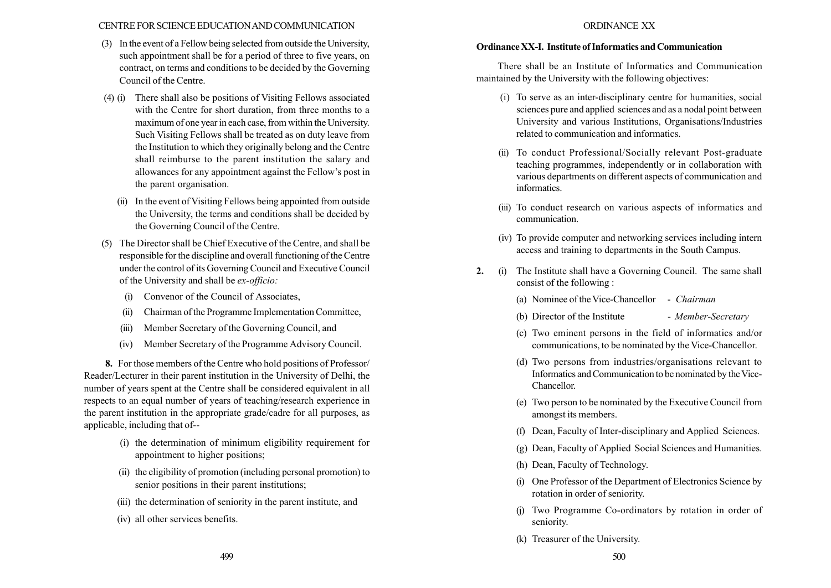### CENTRE FOR SCIENCE EDUCATIONANDCOMMUNICATION

- (3) In the event of a Fellow being selected from outside the University, such appointment shall be for a period of three to five years, on contract, on terms and conditions to be decided by the Governing Council of the Centre.
- (4) (i) There shall also be positions of Visiting Fellows associated with the Centre for short duration, from three months to a maximum of one year in each case, from within the University. Such Visiting Fellows shall be treated as on duty leave from the Institution to which they originally belong and the Centre shall reimburse to the parent institution the salary and allowances for any appointment against the Fellow's post in the parent organisation.
	- (ii) In the event of Visiting Fellows being appointed from outside the University, the terms and conditions shall be decided by the Governing Council of the Centre.
- (5) The Director shall be Chief Executive of the Centre, and shall be responsible for the discipline and overall functioning of the Centre under the control of its Governing Council and Executive Council of the University and shall be ex-officio:
	- (i) Convenor of the Council of Associates,
	- (ii) Chairman of the Programme Implementation Committee,
	- (iii) Member Secretary of the Governing Council, and
	- (iv) Member Secretary of the Programme Advisory Council.

8. For those members of the Centre who hold positions of Professor/ Reader/Lecturer in their parent institution in the University of Delhi, the number of years spent at the Centre shall be considered equivalent in all respects to an equal number of years of teaching/research experience in the parent institution in the appropriate grade/cadre for all purposes, as applicable, including that of--

- (i) the determination of minimum eligibility requirement for appointment to higher positions;
- (ii) the eligibility of promotion (including personal promotion) to senior positions in their parent institutions;
- (iii) the determination of seniority in the parent institute, and
- (iv) all other services benefits.

### ORDINANCE XX

### Ordinance XX-I. Institute of Informatics and Communication

There shall be an Institute of Informatics and Communication maintained by the University with the following objectives:

- (i) To serve as an inter-disciplinary centre for humanities, social sciences pure and applied sciences and as a nodal point between University and various Institutions, Organisations/Industries related to communication and informatics.
- (ii) To conduct Professional/Socially relevant Post-graduate teaching programmes, independently or in collaboration with various departments on different aspects of communication and informatics.
- (iii) To conduct research on various aspects of informatics and communication.
- (iv) To provide computer and networking services including intern access and training to departments in the South Campus.
- 2. (i) The Institute shall have a Governing Council. The same shall consist of the following :
	- (a) Nominee of the Vice-Chancellor Chairman
	- (b) Director of the Institute Member-Secretary
	- (c) Two eminent persons in the field of informatics and/or communications, to be nominated by the Vice-Chancellor.
	- (d) Two persons from industries/organisations relevant to Informatics and Communication to be nominated by the Vice-Chancellor.
	- (e) Two person to be nominated by the Executive Council from amongst its members.
	- (f) Dean, Faculty of Inter-disciplinary and Applied Sciences.
	- (g) Dean, Faculty of Applied Social Sciences and Humanities.
	- (h) Dean, Faculty of Technology.
	- (i) One Professor of the Department of Electronics Science by rotation in order of seniority.
	- (j) Two Programme Co-ordinators by rotation in order of seniority.
	- (k) Treasurer of the University.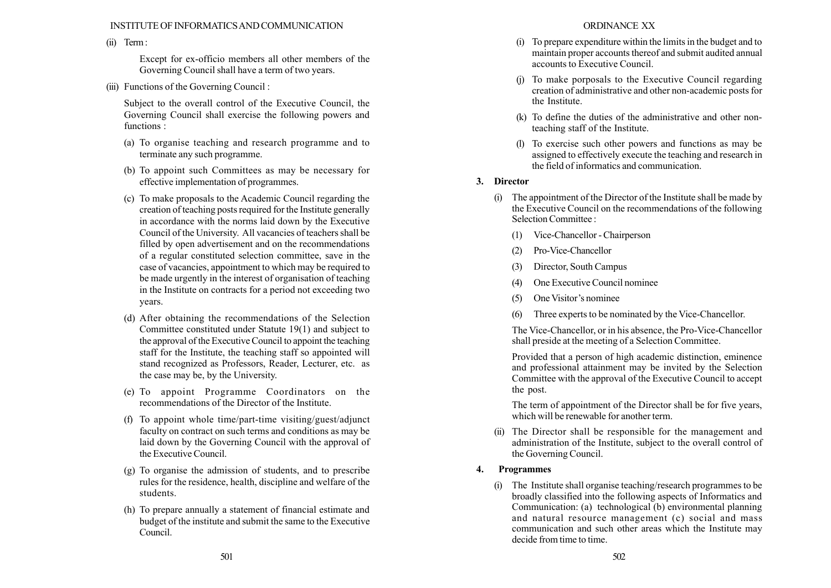### INSTITUTE OF INFORMATICSAND COMMUNICATION

(ii) Term:

Except for ex-officio members all other members of the Governing Council shall have a term of two years.

(iii) Functions of the Governing Council :

Subject to the overall control of the Executive Council, the Governing Council shall exercise the following powers and functions :

- (a) To organise teaching and research programme and to terminate any such programme.
- (b) To appoint such Committees as may be necessary for effective implementation of programmes.
- (c) To make proposals to the Academic Council regarding the creation of teaching posts required for the Institute generally in accordance with the norms laid down by the Executive Council of the University. All vacancies of teachers shall be filled by open advertisement and on the recommendations of a regular constituted selection committee, save in the case of vacancies, appointment to which may be required to be made urgently in the interest of organisation of teaching in the Institute on contracts for a period not exceeding two years.
- (d) After obtaining the recommendations of the Selection Committee constituted under Statute 19(1) and subject to the approval of the Executive Council to appoint the teaching staff for the Institute, the teaching staff so appointed will stand recognized as Professors, Reader, Lecturer, etc. as the case may be, by the University.
- (e) To appoint Programme Coordinators on the recommendations of the Director of the Institute.
- (f) To appoint whole time/part-time visiting/guest/adjunct faculty on contract on such terms and conditions as may be laid down by the Governing Council with the approval of the Executive Council.
- (g) To organise the admission of students, and to prescribe rules for the residence, health, discipline and welfare of the students.
- (h) To prepare annually a statement of financial estimate and budget of the institute and submit the same to the Executive Council.
- (i) To prepare expenditure within the limits in the budget and to maintain proper accounts thereof and submit audited annual accounts to Executive Council.
- (j) To make porposals to the Executive Council regarding creation of administrative and other non-academic posts for the Institute.
- (k) To define the duties of the administrative and other nonteaching staff of the Institute.
- (l) To exercise such other powers and functions as may be assigned to effectively execute the teaching and research in the field of informatics and communication.

# 3. Director

- (i) The appointment of the Director of the Institute shall be made by the Executive Council on the recommendations of the following Selection Committee :
	- (1) Vice-Chancellor Chairperson
	- (2) Pro-Vice-Chancellor
	- (3) Director, South Campus
	- (4) One Executive Council nominee
	- $(5)$  One Visitor's nominee
	- (6) Three experts to be nominated by the Vice-Chancellor.

The Vice-Chancellor, or in his absence, the Pro-Vice-Chancellor shall preside at the meeting of a Selection Committee.

Provided that a person of high academic distinction, eminence and professional attainment may be invited by the Selection Committee with the approval of the Executive Council to accept the post.

The term of appointment of the Director shall be for five years, which will be renewable for another term.

(ii) The Director shall be responsible for the management and administration of the Institute, subject to the overall control of the Governing Council.

# 4. Programmes

(i) The Institute shall organise teaching/research programmes to be broadly classified into the following aspects of Informatics and Communication: (a) technological (b) environmental planning and natural resource management (c) social and mass communication and such other areas which the Institute may decide from time to time.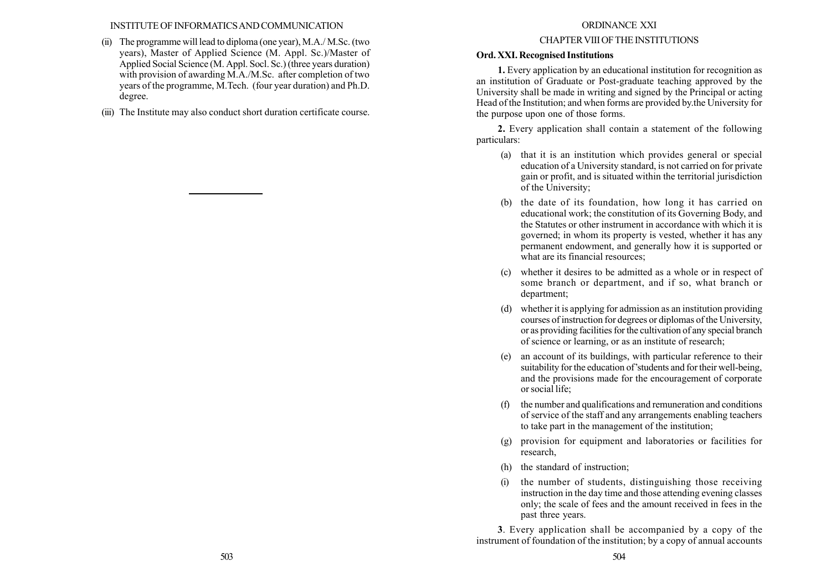### INSTITUTE OF INFORMATICSAND COMMUNICATION

- (ii) The programme will lead to diploma (one year), M.A./ M.Sc. (two years), Master of Applied Science (M. Appl. Sc.)/Master of Applied Social Science (M. Appl. Socl. Sc.) (three years duration) with provision of awarding M.A./M.Sc. after completion of two years of the programme, M.Tech. (four year duration) and Ph.D. degree.
- (iii) The Institute may also conduct short duration certificate course.

### ORDINANCE XXI

# CHAPTER VIII OF THE INSTITUTIONS

# Ord. XXI. Recognised Institutions

1. Every application by an educational institution for recognition as an institution of Graduate or Post-graduate teaching approved by the University shall be made in writing and signed by the Principal or acting Head of the Institution; and when forms are provided by.the University for the purpose upon one of those forms.

2. Every application shall contain a statement of the following particulars:

- (a) that it is an institution which provides general or special education of a University standard, is not carried on for private gain or profit, and is situated within the territorial jurisdiction of the University;
- (b) the date of its foundation, how long it has carried on educational work; the constitution of its Governing Body, and the Statutes or other instrument in accordance with which it is governed; in whom its property is vested, whether it has any permanent endowment, and generally how it is supported or what are its financial resources;
- (c) whether it desires to be admitted as a whole or in respect of some branch or department, and if so, what branch or department;
- (d) whether it is applying for admission as an institution providing courses of instruction for degrees or diplomas of the University, or as providing facilities for the cultivation of any special branch of science or learning, or as an institute of research;
- (e) an account of its buildings, with particular reference to their suitability for the education of 'students and for their well-being, and the provisions made for the encouragement of corporate or social life;
- (f) the number and qualifications and remuneration and conditions of service of the staff and any arrangements enabling teachers to take part in the management of the institution;
- (g) provision for equipment and laboratories or facilities for research,
- (h) the standard of instruction;
- (i) the number of students, distinguishing those receiving instruction in the day time and those attending evening classes only; the scale of fees and the amount received in fees in the past three years.

3. Every application shall be accompanied by a copy of the instrument of foundation of the institution; by a copy of annual accounts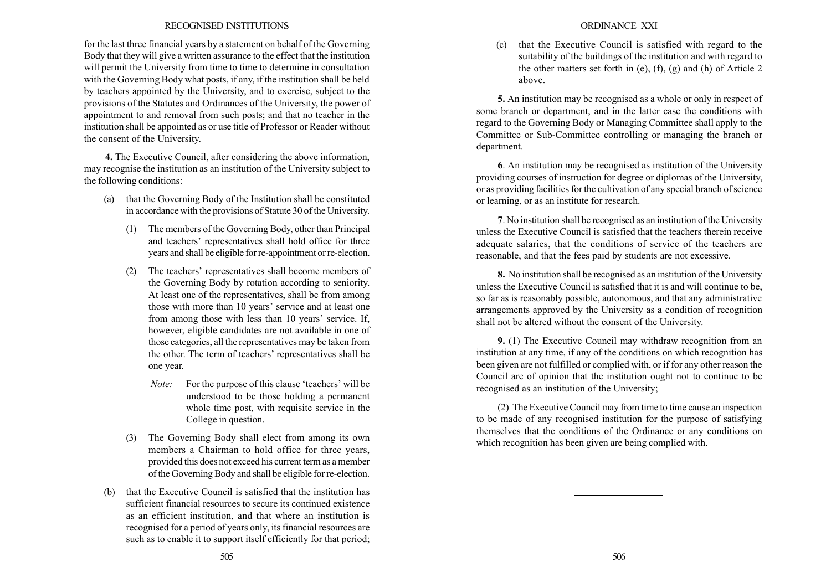### RECOGNISED INSTITUTIONS

for the last three financial years by a statement on behalf of the Governing Body that they will give a written assurance to the effect that the institution will permit the University from time to time to determine in consultation with the Governing Body what posts, if any, if the institution shall be held by teachers appointed by the University, and to exercise, subject to the provisions of the Statutes and Ordinances of the University, the power of appointment to and removal from such posts; and that no teacher in the institution shall be appointed as or use title of Professor or Reader without the consent of the University.

4. The Executive Council, after considering the above information, may recognise the institution as an institution of the University subject to the following conditions:

- (a) that the Governing Body of the Institution shall be constituted in accordance with the provisions of Statute 30 of the University.
	- (1) The members of the Governing Body, other than Principal and teachers' representatives shall hold office for three years and shall be eligible for re-appointment or re-election.
	- (2) The teachers' representatives shall become members of the Governing Body by rotation according to seniority. At least one of the representatives, shall be from among those with more than 10 years' service and at least one from among those with less than 10 years' service. If, however, eligible candidates are not available in one of those categories, all the representatives may be taken from the other. The term of teachers' representatives shall be one year.
		- *Note:* For the purpose of this clause 'teachers' will be understood to be those holding a permanent whole time post, with requisite service in the College in question.
	- (3) The Governing Body shall elect from among its own members a Chairman to hold office for three years, provided this does not exceed his current term as a member of the Governing Body and shall be eligible for re-election.
- (b) that the Executive Council is satisfied that the institution has sufficient financial resources to secure its continued existence as an efficient institution, and that where an institution is recognised for a period of years only, its financial resources are such as to enable it to support itself efficiently for that period;

## ORDINANCE XXI

(c) that the Executive Council is satisfied with regard to the suitability of the buildings of the institution and with regard to the other matters set forth in (e), (f), (g) and (h) of Article 2 above.

5. An institution may be recognised as a whole or only in respect of some branch or department, and in the latter case the conditions with regard to the Governing Body or Managing Committee shall apply to the Committee or Sub-Committee controlling or managing the branch or department.

6. An institution may be recognised as institution of the University providing courses of instruction for degree or diplomas of the University, or as providing facilities for the cultivation of any special branch of science or learning, or as an institute for research.

7. No institution shall be recognised as an institution of the University unless the Executive Council is satisfied that the teachers therein receive adequate salaries, that the conditions of service of the teachers are reasonable, and that the fees paid by students are not excessive.

8. No institution shall be recognised as an institution of the University unless the Executive Council is satisfied that it is and will continue to be, so far as is reasonably possible, autonomous, and that any administrative arrangements approved by the University as a condition of recognition shall not be altered without the consent of the University.

9. (1) The Executive Council may withdraw recognition from an institution at any time, if any of the conditions on which recognition has been given are not fulfilled or complied with, or if for any other reason the Council are of opinion that the institution ought not to continue to be recognised as an institution of the University;

(2) The Executive Council may from time to time cause an inspection to be made of any recognised institution for the purpose of satisfying themselves that the conditions of the Ordinance or any conditions on which recognition has been given are being complied with.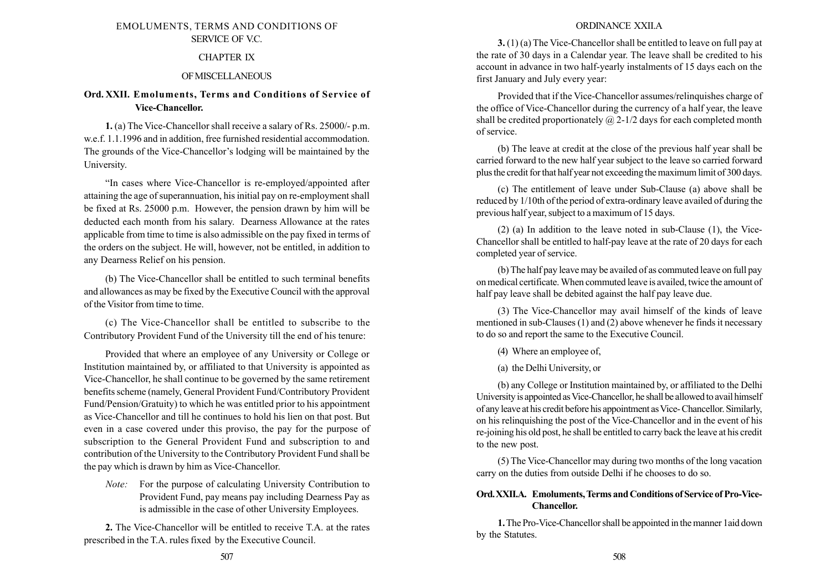# EMOLUMENTS, TERMS AND CONDITIONS OF SERVICE OF V.C.

## CHAPTER IX

## OFMISCELLANEOUS

# Ord. XXII. Emoluments, Terms and Conditions of Service of Vice-Chancellor.

1. (a) The Vice-Chancellor shall receive a salary of Rs. 25000/- p.m. w.e.f. 1.1.1996 and in addition, free furnished residential accommodation. The grounds of the Vice-Chancellor's lodging will be maintained by the University.

"In cases where Vice-Chancellor is re-employed/appointed after attaining the age of superannuation, his initial pay on re-employment shall be fixed at Rs. 25000 p.m. However, the pension drawn by him will be deducted each month from his salary. Dearness Allowance at the rates applicable from time to time is also admissible on the pay fixed in terms of the orders on the subject. He will, however, not be entitled, in addition to any Dearness Relief on his pension.

(b) The Vice-Chancellor shall be entitled to such terminal benefits and allowances as may be fixed by the Executive Council with the approval of the Visitor from time to time.

(c) The Vice-Chancellor shall be entitled to subscribe to the Contributory Provident Fund of the University till the end of his tenure:

Provided that where an employee of any University or College or Institution maintained by, or affiliated to that University is appointed as Vice-Chancellor, he shall continue to be governed by the same retirement benefits scheme (namely, General Provident Fund/Contributory Provident Fund/Pension/Gratuity) to which he was entitled prior to his appointment as Vice-Chancellor and till he continues to hold his lien on that post. But even in a case covered under this proviso, the pay for the purpose of subscription to the General Provident Fund and subscription to and contribution of the University to the Contributory Provident Fund shall be the pay which is drawn by him as Vice-Chancellor.

Note: For the purpose of calculating University Contribution to Provident Fund, pay means pay including Dearness Pay as is admissible in the case of other University Employees.

2. The Vice-Chancellor will be entitled to receive T.A. at the rates prescribed in the T.A. rules fixed by the Executive Council.

## ORDINANCE XXII.A

3. (1) (a) The Vice-Chancellor shall be entitled to leave on full pay at the rate of 30 days in a Calendar year. The leave shall be credited to his account in advance in two half-yearly instalments of 15 days each on the first January and July every year:

Provided that if the Vice-Chancellor assumes/relinquishes charge of the office of Vice-Chancellor during the currency of a half year, the leave shall be credited proportionately  $\omega$  2-1/2 days for each completed month of service.

(b) The leave at credit at the close of the previous half year shall be carried forward to the new half year subject to the leave so carried forward plus the credit for that half year not exceeding the maximum limit of 300 days.

(c) The entitlement of leave under Sub-Clause (a) above shall be reduced by 1/10th of the period of extra-ordinary leave availed of during the previous half year, subject to a maximum of 15 days.

(2) (a) In addition to the leave noted in sub-Clause (1), the Vice-Chancellor shall be entitled to half-pay leave at the rate of 20 days for each completed year of service.

(b) The half pay leave may be availed of as commuted leave on full pay on medical certificate.When commuted leave is availed, twice the amount of half pay leave shall be debited against the half pay leave due.

(3) The Vice-Chancellor may avail himself of the kinds of leave mentioned in sub-Clauses (1) and (2) above whenever he finds it necessary to do so and report the same to the Executive Council.

(4) Where an employee of,

(a) the Delhi University, or

(b) any College or Institution maintained by, or affiliated to the Delhi University is appointed as Vice-Chancellor, he shall be allowed to avail himself of anyleave at his credit before his appointment asVice- Chancellor. Similarly, on his relinquishing the post of the Vice-Chancellor and in the event of his re-joining his old post, he shall be entitled to carry back the leave at his credit to the new post.

(5) The Vice-Chancellor may during two months of the long vacation carry on the duties from outside Delhi if he chooses to do so.

# Ord.XXII.A. Emoluments,Terms and Conditions of Service of Pro-Vice-Chancellor.

1.The Pro-Vice-Chancellor shall be appointed in the manner 1aid down by the Statutes.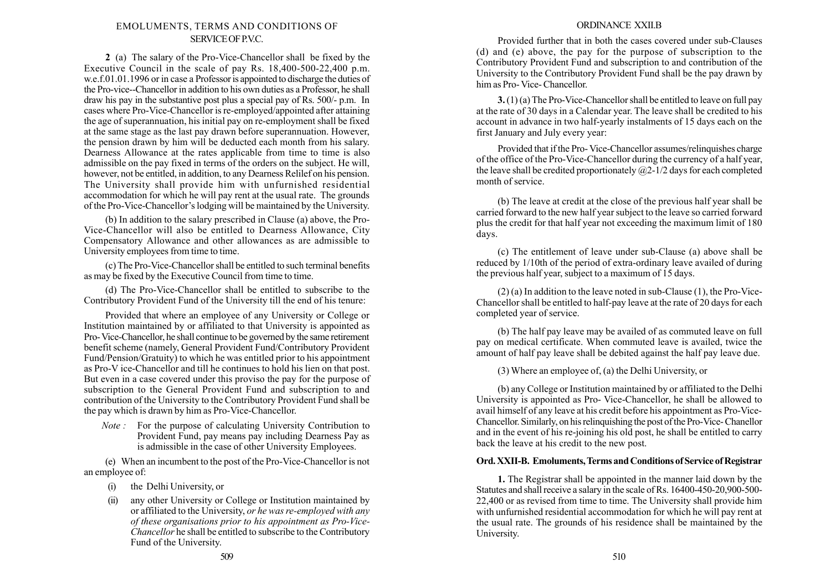## EMOLUMENTS, TERMS AND CONDITIONS OF SERVICE OF PVC.

2 (a) The salary of the Pro-Vice-Chancellor shall be fixed by the Executive Council in the scale of pay Rs. 18,400-500-22,400 p.m. w.e.f.01.01.1996 or in case a Professor is appointed to discharge the duties of the Pro-vice--Chancellor in addition to his own duties as a Professor, he shall draw his pay in the substantive post plus a special pay of Rs. 500/- p.m. In cases where Pro-Vice-Chancellor is re-employed/appointed after attaining the age of superannuation, his initial pay on re-employment shall be fixed at the same stage as the last pay drawn before superannuation. However, the pension drawn by him will be deducted each month from his salary. Dearness Allowance at the rates applicable from time to time is also admissible on the pay fixed in terms of the orders on the subject. He will, however, not be entitled, in addition, to any Dearness Relilef on his pension. The University shall provide him with unfurnished residential accommodation for which he will pay rent at the usual rate. The grounds of the Pro-Vice-Chancellor's lodging will be maintained by the University.

(b) In addition to the salary prescribed in Clause (a) above, the Pro-Vice-Chancellor will also be entitled to Dearness Allowance, City Compensatory Allowance and other allowances as are admissible to University employees from time to time.

(c) The Pro-Vice-Chancellor shall be entitled to such terminal benefits as may be fixed by the Executive Council from time to time.

(d) The Pro-Vice-Chancellor shall be entitled to subscribe to the Contributory Provident Fund of the University till the end of his tenure:

Provided that where an employee of any University or College or Institution maintained by or affiliated to that University is appointed as Pro-Vice-Chancellor, he shall continue to be governed by the same retirement benefit scheme (namely, General Provident Fund/Contributory Provident Fund/Pension/Gratuity) to which he was entitled prior to his appointment as Pro-V ice-Chancellor and till he continues to hold his lien on that post. But even in a case covered under this proviso the pay for the purpose of subscription to the General Provident Fund and subscription to and contribution of the University to the Contributory Provident Fund shall be the pay which is drawn by him as Pro-Vice-Chancellor.

Note : For the purpose of calculating University Contribution to Provident Fund, pay means pay including Dearness Pay as is admissible in the case of other University Employees.

(e) When an incumbent to the post of the Pro-Vice-Chancellor is not an employee of:

- (i) the Delhi University, or
- (ii) any other University or College or Institution maintained by or affiliated to the University, or he was re-employed with any of these organisations prior to his appointment as Pro-Vice-Chancellor he shall be entitled to subscribe to the Contributory Fund of the University.

### ORDINANCE XXII.B

Provided further that in both the cases covered under sub-Clauses (d) and (e) above, the pay for the purpose of subscription to the Contributory Provident Fund and subscription to and contribution of the University to the Contributory Provident Fund shall be the pay drawn by him as Pro- Vice- Chancellor.

3.(1) (a) The Pro-Vice-Chancellor shall be entitled to leave on full pay at the rate of 30 days in a Calendar year. The leave shall be credited to his account in advance in two half-yearly instalments of 15 days each on the first January and July every year:

Provided that if the Pro- Vice-Chancellor assumes/relinquishes charge of the office of the Pro-Vice-Chancellor during the currency of a half year, the leave shall be credited proportionately  $(a)$ 2-1/2 days for each completed month of service.

(b) The leave at credit at the close of the previous half year shall be carried forward to the new half year subject to the leave so carried forward plus the credit for that half year not exceeding the maximum limit of 180 days.

(c) The entitlement of leave under sub-Clause (a) above shall be reduced by 1/10th of the period of extra-ordinary leave availed of during the previous half year, subject to a maximum of 15 days.

(2) (a) In addition to the leave noted in sub-Clause (1), the Pro-Vice-Chancellor shall be entitled to half-pay leave at the rate of 20 days for each completed year of service.

(b) The half pay leave may be availed of as commuted leave on full pay on medical certificate. When commuted leave is availed, twice the amount of half pay leave shall be debited against the half pay leave due.

(3) Where an employee of, (a) the Delhi University, or

(b) any College or Institution maintained by or affiliated to the Delhi University is appointed as Pro- Vice-Chancellor, he shall be allowed to avail himself of any leave at his credit before his appointment as Pro-Vice-Chancellor. Similarly, on his relinquishing the post of the Pro-Vice- Chanellor and in the event of his re-joining his old post, he shall be entitled to carry back the leave at his credit to the new post.

# Ord. XXII-B. Emoluments,Terms and Conditions of Service of Registrar

1. The Registrar shall be appointed in the manner laid down by the Statutes and shall receive a salary in the scale of Rs. 16400-450-20,900-500- 22,400 or as revised from time to time. The University shall provide him with unfurnished residential accommodation for which he will pay rent at the usual rate. The grounds of his residence shall be maintained by the University.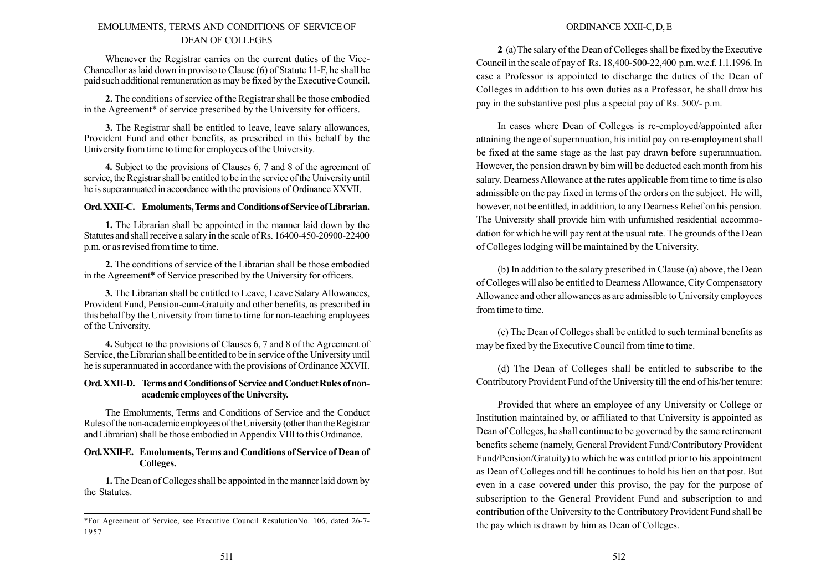# EMOLUMENTS, TERMS AND CONDITIONS OF SERVICE OF DEAN OF COLLEGES

Whenever the Registrar carries on the current duties of the Vice-Chancellor as laid down in proviso to Clause (6) of Statute 11-F, he shall be paid such additional remuneration as may be fixed by the Executive Council.

2. The conditions of service of the Registrar shall be those embodied in the Agreement\* of service prescribed by the University for officers.

3. The Registrar shall be entitled to leave, leave salary allowances, Provident Fund and other benefits, as prescribed in this behalf by the University from time to time for employees of the University.

4. Subject to the provisions of Clauses 6, 7 and 8 of the agreement of service, the Registrar shall be entitled to be in the service of the University until he is superannuated in accordance with the provisions of Ordinance XXVII.

## Ord. XXII-C. Emoluments, Terms and Conditions of Service of Librarian.

1. The Librarian shall be appointed in the manner laid down by the Statutes and shall receive a salary in the scale of Rs. 16400-450-20900-22400 p.m. or as revised from time to time.

2. The conditions of service of the Librarian shall be those embodied in the Agreement\* of Service prescribed by the University for officers.

3. The Librarian shall be entitled to Leave, Leave Salary Allowances, Provident Fund, Pension-cum-Gratuity and other benefits, as prescribed in this behalf by the University from time to time for non-teaching employees of the University.

4. Subject to the provisions of Clauses 6, 7 and 8 of the Agreement of Service, the Librarian shall be entitled to be in service of the University until he is superannuated in accordance with the provisions of Ordinance XXVII.

### Ord. XXII-D. Terms and Conditions of Service and Conduct Rules of nonacademic employees of the University.

The Emoluments, Terms and Conditions of Service and the Conduct Rules of the non-academic employees of the University (other than the Registrar and Librarian) shall be those embodied in Appendix VIII to this Ordinance.

### Ord.XXII-E. Emoluments, Terms and Conditions of Service of Dean of Colleges.

1. The Dean of Colleges shall be appointed in the manner laid down by the Statutes.

# ORDINANCE XXII-C, D, E

2 (a)The salary of the Dean of Colleges shall be fixed bythe Executive Council in the scale of pay of Rs. 18,400-500-22,400 p.m.w.e.f. 1.1.1996. In case a Professor is appointed to discharge the duties of the Dean of Colleges in addition to his own duties as a Professor, he shall draw his pay in the substantive post plus a special pay of Rs. 500/- p.m.

In cases where Dean of Colleges is re-employed/appointed after attaining the age of supernnuation, his initial pay on re-employment shall be fixed at the same stage as the last pay drawn before superannuation. However, the pension drawn by bim will be deducted each month from his salary. Dearness Allowance at the rates applicable from time to time is also admissible on the pay fixed in terms of the orders on the subject. He will, however, not be entitled, in additiion, to any Dearness Relief on his pension. The University shall provide him with unfurnished residential accommodation for which he will pay rent at the usual rate. The grounds of the Dean of Colleges lodging will be maintained by the University.

(b) In addition to the salary prescribed in Clause (a) above, the Dean of Colleges will also be entitled to Dearness Allowance, City Compensatory Allowance and other allowances as are admissible to University employees from time to time.

(c) The Dean of Colleges shall be entitled to such terminal benefits as may be fixed by the Executive Council from time to time.

(d) The Dean of Colleges shall be entitled to subscribe to the Contributory Provident Fund of the University till the end of his/her tenure:

Provided that where an employee of any University or College or Institution maintained by, or affiliated to that University is appointed as Dean of Colleges, he shall continue to be governed by the same retirement benefits scheme (namely, General Provident Fund/Contributory Provident Fund/Pension/Gratuity) to which he was entitled prior to his appointment as Dean of Colleges and till he continues to hold his lien on that post. But even in a case covered under this proviso, the pay for the purpose of subscription to the General Provident Fund and subscription to and contribution of the University to the Contributory Provident Fund shall be the pay which is drawn by him as Dean of Colleges.

<sup>\*</sup>For Agreement of Service, see Executive Council ResulutionNo. 106, dated 26-7- 1957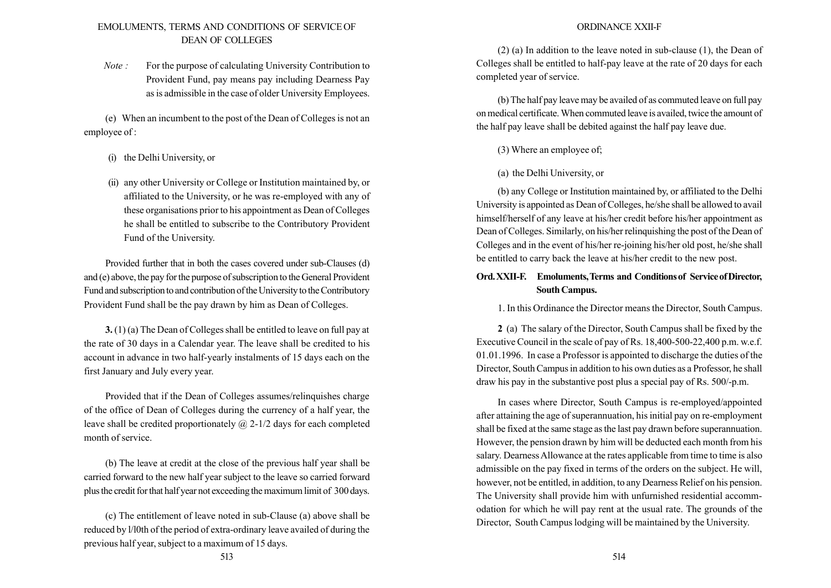# EMOLUMENTS, TERMS AND CONDITIONS OF SERVICE OF DEAN OF COLLEGES

Note : For the purpose of calculating University Contribution to Provident Fund, pay means pay including Dearness Pay as is admissible in the case of older University Employees.

(e) When an incumbent to the post of the Dean of Colleges is not an employee of :

- (i) the Delhi University, or
- (ii) any other University or College or Institution maintained by, or affiliated to the University, or he was re-employed with any of these organisations prior to his appointment as Dean of Colleges he shall be entitled to subscribe to the Contributory Provident Fund of the University.

Provided further that in both the cases covered under sub-Clauses (d) and (e) above, the pay for the purpose of subscription to the General Provident Fund and subscription to and contribution of the University to the Contributory Provident Fund shall be the pay drawn by him as Dean of Colleges.

3. (1) (a) The Dean of Colleges shall be entitled to leave on full pay at the rate of 30 days in a Calendar year. The leave shall be credited to his account in advance in two half-yearly instalments of 15 days each on the first January and July every year.

Provided that if the Dean of Colleges assumes/relinquishes charge of the office of Dean of Colleges during the currency of a half year, the leave shall be credited proportionately  $\omega$  2-1/2 days for each completed month of service.

(b) The leave at credit at the close of the previous half year shall be carried forward to the new half year subject to the leave so carried forward plus the credit for that half year not exceeding the maximum limit of 300 days.

(c) The entitlement of leave noted in sub-Clause (a) above shall be reduced by l/l0th of the period of extra-ordinary leave availed of during the previous half year, subject to a maximum of 15 days.

### ORDINANCE XXII-F

(2) (a) In addition to the leave noted in sub-clause (1), the Dean of Colleges shall be entitled to half-pay leave at the rate of 20 days for each completed year of service.

(b) The half pay leave may be availed of as commuted leave on full pay on medical certificate.When commuted leave is availed, twice the amount of the half pay leave shall be debited against the half pay leave due.

- (3) Where an employee of;
- (a) the Delhi University, or

(b) any College or Institution maintained by, or affiliated to the Delhi University is appointed as Dean of Colleges, he/she shall be allowed to avail himself/herself of any leave at his/her credit before his/her appointment as Dean of Colleges. Similarly, on his/her relinquishing the post of the Dean of Colleges and in the event of his/her re-joining his/her old post, he/she shall be entitled to carry back the leave at his/her credit to the new post.

# Ord.XXII-F. Emoluments,Terms and Conditions of Service ofDirector, South Campus.

1. In this Ordinance the Director means the Director, South Campus.

2 (a) The salary of the Director, South Campus shall be fixed by the Executive Council in the scale of pay of Rs. 18,400-500-22,400 p.m. w.e.f. 01.01.1996. In case a Professor is appointed to discharge the duties of the Director, South Campus in addition to his own duties as a Professor, he shall draw his pay in the substantive post plus a special pay of Rs. 500/-p.m.

In cases where Director, South Campus is re-employed/appointed after attaining the age of superannuation, his initial pay on re-employment shall be fixed at the same stage as the last pay drawn before superannuation. However, the pension drawn by him will be deducted each month from his salary. Dearness Allowance at the rates applicable from time to time is also admissible on the pay fixed in terms of the orders on the subject. He will, however, not be entitled, in addition, to any Dearness Relief on his pension. The University shall provide him with unfurnished residential accommodation for which he will pay rent at the usual rate. The grounds of the Director, South Campus lodging will be maintained by the University.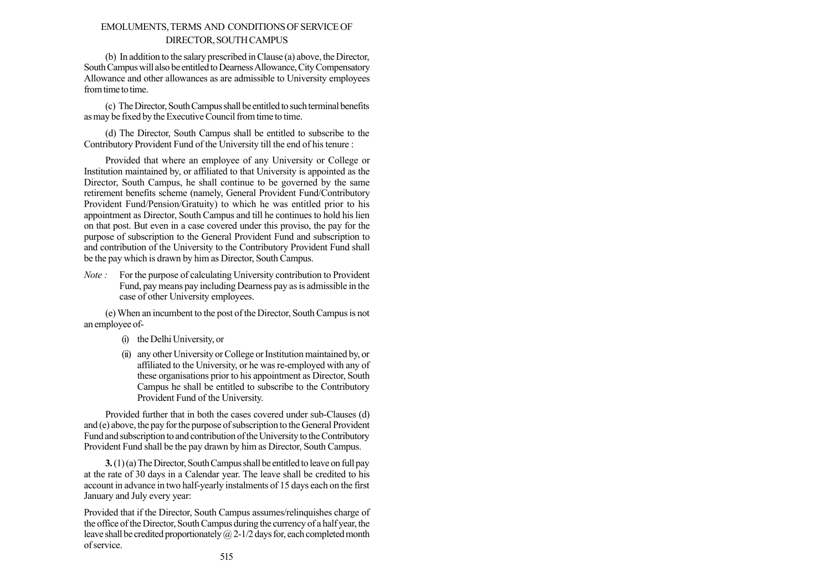# EMOLUMENTS,TERMS AND CONDITIONS OF SERVICE OF DIRECTOR, SOUTHCAMPUS

(b) In addition to the salary prescribed in Clause (a) above, the Director, South Campus will also be entitled to Dearness Allowance, City Compensatory Allowance and other allowances as are admissible to University employees from time to time.

(c) The Director, South Campus shall be entitled to such terminal benefits as may be fixed by the Executive Council from time to time.

(d) The Director, South Campus shall be entitled to subscribe to the Contributory Provident Fund of the University till the end of his tenure :

Provided that where an employee of any University or College or Institution maintained by, or affiliated to that University is appointed as the Director, South Campus, he shall continue to be governed by the same retirement benefits scheme (namely, General Provident Fund/Contributory Provident Fund/Pension/Gratuity) to which he was entitled prior to his appointment as Director, South Campus and till he continues to hold his lien on that post. But even in a case covered under this proviso, the pay for the purpose of subscription to the General Provident Fund and subscription to and contribution of the University to the Contributory Provident Fund shall be the pay which is drawn by him as Director, South Campus.

Note : For the purpose of calculating University contribution to Provident Fund, pay means pay including Dearness pay as is admissible in the case of other University employees.

(e)When an incumbent to the post of the Director, South Campus is not an employee of-

- (i) the Delhi University, or
- (ii) any other University or College or Institution maintained by, or affiliated to the University, or he was re-employed with any of these organisations prior to his appointment as Director, South Campus he shall be entitled to subscribe to the Contributory Provident Fund of the University.

Provided further that in both the cases covered under sub-Clauses (d) and (e) above, the pay for the purpose of subscription to the General Provident Fund and subscription to and contribution of the University to the Contributory Provident Fund shall be the pay drawn by him as Director, South Campus.

 $3.(1)(a)$  The Director, South Campus shall be entitled to leave on full pay at the rate of 30 days in a Calendar year. The leave shall be credited to his account in advance in two half-yearly instalments of 15 days each on the first January and July every year:

Provided that if the Director, South Campus assumes/relinquishes charge of the office of the Director, South Campus during the currency of a half year, the leave shall be credited proportionately  $\omega$  2-1/2 days for, each completed month of service.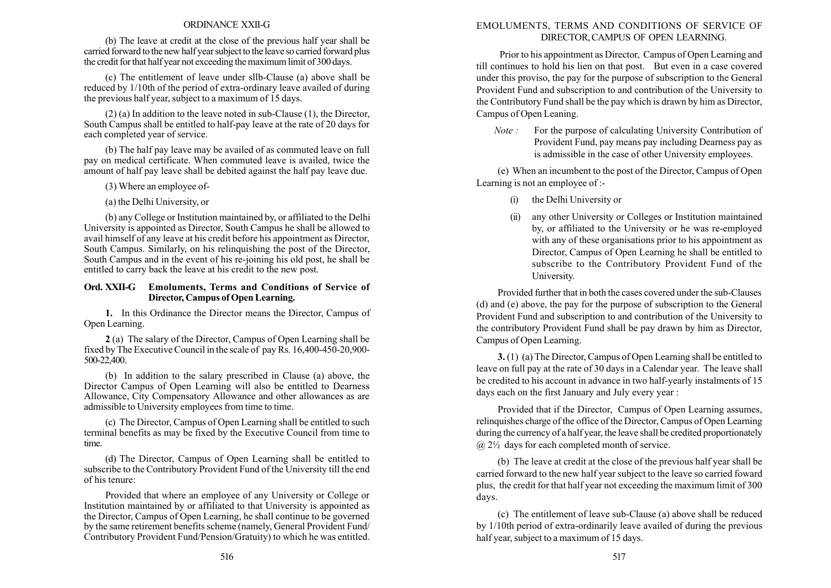### ORDINANCE XXII-G

(b) The leave at credit at the close of the previous half year shall be carried forward to the new half year subject to the leave so carried forward plus the credit for that half year not exceeding the maximum limit of 300 days.

(c) The entitlement of leave under sllb-Clause (a) above shall be reduced by 1/10th of the period of extra-ordinary leave availed of during the previous half year, subject to a maximum of 15 days.

(2) (a) In addition to the leave noted in sub-Clause (1), the Director, South Campus shall be entitled to half-pay leave at the rate of 20 days for each completed year of service.

(b) The half pay leave may be availed of as commuted leave on full pay on medical certificate. When commuted leave is availed, twice the amount of half pay leave shall be debited against the half pay leave due.

(3) Where an employee of-

(a) the Delhi University, or

(b) any College or Institution maintained by, or affiliated to the Delhi University is appointed as Director, South Campus he shall be allowed to avail himself of any leave at his credit before his appointment as Director, South Campus. Similarly, on his relinquishing the post of the Director, South Campus and in the event of his re-joining his old post, he shall be entitled to carry back the leave at his credit to the new post.

### Ord. XXII-G Emoluments, Terms and Conditions of Service of Director, Campus of Open Learning.

1. In this Ordinance the Director means the Director, Campus of Open Learning.

2 (a) The salary of the Director, Campus of Open Learning shall be fixed by The Executive Council in the scale of pay Rs. 16,400-450-20,900- 500-22,400.

(b) In addition to the salary prescribed in Clause (a) above, the Director Campus of Open Learning will also be entitled to Dearness Allowance, City Compensatory Allowance and other allowances as are admissible to University employees from time to time.

(c) The Director, Campus of Open Learning shall be entitled to such terminal benefits as may be fixed by the Executive Council from time to time.

(d) The Director, Campus of Open Learning shall be entitled to subscribe to the Contributory Provident Fund of the University till the end of his tenure:

Provided that where an employee of any University or College or Institution maintained by or affiliated to that University is appointed as the Director, Campus of Open Learning, he shall continue to be governed by the same retirement benefits scheme (namely, General Provident Fund/ Contributory Provident Fund/Pension/Gratuity) to which he was entitled.

# EMOLUMENTS, TERMS AND CONDITIONS OF SERVICE OF DIRECTOR,CAMPUS OF OPEN LEARNING.

Prior to his appointment as Director, Campus of Open Learning and till continues to hold his lien on that post. But even in a case covered under this proviso, the pay for the purpose of subscription to the General Provident Fund and subscription to and contribution of the University to the Contributory Fund shall be the pay which is drawn by him as Director, Campus of Open Leaning.

Note : For the purpose of calculating University Contribution of Provident Fund, pay means pay including Dearness pay as is admissible in the case of other University employees.

(e) When an incumbent to the post of the Director, Campus of Open Learning is not an employee of :-

- (i) the Delhi University or
- (ii) any other University or Colleges or Institution maintained by, or affiliated to the University or he was re-employed with any of these organisations prior to his appointment as Director, Campus of Open Learning he shall be entitled to subscribe to the Contributory Provident Fund of the University.

Provided further that in both the cases covered under the sub-Clauses (d) and (e) above, the pay for the purpose of subscription to the General Provident Fund and subscription to and contribution of the University to the contributory Provident Fund shall be pay drawn by him as Director, Campus of Open Learning.

3. (1) (a) The Director, Campus of Open Learning shall be entitled to leave on full pay at the rate of 30 days in a Calendar year. The leave shall be credited to his account in advance in two half-yearly instalments of 15 days each on the first January and July every year :

Provided that if the Director, Campus of Open Learning assumes, relinquishes charge of the office of the Director, Campus of Open Learning during the currency of a half year, the leave shall be credited proportionately  $(a)$  2<sup>1</sup>/<sub>2</sub> days for each completed month of service.

(b) The leave at credit at the close of the previous half year shall be carried forward to the new half year subject to the leave so carried foward plus, the credit for that half year not exceeding the maximum limit of 300 days.

(c) The entitlement of leave sub-Clause (a) above shall be reduced by 1/10th period of extra-ordinarily leave availed of during the previous half year, subject to a maximum of 15 days.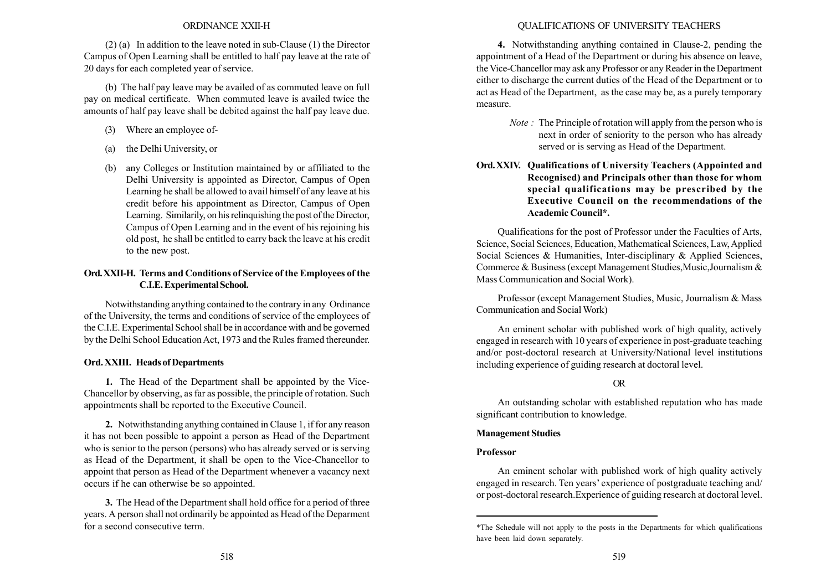### ORDINANCE XXII-H

(2) (a) In addition to the leave noted in sub-Clause (1) the Director Campus of Open Learning shall be entitled to half pay leave at the rate of 20 days for each completed year of service.

(b) The half pay leave may be availed of as commuted leave on full pay on medical certificate. When commuted leave is availed twice the amounts of half pay leave shall be debited against the half pay leave due.

- (3) Where an employee of-
- (a) the Delhi University, or
- (b) any Colleges or Institution maintained by or affiliated to the Delhi University is appointed as Director, Campus of Open Learning he shall be allowed to avail himself of any leave at his credit before his appointment as Director, Campus of Open Learning. Similarily, on his relinquishing the post of the Director, Campus of Open Learning and in the event of his rejoining his old post, he shall be entitled to carry back the leave at his credit to the new post.

# Ord.XXII-H. Terms and Conditions of Service of the Employees of the C.I.E.Experimental School.

Notwithstanding anything contained to the contrary in any Ordinance of the University, the terms and conditions of service of the employees of the C.I.E. Experimental School shall be in accordance with and be governed by the Delhi School Education Act, 1973 and the Rules framed thereunder.

### Ord. XXIII. Heads of Departments

1. The Head of the Department shall be appointed by the Vice-Chancellor by observing, as far as possible, the principle of rotation. Such appointments shall be reported to the Executive Council.

2. Notwithstanding anything contained in Clause 1, if for any reason it has not been possible to appoint a person as Head of the Department who is senior to the person (persons) who has already served or is serving as Head of the Department, it shall be open to the Vice-Chancellor to appoint that person as Head of the Department whenever a vacancy next occurs if he can otherwise be so appointed.

3. The Head of the Department shall hold office for a period of three years. A person shall not ordinarily be appointed as Head of the Deparment for a second consecutive term.

### QUALIFICATIONS OF UNIVERSITY TEACHERS

4. Notwithstanding anything contained in Clause-2, pending the appointment of a Head of the Department or during his absence on leave, the Vice-Chancellor may ask any Professor or any Reader in the Department either to discharge the current duties of the Head of the Department or to act as Head of the Department, as the case may be, as a purely temporary measure.

- Note : The Principle of rotation will apply from the person who is next in order of seniority to the person who has already served or is serving as Head of the Department.
- Ord.XXIV. Qualifications of University Teachers (Appointed and Recognised) and Principals other than those for whom special qualifications may be prescribed by the Executive Council on the recommendations of the Academic Council\*.

Qualifications for the post of Professor under the Faculties of Arts, Science, Social Sciences, Education, Mathematical Sciences, Law,Applied Social Sciences & Humanities, Inter-disciplinary & Applied Sciences, Commerce & Business (except Management Studies,Music,Journalism & Mass Communication and Social Work).

Professor (except Management Studies, Music, Journalism & Mass Communication and Social Work)

An eminent scholar with published work of high quality, actively engaged in research with 10 years of experience in post-graduate teaching and/or post-doctoral research at University/National level institutions including experience of guiding research at doctoral level.

# OR

An outstanding scholar with established reputation who has made significant contribution to knowledge.

### Management Studies

### Professor

An eminent scholar with published work of high quality actively engaged in research. Ten years' experience of postgraduate teaching and/ or post-doctoral research.Experience of guiding research at doctoral level.

<sup>\*</sup>The Schedule will not apply to the posts in the Departments for which qualifications have been laid down separately.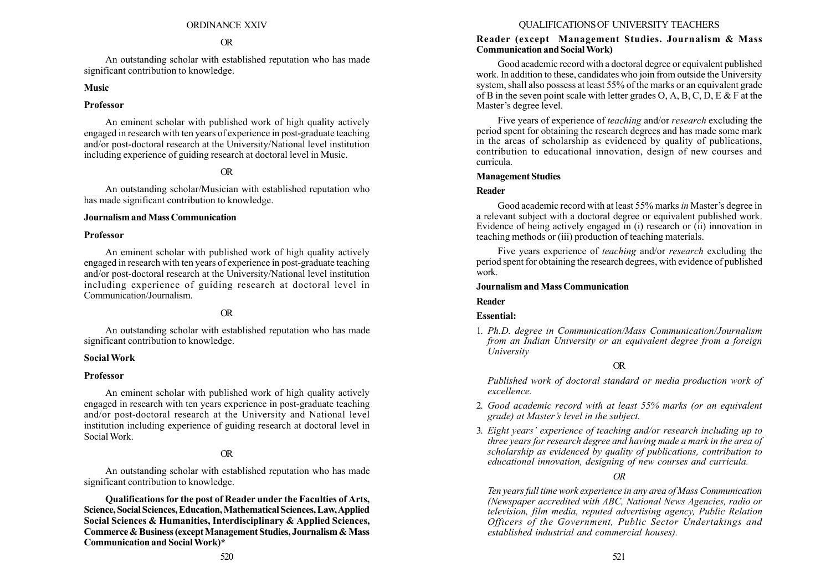#### ORDINANCE XXIV

#### OR

An outstanding scholar with established reputation who has made significant contribution to knowledge.

### Music

### Professor

An eminent scholar with published work of high quality actively engaged in research with ten years of experience in post-graduate teaching and/or post-doctoral research at the University/National level institution including experience of guiding research at doctoral level in Music.

# OR

An outstanding scholar/Musician with established reputation who has made significant contribution to knowledge.

### Journalism andMass Communication

#### Professor

An eminent scholar with published work of high quality actively engaged in research with ten years of experience in post-graduate teaching and/or post-doctoral research at the University/National level institution including experience of guiding research at doctoral level in Communication/Journalism.

### OR

An outstanding scholar with established reputation who has made significant contribution to knowledge.

#### SocialWork

#### Professor

An eminent scholar with published work of high quality actively engaged in research with ten years experience in post-graduate teaching and/or post-doctoral research at the University and National level institution including experience of guiding research at doctoral level in SocialWork.

## OR

An outstanding scholar with established reputation who has made significant contribution to knowledge.

Qualifications for the post of Reader under the Faculties of Arts, Science, Social Sciences,Education,Mathematical Sciences,Law,Applied Social Sciences & Humanities, Interdisciplinary & Applied Sciences, Commerce & Business (except Management Studies, Journalism & Mass Communication and SocialWork)\*

#### QUALIFICATIONS OF UNIVERSITY TEACHERS

### Reader (except Management Studies. Journalism & Mass Communication and SocialWork)

Good academic record with a doctoral degree or equivalent published work. In addition to these, candidates who join from outside the University system, shall also possess at least 55% of the marks or an equivalent grade of B in the seven point scale with letter grades O, A, B, C, D, E & F at the Master's degree level.

Five years of experience of teaching and/or research excluding the period spent for obtaining the research degrees and has made some mark in the areas of scholarship as evidenced by quality of publications, contribution to educational innovation, design of new courses and curricula.

#### Management Studies

#### Reader

Good academic record with at least 55% marks in Master's degree in a relevant subject with a doctoral degree or equivalent published work. Evidence of being actively engaged in (i) research or (ii) innovation in teaching methods or (iii) production of teaching materials.

Five years experience of teaching and/or research excluding the period spent for obtaining the research degrees, with evidence of published work.

#### Journalism andMass Communication

#### Reader

#### Essential:

1. Ph.D. degree in Communication/Mass Communication/Journalism from an Indian University or an equivalent degree from a foreign University

#### OR

Published work of doctoral standard or media production work of excellence.

- 2. Good academic record with at least 55% marks (or an equivalent grade) at Master's level in the subject.
- 3. Eight years' experience of teaching and/or research including up to three years for research degree and having made a mark in the area of scholarship as evidenced by quality of publications, contribution to educational innovation, designing of new courses and curricula.

### OR

Ten years full time work experience in any area of Mass Communication (Newspaper accredited with ABC, National News Agencies, radio or television, film media, reputed advertising agency, Public Relation Officers of the Government, Public Sector Undertakings and established industrial and commercial houses).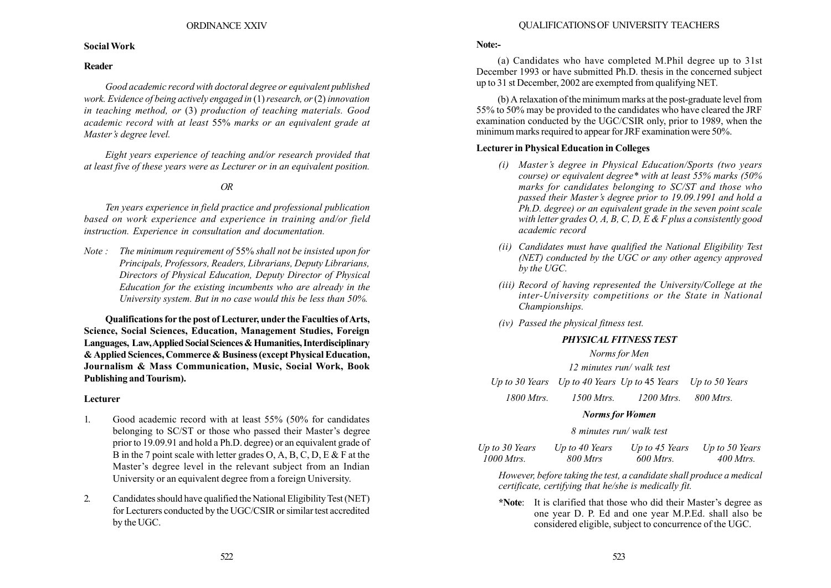### SocialWork

## Reader

Good academic record with doctoral degree or equivalent published work. Evidence of being actively engaged in  $(1)$  research, or  $(2)$  innovation in teaching method, or (3) production of teaching materials. Good academic record with at least 55% marks or an equivalent grade at Master's degree level.

Eight years experience of teaching and/or research provided that at least five of these years were as Lecturer or in an equivalent position.

# OR

Ten years experience in field practice and professional publication based on work experience and experience in training and/or field instruction. Experience in consultation and documentation.

Note : The minimum requirement of 55% shall not be insisted upon for Principals, Professors, Readers, Librarians, Deputy Librarians, Directors of Physical Education, Deputy Director of Physical Education for the existing incumbents who are already in the University system. But in no case would this be less than 50%.

Qualifications for the post of Lecturer, under the Faculties of Arts, Science, Social Sciences, Education, Management Studies, Foreign Languages, Law, Applied Social Sciences & Humanities, Interdisciplinary & Applied Sciences, Commerce & Business (except Physical Education, Journalism & Mass Communication, Music, Social Work, Book Publishing and Tourism).

### Lecturer

- 1. Good academic record with at least 55% (50% for candidates belonging to SC/ST or those who passed their Master's degree prior to 19.09.91 and hold a Ph.D. degree) or an equivalent grade of B in the 7 point scale with letter grades O, A, B, C, D, E  $\&$  F at the Master's degree level in the relevant subject from an Indian University or an equivalent degree from a foreign University.
- 2. Candidates should have qualified the National Eligibility Test (NET) for Lecturers conducted by the UGC/CSIR or similar test accredited by the UGC.

## Note:-

(a) Candidates who have completed M.Phil degree up to 31st December 1993 or have submitted Ph.D. thesis in the concerned subject up to 31 st December, 2002 are exempted from qualifying NET.

(b) A relaxation of the minimum marks at the post-graduate level from 55% to 50% may be provided to the candidates who have cleared the JRF examination conducted by the UGC/CSIR only, prior to 1989, when the minimum marks required to appear for JRF examination were 50%.

# Lecturer in Physical Education in Colleges

- (i) Master's degree in Physical Education/Sports (two years course) or equivalent degree\* with at least 55% marks (50% marks for candidates belonging to SC/ST and those who passed their Master's degree prior to 19.09.1991 and hold a Ph.D. degree) or an equivalent grade in the seven point scale with letter grades O,  $\overrightarrow{A}$ , B, C, D, E & F plus a consistently good academic record
- (ii) Candidates must have qualified the National Eligibility Test (NET) conducted by the UGC or any other agency approved by the UGC.
- (iii) Record of having represented the University/College at the inter-University competitions or the State in National Championships.
- (iv) Passed the physical fitness test.

# PHYSICAL FITNESS TEST

Norms for Men

12 minutes run/ walk test

Up to 30 Years Up to 40 Years Up to 45 Years Up to 50 Years

1800 Mtrs. 1500 Mtrs. 1200 Mtrs. 800 Mtrs.

### Norms for Women

8 minutes run/ walk test

| Up to 30 Years | Up to 40 Years | Up to 45 Years | Up to 50 Years |
|----------------|----------------|----------------|----------------|
| 1000 Mtrs.     | 800 Mtrs       | 600 Mtrs.      | $400$ Mtrs.    |

However, before taking the test, a candidate shall produce a medical certificate, certifying that he/she is medically fit.

\*Note: It is clarified that those who did their Master's degree as one year D. P. Ed and one year M.P.Ed. shall also be considered eligible, subject to concurrence of the UGC.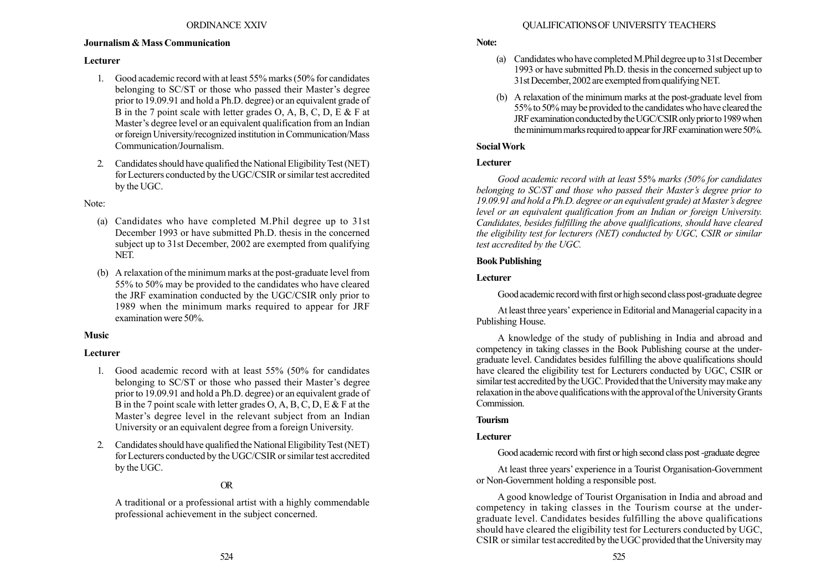## Journalism & Mass Communication

## Lecturer

- 1. Good academic record with at least 55% marks (50% for candidates belonging to SC/ST or those who passed their Master's degree prior to 19.09.91 and hold a Ph.D. degree) or an equivalent grade of B in the 7 point scale with letter grades O, A, B, C, D, E  $\&$  F at Master's degree level or an equivalent qualification from an Indian or foreign University/recognized institution in Communication/Mass Communication/Journalism.
- 2. Candidates should have qualified the National Eligibility Test (NET) for Lecturers conducted by the UGC/CSIR or similar test accredited by the UGC.

## Note:

- (a) Candidates who have completed M.Phil degree up to 31st December 1993 or have submitted Ph.D. thesis in the concerned subject up to 31st December, 2002 are exempted from qualifying NET.
- (b) A relaxation of the minimum marks at the post-graduate level from 55% to 50% may be provided to the candidates who have cleared the JRF examination conducted by the UGC/CSIR only prior to 1989 when the minimum marks required to appear for JRF examination were 50%.

# Music

# Lecturer

- 1. Good academic record with at least 55% (50% for candidates belonging to SC/ST or those who passed their Master's degree prior to 19.09.91 and hold a Ph.D. degree) or an equivalent grade of B in the 7 point scale with letter grades O, A, B, C, D, E & F at the Master's degree level in the relevant subject from an Indian University or an equivalent degree from a foreign University.
- 2. Candidates should have qualified the National Eligibility Test (NET) for Lecturers conducted by the UGC/CSIR or similar test accredited by the UGC.

# OR

A traditional or a professional artist with a highly commendable professional achievement in the subject concerned.

# Note:

- (a) Candidates who have completedM.Phil degree upto 31st December 1993 or have submitted Ph.D. thesis in the concerned subject up to 31st December, 2002 are exempted from qualifying NET.
- (b) A relaxation of the minimum marks at the post-graduate level from 55% to 50% may be provided to the candidates who have cleared the JRF examination conducted by the UGC/CSIR only prior to 1989 when the minimum marks required to appear for JRF examination were 50%.

# SocialWork

## Lecturer

Good academic record with at least 55% marks (50% for candidates belonging to SC/ST and those who passed their Master's degree prior to 19.09.91 and hold a Ph.D. degree or an equivalent grade) at Master's degree level or an equivalent qualification from an Indian or foreign University. Candidates, besides fulfilling the above qualifications, should have cleared the eligibility test for lecturers (NET) conducted by UGC, CSIR or similar test accredited by the UGC.

## Book Publishing

# Lecturer

Good academic record with first or high second class post-graduate degree

At least three years' experience in Editorial and Managerial capacity in a Publishing House.

A knowledge of the study of publishing in India and abroad and competency in taking classes in the Book Publishing course at the undergraduate level. Candidates besides fulfilling the above qualifications should have cleared the eligibility test for Lecturers conducted by UGC, CSIR or similar test accredited by the UGC. Provided that the University may make any relaxation in the above qualifications with the approval of the University Grants Commission.

# Tourism

# Lecturer

Good academic record with first or high second class post -graduate degree

At least three years' experience in a Tourist Organisation-Government or Non-Government holding a responsible post.

A good knowledge of Tourist Organisation in India and abroad and competency in taking classes in the Tourism course at the undergraduate level. Candidates besides fulfilling the above qualifications should have cleared the eligibility test for Lecturers conducted by UGC, CSIR or similar test accredited by the UGC provided that the University may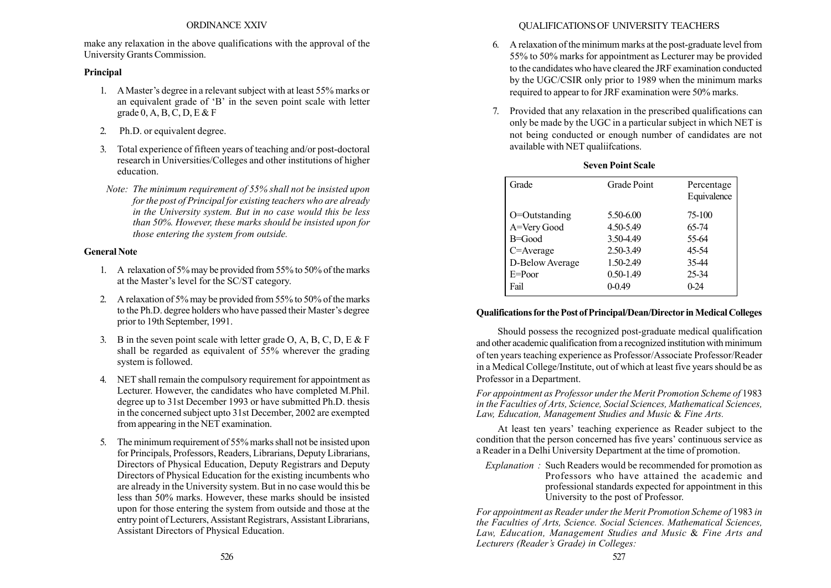### ORDINANCE XXIV

make any relaxation in the above qualifications with the approval of the University Grants Commission.

# Principal

- 1. A Master's degree in a relevant subject with at least 55% marks or an equivalent grade of  $B'$  in the seven point scale with letter grade  $0, A, B, C, D, E & F$
- 2. Ph.D. or equivalent degree.
- 3. Total experience of fifteen years of teaching and/or post-doctoral research in Universities/Colleges and other institutions of higher education.
- Note: The minimum requirement of 55% shall not be insisted upon for the post of Principal for existing teachers who are already in the University system. But in no case would this be less than 50%. However, these marks should be insisted upon for those entering the system from outside.

# General Note

- 1. A relaxation of 5% may be provided from 55% to 50% of the marks at the Master's level for the SC/ST category.
- 2. A relaxation of 5% may be provided from 55% to 50% of the marks to the Ph.D. degree holders who have passed their Master's degree prior to 19th September, 1991.
- 3. B in the seven point scale with letter grade O, A, B, C, D, E  $\&$  F shall be regarded as equivalent of 55% wherever the grading system is followed.
- 4. NET shall remain the compulsory requirement for appointment as Lecturer. However, the candidates who have completed M.Phil. degree up to 31st December 1993 or have submitted Ph.D. thesis in the concerned subject upto 31st December, 2002 are exempted from appearing in the NET examination.
- 5. The minimum requirement of 55% marks shall not be insisted upon for Principals, Professors, Readers, Librarians, Deputy Librarians, Directors of Physical Education, Deputy Registrars and Deputy Directors of Physical Education for the existing incumbents who are already in the University system. But in no case would this be less than 50% marks. However, these marks should be insisted upon for those entering the system from outside and those at the entry point of Lecturers, Assistant Registrars, Assistant Librarians, Assistant Directors of Physical Education.

# QUALIFICATIONS OF UNIVERSITY TEACHERS

- 6. A relaxation of the minimum marks at the post-graduate level from 55% to 50% marks for appointment as Lecturer may be provided to the candidates who have cleared the JRF examination conducted by the UGC/CSIR only prior to 1989 when the minimum marks required to appear to for JRF examination were 50% marks.
- 7. Provided that any relaxation in the prescribed qualifications can only be made by the UGC in a particular subject in which NET is not being conducted or enough number of candidates are not available with NET qualiifcations.

| Grade            | <b>Grade Point</b> | Percentage<br>Equivalence |
|------------------|--------------------|---------------------------|
| $O=O$ utstanding | 5.50-6.00          | 75-100                    |
| A=Very Good      | 4.50-5.49          | 65-74                     |
| $B = Good$       | 3.50-4.49          | 55-64                     |
| C=Average        | 2.50-3.49          | 45-54                     |
| D-Below Average  | 1.50-2.49          | 35.44                     |
| $E = Poor$       | 0.50-1.49          | 25-34                     |
| Fail             | $0 - 0.49$         | $0-24$                    |

# Seven Point Scale

# Qualifications for the Post of Principal/Dean/Director in Medical Colleges

Should possess the recognized post-graduate medical qualification and other academic qualification from a recognized institution with minimum of ten years teaching experience as Professor/Associate Professor/Reader in a Medical College/Institute, out of which at least five years should be as Professor in a Department.

For appointment as Professor under the Merit Promotion Scheme of 1983 in the Faculties of Arts, Science, Social Sciences, Mathematical Sciences, Law, Education, Management Studies and Music & Fine Arts.

At least ten years' teaching experience as Reader subject to the condition that the person concerned has five years' continuous service as a Reader in a Delhi University Department at the time of promotion.

Explanation : Such Readers would be recommended for promotion as Professors who have attained the academic and professional standards expected for appointment in this University to the post of Professor.

For appointment as Reader under the Merit Promotion Scheme of 1983 in the Faculties of Arts, Science. Social Sciences. Mathematical Sciences, Law, Education, Management Studies and Music & Fine Arts and Lecturers (Reader's Grade) in Colleges: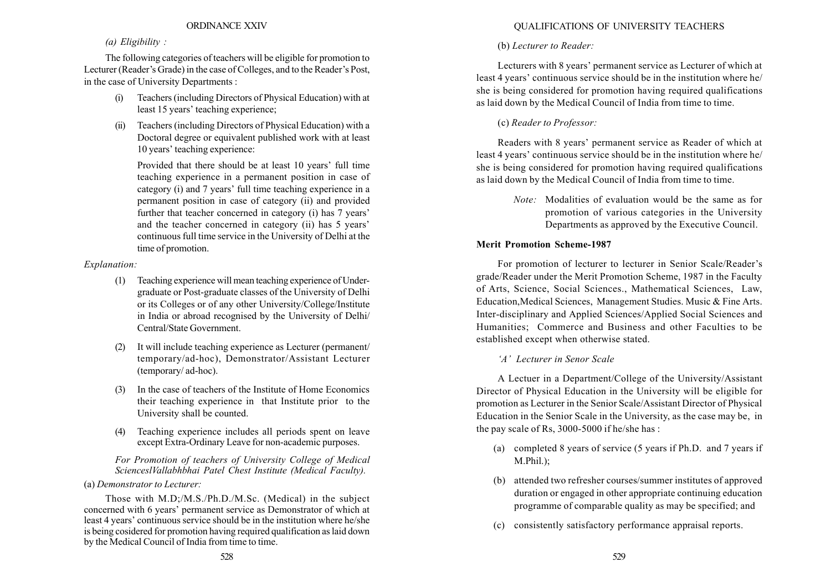### ORDINANCE XXIV

### (a) Eligibility :

The following categories of teachers will be eligible for promotion to Lecturer (Reader's Grade) in the case of Colleges, and to the Reader's Post, in the case of University Departments :

- (i) Teachers (including Directors of Physical Education) with at least 15 years' teaching experience:
- (ii) Teachers (including Directors of Physical Education) with a Doctoral degree or equivalent published work with at least 10 years' teaching experience:

Provided that there should be at least 10 years' full time teaching experience in a permanent position in case of category (i) and 7 years' full time teaching experience in a permanent position in case of category (ii) and provided further that teacher concerned in category (i) has 7 years<sup>7</sup> and the teacher concerned in category (ii) has 5 years' continuous full time service in the University of Delhi at the time of promotion.

### Explanation:

- (1) Teaching experience will mean teaching experience of Undergraduate or Post-graduate classes of the University of Delhi or its Colleges or of any other University/College/Institute in India or abroad recognised by the University of Delhi/ Central/State Government.
- (2) It will include teaching experience as Lecturer (permanent/ temporary/ad-hoc), Demonstrator/Assistant Lecturer (temporary/ ad-hoc).
- (3) In the case of teachers of the Institute of Home Economics their teaching experience in that Institute prior to the University shall be counted.
- (4) Teaching experience includes all periods spent on leave except Extra-Ordinary Leave for non-academic purposes.

For Promotion of teachers of University College of Medical ScienceslVallabhbhai Patel Chest Institute (Medical Faculty).

### (a) Demonstrator to Lecturer:

Those with M.D;/M.S./Ph.D./M.Sc. (Medical) in the subject concerned with 6 years' permanent service as Demonstrator of which at least 4 years' continuous service should be in the institution where he/she is being cosidered for promotion having required qualification as laid down by the Medical Council of India from time to time.

# QUALIFICATIONS OF UNIVERSITY TEACHERS

## (b) Lecturer to Reader:

Lecturers with 8 years' permanent service as Lecturer of which at least 4 years' continuous service should be in the institution where he/ she is being considered for promotion having required qualifications as laid down by the Medical Council of India from time to time.

## (c) Reader to Professor:

Readers with 8 years' permanent service as Reader of which at least 4 years' continuous service should be in the institution where he/ she is being considered for promotion having required qualifications as laid down by the Medical Council of India from time to time.

> Note: Modalities of evaluation would be the same as for promotion of various categories in the University Departments as approved by the Executive Council.

### Merit Promotion Scheme-1987

For promotion of lecturer to lecturer in Senior Scale/Reader's grade/Reader under the Merit Promotion Scheme, 1987 in the Faculty of Arts, Science, Social Sciences., Mathematical Sciences, Law, Education,Medical Sciences, Management Studies. Music & Fine Arts. Inter-disciplinary and Applied Sciences/Applied Social Sciences and Humanities; Commerce and Business and other Faculties to be established except when otherwise stated.

### ëAí Lecturer in Senor Scale

A Lectuer in a Department/College of the University/Assistant Director of Physical Education in the University will be eligible for promotion as Lecturer in the Senior Scale/Assistant Director of Physical Education in the Senior Scale in the University, as the case may be, in the pay scale of Rs, 3000-5000 if he/she has :

- (a) completed 8 years of service (5 years if Ph.D. and 7 years if M.Phil.);
- (b) attended two refresher courses/summer institutes of approved duration or engaged in other appropriate continuing education programme of comparable quality as may be specified; and
- (c) consistently satisfactory performance appraisal reports.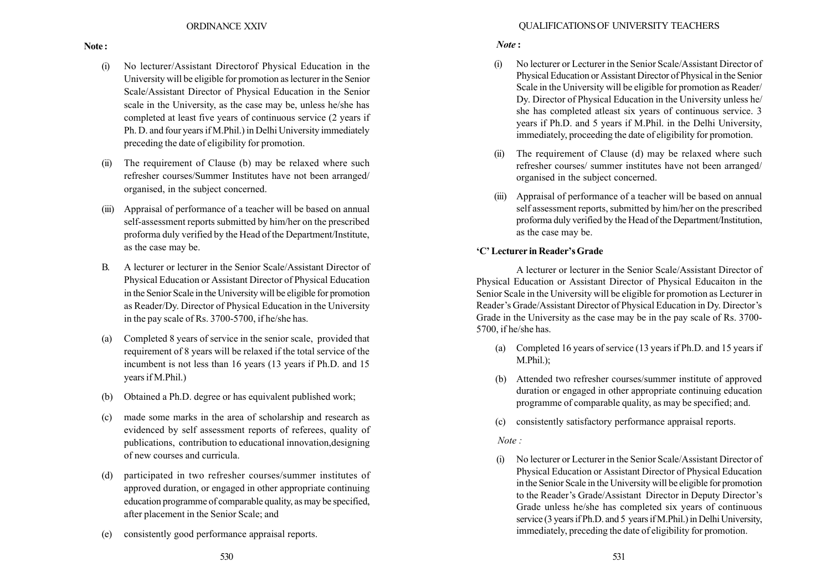- (i) No lecturer/Assistant Directorof Physical Education in the University will be eligible for promotion as lecturer in the Senior Scale/Assistant Director of Physical Education in the Senior scale in the University, as the case may be, unless he/she has completed at least five years of continuous service (2 years if Ph. D. and four years if M.Phil.) in Delhi University immediately preceding the date of eligibility for promotion.
- (ii) The requirement of Clause (b) may be relaxed where such refresher courses/Summer Institutes have not been arranged/ organised, in the subject concerned.
- (iii) Appraisal of performance of a teacher will be based on annual self-assessment reports submitted by him/her on the prescribed proforma duly verified by the Head of the Department/Institute, as the case may be.
- B. A lecturer or lecturer in the Senior Scale/Assistant Director of Physical Education or Assistant Director of Physical Education in the Senior Scale in the University will be eligible for promotion as Reader/Dy. Director of Physical Education in the University in the pay scale of Rs. 3700-5700, if he/she has.
- (a) Completed 8 years of service in the senior scale, provided that requirement of 8 years will be relaxed if the total service of the incumbent is not less than 16 years (13 years if Ph.D. and 15 years if M.Phil.)
- (b) Obtained a Ph.D. degree or has equivalent published work;
- (c) made some marks in the area of scholarship and research as evidenced by self assessment reports of referees, quality of publications, contribution to educational innovation,designing of new courses and curricula.
- (d) participated in two refresher courses/summer institutes of approved duration, or engaged in other appropriate continuing education programme of comparable quality, as may be specified, after placement in the Senior Scale; and
- (e) consistently good performance appraisal reports.

# Note :

- (i) No lecturer or Lecturer in the Senior Scale/Assistant Director of Physical Education or Assistant Director of Physical in the Senior Scale in the University will be eligible for promotion as Reader/ Dy. Director of Physical Education in the University unless he/ she has completed atleast six years of continuous service. 3 years if Ph.D. and 5 years if M.Phil. in the Delhi University, immediately, proceeding the date of eligibility for promotion.
- (ii) The requirement of Clause (d) may be relaxed where such refresher courses/ summer institutes have not been arranged/ organised in the subject concerned.
- (iii) Appraisal of performance of a teacher will be based on annual self assessment reports, submitted by him/her on the prescribed proforma duly verified by the Head of the Department/Institution, as the case may be.

# 'C' Lecturer in Reader's Grade

A lecturer or lecturer in the Senior Scale/Assistant Director of Physical Education or Assistant Director of Physical Educaiton in the Senior Scale in the University will be eligible for promotion as Lecturer in Reader's Grade/Assistant Director of Physical Education in Dy. Director's Grade in the University as the case may be in the pay scale of Rs. 3700- 5700, if he/she has.

- (a) Completed 16 years of service (13 years if Ph.D. and 15 years if M.Phil.);
- (b) Attended two refresher courses/summer institute of approved duration or engaged in other appropriate continuing education programme of comparable quality, as may be specified; and.
- (c) consistently satisfactory performance appraisal reports.

# Note :

(i) No lecturer or Lecturer in the Senior Scale/Assistant Director of Physical Education or Assistant Director of Physical Education in the Senior Scale in the University will be eligible for promotion to the Reader's Grade/Assistant Director in Deputy Director's Grade unless he/she has completed six years of continuous service (3 years if Ph.D. and 5 years if M.Phil.) in Delhi University, immediately, preceding the date of eligibility for promotion.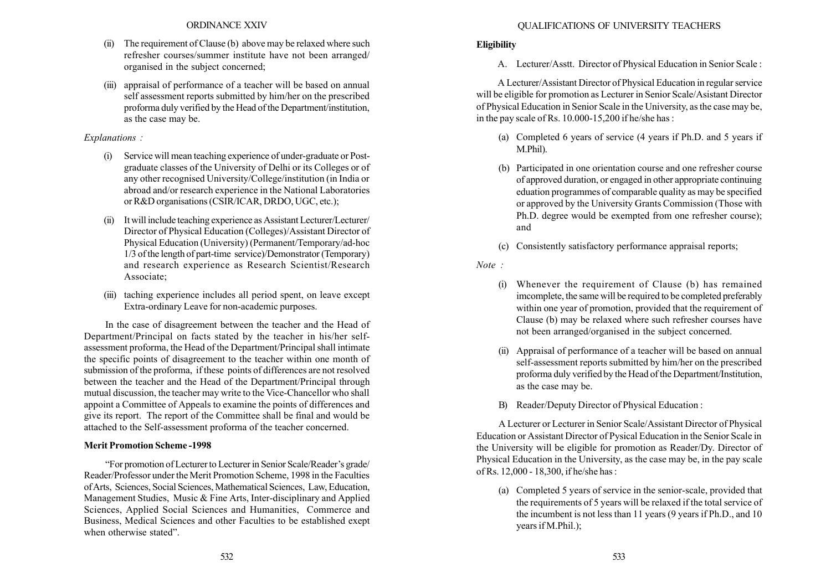- (ii) The requirement of Clause (b) above may be relaxed where such refresher courses/summer institute have not been arranged/ organised in the subject concerned;
- (iii) appraisal of performance of a teacher will be based on annual self assessment reports submitted by him/her on the prescribed proforma duly verified by the Head of the Department/institution, as the case may be.

## Explanations :

- (i) Service will mean teaching experience of under-graduate or Postgraduate classes of the University of Delhi or its Colleges or of any other recognised University/College/institution (in India or abroad and/or research experience in the National Laboratories or R&D organisations (CSIR/ICAR, DRDO, UGC, etc.);
- (ii) It will include teaching experience as Assistant Lecturer/Lecturer/ Director of Physical Education (Colleges)/Assistant Director of Physical Education (University) (Permanent/Temporary/ad-hoc 1/3 of the length of part-time service)/Demonstrator (Temporary) and research experience as Research Scientist/Research Associate;
- (iii) taching experience includes all period spent, on leave except Extra-ordinary Leave for non-academic purposes.

In the case of disagreement between the teacher and the Head of Department/Principal on facts stated by the teacher in his/her selfassessment proforma, the Head of the Department/Principal shall intimate the specific points of disagreement to the teacher within one month of submission of the proforma, if these points of differences are not resolved between the teacher and the Head of the Department/Principal through mutual discussion, the teacher may write to the Vice-Chancellor who shall appoint a Committee of Appeals to examine the points of differences and give its report. The report of the Committee shall be final and would be attached to the Self-assessment proforma of the teacher concerned.

# Merit Promotion Scheme -1998

ìFor promotion of Lecturer to Lecturer in Senior Scale/Readerís grade/ Reader/Professor under the Merit Promotion Scheme, 1998 in the Faculties ofArts, Sciences, Social Sciences, Mathematical Sciences, Law, Education, Management Studies, Music & Fine Arts, Inter-disciplinary and Applied Sciences, Applied Social Sciences and Humanities, Commerce and Business, Medical Sciences and other Faculties to be established exept when otherwise stated".

# **Eligibility**

A. Lecturer/Asstt. Director of Physical Education in Senior Scale :

A Lecturer/Assistant Director of Physical Education in regular service will be eligible for promotion as Lecturer in Senior Scale/Asistant Director of Physical Education in Senior Scale in the University, as the case may be, in the pay scale of Rs. 10.000-15,200 if he/she has :

- (a) Completed 6 years of service (4 years if Ph.D. and 5 years if M.Phil).
- (b) Participated in one orientation course and one refresher course of approved duration, or engaged in other appropriate continuing eduation programmes of comparable quality as may be specified or approved by the University Grants Commission (Those with Ph.D. degree would be exempted from one refresher course); and
- (c) Consistently satisfactory performance appraisal reports;

Note :

- (i) Whenever the requirement of Clause (b) has remained imcomplete, the same will be required to be completed preferably within one year of promotion, provided that the requirement of Clause (b) may be relaxed where such refresher courses have not been arranged/organised in the subject concerned.
- (ii) Appraisal of performance of a teacher will be based on annual self-assessment reports submitted by him/her on the prescribed proforma duly verified by the Head of the Department/Institution, as the case may be.
- B) Reader/Deputy Director of Physical Education :

A Lecturer or Lecturer in Senior Scale/Assistant Director of Physical Education or Assistant Director of Pysical Education in the Senior Scale in the University will be eligible for promotion as Reader/Dy. Director of Physical Education in the University, as the case may be, in the pay scale of Rs. 12,000 - 18,300, if he/she has :

(a) Completed 5 years of service in the senior-scale, provided that the requirements of 5 years will be relaxed if the total service of the incumbent is not less than 11 years (9 years if Ph.D., and 10 years if M.Phil.);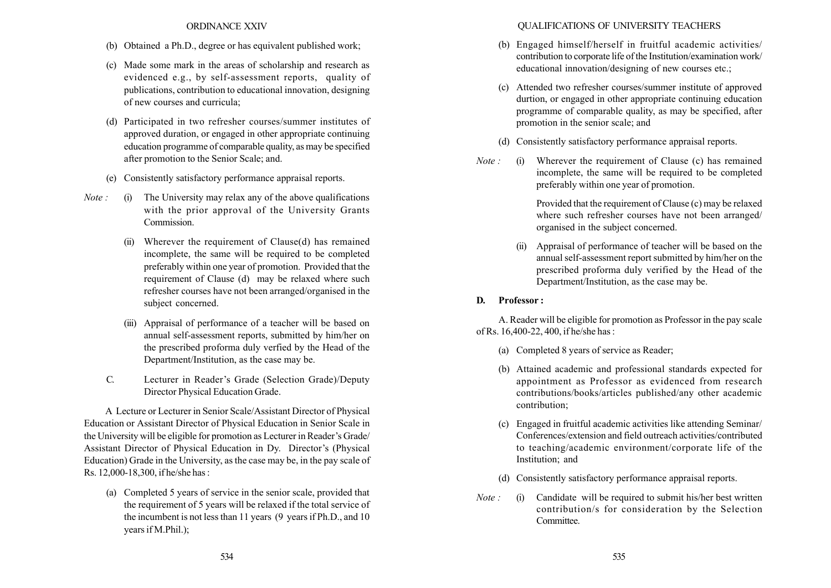### ORDINANCE XXIV

- (b) Obtained a Ph.D., degree or has equivalent published work;
- (c) Made some mark in the areas of scholarship and research as evidenced e.g., by self-assessment reports, quality of publications, contribution to educational innovation, designing of new courses and curricula;
- (d) Participated in two refresher courses/summer institutes of approved duration, or engaged in other appropriate continuing education programme of comparable quality, as may be specified after promotion to the Senior Scale; and.
- (e) Consistently satisfactory performance appraisal reports.
- *Note*: (i) The University may relax any of the above qualifications with the prior approval of the University Grants Commission.
	- Wherever the requirement of Clause(d) has remained incomplete, the same will be required to be completed preferably within one year of promotion. Provided that the requirement of Clause (d) may be relaxed where such refresher courses have not been arranged/organised in the subject concerned.
	- (iii) Appraisal of performance of a teacher will be based on annual self-assessment reports, submitted by him/her on the prescribed proforma duly verfied by the Head of the Department/Institution, as the case may be.
	- C. Lecturer in Reader's Grade (Selection Grade)/Deputy Director Physical Education Grade.

A Lecture or Lecturer in Senior Scale/Assistant Director of Physical Education or Assistant Director of Physical Education in Senior Scale in the University will be eligible for promotion as Lecturer in Reader's Grade/ Assistant Director of Physical Education in Dy. Director's (Physical Education) Grade in the University, as the case may be, in the pay scale of Rs. 12,000-18,300, if he/she has :

(a) Completed 5 years of service in the senior scale, provided that the requirement of 5 years will be relaxed if the total service of the incumbent is not less than 11 years (9 years if Ph.D., and 10 years if M.Phil.);

### QUALIFICATIONS OF UNIVERSITY TEACHERS

- (b) Engaged himself/herself in fruitful academic activities/ contribution to corporate life of the Institution/examination work/ educational innovation/designing of new courses etc.;
- (c) Attended two refresher courses/summer institute of approved durtion, or engaged in other appropriate continuing education programme of comparable quality, as may be specified, after promotion in the senior scale; and
- (d) Consistently satisfactory performance appraisal reports.
- Note : (i) Wherever the requirement of Clause (c) has remained incomplete, the same will be required to be completed preferably within one year of promotion.

Provided that the requirement of Clause (c) may be relaxed where such refresher courses have not been arranged/ organised in the subject concerned.

(ii) Appraisal of performance of teacher will be based on the annual self-assessment report submitted by him/her on the prescribed proforma duly verified by the Head of the Department/Institution, as the case may be.

### D. Professor :

A. Reader will be eligible for promotion as Professor in the pay scale of Rs. 16,400-22, 400, if he/she has :

- (a) Completed 8 years of service as Reader;
- (b) Attained academic and professional standards expected for appointment as Professor as evidenced from research contributions/books/articles published/any other academic contribution;
- (c) Engaged in fruitful academic activities like attending Seminar/ Conferences/extension and field outreach activities/contributed to teaching/academic environment/corporate life of the Institution; and
- (d) Consistently satisfactory performance appraisal reports.
- *Note* : (i) Candidate will be required to submit his/her best written contribution/s for consideration by the Selection **Committee**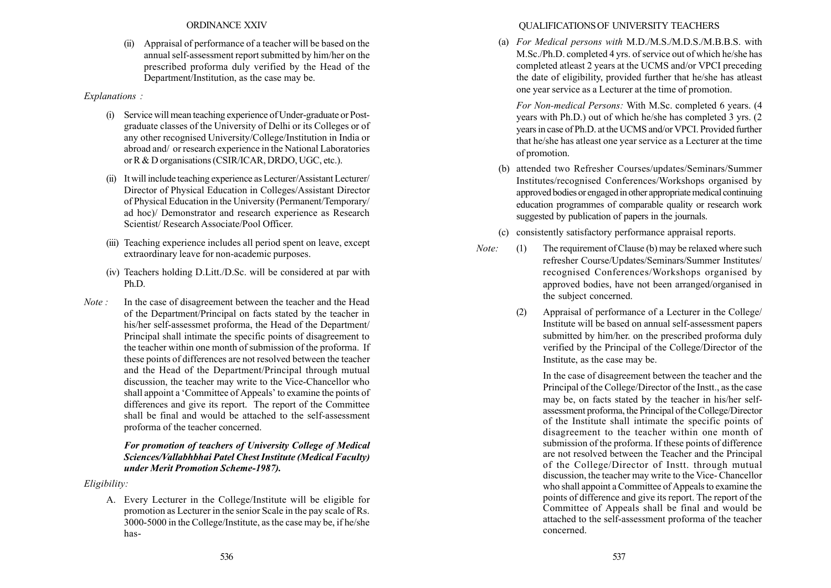Appraisal of performance of a teacher will be based on the annual self-assessment report submitted by him/her on the prescribed proforma duly verified by the Head of the Department/Institution, as the case may be.

#### Explanations :

- (i) Service will mean teaching experience of Under-graduate or Postgraduate classes of the University of Delhi or its Colleges or of any other recognised University/College/Institution in India or abroad and/ or research experience in the National Laboratories or R & D organisations (CSIR/ICAR, DRDO, UGC, etc.).
- (ii) It will include teaching experience as Lecturer/Assistant Lecturer/ Director of Physical Education in Colleges/Assistant Director of Physical Education in the University (Permanent/Temporary/ ad hoc)/ Demonstrator and research experience as Research Scientist/ Research Associate/Pool Officer.
- (iii) Teaching experience includes all period spent on leave, except extraordinary leave for non-academic purposes.
- (iv) Teachers holding D.Litt./D.Sc. will be considered at par with Ph.D.
- Note : In the case of disagreement between the teacher and the Head of the Department/Principal on facts stated by the teacher in his/her self-assessmet proforma, the Head of the Department/ Principal shall intimate the specific points of disagreement to the teacher within one month of submission of the proforma. If these points of differences are not resolved between the teacher and the Head of the Department/Principal through mutual discussion, the teacher may write to the Vice-Chancellor who shall appoint a 'Committee of Appeals' to examine the points of differences and give its report. The report of the Committee shall be final and would be attached to the self-assessment proforma of the teacher concerned.

### For promotion of teachers of University College of Medical Sciences/Vallabhbhai Patel Chest Institute (Medical Faculty) under Merit Promotion Scheme-1987).

Eligibility:

A. Every Lecturer in the College/Institute will be eligible for promotion as Lecturer in the senior Scale in the pay scale of Rs. 3000-5000 in the College/Institute, as the case may be, if he/she has-

## QUALIFICATIONS OF UNIVERSITY TEACHERS

(a) For Medical persons with M.D./M.S./M.D.S./M.B.B.S. with M.Sc./Ph.D. completed 4 yrs. of service out of which he/she has completed atleast 2 years at the UCMS and/or VPCI preceding the date of eligibility, provided further that he/she has atleast one year service as a Lecturer at the time of promotion.

For Non-medical Persons: With M.Sc. completed 6 years. (4 years with Ph.D.) out of which he/she has completed 3 yrs. (2 years in case of Ph.D. at the UCMS and/or VPCI. Provided further that he/she has atleast one year service as a Lecturer at the time of promotion.

- (b) attended two Refresher Courses/updates/Seminars/Summer Institutes/recognised Conferences/Workshops organised by approved bodies or engaged in other appropriate medical continuing education programmes of comparable quality or research work suggested by publication of papers in the journals.
- (c) consistently satisfactory performance appraisal reports.
- Note: (1) The requirement of Clause (b) may be relaxed where such refresher Course/Updates/Seminars/Summer Institutes/ recognised Conferences/Workshops organised by approved bodies, have not been arranged/organised in the subject concerned.
	- (2) Appraisal of performance of a Lecturer in the College/ Institute will be based on annual self-assessment papers submitted by him/her. on the prescribed proforma duly verified by the Principal of the College/Director of the Institute, as the case may be.

In the case of disagreement between the teacher and the Principal of the College/Director of the Instt., as the case may be, on facts stated by the teacher in his/her selfassessment proforma, the Principal of the College/Director of the Institute shall intimate the specific points of disagreement to the teacher within one month of submission of the proforma. If these points of difference are not resolved between the Teacher and the Principal of the College/Director of Instt. through mutual discussion, the teacher may write to the Vice- Chancellor who shall appoint a Committee of Appeals to examine the points of difference and give its report. The report of the Committee of Appeals shall be final and would be attached to the self-assessment proforma of the teacher concerned.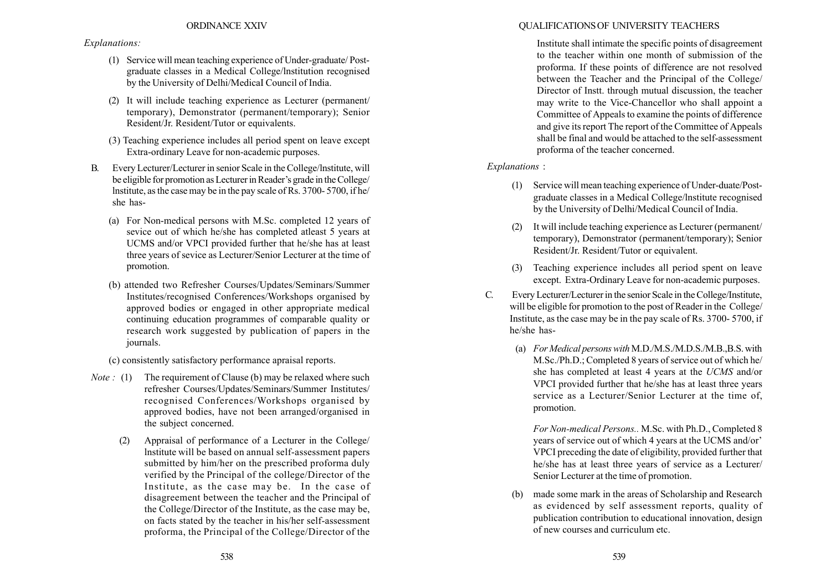### Explanations:

- (1) Service will mean teaching experience of Under-graduate/ Postgraduate classes in a Medical College/lnstitution recognised by the University of Delhi/MedicaI Council of India.
- (2) It will include teaching experience as Lecturer (permanent/ temporary), Demonstrator (permanent/temporary); Senior Resident/Jr. Resident/Tutor or equivalents.
- (3) Teaching experience includes all period spent on leave except Extra-ordinary Leave for non-academic purposes.
- B. Every Lecturer/Lecturer in senior Scale in the College/lnstitute, will be eligible for promotion as Lecturer in Reader's grade in the College/ lnstitute, as the case may be in the pay scale of Rs. 3700- 5700, if he/ she has-
	- (a) For Non-medical persons with M.Sc. completed 12 years of sevice out of which he/she has completed atleast 5 years at UCMS and/or VPCI provided further that he/she has at least three years of sevice as Lecturer/Senior Lecturer at the time of promotion.
	- (b) attended two Refresher Courses/Updates/Seminars/Summer Institutes/recognised Conferences/Workshops organised by approved bodies or engaged in other appropriate medical continuing education programmes of comparable quality or research work suggested by publication of papers in the journals.

(c) consistently satisfactory performance apraisal reports.

- *Note* : (1) The requirement of Clause (b) may be relaxed where such refresher Courses/Updates/Seminars/Summer Institutes/ recognised Conferences/Workshops organised by approved bodies, have not been arranged/organised in the subject concerned.
	- (2) Appraisal of performance of a Lecturer in the College/ lnstitute will be based on annual self-assessment papers submitted by him/her on the prescribed proforma duly verified by the Principal of the college/Director of the Institute, as the case may be. In the case of disagreement between the teacher and the Principal of the College/Director of the Institute, as the case may be, on facts stated by the teacher in his/her self-assessment proforma, the Principal of the College/Director of the

## QUALIFICATIONS OF UNIVERSITY TEACHERS

Institute shall intimate the specific points of disagreement to the teacher within one month of submission of the proforma. If these points of difference are not resolved between the Teacher and the Principal of the College/ Director of Instt. through mutual discussion, the teacher may write to the Vice-Chancellor who shall appoint a Committee of Appeals to examine the points of difference and give its report The report of the Committee of Appeals shall be final and would be attached to the self-assessment proforma of the teacher concerned.

Explanations :

- (1) Service will mean teaching experience of Under-duate/Postgraduate classes in a Medical College/lnstitute recognised by the University of Delhi/Medical Council of India.
- (2) It will include teaching experience as Lecturer (permanent/ temporary), Demonstrator (permanent/temporary); Senior Resident/Jr. Resident/Tutor or equivalent.
- (3) Teaching experience includes all period spent on leave except. Extra-Ordinary Leave for non-academic purposes.
- C. Every Lecturer/Lecturer in the senior Scale in the College/Institute, will be eligible for promotion to the post of Reader in the College/ Institute, as the case may be in the pay scale of Rs. 3700- 5700, if he/she has-
	- (a) For Medical persons with M.D./M.S./M.D.S./M.B.,B.S. with M.Sc./Ph.D.; Completed 8 years of service out of which he/ she has completed at least 4 years at the UCMS and/or VPCI provided further that he/she has at least three years service as a Lecturer/Senior Lecturer at the time of, promotion.

For Non-medical Persons.. M.Sc. with Ph.D., Completed 8 years of service out of which 4 years at the UCMS and/or' VPCI preceding the date of eligibility, provided further that he/she has at least three years of service as a Lecturer/ Senior Lecturer at the time of promotion.

(b) made some mark in the areas of Scholarship and Research as evidenced by self assessment reports, quality of publication contribution to educational innovation, design of new courses and curriculum etc.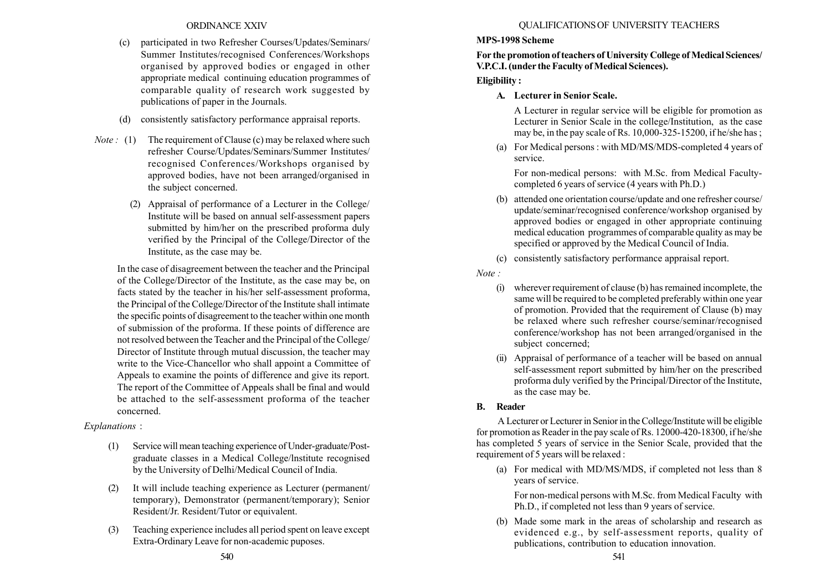- (c) participated in two Refresher Courses/Updates/Seminars/ Summer Institutes/recognised Conferences/Workshops organised by approved bodies or engaged in other appropriate medical continuing education programmes of comparable quality of research work suggested by publications of paper in the Journals.
- (d) consistently satisfactory performance appraisal reports.
- *Note*: (1) The requirement of Clause (c) may be relaxed where such refresher Course/Updates/Seminars/Summer Institutes/ recognised Conferences/Workshops organised by approved bodies, have not been arranged/organised in the subject concerned.
	- (2) Appraisal of performance of a Lecturer in the College/ Institute will be based on annual self-assessment papers submitted by him/her on the prescribed proforma duly verified by the Principal of the College/Director of the Institute, as the case may be.

In the case of disagreement between the teacher and the Principal of the College/Director of the Institute, as the case may be, on facts stated by the teacher in his/her self-assessment proforma, the Principal of the College/Director of the Institute shall intimate the specific points of disagreement to the teacher within one month of submission of the proforma. If these points of difference are not resolved between the Teacher and the Principal of the College/ Director of Institute through mutual discussion, the teacher may write to the Vice-Chancellor who shall appoint a Committee of Appeals to examine the points of difference and give its report. The report of the Committee of Appeals shall be final and would be attached to the self-assessment proforma of the teacher concerned.

### Explanations :

- (1) Service will mean teaching experience of Under-graduate/Postgraduate classes in a Medical College/lnstitute recognised by the University of Delhi/Medical Council of India.
- (2) It will include teaching experience as Lecturer (permanent/ temporary), Demonstrator (permanent/temporary); Senior Resident/Jr. Resident/Tutor or equivalent.
- (3) Teaching experience includes all period spent on leave except Extra-Ordinary Leave for non-academic puposes.

### QUALIFICATIONS OF UNIVERSITY TEACHERS

## MPS-1998 Scheme

For the promotion of teachers of University College of Medical Sciences/ V.P.C.I. (under the Faculty of Medical Sciences).

# Eligibility :

A. Lecturer in Senior Scale.

A Lecturer in regular service will be eligible for promotion as Lecturer in Senior Scale in the college/Institution, as the case may be, in the pay scale of Rs. 10,000-325-15200, if he/she has ;

(a) For Medical persons : with MD/MS/MDS-completed 4 years of service.

For non-medical persons: with M.Sc. from Medical Facultycompleted 6 years of service (4 years with Ph.D.)

- (b) attended one orientation course/update and one refresher course/ update/seminar/recognised conference/workshop organised by approved bodies or engaged in other appropriate continuing medical education programmes of comparable quality as may be specified or approved by the Medical Council of India.
- (c) consistently satisfactory performance appraisal report.
- Note :
	- (i) wherever requirement of clause (b) has remained incomplete, the same will be required to be completed preferably within one year of promotion. Provided that the requirement of Clause (b) may be relaxed where such refresher course/seminar/recognised conference/workshop has not been arranged/organised in the subject concerned;
	- (ii) Appraisal of performance of a teacher will be based on annual self-assessment report submitted by him/her on the prescribed proforma duly verified by the Principal/Director of the Institute, as the case may be.

## B. Reader

A Lecturer or Lecturer in Senior in the College/Institute will be eligible for promotion as Reader in the pay scale of Rs. 12000-420-18300, if he/she has completed 5 years of service in the Senior Scale, provided that the requirement of 5 years will be relaxed :

(a) For medical with MD/MS/MDS, if completed not less than 8 years of service.

For non-medical persons with M.Sc. from Medical Faculty with Ph.D., if completed not less than 9 years of service.

(b) Made some mark in the areas of scholarship and research as evidenced e.g., by self-assessment reports, quality of publications, contribution to education innovation.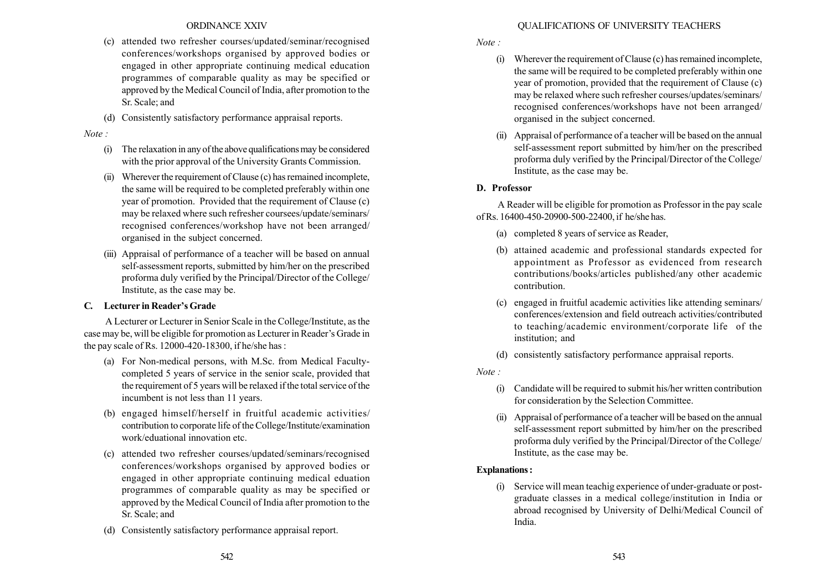- (c) attended two refresher courses/updated/seminar/recognised conferences/workshops organised by approved bodies or engaged in other appropriate continuing medical education programmes of comparable quality as may be specified or approved by the Medical Council of India, after promotion to the Sr. Scale; and
- (d) Consistently satisfactory performance appraisal reports.

#### Note :

- $(i)$  The relaxation in any of the above qualifications may be considered with the prior approval of the University Grants Commission.
- (ii) Wherever the requirement of Clause (c) has remained incomplete, the same will be required to be completed preferably within one year of promotion. Provided that the requirement of Clause (c) may be relaxed where such refresher coursees/update/seminars/ recognised conferences/workshop have not been arranged/ organised in the subject concerned.
- (iii) Appraisal of performance of a teacher will be based on annual self-assessment reports, submitted by him/her on the prescribed proforma duly verified by the Principal/Director of the College/ Institute, as the case may be.

## C. Lecturer in Reader's Grade

A Lecturer or Lecturer in Senior Scale in the College/Institute, as the case may be, will be eligible for promotion as Lecturer in Reader's Grade in the pay scale of Rs. 12000-420-18300, if he/she has :

- (a) For Non-medical persons, with M.Sc. from Medical Facultycompleted 5 years of service in the senior scale, provided that the requirement of 5 years will be relaxed if the total service of the incumbent is not less than 11 years.
- (b) engaged himself/herself in fruitful academic activities/ contribution to corporate life of the College/Institute/examination work/eduational innovation etc.
- (c) attended two refresher courses/updated/seminars/recognised conferences/workshops organised by approved bodies or engaged in other appropriate continuing medical eduation programmes of comparable quality as may be specified or approved by the Medical Council of India after promotion to the Sr. Scale; and
- (d) Consistently satisfactory performance appraisal report.

### QUALIFICATIONS OF UNIVERSITY TEACHERS

Note :

- (i) Wherever the requirement of Clause (c) has remained incomplete, the same will be required to be completed preferably within one year of promotion, provided that the requirement of Clause (c) may be relaxed where such refresher courses/updates/seminars/ recognised conferences/workshops have not been arranged/ organised in the subject concerned.
- (ii) Appraisal of performance of a teacher will be based on the annual self-assessment report submitted by him/her on the prescribed proforma duly verified by the Principal/Director of the College/ Institute, as the case may be.

## D. Professor

A Reader will be eligible for promotion as Professor in the pay scale of Rs. 16400-450-20900-500-22400, if he/she has.

- (a) completed 8 years of service as Reader,
- (b) attained academic and professional standards expected for appointment as Professor as evidenced from research contributions/books/articles published/any other academic contribution.
- (c) engaged in fruitful academic activities like attending seminars/ conferences/extension and field outreach activities/contributed to teaching/academic environment/corporate life of the institution; and
- (d) consistently satisfactory performance appraisal reports.
- Note :
	- (i) Candidate will be required to submit his/her written contribution for consideration by the Selection Committee.
	- (ii) Appraisal of performance of a teacher will be based on the annual self-assessment report submitted by him/her on the prescribed proforma duly verified by the Principal/Director of the College/ Institute, as the case may be.

## Explanations :

(i) Service will mean teachig experience of under-graduate or postgraduate classes in a medical college/institution in India or abroad recognised by University of Delhi/Medical Council of India.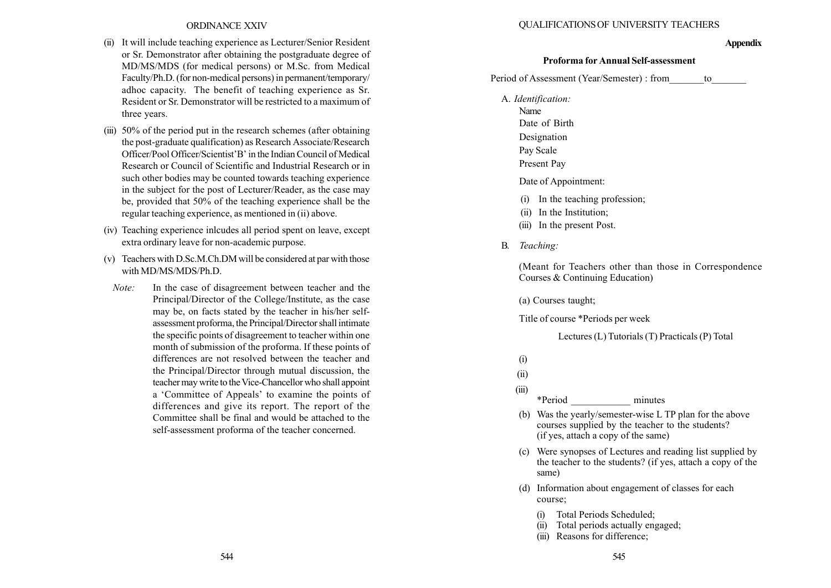- (ii) It will include teaching experience as Lecturer/Senior Resident or Sr. Demonstrator after obtaining the postgraduate degree of MD/MS/MDS (for medical persons) or M.Sc. from Medical Faculty/Ph.D. (for non-medical persons) in permanent/temporary/ adhoc capacity. The benefit of teaching experience as Sr. Resident or Sr. Demonstrator will be restricted to a maximum of three years.
- (iii) 50% of the period put in the research schemes (after obtaining the post-graduate qualification) as Research Associate/Research Officer/Pool Officer/Scientist'B' in the Indian Council of Medical Research or Council of Scientific and Industrial Research or in such other bodies may be counted towards teaching experience in the subject for the post of Lecturer/Reader, as the case may be, provided that 50% of the teaching experience shall be the regular teaching experience, as mentioned in (ii) above.
- (iv) Teaching experience inlcudes all period spent on leave, except extra ordinary leave for non-academic purpose.
- (v) Teachers with D.Sc.M.Ch.DM will be considered at par with those with MD/MS/MDS/Ph.D.
- Note: In the case of disagreement between teacher and the Principal/Director of the College/Institute, as the case may be, on facts stated by the teacher in his/her selfassessment proforma, the Principal/Director shall intimate the specific points of disagreement to teacher within one month of submission of the proforma. If these points of differences are not resolved between the teacher and the Principal/Director through mutual discussion, the teacher may write to the Vice-Chancellor who shall appoint a 'Committee of Appeals' to examine the points of differences and give its report. The report of the Committee shall be final and would be attached to the self-assessment proforma of the teacher concerned.

#### QUALIFICATIONS OF UNIVERSITY TEACHERS

#### **Appendix**

#### Proforma for Annual Self-assessment

Period of Assessment (Year/Semester) : from to

- A. Identification:
	- Name Date of Birth
	-
	- Designation
	- Pay Scale
	- Present Pay
	- Date of Appointment:
	- (i) In the teaching profession;
	- (ii) In the Institution;
	- (iii) In the present Post.
- B. Teaching:

(Meant for Teachers other than those in Correspondence Courses & Continuing Education)

(a) Courses taught;

Title of course \*Periods per week

Lectures (L) Tutorials (T) Practicals (P) Total

(i)

(ii)

(iii)

\*Period \_\_\_\_\_\_\_\_\_\_\_\_ minutes

- (b) Was the yearly/semester-wise L TP plan for the above courses supplied by the teacher to the students? (if yes, attach a copy of the same)
- (c) Were synopses of Lectures and reading list supplied by the teacher to the students? (if yes, attach a copy of the same)
- (d) Information about engagement of classes for each course;
	- (i) Total Periods Scheduled;
	- (ii) Total periods actually engaged;
	- (iii) Reasons for difference;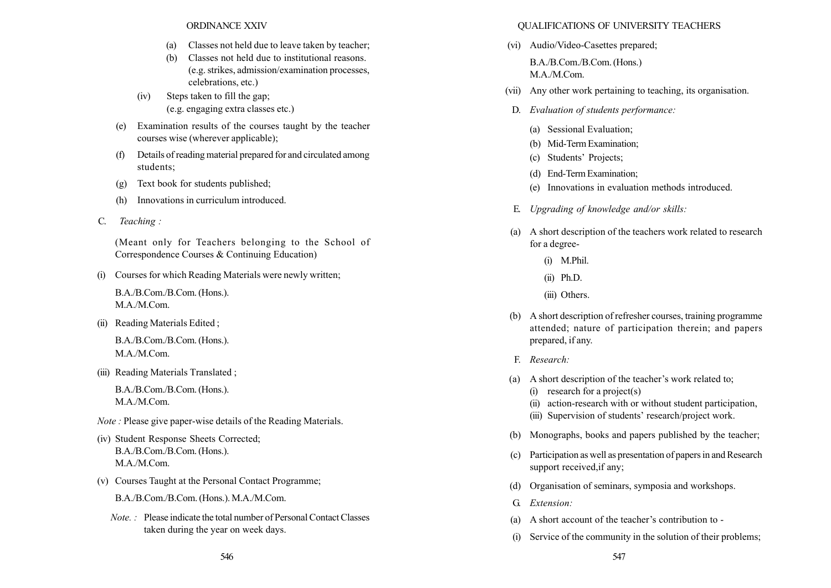- (a) Classes not held due to leave taken by teacher;
- (b) Classes not held due to institutional reasons. (e.g. strikes, admission/examination processes, celebrations, etc.)
- (iv) Steps taken to fill the gap; (e.g. engaging extra classes etc.)
- (e) Examination results of the courses taught by the teacher courses wise (wherever applicable);
- (f) Details of reading material prepared for and circulated among students;
- (g) Text book for students published;
- (h) Innovations in curriculum introduced.
- C. Teaching :

(Meant only for Teachers belonging to the School of Correspondence Courses & Continuing Education)

(i) Courses for which Reading Materials were newly written;

B.A./B.Com./B.Com. (Hons.). M.A./M.Com.

(ii) Reading Materials Edited ;

B.A./B.Com./B.Com. (Hons.). M.A./M.Com.

(iii) Reading Materials Translated ;

B.A./B.Com./B.Com. (Hons.). M.A./M.Com.

Note : Please give paper-wise details of the Reading Materials.

- (iv) Student Response Sheets Corrected; B.A./B.Com./B.Com. (Hons.). M.A./M.Com.
- (v) Courses Taught at the Personal Contact Programme; B.A./B.Com./B.Com. (Hons.). M.A./M.Com.
	- Note. : Please indicate the total number of Personal Contact Classes taken during the year on week days.

#### QUALIFICATIONS OF UNIVERSITY TEACHERS

(vi) Audio/Video-Casettes prepared;

B.A./B.Com./B.Com. (Hons.) M.A./M.Com.

- (vii) Any other work pertaining to teaching, its organisation.
- D. Evaluation of students performance:
	- (a) Sessional Evaluation;
	- (b) Mid-Term Examination;
	- (c) Students' Projects;
	- (d) End-Term Examination;
	- (e) Innovations in evaluation methods introduced.
- E. Upgrading of knowledge and/or skills:
- (a) A short description of the teachers work related to research for a degree-
	- (i) M.Phil.
	- (ii) Ph.D.
	- (iii) Others.
- (b) A short description of refresher courses, training programme attended; nature of participation therein; and papers prepared, if any.
- F. Research:
- (a) A short description of the teacher's work related to;
	- (i) research for a project(s)
	- (ii) action-research with or without student participation,
	- (iii) Supervision of students' research/project work.
- (b) Monographs, books and papers published by the teacher;
- (c) Participation as well as presentation of papers in and Research support received,if any;
- (d) Organisation of seminars, symposia and workshops.
- G. Extension:
- (a) A short account of the teacher's contribution to -
- (i) Service of the community in the solution of their problems;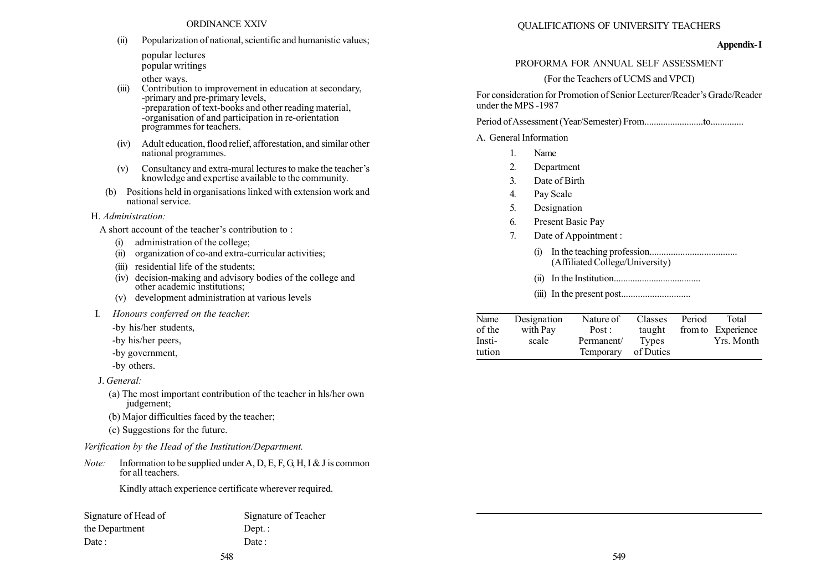(ii) Popularization of national, scientific and humanistic values;

popular lectures popular writings

other ways.

- (iii) Contribution to improvement in education at secondary, -primary and pre-primary levels, -preparation of text-books and other reading material, -organisation of and participation in re-orientation programmes for teachers.
- (iv) Adult education, flood relief, afforestation, and similar other national programmes.
- $(v)$  Consultancy and extra-mural lectures to make the teacher's knowledge and expertise available to the community.
- (b) Positions held in organisations linked with extension work and national service.

H. Administration:

A short account of the teacher's contribution to :

- (i) administration of the college;
- (ii) organization of co-and extra-curricular activities;
- (iii) residential life of the students;
- (iv) decision-making and advisory bodies of the college and other academic institutions;
- (v) development administration at various levels
- I. Honours conferred on the teacher.
	- -by his/her students,
	- -by his/her peers,
	- -by government,
	- -by others.

J. General:

- (a) The most important contribution of the teacher in hls/her own judgement;
- (b) Major difficulties faced by the teacher;
- (c) Suggestions for the future.

Verification by the Head of the Institution/Department.

*Note:* Information to be supplied under A, D, E, F, G, H, I & J is common for all teachers.

Kindly attach experience certificate wherever required.

| Signature of Head of | Signature of Teacher |
|----------------------|----------------------|
| the Department       | $Dept.$ :            |
| Date:                | Date:                |

#### Appendix-I

#### PROFORMA FOR ANNUAL SELF ASSESSMENT

## (For the Teachers of UCMS and VPCI)

For consideration for Promotion of Senior Lecturer/Reader's Grade/Reader under the MPS -1987

Period ofAssessment (Year/Semester) From.........................to..............

A. General Information

- 1. Name
- 2. Department
- 3. Date of Birth
- 4. Pay Scale
- 5. Designation
- 6. Present Basic Pay
- 7. Date of Appointment :
	- (i) In the teaching profession..................................... (Affiliated College/University)
	- (ii) In the Institution.....................................
	- (iii) In the present post.............................

| Name   | Designation | Nature of  | Classes   | Period | Total              |
|--------|-------------|------------|-----------|--------|--------------------|
| of the | with Pay    | Post:      | taught    |        | from to Experience |
| Insti- | scale       | Permanent/ | Types     |        | Yrs. Month         |
| tution |             | Temporary  | of Duties |        |                    |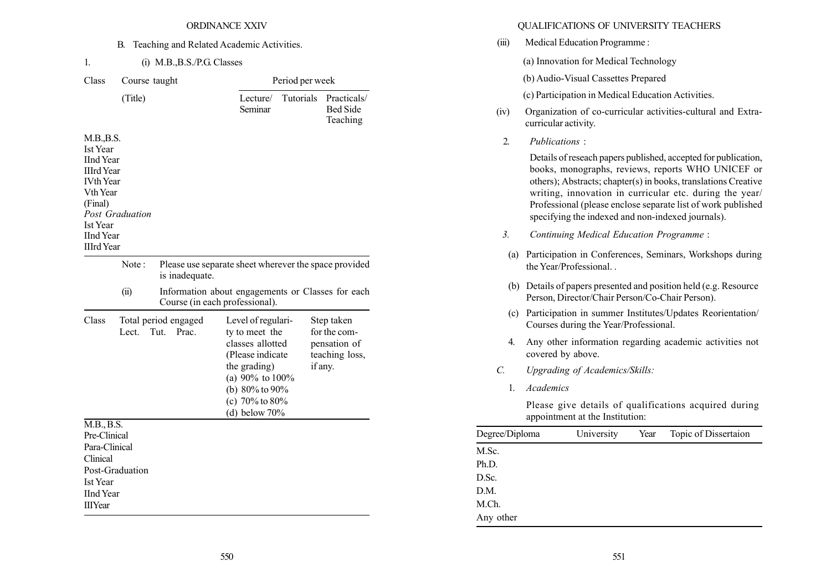#### B. Teaching and Related Academic Activities.

1. (i) M.B.,B.S./P.G. Classes

| Period per week<br>Practicals/<br><b>Bed Side</b><br>Teaching           |
|-------------------------------------------------------------------------|
|                                                                         |
|                                                                         |
|                                                                         |
| Please use separate sheet wherever the space provided                   |
| Information about engagements or Classes for each                       |
| Step taken<br>for the com-<br>pensation of<br>teaching loss,<br>if any. |
|                                                                         |
|                                                                         |
|                                                                         |
|                                                                         |
|                                                                         |
|                                                                         |
|                                                                         |

### QUALIFICATIONS OF UNIVERSITY TEACHERS

(iii) Medical Education Programme : (a) Innovation for Medical Technology (b) Audio-Visual Cassettes Prepared (c) Participation in Medical Education Activities. (iv) Organization of co-curricular activities-cultural and Extracurricular activity. 2. Publications : Details of reseach papers published, accepted for publication, books, monographs, reviews, reports WHO UNICEF or others); Abstracts; chapter(s) in books, translations Creative writing, innovation in curricular etc. during the year/ Professional (please enclose separate list of work published specifying the indexed and non-indexed journals). 3. Continuing Medical Education Programme : (a) Participation in Conferences, Seminars, Workshops during the Year/Professional. . (b) Details of papers presented and position held (e.g. Resource Person, Director/Chair Person/Co-Chair Person). (c) Participation in summer Institutes/Updates Reorientation/ Courses during the Year/Professional. 4. Any other information regarding academic activities not covered by above. C. Upgrading of Academics/Skills: 1. Academics Please give details of qualifications acquired during appointment at the Institution: Degree/Diploma University Year Topic of Dissertaion M.Sc. Ph.D. D.Sc. D.M. M.Ch.

Any other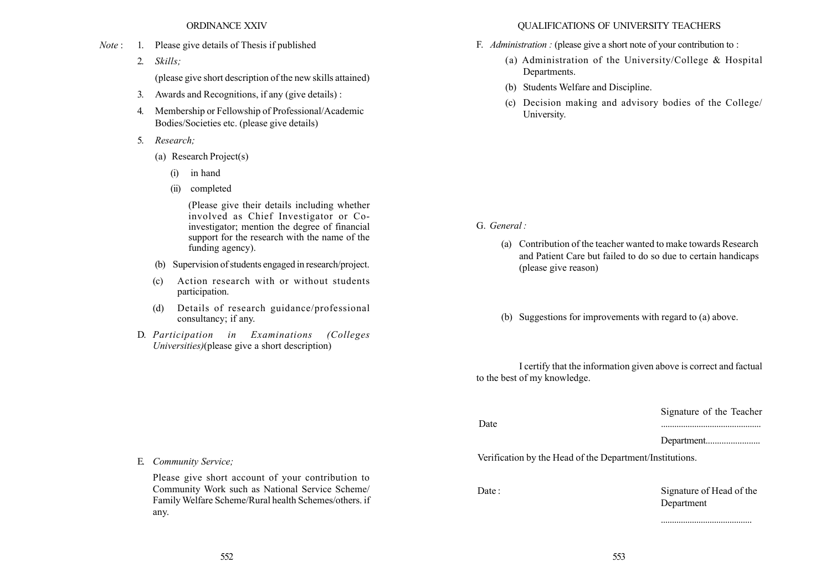- Note : 1. Please give details of Thesis if published
	- 2. Skills;

(please give short description of the new skills attained)

- 3. Awards and Recognitions, if any (give details) :
- 4. Membership or Fellowship of Professional/Academic Bodies/Societies etc. (please give details)
- 5. Research;
	- (a) Research Project(s)
		- (i) in hand
		- (ii) completed

(Please give their details including whether involved as Chief Investigator or Coinvestigator; mention the degree of financial support for the research with the name of the funding agency).

- (b) Supervision of students engaged in research/project.
- (c) Action research with or without students participation.
- (d) Details of research guidance/professional consultancy; if any.
- D. Participation in Examinations (Colleges Universities)(please give a short description)

#### QUALIFICATIONS OF UNIVERSITY TEACHERS

- F. Administration : (please give a short note of your contribution to :
	- (a) Administration of the University/College & Hospital Departments.
	- (b) Students Welfare and Discipline.
	- (c) Decision making and advisory bodies of the College/ University.

G. General :

- (a) Contribution of the teacher wanted to make towards Research and Patient Care but failed to do so due to certain handicaps (please give reason)
- (b) Suggestions for improvements with regard to (a) above.

I certify that the information given above is correct and factual to the best of my knowledge.

Signature of the Teacher

Date .............................................

Department........................

Verification by the Head of the Department/Institutions.

Date : Signature of Head of the Department

.........................................

E. Community Service;

Please give short account of your contribution to Community Work such as National Service Scheme/ Family Welfare Scheme/Rural health Schemes/others. if any.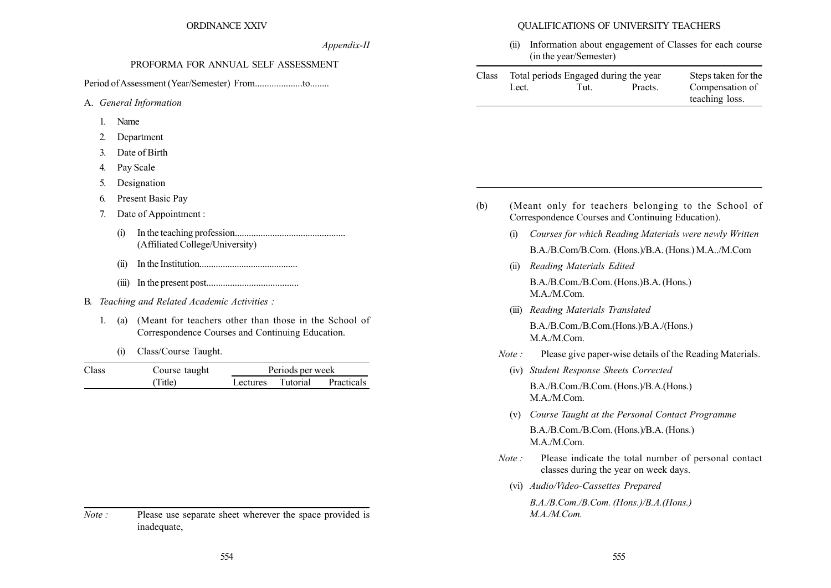QUALIFICATIONS OF UNIVERSITY TEACHERS

(ii) Information about engagement of Classes for each course (in the year/Semester)

| Class |       | Total periods Engaged during the year |         | Steps taken for the |
|-------|-------|---------------------------------------|---------|---------------------|
|       | Lect. | Tut.                                  | Practs. | Compensation of     |
|       |       |                                       |         | teaching loss.      |

- (b) (Meant only for teachers belonging to the School of Correspondence Courses and Continuing Education).
	- (i) Courses for which Reading Materials were newly Written B.A./B.Com/B.Com. (Hons.)/B.A. (Hons.) M.A../M.Com
	- (ii) Reading Materials Edited

B.A./B.Com./B.Com. (Hons.)B.A. (Hons.) M.A./M.Com.

(iii) Reading Materials Translated

B.A./B.Com./B.Com.(Hons.)/B.A./(Hons.) M.A./M.Com.

- Note : Please give paper-wise details of the Reading Materials.
	- (iv) Student Response Sheets Corrected B.A./B.Com./B.Com. (Hons.)/B.A.(Hons.) M.A./M.Com.
	- (v) Course Taught at the Personal Contact Programme B.A./B.Com./B.Com. (Hons.)/B.A. (Hons.) M.A./M.Com.
- Note : Please indicate the total number of personal contact classes during the year on week days.
	- (vi) Audio/Video-Cassettes Prepared

B.A./B.Com./B.Com. (Hons.)/B.A.(Hons.) M.A./M.Com.

| 2 AAIV |  |  |
|--------|--|--|
|        |  |  |

Appendix-II

#### PROFORMA FOR ANNUAL SELF ASSESSMENT

Period ofAssessment (Year/Semester) From....................to........

- A. General Information
	- 1. Name
	- 2. Department
	- 3. Date of Birth
	- 4. Pay Scale
	- 5. Designation
	- 6. Present Basic Pay
	- 7. Date of Appointment :
		- (i) In the teaching profession............................................... (Affiliated College/University)
		- (ii) In the Institution..........................................
		- (iii) In the present post.......................................
- B. Teaching and Related Academic Activities :
	- 1. (a) (Meant for teachers other than those in the School of Correspondence Courses and Continuing Education.
		- (i) Class/Course Taught.

| Class | Course taught |          | Periods per week |            |  |  |  |  |
|-------|---------------|----------|------------------|------------|--|--|--|--|
|       | (Title)       | Lectures | Tutorial         | Practicals |  |  |  |  |

Note : Please use separate sheet wherever the space provided is inadequate,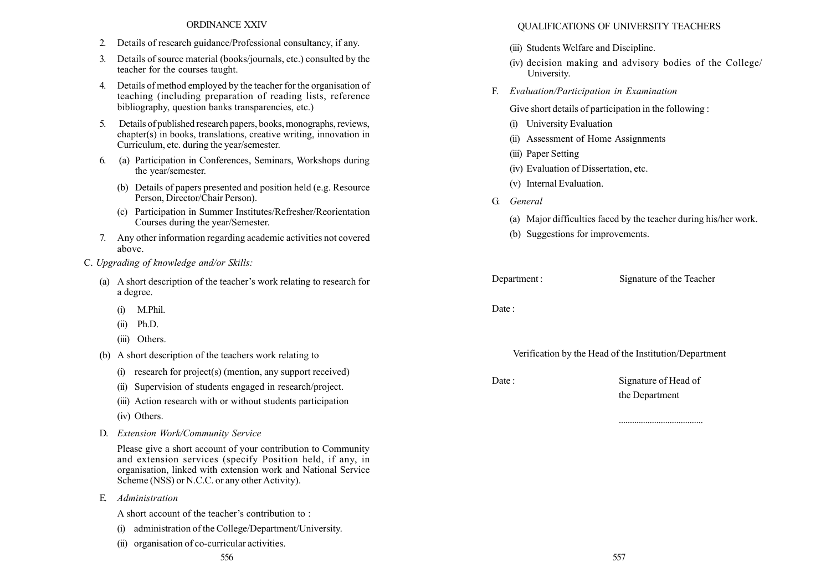- 2. Details of research guidance/Professional consultancy, if any.
- 3. Details of source material (books/journals, etc.) consulted by the teacher for the courses taught.
- 4. Details of method employed by the teacher for the organisation of teaching (including preparation of reading lists, reference bibliography, question banks transparencies, etc.)
- 5. Details of published research papers, books, monographs, reviews, chapter(s) in books, translations, creative writing, innovation in Curriculum, etc. during the year/semester.
- 6. (a) Participation in Conferences, Seminars, Workshops during the year/semester.
	- (b) Details of papers presented and position held (e.g. Resource Person, Director/Chair Person).
	- (c) Participation in Summer Institutes/Refresher/Reorientation Courses during the year/Semester.
- 7. Any other information regarding academic activities not covered above.
- C. Upgrading of knowledge and/or Skills:
	- (a) A short description of the teacher's work relating to research for a degree.
		- (i) M.Phil.
		- (ii) Ph.D.
		- (iii) Others.
	- (b) A short description of the teachers work relating to
		- (i) research for project(s) (mention, any support received)
		- (ii) Supervision of students engaged in research/project.
		- (iii) Action research with or without students participation
		- (iv) Others.
	- D. Extension Work/Community Service

Please give a short account of your contribution to Community and extension services (specify Position held, if any, in organisation, linked with extension work and National Service Scheme (NSS) or N.C.C. or any other Activity).

E. Administration

A short account of the teacher's contribution to :

- (i) administration of the College/Department/University.
- (ii) organisation of co-curricular activities.

#### QUALIFICATIONS OF UNIVERSITY TEACHERS

- (iii) Students Welfare and Discipline.
- (iv) decision making and advisory bodies of the College/ University.
- F. Evaluation/Participation in Examination

Give short details of participation in the following :

- (i) University Evaluation
- (ii) Assessment of Home Assignments
- (iii) Paper Setting
- (iv) Evaluation of Dissertation, etc.
- (v) Internal Evaluation.
- G. General
	- (a) Major difficulties faced by the teacher during his/her work.
	- (b) Suggestions for improvements.

Department : Signature of the Teacher

Date:

Verification by the Head of the Institution/Department

Date : Signature of Head of the Department

......................................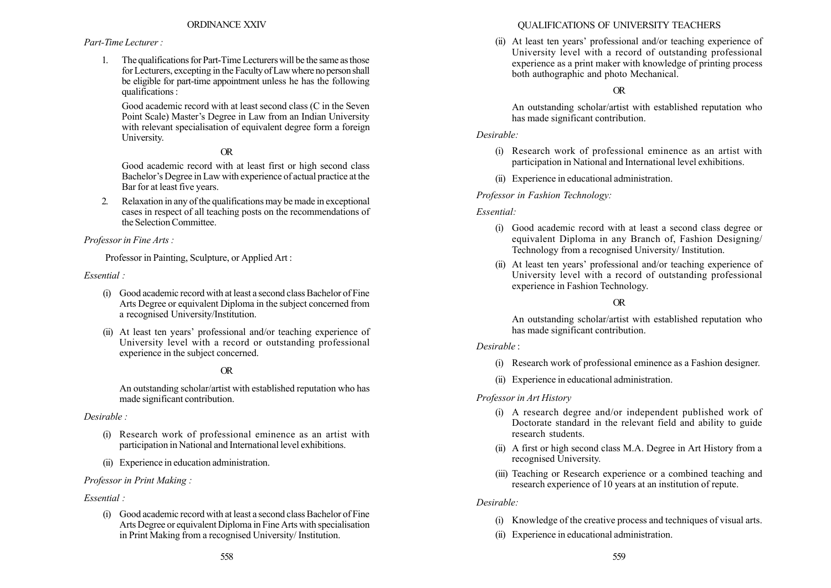### Part-Time Lecturer :

1. The qualifications for Part-Time Lecturers will be the same as those for Lecturers, excepting in the Faculty of Law where no person shall be eligible for part-time appointment unless he has the following qualifications :

Good academic record with at least second class (C in the Seven Point Scale) Master's Degree in Law from an Indian University with relevant specialisation of equivalent degree form a foreign University.

# OR

Good academic record with at least first or high second class Bachelor's Degree in Law with experience of actual practice at the Bar for at least five years.

2. Relaxation in any of the qualifications may be made in exceptional cases in respect of all teaching posts on the recommendations of the Selection Committee.

## Professor in Fine Arts :

Professor in Painting, Sculpture, or Applied Art :

Essential :

- (i) Good academic record with at least a second class Bachelor of Fine Arts Degree or equivalent Diploma in the subject concerned from a recognised University/Institution.
- (ii) At least ten years' professional and/or teaching experience of University level with a record or outstanding professional experience in the subject concerned.

# OR

An outstanding scholar/artist with established reputation who has made significant contribution.

Desirable :

- (i) Research work of professional eminence as an artist with participation in National and International level exhibitions.
- (ii) Experience in education administration.

Professor in Print Making :

## Essential :

(i) Good academic record with at least a second class Bachelor of Fine Arts Degree or equivalent Diploma in Fine Arts with specialisation in Print Making from a recognised University/ Institution.

# QUALIFICATIONS OF UNIVERSITY TEACHERS

(ii) At least ten years' professional and/or teaching experience of University level with a record of outstanding professional experience as a print maker with knowledge of printing process both authographic and photo Mechanical.

# OR

An outstanding scholar/artist with established reputation who has made significant contribution.

## Desirable:

- (i) Research work of professional eminence as an artist with participation in National and International level exhibitions.
- (ii) Experience in educational administration.

## Professor in Fashion Technology:

## Essential:

- (i) Good academic record with at least a second class degree or equivalent Diploma in any Branch of, Fashion Designing/ Technology from a recognised University/ Institution.
- (ii) At least ten years' professional and/or teaching experience of University level with a record of outstanding professional experience in Fashion Technology.

# OR

An outstanding scholar/artist with established reputation who has made significant contribution.

## Desirable :

- (i) Research work of professional eminence as a Fashion designer.
- (ii) Experience in educational administration.

## Professor in Art History

- (i) A research degree and/or independent published work of Doctorate standard in the relevant field and ability to guide research students.
- (ii) A first or high second class M.A. Degree in Art History from a recognised University.
- (iii) Teaching or Research experience or a combined teaching and research experience of 10 years at an institution of repute.

## Desirable:

- (i) Knowledge of the creative process and techniques of visual arts.
- (ii) Experience in educational administration.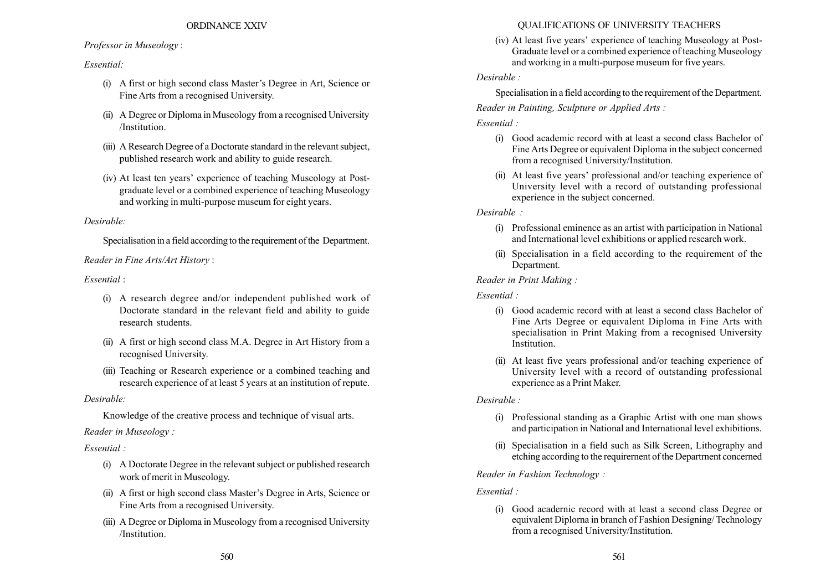#### Professor in Museology :

#### Essential:

- (i) A first or high second class Master's Degree in Art, Science or Fine Arts from a recognised University.
- (ii) A Degree or Diploma in Museology from a recognised University /Institution.
- (iii) A Research Degree of a Doctorate standard in the relevant subject, published research work and ability to guide research.
- (iv) At least ten yearsí experience of teaching Museology at Postgraduate level or a combined experience of teaching Museology and working in multi-purpose museum for eight years.

#### Desirable:

Specialisation in a field according to the requirement of the Department.

Reader in Fine Arts/Art History :

### $Essential$

- (i) A research degree and/or independent published work of Doctorate standard in the relevant field and ability to guide research students.
- (ii) A first or high second class M.A. Degree in Art History from a recognised University.
- (iii) Teaching or Research experience or a combined teaching and research experience of at least 5 years at an institution of repute.

#### Desirable:

Knowledge of the creative process and technique of visual arts.

### Reader in Museology :

### Essential :

- (i) A Doctorate Degree in the relevant subject or published research work of merit in Museology.
- (ii) A first or high second class Master's Degree in Arts, Science or Fine Arts from a recognised University.
- (iii) A Degree or Diploma in Museology from a recognised University /Institution.

#### QUALIFICATIONS OF UNIVERSITY TEACHERS

(iv) At least five years' experience of teaching Museology at Post-Graduate level or a combined experience of teaching Museology and working in a multi-purpose museum for five years.

#### Desirable :

Specialisation in a field according to the requirement of the Department.

# Reader in Painting, Sculpture or Applied Arts :

### Essential :

- (i) Good academic record with at least a second class Bachelor of Fine Arts Degree or equivalent Diploma in the subject concerned from a recognised University/Institution.
- (ii) At least five years' professional and/or teaching experience of University level with a record of outstanding professional experience in the subject concerned.

## Desirable :

- (i) Professional eminence as an artist with participation in National and International level exhibitions or applied research work.
- (ii) Specialisation in a field according to the requirement of the Department.

### Reader in Print Making :

#### Essential :

- (i) Good academic record with at least a second class Bachelor of Fine Arts Degree or equivalent Diploma in Fine Arts with specialisation in Print Making from a recognised University **Institution**
- (ii) At least five years professional and/or teaching experience of University level with a record of outstanding professional experience as a Print Maker.

### Desirable :

- (i) Professional standing as a Graphic Artist with one man shows and participation in National and International level exhibitions.
- (ii) Specialisation in a field such as Silk Screen, Lithography and etching according to the requirernent of the Departrnent concerned

### Reader in Fashion Technology :

### Essential :

(i) Good acadernic record with at least a second class Degree or equivalent Diplorna in branch of Fashion Designing/ Technology from a recognised University/Institution.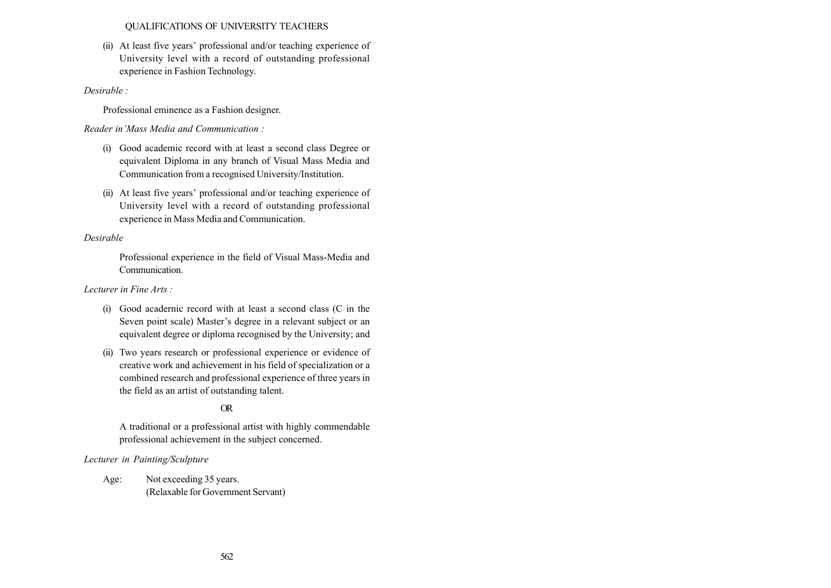#### QUALIFICATIONS OF UNIVERSITY TEACHERS

(ii) At least five years' professional and/or teaching experience of University level with a record of outstanding professional experience in Fashion Technology.

#### Desirable :

Professional eminence as a Fashion designer.

Reader in 'Mass Media and Communication :

- (i) Good academic record with at least a second class Degree or equivalent Diploma in any branch of Visual Mass Media and Communication from a recognised University/Institution.
- (ii) At least five years' professional and/or teaching experience of University level with a record of outstanding professional experience in Mass Media and Communication.

#### Desirable

Professional experience in the field of Visual Mass-Media and **Communication** 

#### Lecturer in Fine Arts :

- (i) Good acadernic record with at least a second class (C in the Seven point scale) Master's degree in a relevant subject or an equivalent degree or diploma recognised by the University; and
- (ii) Two years research or professional experience or evidence of creative work and achievement in his field of specialization or a combined research and professional experience of three years in the field as an artist of outstanding talent.

## OR

A traditional or a professional artist with highly commendable professional achievement in the subject concerned.

### Lecturer in Painting/Sculpture

Age: Not exceeding 35 years. (Relaxable for Government Servant)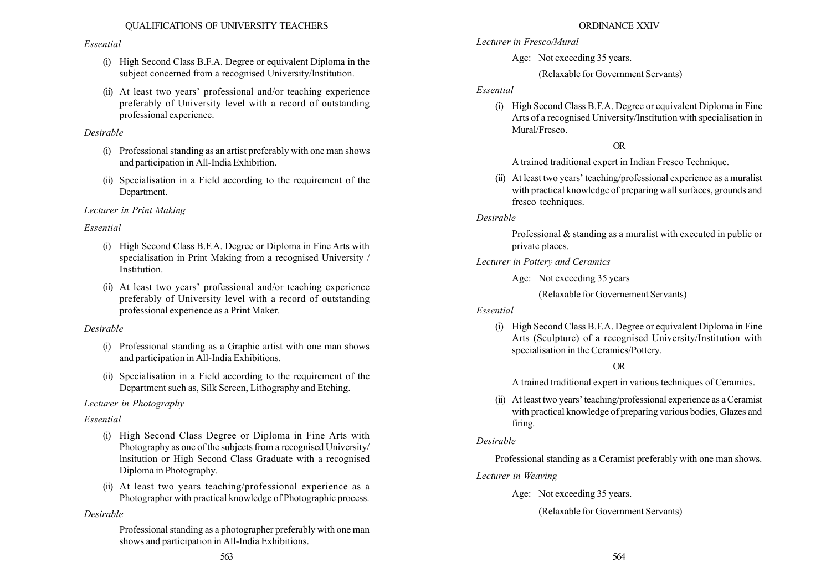### Essential

- (i) High Second Class B.F.A. Degree or equivalent Diploma in the subject concerned from a recognised University/lnstitution.
- (ii) At least two years' professional and/or teaching experience preferably of University level with a record of outstanding professional experience.

# Desirable

- (i) Professional standing as an artist preferably with one man shows and participation in All-India Exhibition.
- (ii) Specialisation in a Field according to the requirement of the Department.

# Lecturer in Print Making

# Essential

- (i) High Second Class B.F.A. Degree or Diploma in Fine Arts with specialisation in Print Making from a recognised University / Institution.
- $(ii)$  At least two years' professional and/or teaching experience preferably of University level with a record of outstanding professional experience as a Print Maker.

# Desirable

- (i) Professional standing as a Graphic artist with one man shows and participation in All-India Exhibitions.
- (ii) Specialisation in a Field according to the requirement of the Department such as, Silk Screen, Lithography and Etching.

# Lecturer in Photography

# Essential

- (i) High Second Class Degree or Diploma in Fine Arts with Photography as one of the subjects from a recognised University/ lnsitution or High Second Class Graduate with a recognised Diploma in Photography.
- (ii) At least two years teaching/professional experience as a Photographer with practical knowledge of Photographic process.

# Desirable

Professional standing as a photographer preferably with one man shows and participation in All-India Exhibitions.

## ORDINANCE XXIV

- Lecturer in Fresco/Mural
	- Age: Not exceeding 35 years.
		- (Relaxable for Government Servants)

## Essential

(i) High Second Class B.F.A. Degree or equivalent Diploma in Fine Arts of a recognised University/Institution with specialisation in Mural/Fresco.

# OR

A trained traditional expert in Indian Fresco Technique.

 $(ii)$  At least two years' teaching/professional experience as a muralist with practical knowledge of preparing wall surfaces, grounds and fresco techniques.

# Desirable

Professional & standing as a muralist with executed in public or private places.

- Lecturer in Pottery and Ceramics
	- Age: Not exceeding 35 years

(Relaxable for Governement Servants)

## Essential

(i) High Second Class B.F.A. Degree or equivalent Diploma in Fine Arts (Sculpture) of a recognised University/Institution with specialisation in the Ceramics/Pottery.

## OR

A trained traditional expert in various techniques of Ceramics.

 $(ii)$  At least two years' teaching/professional experience as a Ceramist with practical knowledge of preparing various bodies, Glazes and firing.

# Desirable

Professional standing as a Ceramist preferably with one man shows.

# Lecturer in Weaving

Age: Not exceeding 35 years.

(Relaxable for Government Servants)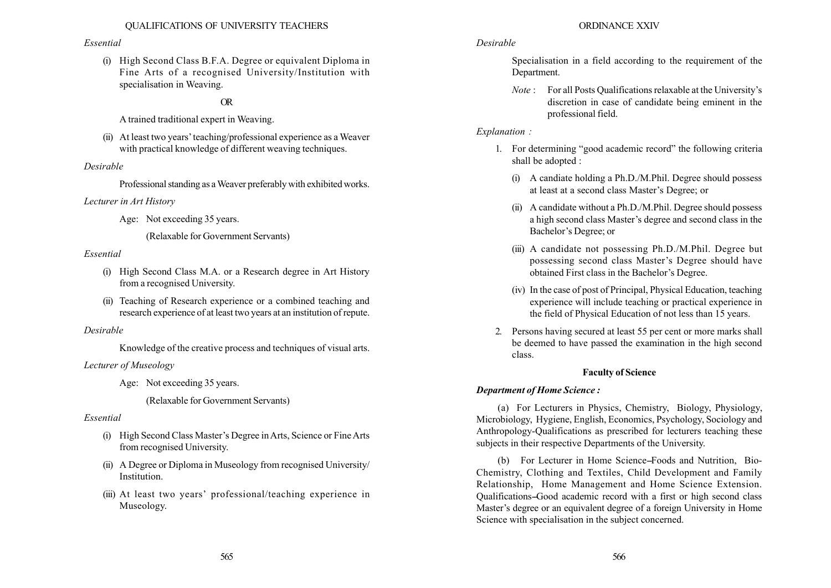#### Essential

(i) High Second Class B.F.A. Degree or equivalent Diploma in Fine Arts of a recognised University/Institution with specialisation in Weaving.

### OR

A trained traditional expert in Weaving.

 $(ii)$  At least two years' teaching/professional experience as a Weaver with practical knowledge of different weaving techniques.

### Desirable

Professional standing as aWeaver preferably with exhibited works.

#### Lecturer in Art History

Age: Not exceeding 35 years.

(Relaxable for Government Servants)

#### Essential

- (i) High Second Class M.A. or a Research degree in Art History from a recognised University.
- (ii) Teaching of Research experience or a combined teaching and research experience of at least two years at an institution of repute.

### Desirable

Knowledge of the creative process and techniques of visual arts.

### Lecturer of Museology

Age: Not exceeding 35 years.

(Relaxable for Government Servants)

### Essential

- (i) High Second Class Master's Degree in Arts, Science or Fine Arts from recognised University.
- (ii) A Degree or Diploma in Museology from recognised University/ Institution.
- (iii) At least two years' professional/teaching experience in Museology.

### ORDINANCE XXIV

### Desirable

Specialisation in a field according to the requirement of the Department.

 $Note:$  For all Posts Qualifications relaxable at the University's discretion in case of candidate being eminent in the professional field.

### Explanation :

- 1. For determining "good academic record" the following criteria shall be adopted :
	- (i) A candiate holding a Ph.D./M.Phil. Degree should possess at least at a second class Master's Degree; or
	- (ii) A candidate without a Ph.D./M.Phil. Degree should possess a high second class Master's degree and second class in the Bachelor's Degree; or
	- (iii) A candidate not possessing Ph.D./M.Phil. Degree but possessing second class Master's Degree should have obtained First class in the Bachelor's Degree.
	- (iv) In the case of post of Principal, Physical Education, teaching experience will include teaching or practical experience in the field of Physical Education of not less than 15 years.
- 2. Persons having secured at least 55 per cent or more marks shall be deemed to have passed the examination in the high second class.

### Faculty of Science

### Department of Home Science :

(a) For Lecturers in Physics, Chemistry, Biology, Physiology, Microbiology, Hygiene, English, Economics, Psychology, Sociology and Anthropology-Qualifications as prescribed for lecturers teaching these subjects in their respective Departments of the University.

(b) For Lecturer in Home Science–Foods and Nutrition, Bio-Chemistry, Clothing and Textiles, Child Development and Family Relationship, Home Management and Home Science Extension. Qualifications-Good academic record with a first or high second class Master's degree or an equivalent degree of a foreign University in Home Science with specialisation in the subject concerned.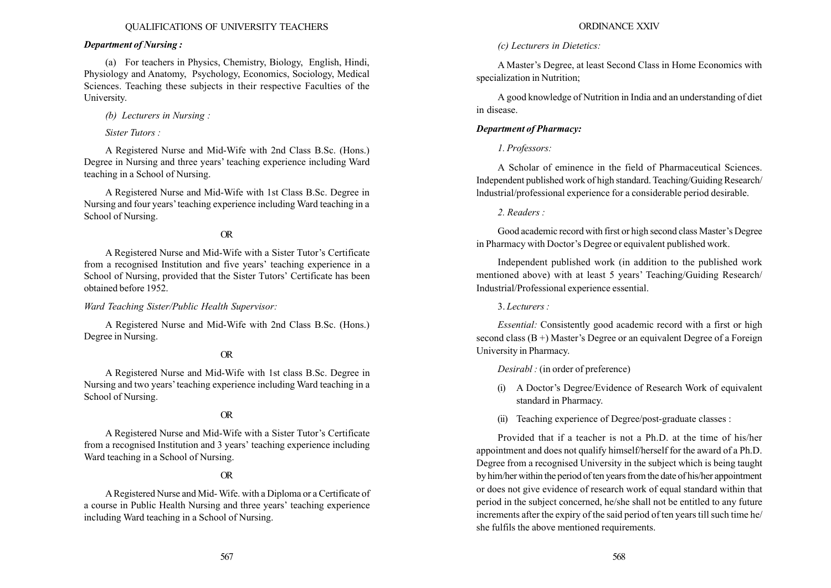### Department of Nursing :

(a) For teachers in Physics, Chemistry, Biology, English, Hindi, Physiology and Anatomy, Psychology, Economics, Sociology, Medical Sciences. Teaching these subjects in their respective Faculties of the University.

(b) Lecturers in Nursing :

Sister Tutors :

A Registered Nurse and Mid-Wife with 2nd Class B.Sc. (Hons.) Degree in Nursing and three years' teaching experience including Ward teaching in a School of Nursing.

A Registered Nurse and Mid-Wife with 1st Class B.Sc. Degree in Nursing and four years' teaching experience including Ward teaching in a School of Nursing.

# OR

A Registered Nurse and Mid-Wife with a Sister Tutor's Certificate from a recognised Institution and five years' teaching experience in a School of Nursing, provided that the Sister Tutors' Certificate has been obtained before 1952.

### Ward Teaching Sister/Public Health Supervisor:

A Registered Nurse and Mid-Wife with 2nd Class B.Sc. (Hons.) Degree in Nursing.

# OR

A Registered Nurse and Mid-Wife with 1st class B.Sc. Degree in Nursing and two years' teaching experience including Ward teaching in a School of Nursing.

# OR

A Registered Nurse and Mid-Wife with a Sister Tutor's Certificate from a recognised Institution and 3 years' teaching experience including Ward teaching in a School of Nursing.

# OR

ARegistered Nurse and Mid-Wife. with a Diploma or a Certificate of a course in Public Health Nursing and three years' teaching experience including Ward teaching in a School of Nursing.

# ORDINANCE XXIV

# (c) Lecturers in Dietetics:

A Master's Degree, at least Second Class in Home Economics with specialization in Nutrition;

A good knowledge of Nutrition in India and an understanding of diet in disease.

# Department of Pharmacy:

# 1. Professors:

A Scholar of eminence in the field of Pharmaceutical Sciences. Independent published work of high standard. Teaching/Guiding Research/ lndustrial/professional experience for a considerable period desirable.

# 2. Readers :

Good academic record with first or high second class Master's Degree in Pharmacy with Doctor's Degree or equivalent published work.

Independent published work (in addition to the published work mentioned above) with at least 5 years' Teaching/Guiding Research/ Industrial/Professional experience essential.

3. Lecturers :

Essential: Consistently good academic record with a first or high second class  $(B +)$  Master's Degree or an equivalent Degree of a Foreign University in Pharmacy.

Desirabl : (in order of preference)

- (i) A Doctor's Degree/Evidence of Research Work of equivalent standard in Pharmacy.
- (ii) Teaching experience of Degree/post-graduate classes :

Provided that if a teacher is not a Ph.D. at the time of his/her appointment and does not qualify himself/herself for the award of a Ph.D. Degree from a recognised University in the subject which is being taught by him/her within the period of ten years from the date of his/her appointment or does not give evidence of research work of equal standard within that period in the subject concerned, he/she shall not be entitled to any future increments after the expiry of the said period of ten years till such time he/ she fulfils the above mentioned requirements.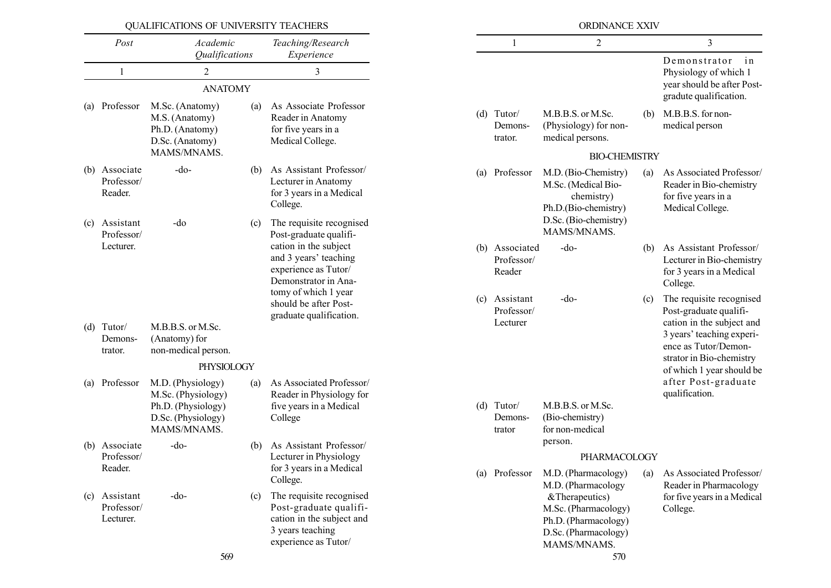|            | QUALIFICATIONS OF UNIVERSITY TEACHERS                         |                                                                                                    |                                                                          |                                                                                                                                              |                                         |                                        | ORDINANCE XXIV                                                                                                            |                                                                                 |                                                                                                |
|------------|---------------------------------------------------------------|----------------------------------------------------------------------------------------------------|--------------------------------------------------------------------------|----------------------------------------------------------------------------------------------------------------------------------------------|-----------------------------------------|----------------------------------------|---------------------------------------------------------------------------------------------------------------------------|---------------------------------------------------------------------------------|------------------------------------------------------------------------------------------------|
|            | Post                                                          | Academic<br>Qualifications                                                                         |                                                                          | Teaching/Research<br>Experience                                                                                                              |                                         | $\mathbf{1}$                           | $\overline{c}$                                                                                                            |                                                                                 | 3                                                                                              |
|            | $\mathbf{1}$                                                  | $\overline{2}$                                                                                     |                                                                          | 3                                                                                                                                            |                                         |                                        |                                                                                                                           |                                                                                 | Demonstrator<br>in<br>Physiology of which 1                                                    |
|            |                                                               | <b>ANATOMY</b>                                                                                     |                                                                          |                                                                                                                                              |                                         |                                        |                                                                                                                           |                                                                                 | year should be after Post-<br>gradute qualification.                                           |
| (a)        | Professor                                                     | M.Sc. (Anatomy)<br>M.S. (Anatomy)<br>Ph.D. (Anatomy)<br>D.Sc. (Anatomy)                            | (a)                                                                      | As Associate Professor<br>Reader in Anatomy<br>for five years in a<br>Medical College.                                                       |                                         | $(d)$ Tutor/<br>Demons-<br>trator.     | M.B.B.S. or M.Sc.<br>(Physiology) for non-<br>medical persons.                                                            | (b)                                                                             | M.B.B.S. for non-<br>medical person                                                            |
|            |                                                               | MAMS/MNAMS.                                                                                        |                                                                          |                                                                                                                                              |                                         |                                        | <b>BIO-CHEMISTRY</b>                                                                                                      |                                                                                 |                                                                                                |
| (b)<br>(c) | Associate<br>Professor/<br>Reader.<br>Assistant<br>Professor/ | $-do-$<br>-do                                                                                      | (b)<br>(c)                                                               | As Assistant Professor/<br>Lecturer in Anatomy<br>for 3 years in a Medical<br>College.<br>The requisite recognised<br>Post-graduate qualifi- | (a)                                     | Professor                              | M.D. (Bio-Chemistry)<br>M.Sc. (Medical Bio-<br>chemistry)<br>Ph.D.(Bio-chemistry)<br>D.Sc. (Bio-chemistry)<br>MAMS/MNAMS. | (a)                                                                             | As Associated Professor/<br>Reader in Bio-chemistry<br>for five years in a<br>Medical College. |
|            | Lecturer.                                                     |                                                                                                    |                                                                          | cation in the subject<br>and 3 years' teaching<br>experience as Tutor/<br>Demonstrator in Ana-                                               |                                         | (b) Associated<br>Professor/<br>Reader | $-do-$                                                                                                                    | (b)                                                                             | As Assistant Professor/<br>Lecturer in Bio-chemistry<br>for 3 years in a Medical<br>College.   |
|            | M.B.B.S. or M.Sc.<br>$(d)$ Tutor/                             |                                                                                                    | tomy of which 1 year<br>should be after Post-<br>graduate qualification. |                                                                                                                                              | (c) Assistant<br>Professor/<br>Lecturer | $-do-$                                 | (c)                                                                                                                       | The requisite recognised<br>Post-graduate qualifi-<br>cation in the subject and |                                                                                                |
|            | Demons-<br>trator.                                            | (Anatomy) for<br>non-medical person.                                                               |                                                                          |                                                                                                                                              |                                         |                                        |                                                                                                                           |                                                                                 | 3 years' teaching experi-<br>ence as Tutor/Demon-                                              |
|            |                                                               | PHYSIOLOGY                                                                                         |                                                                          |                                                                                                                                              |                                         |                                        |                                                                                                                           |                                                                                 | strator in Bio-chemistry<br>of which 1 year should be                                          |
| (a)        | Professor                                                     | M.D. (Physiology)<br>M.Sc. (Physiology)<br>Ph.D. (Physiology)<br>D.Sc. (Physiology)<br>MAMS/MNAMS. | (a)                                                                      | As Associated Professor/<br>Reader in Physiology for<br>five years in a Medical<br>College                                                   |                                         | $(d)$ Tutor/<br>Demons-<br>trator      | M.B.B.S. or M.Sc.<br>(Bio-chemistry)<br>for non-medical                                                                   |                                                                                 | after Post-graduate<br>qualification.                                                          |
| (b)        | Associate                                                     | -do-                                                                                               | (b)                                                                      | As Assistant Professor/                                                                                                                      |                                         |                                        | person.                                                                                                                   |                                                                                 |                                                                                                |
|            | Professor/<br>Reader.                                         |                                                                                                    |                                                                          | Lecturer in Physiology<br>for 3 years in a Medical<br>College.                                                                               |                                         | (a) Professor                          | PHARMACOLOGY<br>M.D. (Pharmacology)<br>M.D. (Pharmacology                                                                 | (a)                                                                             | As Associated Professor/<br>Reader in Pharmacology                                             |
| (c)        | Assistant<br>Professor/<br>Lecturer.                          | $-do-$<br>569                                                                                      | (c)                                                                      | The requisite recognised<br>Post-graduate qualifi-<br>cation in the subject and<br>3 years teaching<br>experience as Tutor/                  |                                         |                                        | &Therapeutics)<br>M.Sc. (Pharmacology)<br>Ph.D. (Pharmacology)<br>D.Sc. (Pharmacology)<br>MAMS/MNAMS.<br>570              |                                                                                 | for five years in a Medical<br>College.                                                        |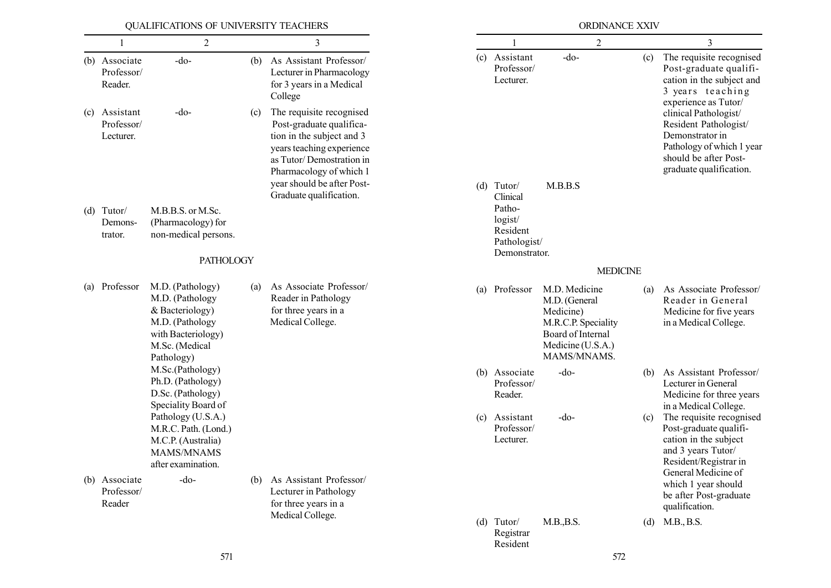|                                          | QUALIFICATIONS OF UNIVERSITY TEACHERS                                                                       |     |                                                                                                                                                                       |                                                                           | ORDINANCE XXIV                                                                                                              |     |                                                                                                                                                    |
|------------------------------------------|-------------------------------------------------------------------------------------------------------------|-----|-----------------------------------------------------------------------------------------------------------------------------------------------------------------------|---------------------------------------------------------------------------|-----------------------------------------------------------------------------------------------------------------------------|-----|----------------------------------------------------------------------------------------------------------------------------------------------------|
| 1                                        | 2                                                                                                           |     | 3                                                                                                                                                                     |                                                                           | 2                                                                                                                           |     | 3                                                                                                                                                  |
| (b) Associate<br>Professor/<br>Reader.   | $-do-$                                                                                                      | (b) | As Assistant Professor/<br>Lecturer in Pharmacology<br>for 3 years in a Medical<br>College                                                                            | (c) Assistant<br>Professor/<br>Lecturer.                                  | $-do-$                                                                                                                      | (c) | The requisite recognised<br>Post-graduate qualifi-<br>cation in the subject and<br>3 years teaching<br>experience as Tutor/                        |
| (c) Assistant<br>Professor/<br>Lecturer. | $-do-$                                                                                                      | (c) | The requisite recognised<br>Post-graduate qualifica-<br>tion in the subject and 3<br>years teaching experience<br>as Tutor/Demostration in<br>Pharmacology of which 1 |                                                                           |                                                                                                                             |     | clinical Pathologist/<br>Resident Pathologist/<br>Demonstrator in<br>Pathology of which 1 year<br>should be after Post-<br>graduate qualification. |
| $(d)$ Tutor/<br>Demons-<br>trator.       | M.B.B.S. or M.Sc.<br>(Pharmacology) for<br>non-medical persons.                                             |     | year should be after Post-<br>Graduate qualification.                                                                                                                 | $(d)$ Tutor/<br>Clinical<br>Patho-<br>logist/<br>Resident<br>Pathologist/ | M.B.B.S                                                                                                                     |     |                                                                                                                                                    |
|                                          | <b>PATHOLOGY</b>                                                                                            |     |                                                                                                                                                                       | Demonstrator.                                                             |                                                                                                                             |     |                                                                                                                                                    |
| (a) Professor                            | M.D. (Pathology)                                                                                            | (a) | As Associate Professor/                                                                                                                                               |                                                                           | <b>MEDICINE</b>                                                                                                             |     |                                                                                                                                                    |
|                                          | M.D. (Pathology<br>& Bacteriology)<br>M.D. (Pathology<br>with Bacteriology)<br>M.Sc. (Medical<br>Pathology) |     | Reader in Pathology<br>for three years in a<br>Medical College.                                                                                                       | (a) Professor                                                             | M.D. Medicine<br>M.D. (General<br>Medicine)<br>M.R.C.P. Speciality<br>Board of Internal<br>Medicine (U.S.A.)<br>MAMS/MNAMS. | (a) | As Associate Professor/<br>Reader in General<br>Medicine for five years<br>in a Medical College.                                                   |
|                                          | M.Sc.(Pathology)<br>Ph.D. (Pathology)<br>D.Sc. (Pathology)<br>Speciality Board of                           |     |                                                                                                                                                                       | (b) Associate<br>Professor/<br>Reader.                                    | $-do-$                                                                                                                      | (b) | As Assistant Professor/<br>Lecturer in General<br>Medicine for three years<br>in a Medical College.                                                |
|                                          | Pathology (U.S.A.)<br>M.R.C. Path. (Lond.)<br>M.C.P. (Australia)<br>MAMS/MNAMS<br>after examination.        |     |                                                                                                                                                                       | (c) Assistant<br>Professor/<br>Lecturer.                                  | $-do-$                                                                                                                      | (c) | The requisite recognised<br>Post-graduate qualifi-<br>cation in the subject<br>and 3 years Tutor/<br>Resident/Registrar in                         |
| (b) Associate<br>Professor/<br>Reader    | $-do-$                                                                                                      | (b) | As Assistant Professor/<br>Lecturer in Pathology<br>for three years in a<br>Medical College.                                                                          |                                                                           |                                                                                                                             |     | General Medicine of<br>which 1 year should<br>be after Post-graduate<br>qualification.                                                             |
|                                          |                                                                                                             |     |                                                                                                                                                                       | $(d)$ Tutor/<br>Registrar<br>Resident                                     | M.B., B.S.                                                                                                                  | (d) | M.B., B.S.                                                                                                                                         |
|                                          | 571                                                                                                         |     |                                                                                                                                                                       |                                                                           | 572                                                                                                                         |     |                                                                                                                                                    |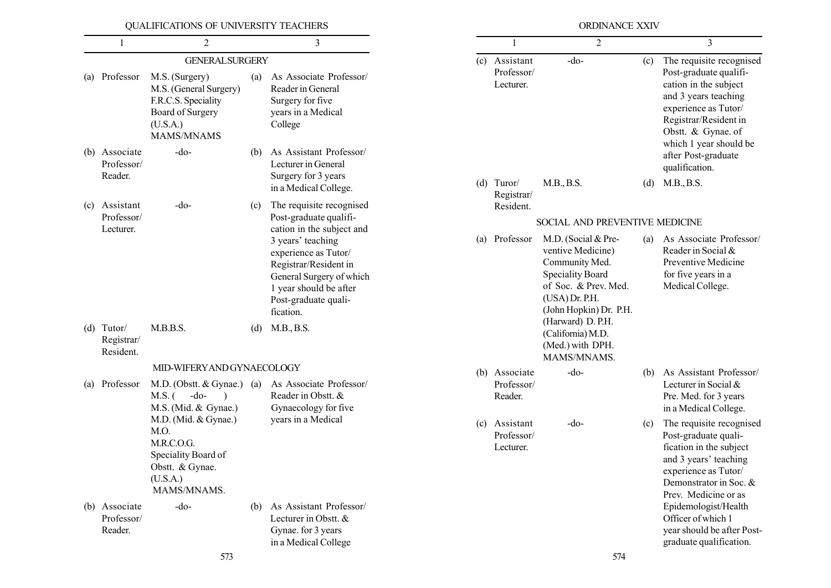|     |                                         | QUALIFICATIONS OF UNIVERSITY TEACHERS                                                                                                   |     |                                                                                                                                                                                            |     |                                          | ORDINANCE XXIV                                                                                                                                            |     |                                                                                                                                                                                                      |
|-----|-----------------------------------------|-----------------------------------------------------------------------------------------------------------------------------------------|-----|--------------------------------------------------------------------------------------------------------------------------------------------------------------------------------------------|-----|------------------------------------------|-----------------------------------------------------------------------------------------------------------------------------------------------------------|-----|------------------------------------------------------------------------------------------------------------------------------------------------------------------------------------------------------|
|     |                                         | $\overline{2}$                                                                                                                          |     | 3                                                                                                                                                                                          |     |                                          | 2                                                                                                                                                         |     | 3                                                                                                                                                                                                    |
| (a) | Professor                               | <b>GENERAL SURGERY</b><br>M.S. (Surgery)<br>M.S. (General Surgery)<br>F.R.C.S. Speciality<br>Board of Surgery<br>(U.S.A.)<br>MAMS/MNAMS | (a) | As Associate Professor/<br>Reader in General<br>Surgery for five<br>years in a Medical<br>College                                                                                          |     | (c) Assistant<br>Professor/<br>Lecturer. | $-do-$                                                                                                                                                    | (c) | The requisite recognised<br>Post-graduate qualifi-<br>cation in the subject<br>and 3 years teaching<br>experience as Tutor/<br>Registrar/Resident in<br>Obstt. & Gynae. of<br>which 1 year should be |
| (b) | Associate<br>Professor/<br>Reader.      | -do-                                                                                                                                    | (b) | As Assistant Professor/<br>Lecturer in General<br>Surgery for 3 years                                                                                                                      |     |                                          |                                                                                                                                                           |     | after Post-graduate<br>qualification.                                                                                                                                                                |
| (c) | Assistant                               | -do-                                                                                                                                    | (c) | in a Medical College.<br>The requisite recognised                                                                                                                                          | (d) | Turor/<br>Registrar/<br>Resident.        | M.B., B.S.                                                                                                                                                | (d) | M.B., B.S.                                                                                                                                                                                           |
|     | Professor/                              |                                                                                                                                         |     | Post-graduate qualifi-                                                                                                                                                                     |     |                                          | SOCIAL AND PREVENTIVE MEDICINE                                                                                                                            |     |                                                                                                                                                                                                      |
|     | Lecturer.                               |                                                                                                                                         |     | cation in the subject and<br>3 years' teaching<br>experience as Tutor/<br>Registrar/Resident in<br>General Surgery of which<br>1 year should be after<br>Post-graduate quali-<br>fication. | (a) | Professor                                | M.D. (Social & Pre-<br>ventive Medicine)<br>Community Med.<br><b>Speciality Board</b><br>of Soc. & Prev. Med.<br>(USA) Dr. P.H.<br>(John Hopkin) Dr. P.H. | (a) | As Associate Professor/<br>Reader in Social &<br>Preventive Medicine<br>for five years in a<br>Medical College.                                                                                      |
|     | $(d)$ Tutor/<br>Registrar/<br>Resident. | M.B.B.S.                                                                                                                                | (d) | M.B., B.S.                                                                                                                                                                                 |     |                                          | (Harward) D. P.H.<br>(California) M.D.<br>(Med.) with DPH.<br>MAMS/MNAMS.                                                                                 |     |                                                                                                                                                                                                      |
|     |                                         | MID-WIFERY AND GYNAECOLOGY                                                                                                              |     |                                                                                                                                                                                            |     | (b) Associate                            | $-do-$                                                                                                                                                    | (b) | As Assistant Professor/                                                                                                                                                                              |
| (a) | Professor                               | M.D. (Obstt. & Gynae.) (a)<br>$M.S.$ (<br>$-do-$<br>M.S. (Mid. & Gynae.)                                                                |     | As Associate Professor/<br>Reader in Obstt. &<br>Gynaecology for five                                                                                                                      |     | Professor/<br>Reader.                    |                                                                                                                                                           |     | Lecturer in Social &<br>Pre. Med. for 3 years<br>in a Medical College.                                                                                                                               |
|     |                                         | M.D. (Mid. & Gynae.)<br>M.O.<br>M.R.C.O.G.<br>Speciality Board of<br>Obstt. & Gynae.<br>(U.S.A.)<br>MAMS/MNAMS.                         |     | years in a Medical                                                                                                                                                                         |     | (c) Assistant<br>Professor/<br>Lecturer. | -do-                                                                                                                                                      | (c) | The requisite recognised<br>Post-graduate quali-<br>fication in the subject<br>and 3 years' teaching<br>experience as Tutor/<br>Demonstrator in Soc. &<br>Prev. Medicine or as                       |
|     | (b) Associate<br>Professor/<br>Reader.  | $-do-$                                                                                                                                  | (b) | As Assistant Professor/<br>Lecturer in Obstt. &<br>Gynae. for 3 years<br>in a Medical College                                                                                              |     |                                          |                                                                                                                                                           |     | Epidemologist/Health<br>Officer of which 1<br>year should be after Post-<br>graduate qualification.                                                                                                  |
|     |                                         | 573                                                                                                                                     |     |                                                                                                                                                                                            |     |                                          | 574                                                                                                                                                       |     |                                                                                                                                                                                                      |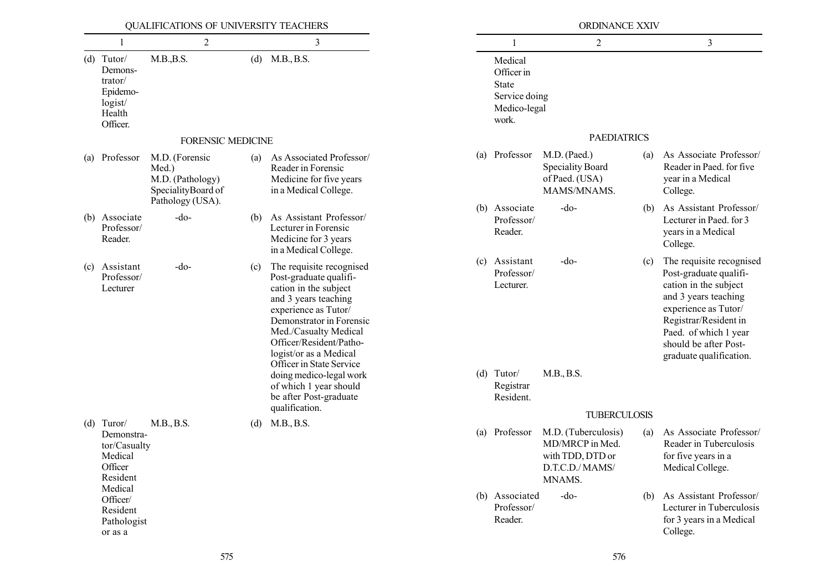|     |                                                                                 | QUALIFICATIONS OF UNIVERSITY TEACHERS                                                 |            |                                                                                                                                                                                                                                                                   |                                                                                 | ORDINANCE XXIV                                                           |                                                                                        |                                                                                                                                                                                                                                   |                                                                                              |
|-----|---------------------------------------------------------------------------------|---------------------------------------------------------------------------------------|------------|-------------------------------------------------------------------------------------------------------------------------------------------------------------------------------------------------------------------------------------------------------------------|---------------------------------------------------------------------------------|--------------------------------------------------------------------------|----------------------------------------------------------------------------------------|-----------------------------------------------------------------------------------------------------------------------------------------------------------------------------------------------------------------------------------|----------------------------------------------------------------------------------------------|
|     | 1                                                                               | $\overline{2}$                                                                        |            | $\mathfrak{Z}$                                                                                                                                                                                                                                                    |                                                                                 | $\overline{c}$                                                           |                                                                                        | $\overline{3}$                                                                                                                                                                                                                    |                                                                                              |
|     | $(d)$ Tutor/<br>Demons-<br>trator/<br>Epidemo-<br>logist/<br>Health<br>Officer. | M.B., B.S.                                                                            | (d)        | M.B., B.S.                                                                                                                                                                                                                                                        | Medical<br>Officer in<br><b>State</b><br>Service doing<br>Medico-legal<br>work. |                                                                          |                                                                                        |                                                                                                                                                                                                                                   |                                                                                              |
|     |                                                                                 | <b>FORENSIC MEDICINE</b>                                                              |            |                                                                                                                                                                                                                                                                   |                                                                                 | <b>PAEDIATRICS</b>                                                       |                                                                                        |                                                                                                                                                                                                                                   |                                                                                              |
| (a) | Professor                                                                       | M.D. (Forensic<br>Med.)<br>M.D. (Pathology)<br>SpecialityBoard of<br>Pathology (USA). | (a)        | As Associated Professor/<br>Reader in Forensic<br>Medicine for five years<br>in a Medical College.                                                                                                                                                                | (a) Professor                                                                   | M.D. (Paed.)<br><b>Speciality Board</b><br>of Paed. (USA)<br>MAMS/MNAMS. | (a)                                                                                    | As Associate Professor/<br>Reader in Paed. for five<br>year in a Medical<br>College.                                                                                                                                              |                                                                                              |
| (b) | Associate<br>Professor/<br>Reader.                                              | $-do-$                                                                                | (b)        | As Assistant Professor/<br>Lecturer in Forensic<br>Medicine for 3 years<br>in a Medical College.                                                                                                                                                                  | (b) Associate<br>Professor/<br>Reader.                                          | $-do-$                                                                   | (b)                                                                                    | As Assistant Professor/<br>Lecturer in Paed. for 3<br>years in a Medical<br>College.                                                                                                                                              |                                                                                              |
| (c) | Assistant<br>Professor/<br>Lecturer                                             | $-do-$                                                                                | (c)        | The requisite recognised<br>Post-graduate qualifi-<br>cation in the subject<br>and 3 years teaching<br>experience as Tutor/<br>Demonstrator in Forensic<br>Med./Casualty Medical<br>Officer/Resident/Patho-<br>logist/or as a Medical<br>Officer in State Service | (c) Assistant<br>Professor/<br>Lecturer.                                        | $-do-$                                                                   | (c)                                                                                    | The requisite recognised<br>Post-graduate qualifi-<br>cation in the subject<br>and 3 years teaching<br>experience as Tutor/<br>Registrar/Resident in<br>Paed. of which 1 year<br>should be after Post-<br>graduate qualification. |                                                                                              |
|     |                                                                                 |                                                                                       |            | doing medico-legal work<br>of which 1 year should<br>be after Post-graduate                                                                                                                                                                                       | $(d)$ Tutor/<br>Registrar<br>Resident.                                          | M.B., B.S.                                                               |                                                                                        |                                                                                                                                                                                                                                   |                                                                                              |
|     |                                                                                 |                                                                                       |            | qualification.                                                                                                                                                                                                                                                    |                                                                                 | <b>TUBERCULOSIS</b>                                                      |                                                                                        |                                                                                                                                                                                                                                   |                                                                                              |
|     | $(d)$ Turor/<br>Demonstra-<br>tor/Casualty<br>Medical<br>Officer<br>Resident    | Medical                                                                               | M.B., B.S. | (d)                                                                                                                                                                                                                                                               | M.B., B.S.                                                                      | (a) Professor                                                            | M.D. (Tuberculosis)<br>MD/MRCP in Med.<br>with TDD, DTD or<br>D.T.C.D./MAMS/<br>MNAMS. | (a)                                                                                                                                                                                                                               | As Associate Professor/<br>Reader in Tuberculosis<br>for five years in a<br>Medical College. |
|     | Officer/<br>Resident<br>Pathologist<br>or as a                                  |                                                                                       |            |                                                                                                                                                                                                                                                                   | (b) Associated<br>Professor/<br>Reader.                                         | $-do-$                                                                   | (b)                                                                                    | As Assistant Professor/<br>Lecturer in Tuberculosis<br>for 3 years in a Medical<br>College.                                                                                                                                       |                                                                                              |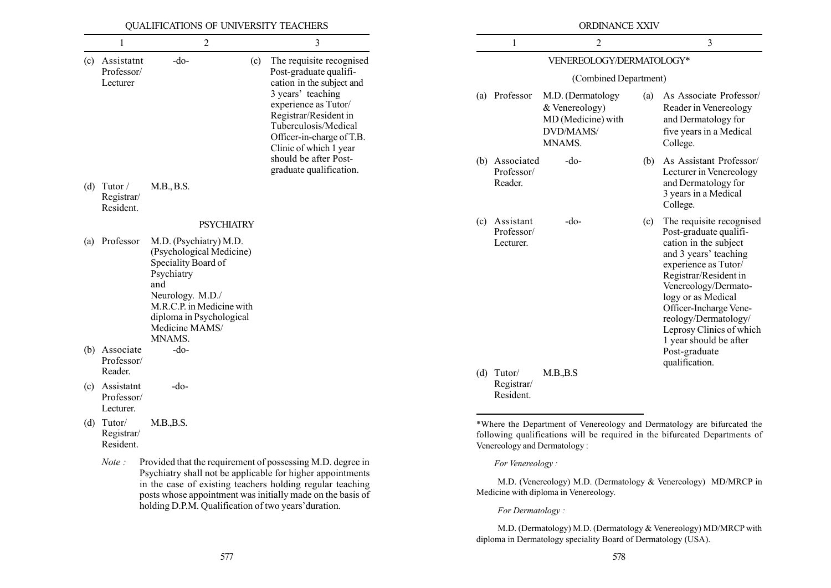|                                           | QUALIFICATIONS OF UNIVERSITY TEACHERS                                                                                                                                                                   |                          |                                                                                                                                                   |                                         | ORDINANCE XXIV                                                                   |     |                                                                                                                                                                                                                                                                                 |  |  |
|-------------------------------------------|---------------------------------------------------------------------------------------------------------------------------------------------------------------------------------------------------------|--------------------------|---------------------------------------------------------------------------------------------------------------------------------------------------|-----------------------------------------|----------------------------------------------------------------------------------|-----|---------------------------------------------------------------------------------------------------------------------------------------------------------------------------------------------------------------------------------------------------------------------------------|--|--|
| 1                                         | $\overline{2}$                                                                                                                                                                                          |                          | 3                                                                                                                                                 | 1                                       | $\overline{2}$                                                                   |     | $\mathfrak{Z}$                                                                                                                                                                                                                                                                  |  |  |
| (c) Assistatnt                            | $-do-$<br>(c)                                                                                                                                                                                           | The requisite recognised | VENEREOLOGY/DERMATOLOGY*                                                                                                                          |                                         |                                                                                  |     |                                                                                                                                                                                                                                                                                 |  |  |
| Professor/<br>Lecturer                    |                                                                                                                                                                                                         |                          | Post-graduate qualifi-<br>cation in the subject and                                                                                               |                                         | (Combined Department)                                                            |     |                                                                                                                                                                                                                                                                                 |  |  |
|                                           |                                                                                                                                                                                                         |                          | 3 years' teaching<br>experience as Tutor/<br>Registrar/Resident in<br>Tuberculosis/Medical<br>Officer-in-charge of T.B.<br>Clinic of which 1 year | (a) Professor                           | M.D. (Dermatology<br>& Venereology)<br>MD (Medicine) with<br>DVD/MAMS/<br>MNAMS. | (a) | As Associate Professor/<br>Reader in Venereology<br>and Dermatology for<br>five years in a Medical<br>College.                                                                                                                                                                  |  |  |
| (d) Tutor /<br>Registrar/<br>Resident.    | M.B., B.S.                                                                                                                                                                                              |                          | should be after Post-<br>graduate qualification.                                                                                                  | (b) Associated<br>Professor/<br>Reader. | $-do$                                                                            | (b) | As Assistant Professor/<br>Lecturer in Venereology<br>and Dermatology for<br>3 years in a Medical<br>College.                                                                                                                                                                   |  |  |
|                                           | <b>PSYCHIATRY</b>                                                                                                                                                                                       |                          |                                                                                                                                                   | (c) Assistant                           | -do-                                                                             | (c) | The requisite recognised                                                                                                                                                                                                                                                        |  |  |
| (a) Professor                             | M.D. (Psychiatry) M.D.<br>(Psychological Medicine)<br>Speciality Board of<br>Psychiatry<br>and<br>Neurology. M.D./<br>M.R.C.P. in Medicine with<br>diploma in Psychological<br>Medicine MAMS/<br>MNAMS. |                          |                                                                                                                                                   | Professor/<br>Lecturer.                 |                                                                                  |     | Post-graduate qualifi-<br>cation in the subject<br>and 3 years' teaching<br>experience as Tutor/<br>Registrar/Resident in<br>Venereology/Dermato-<br>logy or as Medical<br>Officer-Incharge Vene-<br>reology/Dermatology/<br>Leprosy Clinics of which<br>1 year should be after |  |  |
| (b) Associate<br>Professor/<br>Reader.    | -do-                                                                                                                                                                                                    |                          |                                                                                                                                                   |                                         |                                                                                  |     | Post-graduate<br>qualification.                                                                                                                                                                                                                                                 |  |  |
| (c) Assistatnt<br>Professor/<br>Lecturer. | -do-                                                                                                                                                                                                    |                          |                                                                                                                                                   | $(d)$ Tutor/<br>Registrar/<br>Resident. | M.B., B.S                                                                        |     |                                                                                                                                                                                                                                                                                 |  |  |
| $(d)$ Tutor/<br>Registrar/<br>Resident.   | M.B., B.S.                                                                                                                                                                                              |                          |                                                                                                                                                   |                                         | Venereology and Dermatology:                                                     |     | *Where the Department of Venereology and Dermatology are bifurcated the<br>following qualifications will be required in the bifurcated Departments of                                                                                                                           |  |  |
| Note:                                     |                                                                                                                                                                                                         |                          | Provided that the requirement of possessing M.D. degree in<br>Psychiatry shall not be applicable for higher appointments                          | For Venereology:                        |                                                                                  |     |                                                                                                                                                                                                                                                                                 |  |  |

M.D. (Venereology) M.D. (Dermatology & Venereology) MD/MRCP in Medicine with diploma in Venereology.

For Dermatology :

M.D. (Dermatology) M.D. (Dermatology & Venereology) MD/MRCP with diploma in Dermatology speciality Board of Dermatology (USA).

in the case of existing teachers holding regular teaching posts whose appointment was initially made on the basis of holding D.P.M. Qualification of two years' duration.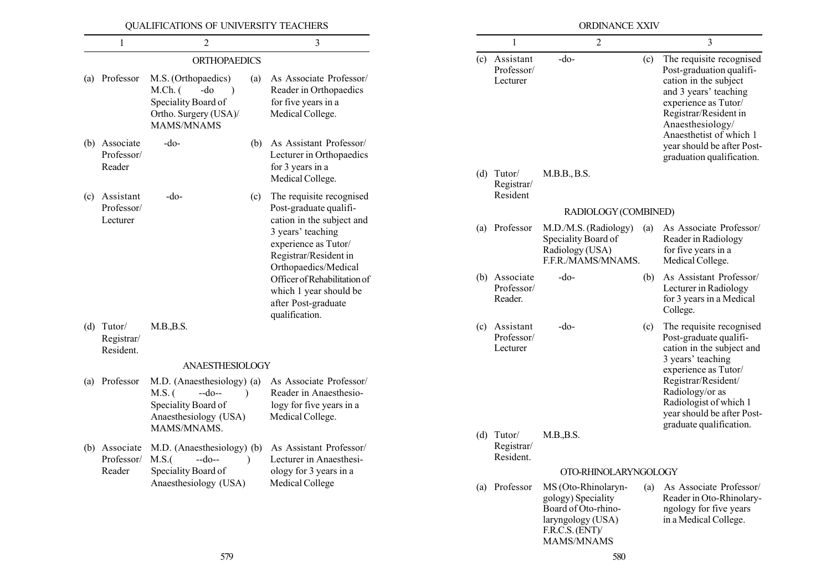|                                         | QUALIFICATIONS OF UNIVERSITY TEACHERS                                                                                         |                                                                                                                         |                                         | ORDINANCE XXIV                                                                                                               |     |                                                                                                                                                |
|-----------------------------------------|-------------------------------------------------------------------------------------------------------------------------------|-------------------------------------------------------------------------------------------------------------------------|-----------------------------------------|------------------------------------------------------------------------------------------------------------------------------|-----|------------------------------------------------------------------------------------------------------------------------------------------------|
| $\mathbf{1}$                            | 2                                                                                                                             | 3                                                                                                                       | 1                                       | $\overline{2}$                                                                                                               |     | $\overline{3}$                                                                                                                                 |
|                                         | <b>ORTHOPAEDICS</b>                                                                                                           |                                                                                                                         | (c) Assistant<br>Professor/             | $-do-$                                                                                                                       | (c) | The requisite recognised<br>Post-graduation qualifi-                                                                                           |
| (a) Professor                           | M.S. (Orthopaedics)<br>(a)<br>$M.Ch.$ (<br>-do<br>$\rightarrow$<br>Speciality Board of<br>Ortho. Surgery (USA)/<br>MAMS/MNAMS | As Associate Professor/<br>Reader in Orthopaedics<br>for five years in a<br>Medical College.                            | Lecturer                                |                                                                                                                              |     | cation in the subject<br>and 3 years' teaching<br>experience as Tutor/<br>Registrar/Resident in<br>Anaesthesiology/<br>Anaesthetist of which 1 |
| (b) Associate<br>Professor/<br>Reader   | $-do-$<br>(b)                                                                                                                 | As Assistant Professor/<br>Lecturer in Orthopaedics<br>for 3 years in a                                                 | $(d)$ Tutor/                            |                                                                                                                              |     | year should be after Post-<br>graduation qualification.                                                                                        |
| (c) Assistant                           | $-do-$<br>(c)                                                                                                                 | Medical College.<br>The requisite recognised                                                                            | Registrar/<br>Resident                  | M.B.B., B.S.                                                                                                                 |     |                                                                                                                                                |
| Professor/                              |                                                                                                                               | Post-graduate qualifi-                                                                                                  |                                         | RADIOLOGY (COMBINED)                                                                                                         |     |                                                                                                                                                |
| Lecturer                                |                                                                                                                               | cation in the subject and<br>3 years' teaching<br>experience as Tutor/<br>Registrar/Resident in<br>Orthopaedics/Medical | (a) Professor                           | M.D./M.S. (Radiology)<br>Speciality Board of<br>Radiology (USA)<br>F.F.R./MAMS/MNAMS.                                        | (a) | As Associate Professor/<br>Reader in Radiology<br>for five years in a<br>Medical College.                                                      |
|                                         |                                                                                                                               | Officer of Rehabilitation of<br>which 1 year should be<br>after Post-graduate<br>qualification.                         | (b) Associate<br>Professor/<br>Reader.  | $-do-$                                                                                                                       | (b) | As Assistant Professor/<br>Lecturer in Radiology<br>for 3 years in a Medical<br>College.                                                       |
| $(d)$ Tutor/<br>Registrar/<br>Resident. | M.B., B.S.                                                                                                                    |                                                                                                                         | (c) Assistant<br>Professor/<br>Lecturer | $-do-$                                                                                                                       | (c) | The requisite recognised<br>Post-graduate qualifi-<br>cation in the subject and<br>3 years' teaching                                           |
|                                         | ANAESTHESIOLOGY                                                                                                               |                                                                                                                         |                                         |                                                                                                                              |     | experience as Tutor/                                                                                                                           |
| (a) Professor                           | M.D. (Anaesthesiology) (a)<br>$M.S.$ (<br>$-do-$<br>Speciality Board of<br>Anaesthesiology (USA)<br>MAMS/MNAMS.               | As Associate Professor/<br>Reader in Anaesthesio-<br>logy for five years in a<br>Medical College.                       |                                         |                                                                                                                              |     | Registrar/Resident/<br>Radiology/or as<br>Radiologist of which 1<br>year should be after Post-<br>graduate qualification.                      |
| Professor/ M.S.(                        | (b) Associate M.D. (Anaesthesiology) (b)<br>$-do-$                                                                            | As Assistant Professor/<br>Lecturer in Anaesthesi-                                                                      | (d) Tutor/<br>Registrar/<br>Resident.   | M.B., B.S.                                                                                                                   |     |                                                                                                                                                |
| Reader                                  | Speciality Board of                                                                                                           | ology for 3 years in a                                                                                                  |                                         | OTO-RHINOLARYNGOLOGY                                                                                                         |     |                                                                                                                                                |
|                                         | Anaesthesiology (USA)                                                                                                         | Medical College                                                                                                         | (a) Professor                           | MS (Oto-Rhinolaryn-<br>gology) Speciality<br>Board of Oto-rhino-<br>laryngology (USA)<br>F.R.C.S. (ENT)<br><b>MAMS/MNAMS</b> | (a) | As Associate Professor/<br>Reader in Oto-Rhinolary-<br>ngology for five years<br>in a Medical College.                                         |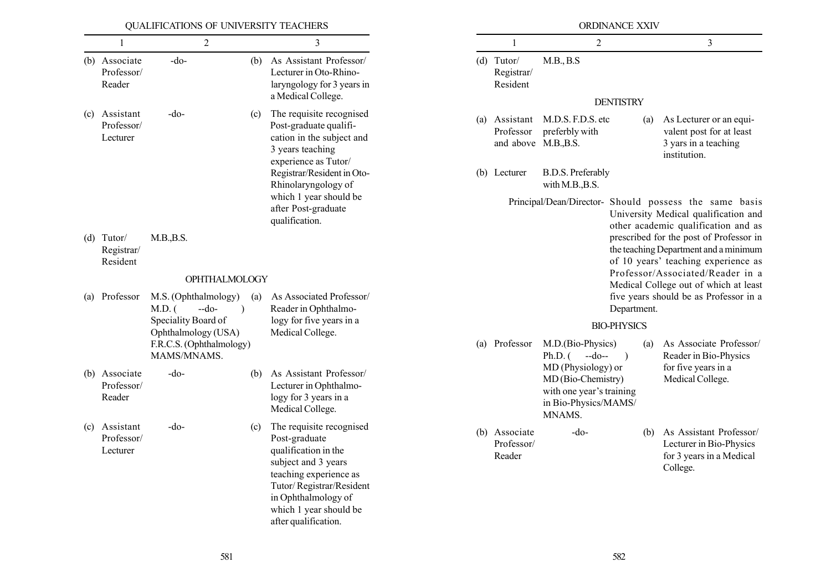|     |                                        | QUALIFICATIONS OF UNIVERSITY TEACHERS                   |                                                         |                                                                                                                                                                                                                         |                                              | ORDINANCE XXIV |                                        |                                                                                                                                                               |                  |                                                                                                                                                             |                                                                                                                                       |  |
|-----|----------------------------------------|---------------------------------------------------------|---------------------------------------------------------|-------------------------------------------------------------------------------------------------------------------------------------------------------------------------------------------------------------------------|----------------------------------------------|----------------|----------------------------------------|---------------------------------------------------------------------------------------------------------------------------------------------------------------|------------------|-------------------------------------------------------------------------------------------------------------------------------------------------------------|---------------------------------------------------------------------------------------------------------------------------------------|--|
|     | 1                                      | $\overline{2}$                                          |                                                         | 3                                                                                                                                                                                                                       |                                              |                | 1                                      | $\overline{2}$                                                                                                                                                |                  |                                                                                                                                                             | $\mathfrak{Z}$                                                                                                                        |  |
|     | (b) Associate<br>Professor/<br>Reader  | -do-                                                    | (b)                                                     | As Assistant Professor/<br>Lecturer in Oto-Rhino-<br>laryngology for 3 years in<br>a Medical College.                                                                                                                   |                                              |                | $(d)$ Tutor/<br>Registrar/<br>Resident | M.B., B.S                                                                                                                                                     | <b>DENTISTRY</b> |                                                                                                                                                             |                                                                                                                                       |  |
| (c) | Assistant<br>Professor/<br>Lecturer    | $-do-$                                                  | (c)                                                     | The requisite recognised<br>Post-graduate qualifi-<br>cation in the subject and<br>3 years teaching<br>experience as Tutor/                                                                                             |                                              |                | Professor<br>and above M.B., B.S.      | (a) Assistant M.D.S. F.D.S. etc<br>preferbly with                                                                                                             |                  | (a)                                                                                                                                                         | As Lecturer or an equi-<br>valent post for at least<br>3 yars in a teaching<br>institution.                                           |  |
|     |                                        |                                                         |                                                         | Registrar/Resident in Oto-<br>Rhinolaryngology of                                                                                                                                                                       |                                              |                | (b) Lecturer                           | <b>B.D.S. Preferably</b><br>with M.B., B.S.                                                                                                                   |                  |                                                                                                                                                             |                                                                                                                                       |  |
|     |                                        |                                                         |                                                         | which 1 year should be<br>after Post-graduate<br>qualification.                                                                                                                                                         |                                              |                |                                        |                                                                                                                                                               |                  |                                                                                                                                                             | Principal/Dean/Director- Should possess the same basis<br>University Medical qualification and<br>other academic qualification and as |  |
|     | $(d)$ Tutor/<br>Registrar/<br>Resident | M.B., B.S.                                              |                                                         |                                                                                                                                                                                                                         |                                              |                |                                        |                                                                                                                                                               |                  | prescribed for the post of Professor in<br>the teaching Department and a minimum<br>of 10 years' teaching experience as<br>Professor/Associated/Reader in a |                                                                                                                                       |  |
|     |                                        | OPHTHALMOLOGY                                           |                                                         |                                                                                                                                                                                                                         |                                              |                |                                        |                                                                                                                                                               |                  |                                                                                                                                                             | Medical College out of which at least                                                                                                 |  |
| (a) | Professor                              | M.S. (Ophthalmology)<br>$-do-$<br>$M.D.$ (<br>$\lambda$ | As Associated Professor/<br>(a)<br>Reader in Ophthalmo- |                                                                                                                                                                                                                         |                                              |                |                                        |                                                                                                                                                               | Department.      |                                                                                                                                                             | five years should be as Professor in a                                                                                                |  |
|     |                                        | Speciality Board of<br>Ophthalmology (USA)              |                                                         |                                                                                                                                                                                                                         | logy for five years in a<br>Medical College. |                |                                        |                                                                                                                                                               |                  | <b>BIO-PHYSICS</b>                                                                                                                                          |                                                                                                                                       |  |
|     |                                        | F.R.C.S. (Ophthalmology)<br>MAMS/MNAMS.                 |                                                         |                                                                                                                                                                                                                         |                                              |                | (a) Professor                          | M.D.(Bio-Physics)<br>$Ph.D.$ (<br>$-do-$<br>$\big)$<br>MD (Physiology) or<br>MD (Bio-Chemistry)<br>with one year's training<br>in Bio-Physics/MAMS/<br>MNAMS. |                  | (a)                                                                                                                                                         | As Associate Professor/<br>Reader in Bio-Physics                                                                                      |  |
|     | (b) Associate<br>Professor/<br>Reader  | $-do-$                                                  | (b)                                                     | As Assistant Professor/<br>Lecturer in Ophthalmo-<br>logy for 3 years in a<br>Medical College.                                                                                                                          |                                              |                |                                        |                                                                                                                                                               |                  |                                                                                                                                                             | for five years in a<br>Medical College.                                                                                               |  |
| (c) | Assistant<br>Professor/<br>Lecturer    | $-do-$                                                  | (c)                                                     | The requisite recognised<br>Post-graduate<br>qualification in the<br>subject and 3 years<br>teaching experience as<br>Tutor/Registrar/Resident<br>in Ophthalmology of<br>which 1 year should be<br>after qualification. |                                              |                | (b) Associate<br>Professor/<br>Reader  | -do-                                                                                                                                                          |                  | (b)                                                                                                                                                         | As Assistant Professor/<br>Lecturer in Bio-Physics<br>for 3 years in a Medical<br>College.                                            |  |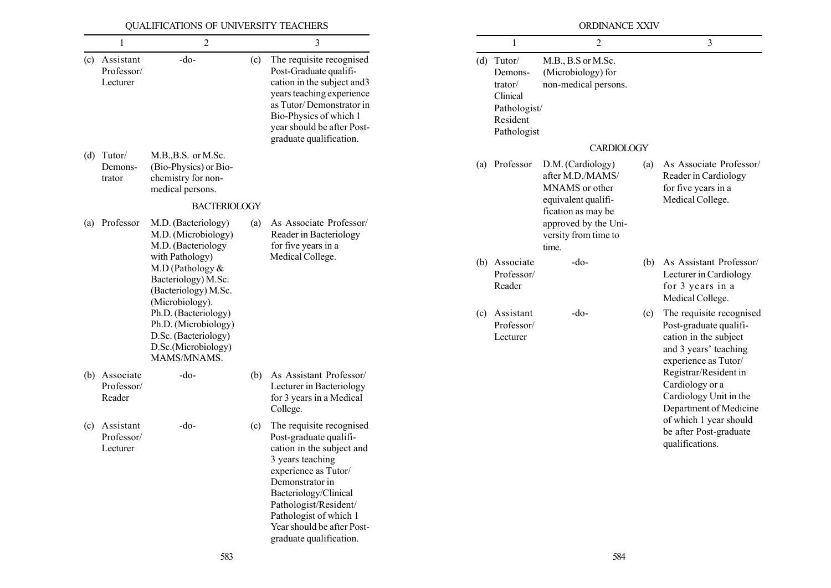|                                         | QUALIFICATIONS OF UNIVERSITY TEACHERS                                                                      |     |                                                                                                                                                                                                                                                                                     |                                                                                           | ORDINANCE XXIV                                                                                     |     |                                                                                                                              |
|-----------------------------------------|------------------------------------------------------------------------------------------------------------|-----|-------------------------------------------------------------------------------------------------------------------------------------------------------------------------------------------------------------------------------------------------------------------------------------|-------------------------------------------------------------------------------------------|----------------------------------------------------------------------------------------------------|-----|------------------------------------------------------------------------------------------------------------------------------|
|                                         | 2                                                                                                          |     | 3                                                                                                                                                                                                                                                                                   |                                                                                           | 2                                                                                                  |     | $\overline{3}$                                                                                                               |
| (c) Assistant<br>Professor/<br>Lecturer | $-do-$                                                                                                     | (c) | The requisite recognised<br>Post-Graduate qualifi-<br>cation in the subject and 3<br>years teaching experience<br>as Tutor/Demonstrator in<br>Bio-Physics of which 1<br>year should be after Post-<br>graduate qualification.                                                       | $(d)$ Tutor/<br>Demons-<br>trator/<br>Clinical<br>Pathologist/<br>Resident<br>Pathologist | M.B., B.S or M.Sc.<br>(Microbiology) for<br>non-medical persons.                                   |     |                                                                                                                              |
| $(d)$ Tutor/<br>Demons-<br>trator       | M.B., B.S. or M.Sc.<br>(Bio-Physics) or Bio-<br>chemistry for non-<br>medical persons.                     |     |                                                                                                                                                                                                                                                                                     | (a) Professor                                                                             | <b>CARDIOLOGY</b><br>D.M. (Cardiology)<br>after M.D./MAMS/<br>MNAMS or other                       | (a) | As Associate Professor/<br>Reader in Cardiology<br>for five years in a                                                       |
| (a) Professor                           | <b>BACTERIOLOGY</b><br>M.D. (Bacteriology)<br>M.D. (Microbiology)<br>M.D. (Bacteriology                    | (a) | As Associate Professor/<br>Reader in Bacteriology<br>for five years in a                                                                                                                                                                                                            |                                                                                           | equivalent qualifi-<br>fication as may be<br>approved by the Uni-<br>versity from time to<br>time. |     | Medical College.                                                                                                             |
|                                         | with Pathology)<br>M.D (Pathology $&$<br>Bacteriology) M.Sc.<br>(Bacteriology) M.Sc.<br>(Microbiology).    |     | Medical College.                                                                                                                                                                                                                                                                    | (b) Associate<br>Professor/<br>Reader                                                     | $-do-$                                                                                             | (b) | As Assistant Professor/<br>Lecturer in Cardiology<br>for 3 years in a<br>Medical College.                                    |
|                                         | Ph.D. (Bacteriology)<br>Ph.D. (Microbiology)<br>D.Sc. (Bacteriology)<br>D.Sc.(Microbiology)<br>MAMS/MNAMS. |     |                                                                                                                                                                                                                                                                                     | (c) Assistant<br>Professor/<br>Lecturer                                                   | -do-                                                                                               | (c) | The requisite recognised<br>Post-graduate qualifi-<br>cation in the subject<br>and 3 years' teaching<br>experience as Tutor/ |
| (b) Associate<br>Professor/<br>Reader   | -do-                                                                                                       | (b) | As Assistant Professor/<br>Lecturer in Bacteriology<br>for 3 years in a Medical<br>College.                                                                                                                                                                                         |                                                                                           |                                                                                                    |     | Registrar/Resident in<br>Cardiology or a<br>Cardiology Unit in the<br>Department of Medicine                                 |
| (c) Assistant<br>Professor/<br>Lecturer | $-do$                                                                                                      | (c) | The requisite recognised<br>Post-graduate qualifi-<br>cation in the subject and<br>3 years teaching<br>experience as Tutor/<br>Demonstrator in<br>Bacteriology/Clinical<br>Pathologist/Resident/<br>Pathologist of which 1<br>Year should be after Post-<br>graduate qualification. |                                                                                           |                                                                                                    |     | of which 1 year should<br>be after Post-graduate<br>qualifications.                                                          |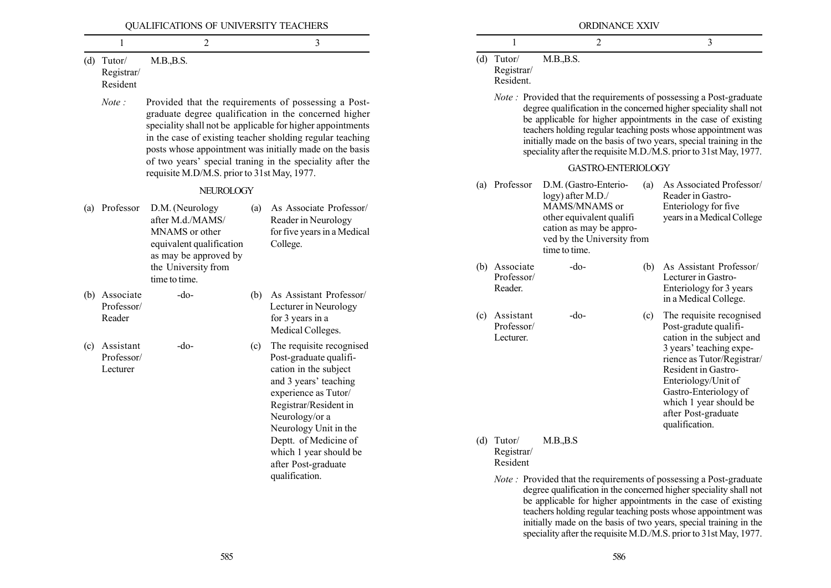|     |                                        | QUALIFICATIONS OF UNIVERSITY TEACHERS                                                                      |                                                                        |                                                                                                                                                                                                                                                                                                                                                                  |                                        |                                         | ORDINANCE XXIV                                                                                                                           |     |                                                                                                                                                                                                                                                                                                                                                                                                                             |                                                                                                                                                                                                                                                                                                                                                                                                                             |
|-----|----------------------------------------|------------------------------------------------------------------------------------------------------------|------------------------------------------------------------------------|------------------------------------------------------------------------------------------------------------------------------------------------------------------------------------------------------------------------------------------------------------------------------------------------------------------------------------------------------------------|----------------------------------------|-----------------------------------------|------------------------------------------------------------------------------------------------------------------------------------------|-----|-----------------------------------------------------------------------------------------------------------------------------------------------------------------------------------------------------------------------------------------------------------------------------------------------------------------------------------------------------------------------------------------------------------------------------|-----------------------------------------------------------------------------------------------------------------------------------------------------------------------------------------------------------------------------------------------------------------------------------------------------------------------------------------------------------------------------------------------------------------------------|
|     |                                        | 2                                                                                                          |                                                                        | 3                                                                                                                                                                                                                                                                                                                                                                |                                        |                                         | 2                                                                                                                                        |     | 3                                                                                                                                                                                                                                                                                                                                                                                                                           |                                                                                                                                                                                                                                                                                                                                                                                                                             |
|     | $(d)$ Tutor/<br>Registrar/<br>Resident | M.B., B.S.                                                                                                 |                                                                        |                                                                                                                                                                                                                                                                                                                                                                  |                                        | $(d)$ Tutor/<br>Registrar/<br>Resident. | M.B., B.S.                                                                                                                               |     |                                                                                                                                                                                                                                                                                                                                                                                                                             |                                                                                                                                                                                                                                                                                                                                                                                                                             |
|     | Note:                                  |                                                                                                            |                                                                        | Provided that the requirements of possessing a Post-<br>graduate degree qualification in the concerned higher<br>speciality shall not be applicable for higher appointments<br>in the case of existing teacher sholding regular teaching<br>posts whose appointment was initially made on the basis<br>of two years' special traning in the speciality after the |                                        |                                         | GASTRO-ENTERIOLOGY                                                                                                                       |     | <i>Note</i> : Provided that the requirements of possessing a Post-graduate<br>degree qualification in the concerned higher speciality shall not<br>be applicable for higher appointments in the case of existing<br>teachers holding regular teaching posts whose appointment was<br>initially made on the basis of two years, special training in the<br>speciality after the requisite M.D./M.S. prior to 31st May, 1977. |                                                                                                                                                                                                                                                                                                                                                                                                                             |
|     |                                        | requisite M.D/M.S. prior to 31st May, 1977.<br><b>NEUROLOGY</b>                                            |                                                                        |                                                                                                                                                                                                                                                                                                                                                                  | Professor<br>(a)                       |                                         | D.M. (Gastro-Enterio-                                                                                                                    | (a) | As Associated Professor/<br>Reader in Gastro-                                                                                                                                                                                                                                                                                                                                                                               |                                                                                                                                                                                                                                                                                                                                                                                                                             |
| (a) | Professor                              | D.M. (Neurology<br>after M.d./MAMS/<br>MNAMS or other<br>equivalent qualification<br>as may be approved by | (a)                                                                    | As Associate Professor/<br>Reader in Neurology<br>for five years in a Medical<br>College.                                                                                                                                                                                                                                                                        |                                        |                                         | logy) after M.D./<br>MAMS/MNAMS or<br>other equivalent qualifi<br>cation as may be appro-<br>ved by the University from<br>time to time. |     | Enteriology for five<br>years in a Medical College                                                                                                                                                                                                                                                                                                                                                                          |                                                                                                                                                                                                                                                                                                                                                                                                                             |
| (b) | Associate                              | the University from<br>time to time.<br>$-do-$                                                             | (b)                                                                    | As Assistant Professor/                                                                                                                                                                                                                                                                                                                                          |                                        | (b) Associate<br>Professor/<br>Reader.  | $-do-$                                                                                                                                   | (b) | As Assistant Professor/<br>Lecturer in Gastro-<br>Enteriology for 3 years<br>in a Medical College.                                                                                                                                                                                                                                                                                                                          |                                                                                                                                                                                                                                                                                                                                                                                                                             |
|     | Professor/<br>Reader                   |                                                                                                            |                                                                        | Lecturer in Neurology<br>for 3 years in a<br>Medical Colleges.                                                                                                                                                                                                                                                                                                   | (c) Assistant<br>Professor/            |                                         | $-do-$                                                                                                                                   | (c) | The requisite recognised<br>Post-gradute qualifi-                                                                                                                                                                                                                                                                                                                                                                           |                                                                                                                                                                                                                                                                                                                                                                                                                             |
| (c) | Assistant<br>Professor/<br>Lecturer    | $-do-$                                                                                                     | (c)                                                                    | The requisite recognised<br>Post-graduate qualifi-<br>cation in the subject<br>and 3 years' teaching<br>experience as Tutor/<br>Registrar/Resident in<br>Neurology/or a<br>Neurology Unit in the                                                                                                                                                                 |                                        | Lecturer.                               |                                                                                                                                          |     | cation in the subject and<br>3 years' teaching expe-<br>rience as Tutor/Registrar/<br>Resident in Gastro-<br>Enteriology/Unit of<br>Gastro-Enteriology of<br>which 1 year should be<br>after Post-graduate<br>qualification.                                                                                                                                                                                                |                                                                                                                                                                                                                                                                                                                                                                                                                             |
|     |                                        |                                                                                                            | Deptt. of Medicine of<br>which 1 year should be<br>after Post-graduate |                                                                                                                                                                                                                                                                                                                                                                  | $(d)$ Tutor/<br>Registrar/<br>Resident | M.B., B.S                               |                                                                                                                                          |     |                                                                                                                                                                                                                                                                                                                                                                                                                             |                                                                                                                                                                                                                                                                                                                                                                                                                             |
|     |                                        |                                                                                                            |                                                                        | qualification.                                                                                                                                                                                                                                                                                                                                                   |                                        |                                         |                                                                                                                                          |     |                                                                                                                                                                                                                                                                                                                                                                                                                             | <i>Note</i> : Provided that the requirements of possessing a Post-graduate<br>degree qualification in the concerned higher speciality shall not<br>be applicable for higher appointments in the case of existing<br>teachers holding regular teaching posts whose appointment was<br>initially made on the basis of two years, special training in the<br>speciality after the requisite M.D./M.S. prior to 31st May, 1977. |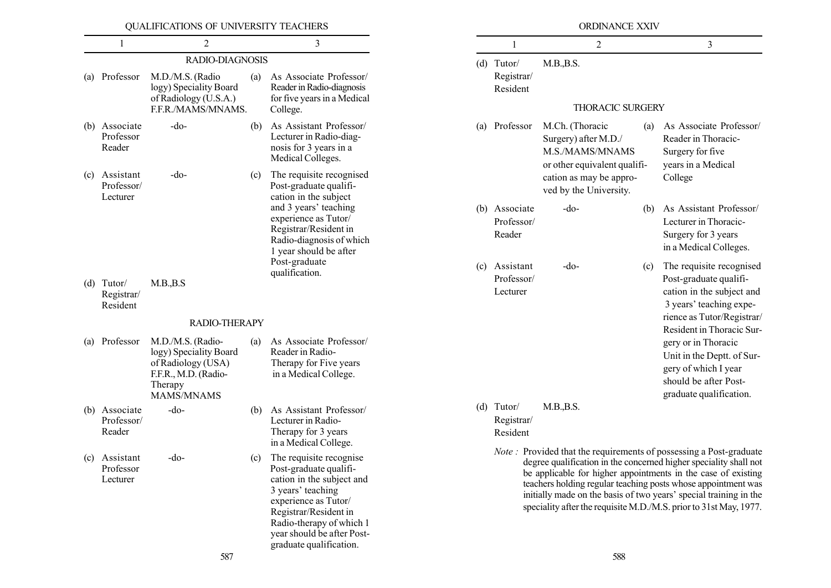|     |                                       | QUALIFICATIONS OF UNIVERSITY TEACHERS                                                                                     |     |                                                                                                                                                                                                                                                |            |
|-----|---------------------------------------|---------------------------------------------------------------------------------------------------------------------------|-----|------------------------------------------------------------------------------------------------------------------------------------------------------------------------------------------------------------------------------------------------|------------|
|     | 1                                     | $\overline{2}$                                                                                                            |     | 3                                                                                                                                                                                                                                              |            |
|     |                                       | RADIO-DIAGNOSIS                                                                                                           |     |                                                                                                                                                                                                                                                | (d)        |
| (a) | Professor                             | M.D./M.S. (Radio<br>logy) Speciality Board<br>of Radiology (U.S.A.)<br>F.F.R./MAMS/MNAMS.                                 | (a) | As Associate Professor/<br>Reader in Radio-diagnosis<br>for five years in a Medical<br>College.                                                                                                                                                |            |
|     | (b) Associate<br>Professor<br>Reader  | -do-                                                                                                                      | (b) | As Assistant Professor/<br>Lecturer in Radio-diag-<br>nosis for 3 years in a<br>Medical Colleges.                                                                                                                                              | (a)        |
| (c) | Assistant<br>Professor/<br>Lecturer   | -do-                                                                                                                      | (c) | The requisite recognised<br>Post-graduate qualifi-<br>cation in the subject<br>and 3 years' teaching<br>experience as Tutor/<br>Registrar/Resident in<br>Radio-diagnosis of which<br>1 year should be after<br>Post-graduate<br>qualification. | (b)<br>(c) |
| (d) | Tutor/<br>Registrar/<br>Resident      | M.B., B.S                                                                                                                 |     |                                                                                                                                                                                                                                                |            |
|     |                                       | RADIO-THERAPY                                                                                                             |     |                                                                                                                                                                                                                                                |            |
| (a) | Professor                             | M.D./M.S. (Radio-<br>logy) Speciality Board<br>of Radiology (USA)<br>F.F.R., M.D. (Radio-<br>Therapy<br><b>MAMS/MNAMS</b> | (a) | As Associate Professor/<br>Reader in Radio-<br>Therapy for Five years<br>in a Medical College.                                                                                                                                                 |            |
|     | (b) Associate<br>Professor/<br>Reader | $-do-$                                                                                                                    | (b) | As Assistant Professor/<br>Lecturer in Radio-<br>Therapy for 3 years<br>in a Medical College.                                                                                                                                                  | (d)        |
| (c) | Assistant<br>Professor<br>Lecturer    | $-do-$                                                                                                                    | (c) | The requisite recognise<br>Post-graduate qualifi-<br>cation in the subject and<br>3 years' teaching<br>experience as Tutor/<br>Registrar/Resident in<br>Radio-therapy of which 1<br>year should be after Post-<br>graduate qualification.      |            |

 $1 \hspace{1.5cm} 2 \hspace{1.5cm} 3$ Tutor/ M.B., B.S. THORACIC SURGERY Professor M.Ch. (Thoracic (a) As Associate Professor/ Surgery) after M.D./ Reader in Thoracic-M.S./MAMS/MNAMS Surgery for five or other equivalent qualifi- years in a Medical cation as may be appro- College ved by the University. (b) Associate -do- (b) As Assistant Professor/ Professor/ Lecturer in Thoracic-Reader Surgery for 3 years in a Medical Colleges. Assistant -do- (c) The requisite recognised Professor/ Post-graduate qualifi-Lecturer cation in the subject and 3 years' teaching experience as Tutor/Registrar/ Resident in Thoracic Surgery or in Thoracic Unit in the Deptt. of Surgery of which I year should be after Postgraduate qualification.

ORDINANCE XXIV

Tutor/ M.B., B.S. Registrar/ Resident

Registrar/ Resident

Note : Provided that the requirements of possessing a Post-graduate degree qualification in the concerned higher speciality shall not be applicable for higher appointments in the case of existing teachers holding regular teaching posts whose appointment was initially made on the basis of two years' special training in the speciality after the requisite M.D./M.S. prior to 31st May, 1977.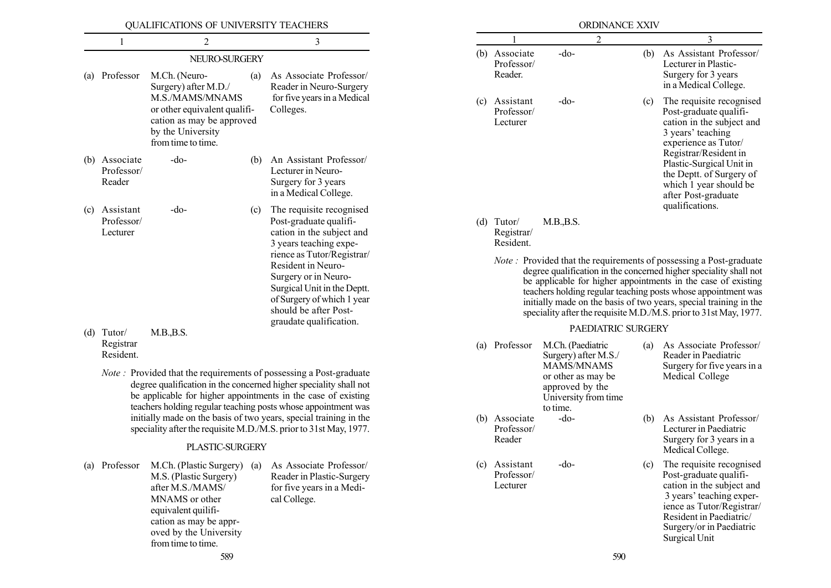|            | 1                                             | 2                                                                                                                                                                                                                                                                                                                                                                                                                           |     | 3                                                                                                                                                                                                                                                                                                      |
|------------|-----------------------------------------------|-----------------------------------------------------------------------------------------------------------------------------------------------------------------------------------------------------------------------------------------------------------------------------------------------------------------------------------------------------------------------------------------------------------------------------|-----|--------------------------------------------------------------------------------------------------------------------------------------------------------------------------------------------------------------------------------------------------------------------------------------------------------|
|            |                                               | NEURO-SURGERY                                                                                                                                                                                                                                                                                                                                                                                                               |     |                                                                                                                                                                                                                                                                                                        |
| (a)        | Professor                                     | M.Ch. (Neuro-<br>Surgery) after M.D./<br>M.S./MAMS/MNAMS<br>or other equivalent qualifi-<br>cation as may be approved<br>by the University<br>from time to time.                                                                                                                                                                                                                                                            | (a) | As Associate Professor/<br>Reader in Neuro-Surgery<br>for five years in a Medical<br>Colleges.                                                                                                                                                                                                         |
|            | (b) Associate<br>Professor/<br>Reader         | $-do-$                                                                                                                                                                                                                                                                                                                                                                                                                      | (b) | An Assistant Professor/<br>Lecturer in Neuro-<br>Surgery for 3 years<br>in a Medical College.                                                                                                                                                                                                          |
| (c)<br>(d) | Assistant<br>Professor/<br>Lecturer<br>Tutor/ | -do-<br>M.B., B.S.                                                                                                                                                                                                                                                                                                                                                                                                          | (c) | The requisite recognised<br>Post-graduate qualifi-<br>cation in the subject and<br>3 years teaching expe-<br>rience as Tutor/Registrar/<br>Resident in Neuro-<br>Surgery or in Neuro-<br>Surgical Unit in the Deptt.<br>of Surgery of which 1 year<br>should be after Post-<br>graudate qualification. |
|            | Registrar<br>Resident.                        |                                                                                                                                                                                                                                                                                                                                                                                                                             |     |                                                                                                                                                                                                                                                                                                        |
|            |                                               | <i>Note</i> : Provided that the requirements of possessing a Post-graduate<br>degree qualification in the concerned higher speciality shall not<br>be applicable for higher appointments in the case of existing<br>teachers holding regular teaching posts whose appointment was<br>initially made on the basis of two years, special training in the<br>speciality after the requisite M.D./M.S. prior to 31st May, 1977. |     |                                                                                                                                                                                                                                                                                                        |
|            |                                               | PLASTIC-SURGERY                                                                                                                                                                                                                                                                                                                                                                                                             |     |                                                                                                                                                                                                                                                                                                        |
| (a)        | Professor                                     | M.Ch. (Plastic Surgery)<br>M.S. (Plastic Surgery)<br>after M.S./MAMS/<br>MNAMS or other<br>equivalent quilifi-<br>cation as may be appr-<br>oved by the University                                                                                                                                                                                                                                                          | (a) | As Associate Professor/<br>Reader in Plastic-Surgery<br>for five years in a Medi-<br>cal College.                                                                                                                                                                                                      |

|     |                                       | <b>ORDINANCE XXIV</b>                                                     |     |                                                                                                                                                                                                                                                                                                                                                                                                                             |
|-----|---------------------------------------|---------------------------------------------------------------------------|-----|-----------------------------------------------------------------------------------------------------------------------------------------------------------------------------------------------------------------------------------------------------------------------------------------------------------------------------------------------------------------------------------------------------------------------------|
|     | 1                                     | 2                                                                         |     | 3                                                                                                                                                                                                                                                                                                                                                                                                                           |
| (b) | Associate<br>Professor/<br>Reader.    | $-do-$                                                                    | (b) | As Assistant Professor/<br>Lecturer in Plastic-<br>Surgery for 3 years<br>in a Medical College.                                                                                                                                                                                                                                                                                                                             |
| (c) | Assistant<br>Professor/<br>Lecturer   | -do-                                                                      | (c) | The requisite recognised<br>Post-graduate qualifi-<br>cation in the subject and<br>3 years' teaching<br>experience as Tutor/<br>Registrar/Resident in<br>Plastic-Surgical Unit in<br>the Deptt. of Surgery of<br>which 1 year should be<br>after Post-graduate<br>qualifications.                                                                                                                                           |
| (d) | Tutor/<br>Registrar/<br>Resident.     | M.B., B.S.                                                                |     |                                                                                                                                                                                                                                                                                                                                                                                                                             |
|     |                                       |                                                                           |     | <i>Note</i> : Provided that the requirements of possessing a Post-graduate<br>degree qualification in the concerned higher speciality shall not<br>be applicable for higher appointments in the case of existing<br>teachers holding regular teaching posts whose appointment was<br>initially made on the basis of two years, special training in the<br>speciality after the requisite M.D./M.S. prior to 31st May, 1977. |
|     |                                       | PAEDIATRIC SURGERY                                                        |     |                                                                                                                                                                                                                                                                                                                                                                                                                             |
| (a) | Professor                             | M.Ch. (Paediatric<br>Surgery) after M.S./<br>MAMS/MNAMS                   | (a) | As Associate Professor/                                                                                                                                                                                                                                                                                                                                                                                                     |
|     |                                       | or other as may be<br>approved by the<br>University from time<br>to time. |     | Reader in Paediatric<br>Medical College                                                                                                                                                                                                                                                                                                                                                                                     |
|     | (b) Associate<br>Professor/<br>Reader | -do-                                                                      | (b) | Surgery for five years in a<br>As Assistant Professor/<br>Lecturer in Paediatric<br>Surgery for 3 years in a<br>Medical College.                                                                                                                                                                                                                                                                                            |

from time to time.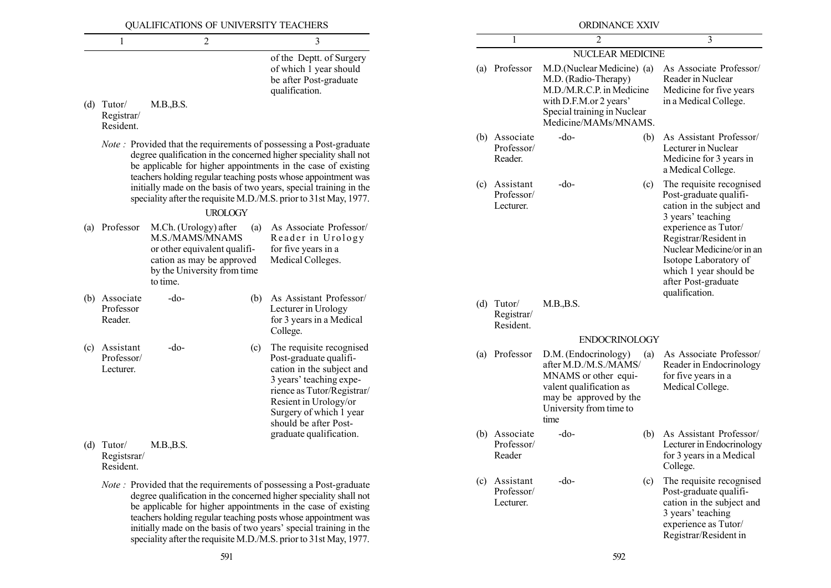| QUALIFICATIONS OF UNIVERSITY TEACHERS |                                          |                                                                                                                                                  |                |                                                                                                                                                                                                                                                                                                                                                                                                                             | ORDINANCE XXIV                           |                                                                                                                                                                  |                         |                                                                                                                                                                        |  |  |  |
|---------------------------------------|------------------------------------------|--------------------------------------------------------------------------------------------------------------------------------------------------|----------------|-----------------------------------------------------------------------------------------------------------------------------------------------------------------------------------------------------------------------------------------------------------------------------------------------------------------------------------------------------------------------------------------------------------------------------|------------------------------------------|------------------------------------------------------------------------------------------------------------------------------------------------------------------|-------------------------|------------------------------------------------------------------------------------------------------------------------------------------------------------------------|--|--|--|
|                                       |                                          | $\overline{2}$                                                                                                                                   |                | 3                                                                                                                                                                                                                                                                                                                                                                                                                           |                                          | 2                                                                                                                                                                |                         | $\overline{3}$                                                                                                                                                         |  |  |  |
|                                       |                                          |                                                                                                                                                  |                | of the Deptt. of Surgery                                                                                                                                                                                                                                                                                                                                                                                                    |                                          |                                                                                                                                                                  | <b>NUCLEAR MEDICINE</b> |                                                                                                                                                                        |  |  |  |
| (d)                                   | Tutor/<br>Registrar/<br>Resident.        | M.B., B.S.                                                                                                                                       |                | of which 1 year should<br>be after Post-graduate<br>qualification.                                                                                                                                                                                                                                                                                                                                                          | (a) Professor                            | M.D.(Nuclear Medicine) (a)<br>M.D. (Radio-Therapy)<br>M.D./M.R.C.P. in Medicine<br>with D.F.M.or 2 years'<br>Special training in Nuclear<br>Medicine/MAMs/MNAMS. |                         | As Associate Professor/<br>Reader in Nuclear<br>Medicine for five years<br>in a Medical College.                                                                       |  |  |  |
|                                       |                                          |                                                                                                                                                  |                | <i>Note</i> : Provided that the requirements of possessing a Post-graduate<br>degree qualification in the concerned higher speciality shall not<br>be applicable for higher appointments in the case of existing<br>teachers holding regular teaching posts whose appointment was                                                                                                                                           | (b) Associate<br>Professor/<br>Reader.   | $-do-$                                                                                                                                                           | (b)                     | As Assistant Professor/<br>Lecturer in Nuclear<br>Medicine for 3 years in<br>a Medical College.                                                                        |  |  |  |
|                                       |                                          |                                                                                                                                                  | <b>UROLOGY</b> | initially made on the basis of two years, special training in the<br>speciality after the requisite M.D./M.S. prior to 31st May, 1977.                                                                                                                                                                                                                                                                                      | (c) Assistant<br>Professor/<br>Lecturer. | -do-                                                                                                                                                             | (c)                     | The requisite recognised<br>Post-graduate qualifi-<br>cation in the subject and<br>3 years' teaching                                                                   |  |  |  |
| (a)                                   | Professor                                | M.Ch. (Urology) after<br>M.S./MAMS/MNAMS<br>or other equivalent qualifi-<br>cation as may be approved<br>by the University from time<br>to time. | (a)            | As Associate Professor/<br>Reader in Urology<br>for five years in a<br>Medical Colleges.                                                                                                                                                                                                                                                                                                                                    |                                          |                                                                                                                                                                  |                         | experience as Tutor/<br>Registrar/Resident in<br>Nuclear Medicine/or in an<br>Isotope Laboratory of<br>which 1 year should be<br>after Post-graduate<br>qualification. |  |  |  |
|                                       | (b) Associate<br>Professor<br>Reader.    | $-do$                                                                                                                                            | (b)            | As Assistant Professor/<br>Lecturer in Urology<br>for 3 years in a Medical<br>College.                                                                                                                                                                                                                                                                                                                                      | $(d)$ Tutor/<br>Registrar/<br>Resident.  | M.B., B.S.                                                                                                                                                       |                         |                                                                                                                                                                        |  |  |  |
| (c)                                   | Assistant                                | $-do-$                                                                                                                                           | (c)            | The requisite recognised                                                                                                                                                                                                                                                                                                                                                                                                    |                                          |                                                                                                                                                                  | <b>ENDOCRINOLOGY</b>    |                                                                                                                                                                        |  |  |  |
|                                       | Professor/<br>Lecturer.                  |                                                                                                                                                  |                | Post-graduate qualifi-<br>cation in the subject and<br>3 years' teaching expe-<br>rience as Tutor/Registrar/<br>Resient in Urology/or<br>Surgery of which 1 year<br>should be after Post-                                                                                                                                                                                                                                   | (a) Professor                            | D.M. (Endocrinology)<br>after M.D./M.S./MAMS/<br>MNAMS or other equi-<br>valent qualification as<br>may be approved by the<br>University from time to<br>time    | (a)                     | As Associate Professor/<br>Reader in Endocrinology<br>for five years in a<br>Medical College.                                                                          |  |  |  |
|                                       | $(d)$ Tutor/<br>Registsrar/<br>Resident. | M.B., B.S.                                                                                                                                       |                | graduate qualification.                                                                                                                                                                                                                                                                                                                                                                                                     | (b) Associate<br>Professor/<br>Reader    | $-do-$                                                                                                                                                           | (b)                     | As Assistant Professor/<br>Lecturer in Endocrinology<br>for 3 years in a Medical<br>College.                                                                           |  |  |  |
|                                       |                                          |                                                                                                                                                  |                | <i>Note</i> : Provided that the requirements of possessing a Post-graduate<br>degree qualification in the concerned higher speciality shall not<br>be applicable for higher appointments in the case of existing<br>teachers holding regular teaching posts whose appointment was<br>initially made on the basis of two years' special training in the<br>speciality after the requisite M.D./M.S. prior to 31st May, 1977. | (c) Assistant<br>Professor/<br>Lecturer. | $-do-$                                                                                                                                                           | (c)                     | The requisite recognised<br>Post-graduate qualifi-<br>cation in the subject and<br>3 years' teaching<br>experience as Tutor/<br>Registrar/Resident in                  |  |  |  |